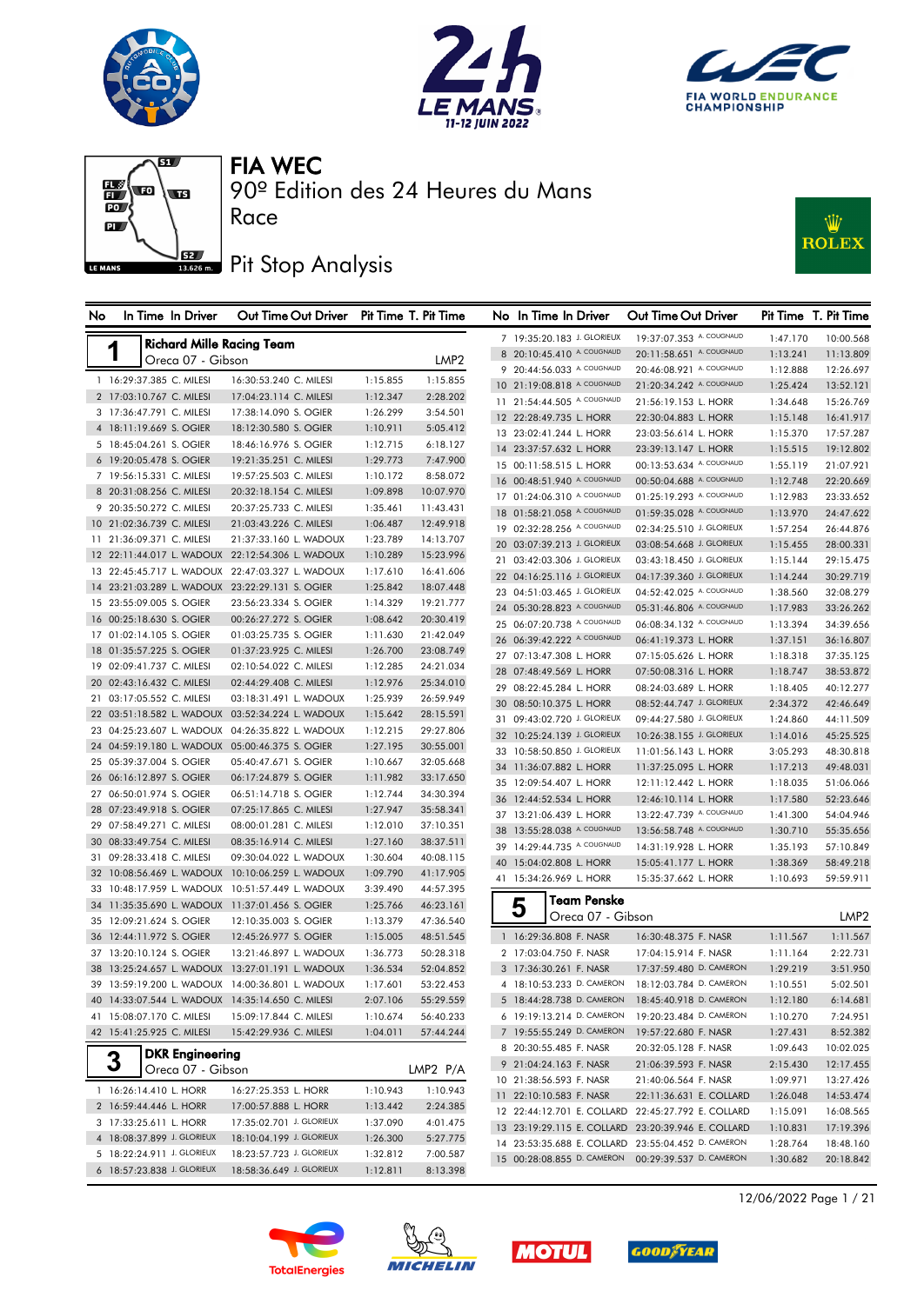







## Pit Stop Analysis

Race



| No | In Time In Driver                                | Out Time Out Driver Pit Time T. Pit Time         |          |                  |    | No In Time In Driver        | Out Time Out Driver                                |          | Pit Time T. Pit Time |
|----|--------------------------------------------------|--------------------------------------------------|----------|------------------|----|-----------------------------|----------------------------------------------------|----------|----------------------|
|    | <b>Richard Mille Racing Team</b>                 |                                                  |          |                  |    | 7 19:35:20.183 J. GLORIEUX  | 19:37:07.353 A. COUGNAUD                           | 1:47.170 | 10:00.568            |
|    | Oreca 07 - Gibson                                |                                                  |          | LMP <sub>2</sub> |    | 8 20:10:45.410 A. COUGNAUD  | 20:11:58.651 A. COUGNAUD                           | 1:13.241 | 11:13.809            |
|    |                                                  |                                                  |          |                  |    | 9 20:44:56.033 A. COUGNAUD  | 20:46:08.921 A. COUGNAUD                           | 1:12.888 | 12:26.697            |
|    | 1 16:29:37.385 C. MILESI                         | 16:30:53.240 C. MILESI                           | 1:15.855 | 1:15.855         |    | 10 21:19:08.818 A. COUGNAUD | 21:20:34.242 A. COUGNAUD                           | 1:25.424 | 13:52.121            |
|    | 2 17:03:10.767 C. MILESI                         | 17:04:23.114 C. MILESI                           | 1:12.347 | 2:28.202         |    | 11 21:54:44.505 A. COUGNAUD | 21:56:19.153 L. HORR                               | 1:34.648 | 15:26.769            |
|    | 3 17:36:47.791 C. MILESI                         | 17:38:14.090 S. OGIER                            | 1:26.299 | 3:54.501         |    | 12 22:28:49.735 L. HORR     | 22:30:04.883 L. HORR                               | 1:15.148 | 16:41.917            |
|    | 4 18:11:19.669 S. OGIER                          | 18:12:30.580 S. OGIER                            | 1:10.911 | 5:05.412         |    | 13 23:02:41.244 L. HORR     | 23:03:56.614 L. HORR                               | 1:15.370 | 17:57.287            |
|    | 5 18:45:04.261 S. OGIER                          | 18:46:16.976 S. OGIER                            | 1:12.715 | 6:18.127         |    | 14 23:37:57.632 L. HORR     | 23:39:13.147 L. HORR                               | 1:15.515 | 19:12.802            |
|    | 6 19:20:05.478 S. OGIER                          | 19:21:35.251 C. MILESI                           | 1:29.773 | 7:47.900         |    | 15 00:11:58.515 L. HORR     | 00:13:53.634 A. COUGNAUD                           | 1:55.119 | 21:07.921            |
|    | 7 19:56:15.331 C. MILESI                         | 19:57:25.503 C. MILESI                           | 1:10.172 | 8:58.072         |    | 16 00:48:51.940 A. COUGNAUD | 00:50:04.688 A. COUGNAUD                           | 1:12.748 | 22:20.669            |
|    | 8 20:31:08.256 C. MILESI                         | 20:32:18.154 C. MILESI                           | 1:09.898 | 10:07.970        |    | 17 01:24:06.310 A. COUGNAUD | 01:25:19.293 A. COUGNAUD                           | 1:12.983 | 23:33.652            |
|    | 9 20:35:50.272 C. MILESI                         | 20:37:25.733 C. MILESI                           | 1:35.461 | 11:43.431        |    | 18 01:58:21.058 A. COUGNAUD | 01:59:35.028 A. COUGNAUD                           | 1:13.970 | 24:47.622            |
|    | 10 21:02:36.739 C. MILESI                        | 21:03:43.226 C. MILESI                           | 1:06.487 | 12:49.918        |    | 19 02:32:28.256 A. COUGNAUD | 02:34:25.510 J. GLORIEUX                           | 1:57.254 | 26:44.876            |
|    | 11 21:36:09.371 C. MILESI                        | 21:37:33.160 L. WADOUX                           | 1:23.789 | 14:13.707        |    | 20 03:07:39.213 J. GLORIEUX | 03:08:54.668 J. GLORIEUX                           | 1:15.455 | 28:00.331            |
|    |                                                  | 12 22:11:44.017 L. WADOUX 22:12:54.306 L. WADOUX | 1:10.289 | 15:23.996        |    | 21 03:42:03.306 J. GLORIEUX | 03:43:18.450 J. GLORIEUX                           | 1:15.144 | 29:15.475            |
|    |                                                  | 13 22:45:45.717 L. WADOUX 22:47:03.327 L. WADOUX | 1:17.610 | 16:41.606        |    | 22 04:16:25.116 J. GLORIEUX | 04:17:39.360 J. GLORIEUX                           | 1:14.244 | 30:29.719            |
|    | 14 23:21:03.289 L. WADOUX 23:22:29.131 S. OGIER  |                                                  | 1:25.842 | 18:07.448        |    | 23 04:51:03.465 J. GLORIEUX | 04:52:42.025 A. COUGNAUD                           | 1:38.560 | 32:08.279            |
|    | 15 23:55:09.005 S. OGIER                         | 23:56:23.334 S. OGIER                            | 1:14.329 | 19:21.777        |    | 24 05:30:28.823 A. COUGNAUD | 05:31:46.806 A. COUGNAUD                           | 1:17.983 | 33:26.262            |
|    | 16 00:25:18.630 S. OGIER                         | 00:26:27.272 S. OGIER                            | 1:08.642 | 20:30.419        |    | 25 06:07:20.738 A. COUGNAUD | 06:08:34.132 A. COUGNAUD                           | 1:13.394 | 34:39.656            |
|    | 17 01:02:14.105 S. OGIER                         | 01:03:25.735 S. OGIER                            | 1:11.630 | 21:42.049        |    | 26 06:39:42.222 A. COUGNAUD | 06:41:19.373 L. HORR                               | 1:37.151 | 36:16.807            |
|    | 18 01:35:57.225 S. OGIER                         | 01:37:23.925 C. MILESI                           | 1:26.700 | 23:08.749        |    | 27 07:13:47.308 L. HORR     | 07:15:05.626 L. HORR                               | 1:18.318 | 37:35.125            |
|    | 19 02:09:41.737 C. MILESI                        | 02:10:54.022 C. MILESI                           | 1:12.285 | 24:21.034        |    | 28 07:48:49.569 L. HORR     | 07:50:08.316 L. HORR                               | 1:18.747 | 38:53.872            |
|    | 20 02:43:16.432 C. MILESI                        | 02:44:29.408 C. MILESI                           | 1:12.976 | 25:34.010        |    | 29 08:22:45.284 L. HORR     | 08:24:03.689 L. HORR                               | 1:18.405 | 40:12.277            |
|    | 21 03:17:05.552 C. MILESI                        | 03:18:31.491 L. WADOUX                           | 1:25.939 | 26:59.949        |    | 30 08:50:10.375 L. HORR     | 08:52:44.747 J. GLORIEUX                           | 2:34.372 | 42:46.649            |
|    |                                                  | 22 03:51:18.582 L. WADOUX 03:52:34.224 L. WADOUX | 1:15.642 | 28:15.591        |    | 31 09:43:02.720 J. GLORIEUX | 09:44:27.580 J. GLORIEUX                           | 1:24.860 | 44:11.509            |
|    |                                                  | 23 04:25:23.607 L. WADOUX 04:26:35.822 L. WADOUX | 1:12.215 | 29:27.806        |    | 32 10:25:24.139 J. GLORIEUX | 10:26:38.155 J. GLORIEUX                           | 1:14.016 | 45:25.525            |
|    | 24 04:59:19.180 L. WADOUX 05:00:46.375 S. OGIER  |                                                  | 1:27.195 | 30:55.001        |    | 33 10:58:50.850 J. GLORIEUX | 11:01:56.143 L. HORR                               | 3:05.293 | 48:30.818            |
|    | 25 05:39:37.004 S. OGIER                         | 05:40:47.671 S. OGIER                            | 1:10.667 | 32:05.668        |    | 34 11:36:07.882 L. HORR     | 11:37:25.095 L. HORR                               | 1:17.213 | 49:48.031            |
|    | 26 06:16:12.897 S. OGIER                         | 06:17:24.879 S. OGIER                            | 1:11.982 | 33:17.650        |    | 35 12:09:54.407 L. HORR     | 12:11:12.442 L. HORR                               | 1:18.035 | 51:06.066            |
|    | 27 06:50:01.974 S. OGIER                         | 06:51:14.718 S. OGIER                            | 1:12.744 | 34:30.394        |    | 36 12:44:52.534 L. HORR     | 12:46:10.114 L. HORR                               | 1:17.580 | 52:23.646            |
|    | 28 07:23:49.918 S. OGIER                         | 07:25:17.865 C. MILESI                           | 1:27.947 | 35:58.341        |    | 37 13:21:06.439 L. HORR     | 13:22:47.739 A. COUGNAUD                           | 1:41.300 | 54:04.946            |
|    | 29 07:58:49.271 C. MILESI                        | 08:00:01.281 C. MILESI                           | 1:12.010 | 37:10.351        |    | 38 13:55:28.038 A. COUGNAUD | 13:56:58.748 A. COUGNAUD                           | 1:30.710 | 55:35.656            |
|    | 30 08:33:49.754 C. MILESI                        | 08:35:16.914 C. MILESI                           | 1:27.160 | 38:37.511        |    | 39 14:29:44.735 A. COUGNAUD | 14:31:19.928 L. HORR                               | 1:35.193 | 57:10.849            |
|    | 31 09:28:33.418 C. MILESI                        | 09:30:04.022 L. WADOUX                           | 1:30.604 | 40:08.115        | 40 | 15:04:02.808 L. HORR        | 15:05:41.177 L. HORR                               | 1:38.369 | 58:49.218            |
|    |                                                  | 32 10:08:56.469 L. WADOUX 10:10:06.259 L. WADOUX | 1:09.790 | 41:17.905        |    | 41 15:34:26.969 L. HORR     | 15:35:37.662 L. HORR                               | 1:10.693 | 59:59.911            |
|    |                                                  | 33 10:48:17.959 L. WADOUX 10:51:57.449 L. WADOUX | 3:39.490 | 44:57.395        |    | <b>Team Penske</b>          |                                                    |          |                      |
|    | 34 11:35:35.690 L. WADOUX 11:37:01.456 S. OGIER  |                                                  | 1:25.766 | 46:23.161        |    | 5                           |                                                    |          |                      |
|    | 35 12:09:21.624 S. OGIER                         | 12:10:35.003 S. OGIER                            | 1:13.379 | 47:36.540        |    | Oreca 07 - Gibson           |                                                    |          | LMP <sub>2</sub>     |
|    | 36 12:44:11.972 S. OGIER                         | 12:45:26.977 S. OGIER                            | 1:15.005 | 48:51.545        |    | 1 16:29:36.808 F. NASR      | 16:30:48.375 F. NASR                               | 1:11.567 | 1:11.567             |
|    | 37 13:20:10.124 S. OGIER                         | 13:21:46.897 L. WADOUX                           | 1:36.773 | 50:28.318        |    | 2 17:03:04.750 F. NASR      | 17:04:15.914 F. NASR                               | 1:11.164 | 2:22.731             |
|    |                                                  | 38 13:25:24.657 L. WADOUX 13:27:01.191 L. WADOUX | 1:36.534 | 52:04.852        |    | 3 17:36:30.261 F. NASR      | 17:37:59.480 D. CAMERON                            | 1:29.219 | 3:51.950             |
|    |                                                  | 39 13:59:19.200 L. WADOUX 14:00:36.801 L. WADOUX | 1:17.601 | 53:22.453        |    |                             | 4 18:10:53.233 D. CAMERON 18:12:03.784 D. CAMERON  | 1:10.551 | 5:02.501             |
|    | 40 14:33:07.544 L. WADOUX 14:35:14.650 C. MILESI |                                                  | 2:07.106 | 55:29.559        |    | 5 18:44:28.738 D. CAMERON   | 18:45:40.918 D. CAMERON                            | 1:12.180 | 6:14.681             |
|    | 41 15:08:07.170 C. MILESI                        | 15:09:17.844 C. MILESI                           | 1:10.674 | 56:40.233        |    | 6 19:19:13.214 D. CAMERON   | 19:20:23.484 D. CAMERON                            | 1:10.270 | 7:24.951             |
|    | 42 15:41:25.925 C. MILESI                        | 15:42:29.936 C. MILESI                           | 1:04.011 | 57:44.244        |    | 7 19:55:55.249 D. CAMERON   | 19:57:22.680 F. NASR                               | 1:27.431 | 8:52.382             |
|    | <b>DKR</b> Engineering                           |                                                  |          |                  |    | 8 20:30:55.485 F. NASR      | 20:32:05.128 F. NASR                               | 1:09.643 | 10:02.025            |
|    | 3<br>Oreca 07 - Gibson                           |                                                  |          | LMP2 P/A         |    | 9 21:04:24.163 F. NASR      | 21:06:39.593 F. NASR                               | 2:15.430 | 12:17.455            |
|    |                                                  |                                                  |          |                  |    | 10 21:38:56.593 F. NASR     | 21:40:06.564 F. NASR                               | 1:09.971 | 13:27.426            |
|    | 1 16:26:14.410 L. HORR                           | 16:27:25.353 L. HORR                             | 1:10.943 | 1:10.943         |    | 11 22:10:10.583 F. NASR     | 22:11:36.631 E. COLLARD                            | 1:26.048 | 14:53.474            |
|    | 2 16:59:44.446 L. HORR                           | 17:00:57.888 L. HORR                             | 1:13.442 | 2:24.385         |    |                             | 12 22:44:12.701 E. COLLARD 22:45:27.792 E. COLLARD | 1:15.091 | 16:08.565            |
|    | 3 17:33:25.611 L. HORR                           | 17:35:02.701 J. GLORIEUX                         | 1:37.090 | 4:01.475         |    |                             | 13 23:19:29.115 E. COLLARD 23:20:39.946 E. COLLARD | 1:10.831 | 17:19.396            |
|    | 4 18:08:37.899 J. GLORIEUX                       | 18:10:04.199 J. GLORIEUX                         | 1:26.300 | 5:27.775         |    |                             | 14 23:53:35.688 E. COLLARD 23:55:04.452 D. CAMERON | 1:28.764 | 18:48.160            |
|    | 5 18:22:24.911 J. GLORIEUX                       | 18:23:57.723 J. GLORIEUX                         | 1:32.812 | 7:00.587         |    | 15 00:28:08.855 D. CAMERON  | 00:29:39.537 D. CAMERON                            | 1:30.682 | 20:18.842            |
|    | 6 18:57:23.838 J. GLORIEUX                       | 18:58:36.649 J. GLORIEUX                         | 1:12.811 | 8:13.398         |    |                             |                                                    |          |                      |









12/06/2022 Page 1 / 21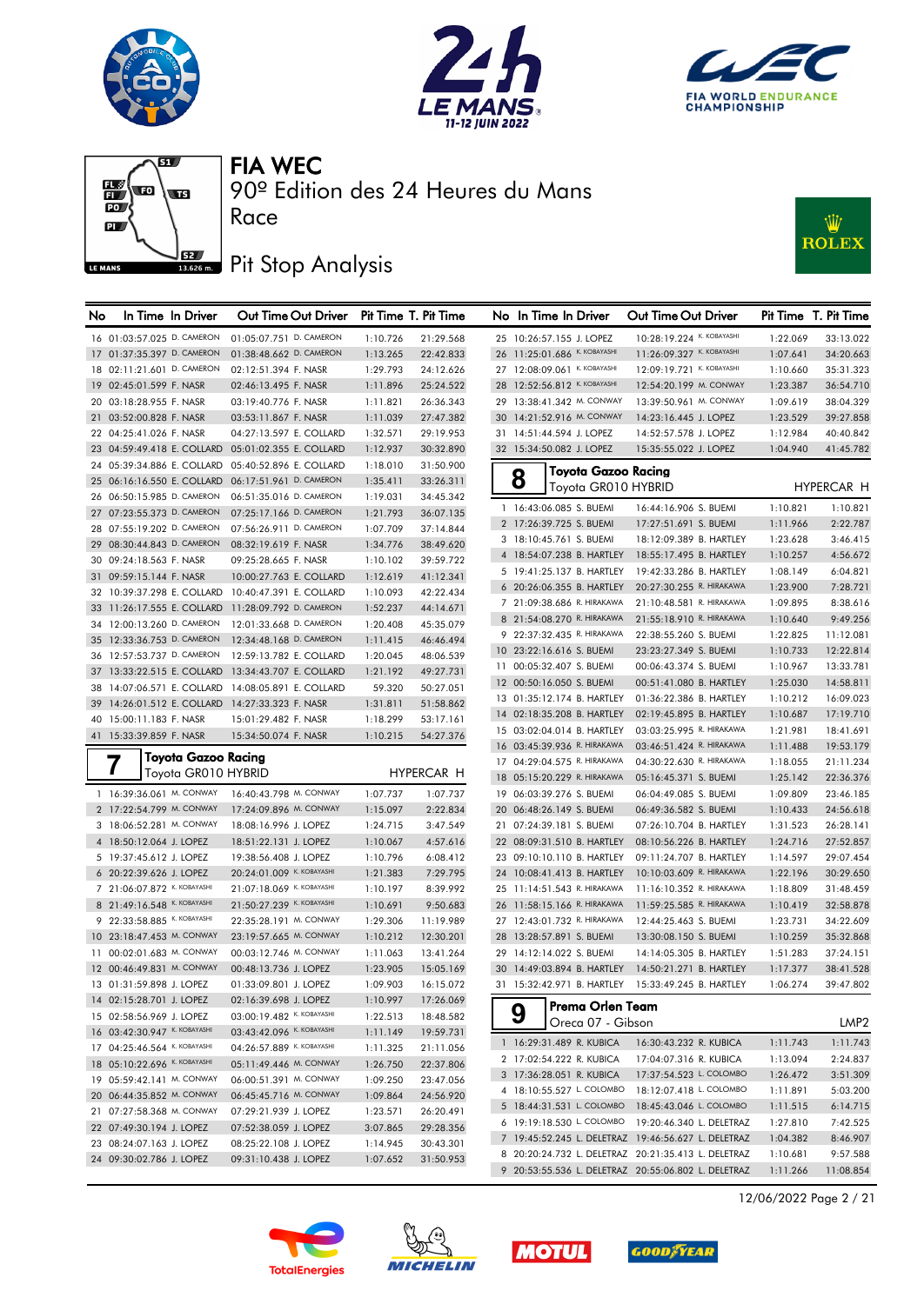







90º Edition des 24 Heures du Mans

### Pit Stop Analysis

Race



| No | In Time In Driver                               | Out Time Out Driver Pit Time T. Pit Time           |          |            | No In Time In Driver                     | Out Time Out Driver                                 |          | Pit Time T. Pit Time |
|----|-------------------------------------------------|----------------------------------------------------|----------|------------|------------------------------------------|-----------------------------------------------------|----------|----------------------|
|    | 16 01:03:57.025 D. CAMERON                      | 01:05:07.751 D. CAMERON                            | 1:10.726 | 21:29.568  | 25 10:26:57.155 J. LOPEZ                 | 10:28:19.224 K. KOBAYASHI                           | 1:22.069 | 33:13.022            |
|    | 17 01:37:35.397 D. CAMERON                      | 01:38:48.662 D. CAMERON                            | 1:13.265 | 22:42.833  | 26 11:25:01.686 К. КОВАҮАЅНІ             | 11:26:09.327 К. КОВАҮАЅНІ                           | 1:07.641 | 34:20.663            |
|    | 18 02:11:21.601 D. CAMERON                      | 02:12:51.394 F. NASR                               | 1:29.793 | 24:12.626  | 27 12:08:09.061 K. KOBAYASHI             | 12:09:19.721 K. KOBAYASHI                           | 1:10.660 | 35:31.323            |
|    | 19 02:45:01.599 F. NASR                         | 02:46:13.495 F. NASR                               | 1:11.896 | 25:24.522  | 28 12:52:56.812 K. KOBAYASHI             | 12:54:20.199 M. CONWAY                              | 1:23.387 | 36:54.710            |
|    | 20 03:18:28.955 F. NASR                         | 03:19:40.776 F. NASR                               | 1:11.821 | 26:36.343  | 29 13:38:41.342 M. CONWAY                | 13:39:50.961 M. CONWAY                              | 1:09.619 | 38:04.329            |
|    | 21 03:52:00.828 F. NASR                         | 03:53:11.867 F. NASR                               | 1:11.039 | 27:47.382  | 30 14:21:52.916 M. CONWAY                | 14:23:16.445 J. LOPEZ                               | 1:23.529 | 39:27.858            |
|    | 22 04:25:41.026 F. NASR                         | 04:27:13.597 E. COLLARD                            | 1:32.571 | 29:19.953  | 31 14:51:44.594 J. LOPEZ                 | 14:52:57.578 J. LOPEZ                               | 1:12.984 | 40:40.842            |
|    |                                                 | 23 04:59:49.418 E. COLLARD 05:01:02.355 E. COLLARD | 1:12.937 | 30:32.890  | 32 15:34:50.082 J. LOPEZ                 | 15:35:55.022 J. LOPEZ                               | 1:04.940 | 41:45.782            |
|    |                                                 | 24 05:39:34.886 E. COLLARD 05:40:52.896 E. COLLARD | 1:18.010 | 31:50.900  |                                          |                                                     |          |                      |
|    |                                                 | 25 06:16:16.550 E. COLLARD 06:17:51.961 D. CAMERON | 1:35.411 | 33:26.311  | <b>Toyota Gazoo Racing</b><br>8          |                                                     |          |                      |
|    | 26 06:50:15.985 D. CAMERON                      | 06:51:35.016 D. CAMERON                            | 1:19.031 | 34:45.342  | Toyota GR010 HYBRID                      |                                                     |          | HYPERCAR H           |
|    | 27 07:23:55.373 D. CAMERON                      | 07:25:17.166 D. CAMERON                            | 1:21.793 | 36:07.135  | 1 16:43:06.085 S. BUEMI                  | 16:44:16.906 S. BUEMI                               | 1:10.821 | 1:10.821             |
|    | 28 07:55:19.202 D. CAMERON                      | 07:56:26.911 D. CAMERON                            | 1:07.709 | 37:14.844  | 2 17:26:39.725 S. BUEMI                  | 17:27:51.691 S. BUEMI                               | 1:11.966 | 2:22.787             |
|    | 29 08:30:44.843 D. CAMERON                      | 08:32:19.619 F. NASR                               | 1:34.776 | 38:49.620  | 3 18:10:45.761 S. BUEMI                  | 18:12:09.389 B. HARTLEY                             | 1:23.628 | 3:46.415             |
|    | 30 09:24:18.563 F. NASR                         | 09:25:28.665 F. NASR                               | 1:10.102 | 39:59.722  | 4 18:54:07.238 B. HARTLEY                | 18:55:17.495 B. HARTLEY                             | 1:10.257 | 4:56.672             |
|    | 31 09:59:15.144 F. NASR                         | 10:00:27.763 E. COLLARD                            | 1:12.619 | 41:12.341  | 5 19:41:25.137 B. HARTLEY                | 19:42:33.286 B. HARTLEY                             | 1:08.149 | 6:04.821             |
|    | 32 10:39:37.298 E. COLLARD                      | 10:40:47.391 E. COLLARD                            | 1:10.093 | 42:22.434  | 6 20:26:06.355 B. HARTLEY                | 20:27:30.255 R. HIRAKAWA                            | 1:23.900 | 7:28.721             |
|    |                                                 | 33 11:26:17.555 E. COLLARD 11:28:09.792 D. CAMERON | 1:52.237 | 44:14.671  | 7 21:09:38.686 R. HIRAKAWA               | 21:10:48.581 R. HIRAKAWA                            | 1:09.895 | 8:38.616             |
|    | 34 12:00:13.260 D. CAMERON                      | 12:01:33.668 D. CAMERON                            | 1:20.408 | 45:35.079  | 8 21:54:08.270 R. HIRAKAWA               | 21:55:18.910 R. HIRAKAWA                            | 1:10.640 | 9:49.256             |
|    | 35 12:33:36.753 D. CAMERON                      | 12:34:48.168 D. CAMERON                            | 1:11.415 | 46:46.494  | 9 22:37:32.435 R. HIRAKAWA               | 22:38:55.260 S. BUEMI                               | 1:22.825 | 11:12.081            |
|    |                                                 | 36 12:57:53.737 D. CAMERON 12:59:13.782 E. COLLARD | 1:20.045 | 48:06.539  | 10 23:22:16.616 S. BUEMI                 | 23:23:27.349 S. BUEMI                               | 1:10.733 | 12:22.814            |
|    |                                                 | 37 13:33:22.515 E. COLLARD 13:34:43.707 E. COLLARD | 1:21.192 | 49:27.731  | 11 00:05:32.407 S. BUEMI                 | 00:06:43.374 S. BUEMI                               | 1:10.967 | 13:33.781            |
|    |                                                 | 38 14:07:06.571 E. COLLARD 14:08:05.891 E. COLLARD | 59.320   | 50:27.051  | 12 00:50:16.050 S. BUEMI                 | 00:51:41.080 B. HARTLEY                             | 1:25.030 | 14:58.811            |
|    | 39 14:26:01.512 E. COLLARD 14:27:33.323 F. NASR |                                                    | 1:31.811 | 51:58.862  | 13 01:35:12.174 B. HARTLEY               | 01:36:22.386 B. HARTLEY                             | 1:10.212 | 16:09.023            |
|    | 40 15:00:11.183 F. NASR                         | 15:01:29.482 F. NASR                               | 1:18.299 | 53:17.161  | 14 02:18:35.208 B. HARTLEY               | 02:19:45.895 B. HARTLEY                             | 1:10.687 | 17:19.710            |
|    | 41 15:33:39.859 F. NASR                         | 15:34:50.074 F. NASR                               | 1:10.215 | 54:27.376  | 15 03:02:04.014 B. HARTLEY               | 03:03:25.995 R. HIRAKAWA                            | 1:21.981 | 18:41.691            |
|    |                                                 |                                                    |          |            | 16 03:45:39.936 R. HIRAKAWA              | 03:46:51.424 R. HIRAKAWA                            | 1:11.488 | 19:53.179            |
|    | Toyota Gazoo Racina                             |                                                    |          |            | 17 04:29:04.575 R. HIRAKAWA              | 04:30:22.630 R. HIRAKAWA                            | 1:18.055 | 21:11.234            |
|    | Toyota GR010 HYBRID                             |                                                    |          | HYPERCAR H | 18 05:15:20.229 R. HIRAKAWA              | 05:16:45.371 S. BUEMI                               | 1:25.142 | 22:36.376            |
|    | 1 16:39:36.061 M. CONWAY                        | 16:40:43.798 M. CONWAY                             | 1:07.737 | 1:07.737   | 19 06:03:39.276 S. BUEMI                 | 06:04:49.085 S. BUEMI                               | 1:09.809 | 23:46.185            |
|    | 2 17:22:54.799 M. CONWAY                        | 17:24:09.896 M. CONWAY                             | 1:15.097 | 2:22.834   | 20 06:48:26.149 S. BUEMI                 | 06:49:36.582 S. BUEMI                               | 1:10.433 | 24:56.618            |
|    | 3 18:06:52.281 M. CONWAY                        | 18:08:16.996 J. LOPEZ                              | 1:24.715 | 3:47.549   | 21 07:24:39.181 S. BUEMI                 | 07:26:10.704 B. HARTLEY                             | 1:31.523 | 26:28.141            |
|    | 4 18:50:12.064 J. LOPEZ                         | 18:51:22.131 J. LOPEZ                              | 1:10.067 | 4:57.616   | 22 08:09:31.510 B. HARTLEY               | 08:10:56.226 B. HARTLEY                             | 1:24.716 | 27:52.857            |
|    | 5 19:37:45.612 J. LOPEZ                         | 19:38:56.408 J. LOPEZ                              | 1:10.796 | 6:08.412   | 23 09:10:10.110 B. HARTLEY               | 09:11:24.707 B. HARTLEY                             | 1:14.597 | 29:07.454            |
|    | 6 20:22:39.626 J. LOPEZ                         | 20:24:01.009 K. KOBAYASHI                          | 1:21.383 | 7:29.795   | 24 10:08:41.413 B. HARTLEY               | 10:10:03.609 R. HIRAKAWA                            | 1:22.196 | 30:29.650            |
|    | 7 21:06:07.872 K. KOBAYASHI                     | 21:07:18.069 K. KOBAYASHI                          | 1:10.197 | 8:39.992   | 25 11:14:51.543 R. HIRAKAWA              | 11:16:10.352 R. HIRAKAWA                            | 1:18.809 | 31:48.459            |
|    | 8 21:49:16.548 K. KOBAYASHI                     | 21:50:27.239 K. KOBAYASHI                          | 1:10.691 | 9:50.683   | 26 11:58:15.166 R. HIRAKAWA              | 11:59:25.585 R. HIRAKAWA                            | 1:10.419 | 32:58.878            |
|    | 9 22:33:58.885 K. KOBAYASHI                     | 22:35:28.191 M. CONWAY                             | 1:29.306 | 11:19.989  | 27 12:43:01.732 R. HIRAKAWA              | 12:44:25.463 S. BUEMI                               | 1:23.731 | 34:22.609            |
|    | 10 23:18:47.453 M. CONWAY                       | 23:19:57.665 M. CONWAY                             | 1:10.212 | 12:30.201  | 28 13:28:57.891 S. BUEMI                 | 13:30:08.150 S. BUEMI                               | 1:10.259 | 35:32.868            |
|    | 11 00:02:01.683 M. CONWAY                       | 00:03:12.746 M. CONWAY                             | 1:11.063 | 13:41.264  | 29 14:12:14.022 S. BUEMI                 | 14:14:05.305 B. HARTLEY                             | 1:51.283 | 37:24.151            |
|    | 12 00:46:49.831 M. CONWAY                       | 00:48:13.736 J. LOPEZ                              | 1:23.905 | 15:05.169  | 30 14:49:03.894 B. HARTLEY               | 14:50:21.271 B. HARTLEY                             | 1:17.377 | 38:41.528            |
|    | 13 01:31:59.898 J. LOPEZ                        | 01:33:09.801 J. LOPEZ                              | 1:09.903 | 16:15.072  |                                          | 31 15:32:42.971 B. HARTLEY 15:33:49.245 B. HARTLEY  | 1:06.274 | 39:47.802            |
|    | 14 02:15:28.701 J. LOPEZ                        | 02:16:39.698 J. LOPEZ                              | 1:10.997 | 17:26.069  | $\overline{\mathsf{I}}$ Prema Orlen Team |                                                     |          |                      |
|    | 15 02:58:56.969 J. LOPEZ                        | 03:00:19.482 K. KOBAYASHI                          | 1:22.513 | 18:48.582  | 9<br>Oreca 07 - Gibson                   |                                                     |          | LMP <sub>2</sub>     |
|    | 16 03:42:30.947 К. КОВАҮАЅНІ                    | 03:43:42.096 K. KOBAYASHI                          | 1:11.149 | 19:59.731  |                                          |                                                     |          |                      |
|    | 17 04:25:46.564 K. KOBAYASHI                    | 04:26:57.889 K. KOBAYASHI                          | 1:11.325 | 21:11.056  | 1 16:29:31.489 R. KUBICA                 | 16:30:43.232 R. KUBICA                              | 1:11.743 | 1:11.743             |
|    | 18 05:10:22.696 K. KOBAYASHI                    | 05:11:49.446 M. CONWAY                             | 1:26.750 | 22:37.806  | 2 17:02:54.222 R. KUBICA                 | 17:04:07.316 R. KUBICA                              | 1:13.094 | 2:24.837             |
|    | 19 05:59:42.141 M. CONWAY                       | 06:00:51.391 M. CONWAY                             | 1:09.250 | 23:47.056  | 3 17:36:28.051 R. KUBICA                 | 17:37:54.523 L. COLOMBO                             | 1:26.472 | 3:51.309             |
|    | 20 06:44:35.852 M. CONWAY                       | 06:45:45.716 M. CONWAY                             | 1:09.864 | 24:56.920  |                                          | 4 18:10:55.527 L. COLOMBO 18:12:07.418 L. COLOMBO   | 1:11.891 | 5:03.200             |
|    | 21 07:27:58.368 M. CONWAY                       | 07:29:21.939 J. LOPEZ                              | 1:23.571 | 26:20.491  |                                          | 5 18:44:31.531 L. COLOMBO 18:45:43.046 L. COLOMBO   | 1:11.515 | 6:14.715             |
|    | 22 07:49:30.194 J. LOPEZ                        | 07:52:38.059 J. LOPEZ                              | 3:07.865 | 29:28.356  |                                          | 6 19:19:18.530 L. COLOMBO 19:20:46.340 L. DELETRAZ  | 1:27.810 | 7:42.525             |
|    | 23 08:24:07.163 J. LOPEZ                        | 08:25:22.108 J. LOPEZ                              | 1:14.945 | 30:43.301  |                                          | 7 19:45:52.245 L. DELETRAZ 19:46:56.627 L. DELETRAZ | 1:04.382 | 8:46.907             |
|    | 24 09:30:02.786 J. LOPEZ                        | 09:31:10.438 J. LOPEZ                              | 1:07.652 | 31:50.953  |                                          | 8 20:20:24.732 L. DELETRAZ 20:21:35.413 L. DELETRAZ | 1:10.681 | 9:57.588             |
|    |                                                 |                                                    |          |            |                                          | 9 20:53:55.536 L. DELETRAZ 20:55:06.802 L. DELETRAZ | 1:11.266 | 11:08.854            |









12/06/2022 Page 2 / 21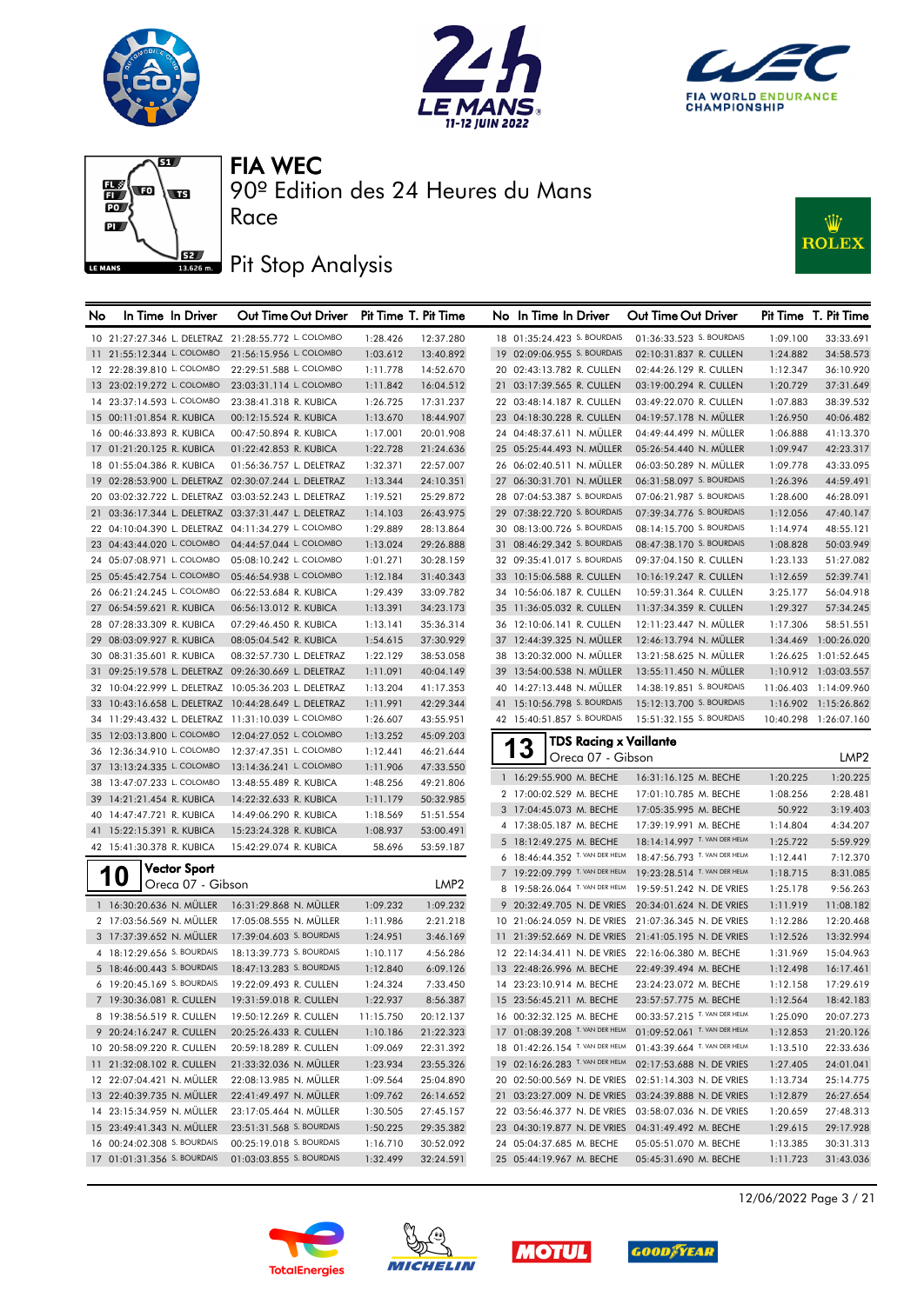







90º Edition des 24 Heures du Mans

# **J**BZ Pit Stop Analysis

Race



| No | In Time In Driver                                    | Out Time Out Driver                                  | Pit Time T. Pit Time |                  |    | No In Time In Driver                               | Out Time Out Driver                                  |                      | Pit Time T. Pit Time  |
|----|------------------------------------------------------|------------------------------------------------------|----------------------|------------------|----|----------------------------------------------------|------------------------------------------------------|----------------------|-----------------------|
|    | 10 21:27:27.346 L. DELETRAZ 21:28:55.772 L. COLOMBO  |                                                      | 1:28.426             | 12:37.280        |    | 18 01:35:24.423 S. BOURDAIS                        | 01:36:33.523 S. BOURDAIS                             | 1:09.100             | 33:33.691             |
|    | 11 21:55:12.344 L. COLOMBO                           | 21:56:15.956 L. COLOMBO                              | 1:03.612             | 13:40.892        |    | 19 02:09:06.955 S. BOURDAIS                        | 02:10:31.837 R. CULLEN                               | 1:24.882             | 34:58.573             |
|    | 12 22:28:39.810 L. COLOMBO                           | 22:29:51.588 L. COLOMBO                              | 1:11.778             | 14:52.670        |    | 20 02:43:13.782 R. CULLEN                          | 02:44:26.129 R. CULLEN                               | 1:12.347             | 36:10.920             |
|    | 13 23:02:19.272 L. COLOMBO                           | 23:03:31.114 L. COLOMBO                              | 1:11.842             | 16:04.512        |    | 21 03:17:39.565 R. CULLEN                          | 03:19:00.294 R. CULLEN                               | 1:20.729             | 37:31.649             |
|    | 14 23:37:14.593 L. COLOMBO                           | 23:38:41.318 R. KUBICA                               | 1:26.725             | 17:31.237        |    | 22 03:48:14.187 R. CULLEN                          | 03:49:22.070 R. CULLEN                               | 1:07.883             | 38:39.532             |
|    | 15 00:11:01.854 R. KUBICA                            | 00:12:15.524 R. KUBICA                               | 1:13.670             | 18:44.907        |    | 23 04:18:30.228 R. CULLEN                          | 04:19:57.178 N. MÜLLER                               | 1:26.950             | 40:06.482             |
|    | 16 00:46:33.893 R. KUBICA                            | 00:47:50.894 R. KUBICA                               | 1:17.001             | 20:01.908        |    | 24 04:48:37.611 N. MÜLLER                          | 04:49:44.499 N. MÜLLER                               | 1:06.888             | 41:13.370             |
|    | 17 01:21:20.125 R. KUBICA                            | 01:22:42.853 R. KUBICA                               | 1:22.728             | 21:24.636        |    | 25 05:25:44.493 N. MÜLLER                          | 05:26:54.440 N. MULLER                               | 1:09.947             | 42:23.317             |
|    | 18 01:55:04.386 R. KUBICA                            | 01:56:36.757 L. DELETRAZ                             | 1:32.371             | 22:57.007        |    | 26 06:02:40.511 N. MÜLLER                          | 06:03:50.289 N. MÜLLER                               | 1:09.778             | 43:33.095             |
|    | 19 02:28:53.900 L. DELETRAZ 02:30:07.244 L. DELETRAZ |                                                      | 1:13.344             | 24:10.351        |    | 27 06:30:31.701 N. MÜLLER                          | 06:31:58.097 S. BOURDAIS                             | 1:26.396             | 44:59.491             |
|    |                                                      | 20 03:02:32.722 L. DELETRAZ 03:03:52.243 L. DELETRAZ | 1:19.521             | 25:29.872        |    | 28 07:04:53.387 S. BOURDAIS                        | 07:06:21.987 S. BOURDAIS                             | 1:28.600             | 46:28.091             |
|    |                                                      | 21 03:36:17.344 L. DELETRAZ 03:37:31.447 L. DELETRAZ | 1:14.103             | 26:43.975        |    | 29 07:38:22.720 S. BOURDAIS                        | 07:39:34.776 S. BOURDAIS                             | 1:12.056             | 47:40.147             |
|    | 22 04:10:04.390 L. DELETRAZ 04:11:34.279 L. COLOMBO  |                                                      | 1:29.889             | 28:13.864        |    | 30 08:13:00.726 S. BOURDAIS                        | 08:14:15.700 S. BOURDAIS                             | 1:14.974             | 48:55.121             |
|    | 23 04:43:44.020 L. COLOMBO                           | 04:44:57.044 L. COLOMBO                              | 1:13.024             | 29:26.888        |    | 31 08:46:29.342 S. BOURDAIS                        | 08:47:38.170 S. BOURDAIS                             | 1:08.828             | 50:03.949             |
|    | 24 05:07:08.971 L. COLOMBO                           | 05:08:10.242 L. COLOMBO                              | 1:01.271             | 30:28.159        |    | 32 09:35:41.017 S. BOURDAIS                        | 09:37:04.150 R. CULLEN                               | 1:23.133             | 51:27.082             |
|    | 25 05:45:42.754 L. COLOMBO                           | 05:46:54.938 L. COLOMBO                              | 1:12.184             | 31:40.343        |    | 33 10:15:06.588 R. CULLEN                          | 10:16:19.247 R. CULLEN                               | 1:12.659             | 52:39.741             |
|    | 26 06:21:24.245 L. COLOMBO                           | 06:22:53.684 R. KUBICA                               | 1:29.439             | 33:09.782        |    | 34 10:56:06.187 R. CULLEN                          | 10:59:31.364 R. CULLEN                               | 3:25.177             | 56:04.918             |
|    | 27 06:54:59.621 R. KUBICA                            | 06:56:13.012 R. KUBICA                               | 1:13.391             | 34:23.173        |    | 35 11:36:05.032 R. CULLEN                          | 11:37:34.359 R. CULLEN                               | 1:29.327             | 57:34.245             |
|    | 28 07:28:33.309 R. KUBICA                            | 07:29:46.450 R. KUBICA                               | 1:13.141             | 35:36.314        |    | 36 12:10:06.141 R. CULLEN                          | 12:11:23.447 N. MÜLLER                               | 1:17.306             | 58:51.551             |
|    | 29 08:03:09.927 R. KUBICA                            | 08:05:04.542 R. KUBICA                               | 1:54.615             | 37:30.929        |    | 37 12:44:39.325 N. MÜLLER                          | 12:46:13.794 N. MULLER                               |                      | 1:34.469 1:00:26.020  |
|    | 30 08:31:35.601 R. KUBICA                            | 08:32:57.730 L. DELETRAZ                             | 1:22.129             | 38:53.058        |    | 38 13:20:32.000 N. MÜLLER                          | 13:21:58.625 N. MÜLLER                               |                      | 1:26.625 1:01:52.645  |
|    |                                                      | 31 09:25:19.578 L. DELETRAZ 09:26:30.669 L. DELETRAZ | 1:11.091             | 40:04.149        | 39 | 13:54:00.538 N. MÜLLER                             | 13:55:11.450 N. MÜLLER                               |                      | 1:10.912 1:03:03.557  |
|    |                                                      | 32 10:04:22.999 L. DELETRAZ 10:05:36.203 L. DELETRAZ | 1:13.204             | 41:17.353        |    | 40 14:27:13.448 N. MÜLLER                          | 14:38:19.851 S. BOURDAIS                             |                      | 11:06.403 1:14:09.960 |
|    |                                                      | 33 10:43:16.658 L. DELETRAZ 10:44:28.649 L. DELETRAZ | 1:11.991             | 42:29.344        |    | 41 15:10:56.798 S. BOURDAIS                        | 15:12:13.700 S. BOURDAIS                             |                      | 1:16.902 1:15:26.862  |
|    | 34 11:29:43.432 L. DELETRAZ 11:31:10.039 L. COLOMBO  |                                                      | 1:26.607             | 43:55.951        |    | 42 15:40:51.857 S. BOURDAIS                        | 15:51:32.155 S. BOURDAIS                             |                      | 10:40.298 1:26:07.160 |
|    | 35 12:03:13.800 L. COLOMBO                           | 12:04:27.052 L. COLOMBO                              | 1:13.252             | 45:09.203        |    | <b>TDS Racing x Vaillante</b>                      |                                                      |                      |                       |
|    | 36 12:36:34.910 L. COLOMBO                           | 12:37:47.351 L. COLOMBO                              | 1:12.441             | 46:21.644        |    | 3<br>Oreca 07 - Gibson                             |                                                      |                      | LMP2                  |
|    | 37 13:13:24.335 L. COLOMBO                           | 13:14:36.241 L. COLOMBO                              | 1:11.906             | 47:33.550        |    |                                                    |                                                      |                      |                       |
|    | 38 13:47:07.233 L. COLOMBO                           | 13:48:55.489 R. KUBICA                               | 1:48.256             | 49:21.806        |    | 1 16:29:55.900 M. BECHE<br>2 17:00:02.529 M. BECHE | 16:31:16.125 M. BECHE                                | 1:20.225             | 1:20.225<br>2:28.481  |
|    | 39 14:21:21.454 R. KUBICA                            | 14:22:32.633 R. KUBICA                               | 1:11.179             | 50:32.985        |    | 3 17:04:45.073 M. BECHE                            | 17:01:10.785 M. BECHE<br>17:05:35.995 M. BECHE       | 1:08.256<br>50.922   | 3:19.403              |
|    | 40 14:47:47.721 R. KUBICA                            | 14:49:06.290 R. KUBICA                               | 1:18.569             | 51:51.554        |    | 4 17:38:05.187 M. BECHE                            | 17:39:19.991 M. BECHE                                | 1:14.804             | 4:34.207              |
|    | 41 15:22:15.391 R. KUBICA                            | 15:23:24.328 R. KUBICA                               | 1:08.937             | 53:00.491        |    | 5 18:12:49.275 M. BECHE                            | 18:14:14.997 T. VAN DER HELM                         |                      | 5:59.929              |
|    | 42 15:41:30.378 R. KUBICA                            | 15:42:29.074 R. KUBICA                               | 58.696               | 53:59.187        |    | 6 18:46:44.352 T. VAN DER HELM                     | 18:47:56.793 T. VAN DER HELM                         | 1:25.722<br>1:12.441 | 7:12.370              |
|    | <b>Vector Sport</b>                                  |                                                      |                      |                  |    | 7 19:22:09.799 T. VAN DER HELM                     | 19:23:28.514 T. VAN DER HELM                         | 1:18.715             | 8:31.085              |
|    | 10<br>Oreca 07 - Gibson                              |                                                      |                      | LMP <sub>2</sub> |    | 8 19:58:26.064 T. VAN DER HELM                     | 19:59:51.242 N. DE VRIES                             | 1:25.178             | 9:56.263              |
|    | 1 16:30:20.636 N. MÜLLER                             | 16:31:29.868 N. MÜLLER                               | 1:09.232             | 1:09.232         |    | 9 20:32:49.705 N. DE VRIES                         | 20:34:01.624 N. DE VRIES                             | 1:11.919             | 11:08.182             |
|    | 2 17:03:56.569 N. MÜLLER                             | 17:05:08.555 N. MÜLLER                               | 1:11.986             | 2:21.218         |    | 10 21:06:24.059 N. DE VRIES                        | 21:07:36.345 N. DE VRIES                             | 1:12.286             | 12:20.468             |
|    | 3 17:37:39.652 N. MÜLLER                             | 17:39:04.603 S. BOURDAIS                             | 1:24.951             | 3:46.169         |    |                                                    | 11 21:39:52.669 N. DE VRIES 21:41:05.195 N. DE VRIES | 1:12.526             | 13:32.994             |
|    | 4 18:12:29.656 S. BOURDAIS                           | 18:13:39.773 S. BOURDAIS                             | 1:10.117             | 4:56.286         |    | 12 22:14:34.411 N. DE VRIES 22:16:06.380 M. BECHE  |                                                      | 1:31.969             | 15:04.963             |
|    | 5 18:46:00.443 S. BOURDAIS                           | 18:47:13.283 S. BOURDAIS                             | 1:12.840             | 6:09.126         |    | 13 22:48:26.996 M. BECHE                           | 22:49:39.494 M. BECHE                                | 1:12.498             | 16:17.461             |
|    | 6 19:20:45.169 S. BOURDAIS                           | 19:22:09.493 R. CULLEN                               | 1:24.324             | 7:33.450         |    | 14 23:23:10.914 M. BECHE                           | 23:24:23.072 M. BECHE                                | 1:12.158             | 17:29.619             |
|    | 7 19:30:36.081 R. CULLEN                             | 19:31:59.018 R. CULLEN                               | 1:22.937             | 8:56.387         |    | 15 23:56:45.211 M. BECHE                           | 23:57:57.775 M. BECHE                                | 1:12.564             | 18:42.183             |
|    | 8 19:38:56.519 R. CULLEN                             | 19:50:12.269 R. CULLEN                               | 11:15.750            | 20:12.137        |    | 16 00:32:32.125 M. BECHE                           | 00:33:57.215 T. VAN DER HELM                         | 1:25.090             | 20:07.273             |
|    | 9 20:24:16.247 R. CULLEN                             | 20:25:26.433 R. CULLEN                               | 1:10.186             | 21:22.323        |    | 17 01:08:39.208 T. VAN DER HELM                    | 01:09:52.061 T. VAN DER HELM                         | 1:12.853             | 21:20.126             |
|    | 10 20:58:09.220 R. CULLEN                            | 20:59:18.289 R. CULLEN                               | 1:09.069             | 22:31.392        |    | 18 01:42:26.154 T. VAN DER HELM                    | 01:43:39.664 T. VAN DER HELM                         | 1:13.510             | 22:33.636             |
|    | 11 21:32:08.102 R. CULLEN                            | 21:33:32.036 N. MÜLLER                               | 1:23.934             | 23:55.326        |    | 19 02:16:26.283 T. VAN DER HELM                    | 02:17:53.688 N. DE VRIES                             | 1:27.405             | 24:01.041             |
|    | 12 22:07:04.421 N. MÜLLER                            | 22:08:13.985 N. MÜLLER                               | 1:09.564             | 25:04.890        |    | 20 02:50:00.569 N. DE VRIES                        | 02:51:14.303 N. DE VRIES                             | 1:13.734             | 25:14.775             |
|    | 13 22:40:39.735 N. MÜLLER                            | 22:41:49.497 N. MÜLLER                               | 1:09.762             | 26:14.652        |    |                                                    | 21 03:23:27.009 N. DE VRIES 03:24:39.888 N. DE VRIES | 1:12.879             | 26:27.654             |
|    | 14 23:15:34.959 N. MÜLLER                            | 23:17:05.464 N. MÜLLER                               | 1:30.505             | 27:45.157        |    |                                                    | 22 03:56:46.377 N. DE VRIES 03:58:07.036 N. DE VRIES | 1:20.659             | 27:48.313             |
|    | 15 23:49:41.343 N. MÜLLER                            | 23:51:31.568 S. BOURDAIS                             | 1:50.225             | 29:35.382        |    | 23 04:30:19.877 N. DE VRIES 04:31:49.492 M. BECHE  |                                                      | 1:29.615             | 29:17.928             |
|    | 16 00:24:02.308 S. BOURDAIS                          | 00:25:19.018 S. BOURDAIS                             | 1:16.710             | 30:52.092        |    | 24 05:04:37.685 M. BECHE                           | 05:05:51.070 M. BECHE                                | 1:13.385             | 30:31.313             |
|    | 17 01:01:31.356 S. BOURDAIS                          | 01:03:03.855 S. BOURDAIS                             | 1:32.499             | 32:24.591        |    | 25 05:44:19.967 M. BECHE                           | 05:45:31.690 M. BECHE                                | 1:11.723             | 31:43.036             |









12/06/2022 Page 3 / 21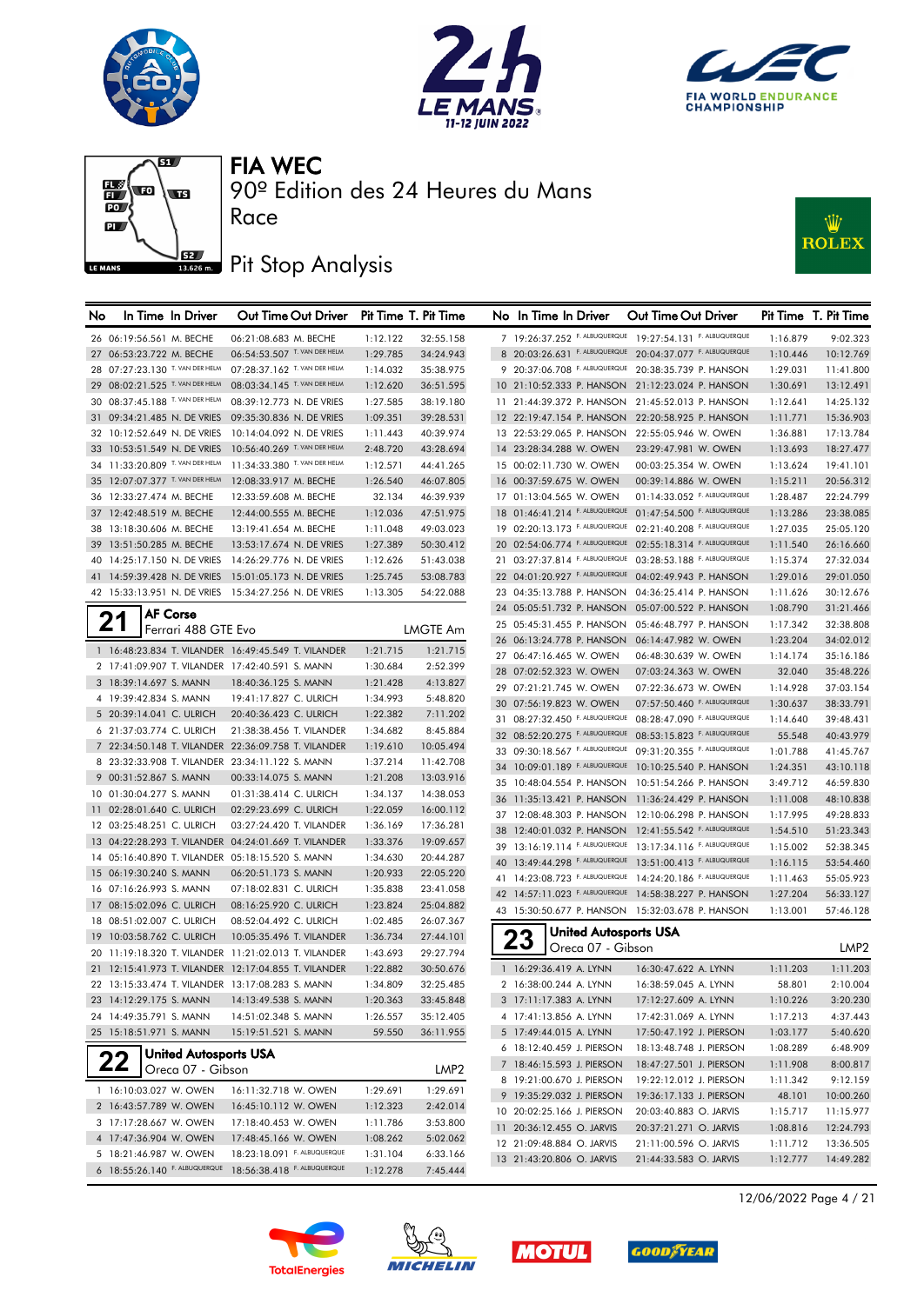







## **J**BZ Pit Stop Analysis

Race



| No | In Time In Driver                                         | Out Time Out Driver          |          | Pit Time T. Pit Time |    | No In Time In Driver               | Out Time Out Driver                                        |          | Pit Time T. Pit Time |
|----|-----------------------------------------------------------|------------------------------|----------|----------------------|----|------------------------------------|------------------------------------------------------------|----------|----------------------|
|    | 26 06:19:56.561 M. BECHE                                  | 06:21:08.683 M. BECHE        | 1:12.122 | 32:55.158            |    |                                    | 7 19:26:37.252 F. ALBUQUERQUE 19:27:54.131 F. ALBUQUERQUE  | 1:16.879 | 9:02.323             |
|    | 27 06:53:23.722 M. BECHE                                  | 06:54:53.507 T. VAN DER HELM | 1:29.785 | 34:24.943            |    |                                    | 8 20:03:26.631 F. ALBUQUERQUE 20:04:37.077 F. ALBUQUERQUE  | 1:10.446 | 10:12.769            |
|    | 28 07:27:23.130 T. VAN DER HELM                           | 07:28:37.162 T. VAN DER HELM | 1:14.032 | 35:38.975            |    | 9 20:37:06.708 F. ALBUQUERQUE      | 20:38:35.739 P. HANSON                                     | 1:29.031 | 11:41.800            |
|    | 29 08:02:21.525 T. VAN DER HELM                           | 08:03:34.145 T. VAN DER HELM | 1:12.620 | 36:51.595            |    |                                    | 10 21:10:52.333 P. HANSON 21:12:23.024 P. HANSON           | 1:30.691 | 13:12.491            |
|    | 30 08:37:45.188 T. VAN DER HELM                           | 08:39:12.773 N. DE VRIES     | 1:27.585 | 38:19.180            |    |                                    | 11 21:44:39.372 P. HANSON 21:45:52.013 P. HANSON           | 1:12.641 | 14:25.132            |
|    | 31 09:34:21.485 N. DE VRIES                               | 09:35:30.836 N. DE VRIES     | 1:09.351 | 39:28.531            |    | 12 22:19:47.154 P. HANSON          | 22:20:58.925 P. HANSON                                     | 1:11.771 | 15:36.903            |
|    | 32 10:12:52.649 N. DE VRIES                               | 10:14:04.092 N. DE VRIES     | 1:11.443 | 40:39.974            |    | 13 22:53:29.065 P. HANSON          | 22:55:05.946 W. OWEN                                       | 1:36.881 | 17:13.784            |
|    | 33 10:53:51.549 N. DE VRIES                               | 10:56:40.269 T. VAN DER HELM | 2:48.720 | 43:28.694            |    | 14 23:28:34.288 W. OWEN            | 23:29:47.981 W. OWEN                                       | 1:13.693 | 18:27.477            |
|    | 34 11:33:20.809 T. VAN DER HELM                           | 11:34:33.380 T. VAN DER HELM | 1:12.571 | 44:41.265            |    | 15 00:02:11.730 W. OWEN            | 00:03:25.354 W. OWEN                                       | 1:13.624 | 19:41.101            |
|    | 35 12:07:07.377 T. VAN DER HELM                           | 12:08:33.917 M. BECHE        | 1:26.540 | 46:07.805            |    | 16 00:37:59.675 W. OWEN            | 00:39:14.886 W. OWEN                                       | 1:15.211 | 20:56.312            |
|    | 36 12:33:27.474 M. BECHE                                  | 12:33:59.608 M. BECHE        | 32.134   | 46:39.939            |    | 17 01:13:04.565 W. OWEN            | 01:14:33.052 F. ALBUQUERQUE                                | 1:28.487 | 22:24.799            |
|    | 37 12:42:48.519 M. BECHE                                  | 12:44:00.555 M. BECHE        | 1:12.036 | 47:51.975            |    |                                    | 18 01:46:41.214 F. ALBUQUERQUE 01:47:54.500 F. ALBUQUERQUE | 1:13.286 | 23:38.085            |
|    | 38 13:18:30.606 M. BECHE                                  | 13:19:41.654 M. BECHE        | 1:11.048 | 49:03.023            |    |                                    | 19 02:20:13.173 F. ALBUQUERQUE 02:21:40.208 F. ALBUQUERQUE | 1:27.035 | 25:05.120            |
|    | 39 13:51:50.285 M. BECHE                                  | 13:53:17.674 N. DE VRIES     | 1:27.389 | 50:30.412            |    |                                    | 20 02:54:06.774 F. ALBUQUERQUE 02:55:18.314 F. ALBUQUERQUE | 1:11.540 | 26:16.660            |
|    | 40 14:25:17.150 N. DE VRIES                               | 14:26:29.776 N. DE VRIES     | 1:12.626 | 51:43.038            |    |                                    | 21 03:27:37.814 F. ALBUQUERQUE 03:28:53.188 F. ALBUQUERQUE | 1:15.374 | 27:32.034            |
|    | 41 14:59:39.428 N. DE VRIES                               | 15:01:05.173 N. DE VRIES     | 1:25.745 | 53:08.783            |    | 22 04:01:20.927 F. ALBUQUERQUE     | 04:02:49.943 P. HANSON                                     | 1:29.016 | 29:01.050            |
|    | 42 15:33:13.951 N. DE VRIES                               | 15:34:27.256 N. DE VRIES     | 1:13.305 | 54:22.088            |    | 23 04:35:13.788 P. HANSON          | 04:36:25.414 P. HANSON                                     | 1:11.626 | 30:12.676            |
|    | <b>AF Corse</b>                                           |                              |          |                      |    | 24 05:05:51.732 P. HANSON          | 05:07:00.522 P. HANSON                                     | 1:08.790 | 31:21.466            |
|    | 21<br>Ferrari 488 GTE Evo                                 |                              |          | <b>LMGTE Am</b>      |    | 25 05:45:31.455 P. HANSON          | 05:46:48.797 P. HANSON                                     | 1:17.342 | 32:38.808            |
|    |                                                           |                              |          |                      |    | 26 06:13:24.778 P. HANSON          | 06:14:47.982 W. OWEN                                       | 1:23.204 | 34:02.012            |
|    | 1 16:48:23.834 T. VILANDER 16:49:45.549 T. VILANDER       |                              | 1:21.715 | 1:21.715             |    | 27 06:47:16.465 W. OWEN            | 06:48:30.639 W. OWEN                                       | 1:14.174 | 35:16.186            |
|    | 2 17:41:09.907 T. VILANDER 17:42:40.591 S. MANN           |                              | 1:30.684 | 2:52.399             |    | 28 07:02:52.323 W. OWEN            | 07:03:24.363 W. OWEN                                       | 32.040   | 35:48.226            |
|    | 3 18:39:14.697 S. MANN                                    | 18:40:36.125 S. MANN         | 1:21.428 | 4:13.827             | 29 | 07:21:21.745 W. OWEN               | 07:22:36.673 W. OWEN                                       | 1:14.928 | 37:03.154            |
|    | 4 19:39:42.834 S. MANN                                    | 19:41:17.827 C. ULRICH       | 1:34.993 | 5:48.820             |    | 30 07:56:19.823 W. OWEN            | 07:57:50.460 F. ALBUQUERQUE                                | 1:30.637 | 38:33.791            |
|    | 5 20:39:14.041 C. ULRICH                                  | 20:40:36.423 C. ULRICH       | 1:22.382 | 7:11.202             |    |                                    | 31 08:27:32.450 F. ALBUQUERQUE 08:28:47.090 F. ALBUQUERQUE | 1:14.640 | 39:48.431            |
|    | 6 21:37:03.774 C. ULRICH                                  | 21:38:38.456 T. VILANDER     | 1:34.682 | 8:45.884             |    |                                    | 32 08:52:20.275 F. ALBUQUERQUE 08:53:15.823 F. ALBUQUERQUE | 55.548   | 40:43.979            |
|    | 7 22:34:50.148 T. VILANDER 22:36:09.758 T. VILANDER       |                              | 1:19.610 | 10:05.494            |    |                                    | 33 09:30:18.567 F. ALBUQUERQUE 09:31:20.355 F. ALBUQUERQUE | 1:01.788 | 41:45.767            |
|    | 8 23:32:33.908 T. VILANDER 23:34:11.122 S. MANN           |                              | 1:37.214 | 11:42.708            |    | 34 10:09:01.189 F. ALBUQUERQUE     | 10:10:25.540 P. HANSON                                     | 1:24.351 | 43:10.118            |
|    | 9 00:31:52.867 S. MANN                                    | 00:33:14.075 S. MANN         | 1:21.208 | 13:03.916            |    |                                    | 35 10:48:04.554 P. HANSON 10:51:54.266 P. HANSON           | 3:49.712 | 46:59.830            |
|    | 10 01:30:04.277 S. MANN                                   | 01:31:38.414 C. ULRICH       | 1:34.137 | 14:38.053            |    |                                    | 36 11:35:13.421 P. HANSON 11:36:24.429 P. HANSON           | 1:11.008 | 48:10.838            |
|    | 11 02:28:01.640 C. ULRICH                                 | 02:29:23.699 C. ULRICH       | 1:22.059 | 16:00.112            |    |                                    | 37 12:08:48.303 P. HANSON 12:10:06.298 P. HANSON           | 1:17.995 | 49:28.833            |
|    | 12 03:25:48.251 C. ULRICH                                 | 03:27:24.420 T. VILANDER     | 1:36.169 | 17:36.281            |    |                                    | 38 12:40:01.032 P. HANSON 12:41:55.542 F. ALBUQUERQUE      | 1:54.510 | 51:23.343            |
|    | 13 04:22:28.293 T. VILANDER 04:24:01.669 T. VILANDER      |                              | 1:33.376 | 19:09.657            |    |                                    | 39 13:16:19.114 F. ALBUQUERQUE 13:17:34.116 F. ALBUQUERQUE | 1:15.002 | 52:38.345            |
|    | 14 05:16:40.890 T. VILANDER 05:18:15.520 S. MANN          |                              | 1:34.630 | 20:44.287            | 40 |                                    | 13:49:44.298 F. ALBUQUERQUE 13:51:00.413 F. ALBUQUERQUE    | 1:16.115 | 53:54.460            |
|    | 15 06:19:30.240 S. MANN                                   | 06:20:51.173 S. MANN         | 1:20.933 | 22:05.220            |    |                                    | 41 14:23:08.723 F. ALBUQUERQUE 14:24:20.186 F. ALBUQUERQUE | 1:11.463 | 55:05.923            |
|    | 16 07:16:26.993 S. MANN                                   | 07:18:02.831 C. ULRICH       | 1:35.838 | 23:41.058            |    |                                    | 42 14:57:11.023 F. ALBUQUERQUE 14:58:38.227 P. HANSON      | 1:27.204 | 56:33.127            |
|    | 17 08:15:02.096 C. ULRICH                                 | 08:16:25.920 C. ULRICH       | 1:23.824 | 25:04.882            |    |                                    | 43 15:30:50.677 P. HANSON 15:32:03.678 P. HANSON           | 1:13.001 | 57:46.128            |
|    | 18 08:51:02.007 C. ULRICH                                 | 08:52:04.492 C. ULRICH       | 1:02.485 | 26:07.367            |    |                                    |                                                            |          |                      |
|    | 19 10:03:58.762 C. ULRICH                                 | 10:05:35.496 T. VILANDER     | 1:36.734 | 27:44.101            |    | <b>United Autosports USA</b><br>23 |                                                            |          |                      |
|    | 20 11:19:18.320 T. VILANDER 11:21:02.013 T. VILANDER      |                              | 1:43.693 | 29:27.794            |    | Oreca 07 - Gibson                  |                                                            |          | LMP <sub>2</sub>     |
|    | 21 12:15:41.973 T. VILANDER 12:17:04.855 T. VILANDER      |                              | 1:22.882 | 30:50.676            |    | 1 16:29:36.419 A. LYNN             | 16:30:47.622 A. LYNN                                       | 1:11.203 | 1:11.203             |
|    | 22 13:15:33.474 T. VILANDER 13:17:08.283 S. MANN          |                              | 1:34.809 | 32:25.485            |    | 2 16:38:00.244 A. LYNN             | 16:38:59.045 A. LYNN                                       | 58.801   | 2:10.004             |
|    | 23 14:12:29.175 S. MANN                                   | 14:13:49.538 S. MANN         | 1:20.363 | 33:45.848            |    | 3 17:11:17.383 A. LYNN             | 17:12:27.609 A. LYNN                                       | 1:10.226 | 3:20.230             |
|    | 24 14:49:35.791 S. MANN                                   | 14:51:02.348 S. MANN         | 1:26.557 | 35:12.405            |    | 4 17:41:13.856 A. LYNN             | 17:42:31.069 A. LYNN                                       | 1:17.213 | 4:37.443             |
|    | 25 15:18:51.971 S. MANN                                   | 15:19:51.521 S. MANN         | 59.550   | 36:11.955            |    | 5 17:49:44.015 A. LYNN             | 17:50:47.192 J. PIERSON                                    | 1:03.177 | 5:40.620             |
|    | <b>United Autosports USA</b>                              |                              |          |                      |    | 6 18:12:40.459 J. PIERSON          | 18:13:48.748 J. PIERSON                                    | 1:08.289 | 6:48.909             |
|    | 22<br>Oreca 07 - Gibson                                   |                              |          | LMP <sub>2</sub>     |    | 7 18:46:15.593 J. PIERSON          | 18:47:27.501 J. PIERSON                                    | 1:11.908 | 8:00.817             |
|    |                                                           |                              |          |                      |    | 8 19:21:00.670 J. PIERSON          | 19:22:12.012 J. PIERSON                                    | 1:11.342 | 9:12.159             |
|    | 1 16:10:03.027 W. OWEN                                    | 16:11:32.718 W. OWEN         | 1:29.691 | 1:29.691             |    | 9 19:35:29.032 J. PIERSON          | 19:36:17.133 J. PIERSON                                    | 48.101   | 10:00.260            |
|    | 2 16:43:57.789 W. OWEN                                    | 16:45:10.112 W. OWEN         | 1:12.323 | 2:42.014             |    | 10 20:02:25.166 J. PIERSON         | 20:03:40.883 O. JARVIS                                     | 1:15.717 | 11:15.977            |
|    | 3 17:17:28.667 W. OWEN                                    | 17:18:40.453 W. OWEN         | 1:11.786 | 3:53.800             |    | 11 20:36:12.455 O. JARVIS          | 20:37:21.271 O. JARVIS                                     | 1:08.816 | 12:24.793            |
|    | 4 17:47:36.904 W. OWEN                                    | 17:48:45.166 W. OWEN         | 1:08.262 | 5:02.062             |    | 12 21:09:48.884 O. JARVIS          | 21:11:00.596 O. JARVIS                                     | 1:11.712 | 13:36.505            |
|    | 5 18:21:46.987 W. OWEN                                    | 18:23:18.091 F. ALBUQUERQUE  | 1:31.104 | 6:33.166             |    | 13 21:43:20.806 O. JARVIS          | 21:44:33.583 O. JARVIS                                     | 1:12.777 | 14:49.282            |
|    | 6 18:55:26.140 F. ALBUQUERQUE 18:56:38.418 F. ALBUQUERQUE |                              | 1:12.278 | 7:45.444             |    |                                    |                                                            |          |                      |









12/06/2022 Page 4 / 21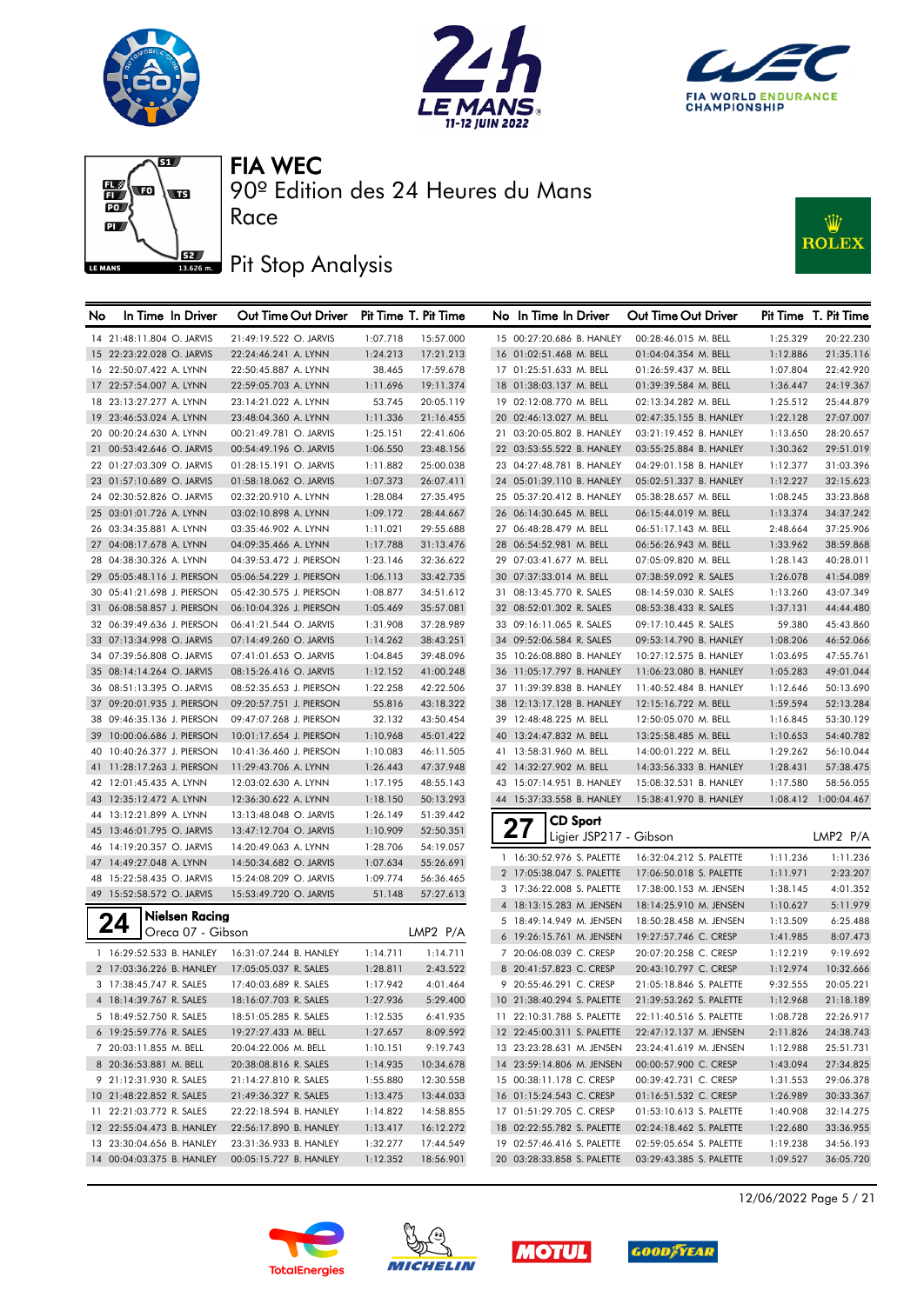







# **J**BZ Pit Stop Analysis

Race



| No | In Time In Driver          | Out Time Out Driver     |          | Pit Time T. Pit Time |    | No In Time In Driver       |                 | Out Time Out Driver     |          | Pit Time T. Pit Time |
|----|----------------------------|-------------------------|----------|----------------------|----|----------------------------|-----------------|-------------------------|----------|----------------------|
|    | 14 21:48:11.804 O. JARVIS  | 21:49:19.522 O. JARVIS  | 1:07.718 | 15:57.000            |    | 15 00:27:20.686 B. HANLEY  |                 | 00:28:46.015 M. BELL    | 1:25.329 | 20:22.230            |
|    | 15 22:23:22.028 O. JARVIS  | 22:24:46.241 A. LYNN    | 1:24.213 | 17:21.213            |    | 16 01:02:51.468 M. BELL    |                 | 01:04:04.354 M. BELL    | 1:12.886 | 21:35.116            |
|    | 16 22:50:07.422 A. LYNN    | 22:50:45.887 A. LYNN    | 38.465   | 17:59.678            |    | 17 01:25:51.633 M. BELL    |                 | 01:26:59.437 M. BELL    | 1:07.804 | 22:42.920            |
|    | 17 22:57:54.007 A. LYNN    | 22:59:05.703 A. LYNN    | 1:11.696 | 19:11.374            |    | 18 01:38:03.137 M. BELL    |                 | 01:39:39.584 M. BELL    | 1:36.447 | 24:19.367            |
|    | 18 23:13:27.277 A. LYNN    | 23:14:21.022 A. LYNN    | 53.745   | 20:05.119            |    | 19 02:12:08.770 M. BELL    |                 | 02:13:34.282 M. BELL    | 1:25.512 | 25:44.879            |
|    | 19 23:46:53.024 A. LYNN    | 23:48:04.360 A. LYNN    | 1:11.336 | 21:16.455            |    | 20 02:46:13.027 M. BELL    |                 | 02:47:35.155 B. HANLEY  | 1:22.128 | 27:07.007            |
|    | 20 00:20:24.630 A. LYNN    | 00:21:49.781 O. JARVIS  | 1:25.151 | 22:41.606            |    | 21 03:20:05.802 B. HANLEY  |                 | 03:21:19.452 B. HANLEY  | 1:13.650 | 28:20.657            |
|    | 21 00:53:42.646 O. JARVIS  | 00:54:49.196 O. JARVIS  | 1:06.550 | 23:48.156            |    | 22 03:53:55.522 B. HANLEY  |                 | 03:55:25.884 B. HANLEY  | 1:30.362 | 29:51.019            |
|    | 22 01:27:03.309 O. JARVIS  | 01:28:15.191 O. JARVIS  | 1:11.882 | 25:00.038            |    | 23 04:27:48.781 B. HANLEY  |                 | 04:29:01.158 B. HANLEY  | 1:12.377 | 31:03.396            |
|    | 23 01:57:10.689 O. JARVIS  | 01:58:18.062 O. JARVIS  | 1:07.373 | 26:07.411            |    | 24 05:01:39.110 B. HANLEY  |                 | 05:02:51.337 B. HANLEY  | 1:12.227 | 32:15.623            |
|    | 24 02:30:52.826 O. JARVIS  | 02:32:20.910 A. LYNN    | 1:28.084 | 27:35.495            |    | 25 05:37:20.412 B. HANLEY  |                 | 05:38:28.657 M. BELL    | 1:08.245 | 33:23.868            |
|    | 25 03:01:01.726 A. LYNN    | 03:02:10.898 A. LYNN    | 1:09.172 | 28:44.667            |    | 26 06:14:30.645 M. BELL    |                 | 06:15:44.019 M. BELL    | 1:13.374 | 34:37.242            |
|    | 26 03:34:35.881 A. LYNN    | 03:35:46.902 A. LYNN    | 1:11.021 | 29:55.688            |    | 27 06:48:28.479 M. BELL    |                 | 06:51:17.143 M. BELL    | 2:48.664 | 37:25.906            |
|    | 27 04:08:17.678 A. LYNN    | 04:09:35.466 A. LYNN    | 1:17.788 | 31:13.476            |    | 28 06:54:52.981 M. BELL    |                 | 06:56:26.943 M. BELL    | 1:33.962 | 38:59.868            |
|    | 28 04:38:30.326 A. LYNN    | 04:39:53.472 J. PIERSON | 1:23.146 | 32:36.622            |    | 29 07:03:41.677 M. BELL    |                 | 07:05:09.820 M. BELL    | 1:28.143 | 40:28.011            |
|    | 29 05:05:48.116 J. PIERSON | 05:06:54.229 J. PIERSON | 1:06.113 | 33:42.735            |    | 30 07:37:33.014 M. BELL    |                 | 07:38:59.092 R. SALES   | 1:26.078 | 41:54.089            |
|    | 30 05:41:21.698 J. PIERSON | 05:42:30.575 J. PIERSON | 1:08.877 | 34:51.612            |    | 31 08:13:45.770 R. SALES   |                 | 08:14:59.030 R. SALES   | 1:13.260 | 43:07.349            |
|    | 31 06:08:58.857 J. PIERSON | 06:10:04.326 J. PIERSON | 1:05.469 | 35:57.081            |    | 32 08:52:01.302 R. SALES   |                 | 08:53:38.433 R. SALES   | 1:37.131 | 44:44.480            |
|    | 32 06:39:49.636 J. PIERSON | 06:41:21.544 O. JARVIS  | 1:31.908 | 37:28.989            |    | 33 09:16:11.065 R. SALES   |                 | 09:17:10.445 R. SALES   | 59.380   | 45:43.860            |
|    | 33 07:13:34.998 O. JARVIS  | 07:14:49.260 O. JARVIS  | 1:14.262 | 38:43.251            |    | 34 09:52:06.584 R. SALES   |                 | 09:53:14.790 B. HANLEY  | 1:08.206 | 46:52.066            |
|    | 34 07:39:56.808 O. JARVIS  | 07:41:01.653 O. JARVIS  | 1:04.845 | 39:48.096            |    | 35 10:26:08.880 B. HANLEY  |                 | 10:27:12.575 B. HANLEY  | 1:03.695 | 47:55.761            |
|    | 35 08:14:14.264 O. JARVIS  | 08:15:26.416 O. JARVIS  | 1:12.152 | 41:00.248            |    | 36 11:05:17.797 B. HANLEY  |                 | 11:06:23.080 B. HANLEY  | 1:05.283 | 49:01.044            |
|    | 36 08:51:13.395 O. JARVIS  | 08:52:35.653 J. PIERSON | 1:22.258 | 42:22.506            |    | 37 11:39:39.838 B. HANLEY  |                 | 11:40:52.484 B. HANLEY  | 1:12.646 | 50:13.690            |
|    | 37 09:20:01.935 J. PIERSON | 09:20:57.751 J. PIERSON | 55.816   | 43:18.322            | 38 | 12:13:17.128 B. HANLEY     |                 | 12:15:16.722 M. BELL    | 1:59.594 | 52:13.284            |
|    | 38 09:46:35.136 J. PIERSON | 09:47:07.268 J. PIERSON | 32.132   | 43:50.454            |    | 39 12:48:48.225 M. BELL    |                 | 12:50:05.070 M. BELL    | 1:16.845 | 53:30.129            |
|    | 39 10:00:06.686 J. PIERSON | 10:01:17.654 J. PIERSON | 1:10.968 | 45:01.422            | 40 | 13:24:47.832 M. BELL       |                 | 13:25:58.485 M. BELL    | 1:10.653 | 54:40.782            |
|    | 40 10:40:26.377 J. PIERSON | 10:41:36.460 J. PIERSON | 1:10.083 | 46:11.505            |    | 41 13:58:31.960 M. BELL    |                 | 14:00:01.222 M. BELL    | 1:29.262 | 56:10.044            |
|    | 41 11:28:17.263 J. PIERSON | 11:29:43.706 A. LYNN    | 1:26.443 | 47:37.948            |    | 42 14:32:27.902 M. BELL    |                 | 14:33:56.333 B. HANLEY  | 1:28.431 | 57:38.475            |
|    | 42 12:01:45.435 A. LYNN    | 12:03:02.630 A. LYNN    | 1:17.195 | 48:55.143            |    | 43 15:07:14.951 B. HANLEY  |                 | 15:08:32.531 B. HANLEY  | 1:17.580 | 58:56.055            |
|    | 43 12:35:12.472 A. LYNN    | 12:36:30.622 A. LYNN    | 1:18.150 | 50:13.293            |    | 44 15:37:33.558 B. HANLEY  |                 | 15:38:41.970 B. HANLEY  |          | 1:08.412 1:00:04.467 |
|    | 44 13:12:21.899 A. LYNN    | 13:13:48.048 O. JARVIS  | 1:26.149 | 51:39.442            |    |                            |                 |                         |          |                      |
|    | 45 13:46:01.795 O. JARVIS  | 13:47:12.704 O. JARVIS  | 1:10.909 | 52:50.351            |    | 27                         | <b>CD Sport</b> |                         |          |                      |
|    | 46 14:19:20.357 O. JARVIS  | 14:20:49.063 A. LYNN    | 1:28.706 | 54:19.057            |    |                            |                 | Ligier JSP217 - Gibson  |          | LMP2 P/A             |
|    | 47 14:49:27.048 A. LYNN    | 14:50:34.682 O. JARVIS  | 1:07.634 | 55:26.691            |    | 1 16:30:52.976 S. PALETTE  |                 | 16:32:04.212 S. PALETTE | 1:11.236 | 1:11.236             |
|    | 48 15:22:58.435 O. JARVIS  | 15:24:08.209 O. JARVIS  | 1:09.774 | 56:36.465            |    | 2 17:05:38.047 S. PALETTE  |                 | 17:06:50.018 S. PALETTE | 1:11.971 | 2:23.207             |
|    | 49 15:52:58.572 O. JARVIS  | 15:53:49.720 O. JARVIS  | 51.148   | 57:27.613            |    | 3 17:36:22.008 S. PALETTE  |                 | 17:38:00.153 M. JENSEN  | 1:38.145 | 4:01.352             |
|    |                            |                         |          |                      |    | 4 18:13:15.283 M. JENSEN   |                 | 18:14:25.910 M. JENSEN  | 1:10.627 | 5:11.979             |
|    | Nielsen Racing             |                         |          |                      |    | 5 18:49:14.949 M. JENSEN   |                 | 18:50:28.458 M. JENSEN  | 1:13.509 | 6:25.488             |
|    | Oreca 07 - Gibson          |                         |          | LMP2 P/A             |    | 6 19:26:15.761 M. JENSEN   |                 | 19:27:57.746 C. CRESP   | 1:41.985 | 8:07.473             |
|    | 1 16:29:52.533 B. HANLEY   | 16:31:07.244 B. HANLEY  | 1:14.711 | 1:14.711             |    | 7 20:06:08.039 C. CRESP    |                 | 20:07:20.258 C. CRESP   | 1:12.219 | 9:19.692             |
|    | 2 17:03:36.226 B. HANLEY   | 17:05:05.037 R. SALES   | 1:28.811 | 2:43.522             |    | 8 20:41:57.823 C. CRESP    |                 | 20:43:10.797 C. CRESP   | 1:12.974 | 10:32.666            |
|    | 3 17:38:45.747 R. SALES    | 17:40:03.689 R. SALES   | 1:17.942 | 4:01.464             |    | 9 20:55:46.291 C. CRESP    |                 | 21:05:18.846 S. PALETTE | 9:32.555 | 20:05.221            |
|    | 4 18:14:39.767 R. SALES    | 18:16:07.703 R. SALES   | 1:27.936 | 5:29.400             |    | 10 21:38:40.294 S. PALETTE |                 | 21:39:53.262 S. PALETTE | 1:12.968 | 21:18.189            |
|    | 5 18:49:52.750 R. SALES    | 18:51:05.285 R. SALES   | 1:12.535 | 6:41.935             |    | 11 22:10:31.788 S. PALETTE |                 | 22:11:40.516 S. PALETTE | 1:08.728 | 22:26.917            |
|    | 6 19:25:59.776 R. SALES    | 19:27:27.433 M. BELL    | 1:27.657 | 8:09.592             |    | 12 22:45:00.311 S. PALETTE |                 | 22:47:12.137 M. JENSEN  | 2:11.826 | 24:38.743            |
|    | 7 20:03:11.855 M. BELL     | 20:04:22.006 M. BELL    | 1:10.151 | 9:19.743             |    | 13 23:23:28.631 M. JENSEN  |                 | 23:24:41.619 M. JENSEN  | 1:12.988 | 25:51.731            |
|    | 8 20:36:53.881 M. BELL     | 20:38:08.816 R. SALES   | 1:14.935 | 10:34.678            |    | 14 23:59:14.806 M. JENSEN  |                 | 00:00:57.900 C. CRESP   | 1:43.094 | 27:34.825            |
|    | 9 21:12:31.930 R. SALES    | 21:14:27.810 R. SALES   | 1:55.880 | 12:30.558            |    | 15 00:38:11.178 C. CRESP   |                 | 00:39:42.731 C. CRESP   | 1:31.553 | 29:06.378            |
|    | 10 21:48:22.852 R. SALES   | 21:49:36.327 R. SALES   | 1:13.475 | 13:44.033            |    | 16 01:15:24.543 C. CRESP   |                 | 01:16:51.532 C. CRESP   | 1:26.989 | 30:33.367            |
|    | 11 22:21:03.772 R. SALES   | 22:22:18.594 B. HANLEY  | 1:14.822 | 14:58.855            |    | 17 01:51:29.705 C. CRESP   |                 | 01:53:10.613 S. PALETTE | 1:40.908 | 32:14.275            |
|    | 12 22:55:04.473 B. HANLEY  | 22:56:17.890 B. HANLEY  | 1:13.417 | 16:12.272            |    | 18 02:22:55.782 S. PALETTE |                 | 02:24:18.462 S. PALETTE | 1:22.680 | 33:36.955            |
|    | 13 23:30:04.656 B. HANLEY  | 23:31:36.933 B. HANLEY  | 1:32.277 | 17:44.549            |    | 19 02:57:46.416 S. PALETTE |                 | 02:59:05.654 S. PALETTE | 1:19.238 | 34:56.193            |
|    | 14 00:04:03.375 B. HANLEY  | 00:05:15.727 B. HANLEY  | 1:12.352 | 18:56.901            |    | 20 03:28:33.858 S. PALETTE |                 | 03:29:43.385 S. PALETTE | 1:09.527 | 36:05.720            |
|    |                            |                         |          |                      |    |                            |                 |                         |          |                      |









12/06/2022 Page 5 / 21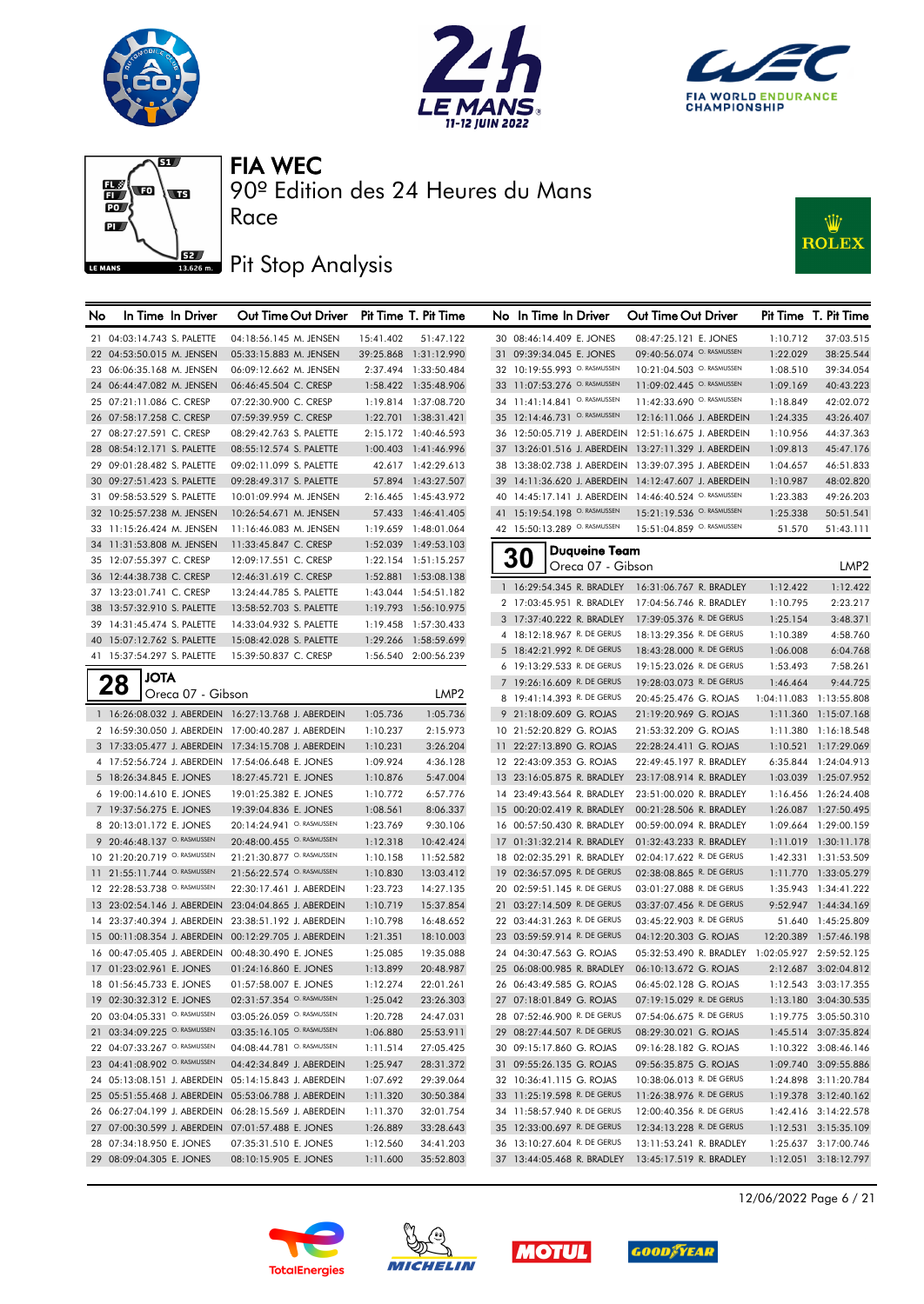







90º Edition des 24 Heures du Mans

# **J**BZ Pit Stop Analysis

Race



| No | In Time In Driver                                   | Out Time Out Driver                                  |                      | Pit Time T. Pit Time  |    | No In Time In Driver                                     |                                    | Out Time Out Driver                                   |           | Pit Time T. Pit Time                |
|----|-----------------------------------------------------|------------------------------------------------------|----------------------|-----------------------|----|----------------------------------------------------------|------------------------------------|-------------------------------------------------------|-----------|-------------------------------------|
|    | 21 04:03:14.743 S. PALETTE                          | 04:18:56.145 M. JENSEN                               | 15:41.402            | 51:47.122             |    | 30 08:46:14.409 E. JONES                                 |                                    | 08:47:25.121 E. JONES                                 | 1:10.712  | 37:03.515                           |
|    | 22 04:53:50.015 M. JENSEN                           | 05:33:15.883 M. JENSEN                               |                      | 39:25.868 1:31:12.990 |    | 31 09:39:34.045 E. JONES                                 |                                    | 09:40:56.074 O. RASMUSSEN                             | 1:22.029  | 38:25.544                           |
|    | 23 06:06:35.168 M. JENSEN                           | 06:09:12.662 M. JENSEN                               |                      | 2:37.494 1:33:50.484  |    | 32 10:19:55.993 O. RASMUSSEN                             |                                    | 10:21:04.503 O. RASMUSSEN                             | 1:08.510  | 39:34.054                           |
|    | 24 06:44:47.082 M. JENSEN                           | 06:46:45.504 C. CRESP                                |                      | 1:58.422 1:35:48.906  |    | 33 11:07:53.276 <sup>O. RASMUSSEN</sup>                  |                                    | 11:09:02.445 O. RASMUSSEN                             | 1:09.169  | 40:43.223                           |
|    | 25 07:21:11.086 C. CRESP                            | 07:22:30.900 C. CRESP                                |                      | 1:19.814 1:37:08.720  |    | 34 11:41:14.841 O. RASMUSSEN                             |                                    | 11:42:33.690 O. RASMUSSEN                             | 1:18.849  | 42:02.072                           |
|    | 26 07:58:17.258 C. CRESP                            | 07:59:39.959 C. CRESP                                |                      | 1:22.701 1:38:31.421  |    | 35 12:14:46.731 O. RASMUSSEN                             |                                    | 12:16:11.066 J. ABERDEIN                              | 1:24.335  | 43:26.407                           |
|    | 27 08:27:27.591 C. CRESP                            | 08:29:42.763 S. PALETTE                              |                      | 2:15.172 1:40:46.593  |    |                                                          |                                    | 36 12:50:05.719 J. ABERDEIN 12:51:16.675 J. ABERDEIN  | 1:10.956  | 44:37.363                           |
|    | 28 08:54:12.171 S. PALETTE                          | 08:55:12.574 S. PALETTE                              |                      | 1:00.403 1:41:46.996  |    |                                                          |                                    | 37 13:26:01.516 J. ABERDEIN 13:27:11.329 J. ABERDEIN  | 1:09.813  | 45:47.176                           |
|    | 29 09:01:28.482 S. PALETTE                          | 09:02:11.099 S. PALETTE                              |                      | 42.617 1:42:29.613    | 38 | 13:38:02.738 J. ABERDEIN                                 |                                    | 13:39:07.395 J. ABERDEIN                              | 1:04.657  | 46:51.833                           |
|    | 30 09:27:51.423 S. PALETTE                          | 09:28:49.317 S. PALETTE                              |                      | 57.894 1:43:27.507    |    |                                                          |                                    | 39 14:11:36.620 J. ABERDEIN 14:12:47.607 J. ABERDEIN  | 1:10.987  | 48:02.820                           |
|    | 31 09:58:53.529 S. PALETTE                          | 10:01:09.994 M. JENSEN                               |                      | 2:16.465 1:45:43.972  |    |                                                          |                                    | 40 14:45:17.141 J. ABERDEIN 14:46:40.524 O. RASMUSSEN | 1:23.383  | 49:26.203                           |
|    | 32 10:25:57.238 M. JENSEN                           | 10:26:54.671 M. JENSEN                               |                      | 57.433 1:46:41.405    |    | 41 15:19:54.198 O. RASMUSSEN                             |                                    | 15:21:19.536 O. RASMUSSEN                             | 1:25.338  | 50:51.541                           |
|    | 33 11:15:26.424 M. JENSEN                           | 11:16:46.083 M. JENSEN                               |                      | 1:19.659 1:48:01.064  |    | 42 15:50:13.289 O. RASMUSSEN                             |                                    | 15:51:04.859 O. RASMUSSEN                             | 51.570    | 51:43.111                           |
|    | 34 11:31:53.808 M. JENSEN                           | 11:33:45.847 C. CRESP                                |                      | 1:52.039 1:49:53.103  |    |                                                          |                                    |                                                       |           |                                     |
|    | 35 12:07:55.397 C. CRESP                            | 12:09:17.551 C. CRESP                                |                      | 1:22.154 1:51:15.257  |    | 30                                                       | Duqueine Team<br>Oreca 07 - Gibson |                                                       |           | LMP <sub>2</sub>                    |
|    | 36 12:44:38.738 C. CRESP                            | 12:46:31.619 C. CRESP                                |                      | 1:52.881 1:53:08.138  |    |                                                          |                                    |                                                       |           |                                     |
|    | 37 13:23:01.741 C. CRESP                            | 13:24:44.785 S. PALETTE                              |                      | 1:43.044 1:54:51.182  |    |                                                          |                                    | 1 16:29:54.345 R. BRADLEY 16:31:06.767 R. BRADLEY     | 1:12.422  | 1:12.422                            |
|    | 38 13:57:32.910 S. PALETTE                          | 13:58:52.703 S. PALETTE                              |                      | 1:19.793 1:56:10.975  |    | 2 17:03:45.951 R. BRADLEY                                |                                    | 17:04:56.746 R. BRADLEY                               | 1:10.795  | 2:23.217                            |
|    | 39 14:31:45.474 S. PALETTE                          | 14:33:04.932 S. PALETTE                              |                      | 1:19.458 1:57:30.433  |    | 3 17:37:40.222 R. BRADLEY                                |                                    | 17:39:05.376 R. DE GERUS                              | 1:25.154  | 3:48.371                            |
|    | 40 15:07:12.762 S. PALETTE                          | 15:08:42.028 S. PALETTE                              |                      | 1:29.266 1:58:59.699  |    | 4 18:12:18.967 R. DE GERUS                               |                                    | 18:13:29.356 R. DE GERUS                              | 1:10.389  | 4:58.760                            |
|    | 41 15:37:54.297 S. PALETTE                          | 15:39:50.837 C. CRESP                                |                      | 1:56.540 2:00:56.239  |    | 5 18:42:21.992 R. DE GERUS                               |                                    | 18:43:28.000 R. DE GERUS                              | 1:06.008  | 6:04.768                            |
|    | <b>JOTA</b>                                         |                                                      |                      |                       |    | 6 19:13:29.533 R. DE GERUS                               |                                    | 19:15:23.026 R. DE GERUS                              | 1:53.493  | 7:58.261                            |
|    | 28<br>Oreca 07 - Gibson                             |                                                      |                      | LMP2                  |    | 7 19:26:16.609 R. DE GERUS                               |                                    | 19:28:03.073 R. DE GERUS                              | 1:46.464  | 9:44.725                            |
|    |                                                     |                                                      |                      |                       |    | 8 19:41:14.393 R. DE GERUS                               |                                    | 20:45:25.476 G. ROJAS                                 |           | 1:04:11.083 1:13:55.808             |
|    | 1 16:26:08.032 J. ABERDEIN 16:27:13.768 J. ABERDEIN |                                                      | 1:05.736             | 1:05.736              |    | 9 21:18:09.609 G. ROJAS                                  |                                    | 21:19:20.969 G. ROJAS                                 | 1:11.360  | 1:15:07.168                         |
|    | 2 16:59:30.050 J. ABERDEIN 17:00:40.287 J. ABERDEIN |                                                      | 1:10.237             | 2:15.973              |    | 10 21:52:20.829 G. ROJAS                                 |                                    | 21:53:32.209 G. ROJAS                                 |           | 1:11.380 1:16:18.548                |
|    | 3 17:33:05.477 J. ABERDEIN 17:34:15.708 J. ABERDEIN |                                                      | 1:10.231             | 3:26.204              |    | 11 22:27:13.890 G. ROJAS                                 |                                    | 22:28:24.411 G. ROJAS                                 | 1:10.521  | 1:17:29.069                         |
|    | 4 17:52:56.724 J. ABERDEIN 17:54:06.648 E. JONES    |                                                      | 1:09.924             | 4:36.128              |    | 12 22:43:09.353 G. ROJAS                                 |                                    | 22:49:45.197 R. BRADLEY                               |           | 6:35.844 1:24:04.913                |
|    | 5 18:26:34.845 E. JONES                             | 18:27:45.721 E. JONES                                | 1:10.876             | 5:47.004              |    | 13 23:16:05.875 R. BRADLEY                               |                                    | 23:17:08.914 R. BRADLEY                               |           | 1:03.039 1:25:07.952                |
|    | 6 19:00:14.610 E. JONES                             | 19:01:25.382 E. JONES                                | 1:10.772             | 6:57.776              |    | 14 23:49:43.564 R. BRADLEY                               |                                    | 23:51:00.020 R. BRADLEY                               |           | 1:16.456 1:26:24.408                |
|    | 7 19:37:56.275 E. JONES<br>8 20:13:01.172 E. JONES  | 19:39:04.836 E. JONES<br>20:14:24.941 O. RASMUSSEN   | 1:08.561<br>1:23.769 | 8:06.337<br>9:30.106  |    | 15 00:20:02.419 R. BRADLEY<br>16 00:57:50.430 R. BRADLEY |                                    | 00:21:28.506 R. BRADLEY<br>00:59:00.094 R. BRADLEY    | 1:09.664  | 1:26.087 1:27:50.495<br>1:29:00.159 |
|    | 9 20:46:48.137 O. RASMUSSEN                         | 20:48:00.455 O. RASMUSSEN                            | 1:12.318             | 10:42.424             |    | 17 01:31:32.214 R. BRADLEY                               |                                    | 01:32:43.233 R. BRADLEY                               |           | 1:11.019 1:30:11.178                |
|    | 10 21:20:20.719 O. RASMUSSEN                        | 21:21:30.877 O. RASMUSSEN                            | 1:10.158             | 11:52.582             |    | 18 02:02:35.291 R. BRADLEY                               |                                    | 02:04:17.622 R. DE GERUS                              |           | 1:42.331 1:31:53.509                |
|    | 11 21:55:11.744 O. RASMUSSEN                        | 21:56:22.574 O. RASMUSSEN                            | 1:10.830             | 13:03.412             |    | 19 02:36:57.095 R. DE GERUS                              |                                    | 02:38:08.865 R. DE GERUS                              |           | 1:11.770 1:33:05.279                |
|    | 12 22:28:53.738 O. RASMUSSEN                        | 22:30:17.461 J. ABERDEIN                             | 1:23.723             | 14:27.135             |    | 20 02:59:51.145 R. DE GERUS                              |                                    | 03:01:27.088 R. DE GERUS                              |           | 1:35.943 1:34:41.222                |
|    | 13 23:02:54.146 J. ABERDEIN                         | 23:04:04.865 J. ABERDEIN                             | 1:10.719             | 15:37.854             |    | 21 03:27:14.509 R. DE GERUS                              |                                    | 03:37:07.456 R. DE GERUS                              |           | 9:52.947 1:44:34.169                |
|    | 14 23:37:40.394 J. ABERDEIN                         | 23:38:51.192 J. ABERDEIN                             | 1:10.798             | 16:48.652             |    | 22 03:44:31.263 R. DE GERUS                              |                                    | 03:45:22.903 R. DE GERUS                              |           | 51.640 1:45:25.809                  |
|    | 15 00:11:08.354 J. ABERDEIN                         | 00:12:29.705 J. ABERDEIN                             | 1:21.351             | 18:10.003             |    | 23 03:59:59.914 R. DE GERUS                              |                                    | 04:12:20.303 G. ROJAS                                 | 12:20.389 | 1:57:46.198                         |
|    | 16 00:47:05.405 J. ABERDEIN                         | 00:48:30.490 E. JONES                                | 1:25.085             | 19:35.088             |    | 24 04:30:47.563 G. ROJAS                                 |                                    | 05:32:53.490 R. BRADLEY 1:02:05.927 2:59:52.125       |           |                                     |
|    | 17 01:23:02.961 E. JONES                            | 01:24:16.860 E. JONES                                | 1:13.899             | 20:48.987             |    | 25 06:08:00.985 R. BRADLEY                               |                                    | 06:10:13.672 G. ROJAS                                 |           | 2:12.687 3:02:04.812                |
|    | 18 01:56:45.733 E. JONES                            | 01:57:58.007 E. JONES                                | 1:12.274             | 22:01.261             |    | 26 06:43:49.585 G. ROJAS                                 |                                    | 06:45:02.128 G. ROJAS                                 |           | 1:12.543 3:03:17.355                |
|    | 19 02:30:32.312 E. JONES                            | 02:31:57.354 O. RASMUSSEN                            | 1:25.042             | 23:26.303             |    | 27 07:18:01.849 G. ROJAS                                 |                                    | 07:19:15.029 R. DE GERUS                              |           | 1:13.180 3:04:30.535                |
|    | 20 03:04:05.331 O. RASMUSSEN                        | 03:05:26.059 O. RASMUSSEN                            | 1:20.728             | 24:47.031             |    | 28 07:52:46.900 R. DE GERUS                              |                                    | 07:54:06.675 R. DE GERUS                              |           | 1:19.775 3:05:50.310                |
|    | 21 03:34:09.225 O. RASMUSSEN                        | 03:35:16.105 O. RASMUSSEN                            | 1:06.880             | 25:53.911             |    | 29 08:27:44.507 R. DE GERUS                              |                                    | 08:29:30.021 G. ROJAS                                 |           | 1:45.514 3:07:35.824                |
|    | 22 04:07:33.267 O. RASMUSSEN                        | 04:08:44.781 O. RASMUSSEN                            | 1:11.514             | 27:05.425             |    | 30 09:15:17.860 G. ROJAS                                 |                                    | 09:16:28.182 G. ROJAS                                 |           | 1:10.322 3:08:46.146                |
|    | 23 04:41:08.902 O. RASMUSSEN                        | 04:42:34.849 J. ABERDEIN                             | 1:25.947             | 28:31.372             |    | 31 09:55:26.135 G. ROJAS                                 |                                    | 09:56:35.875 G. ROJAS                                 |           | 1:09.740 3:09:55.886                |
|    |                                                     | 24 05:13:08.151 J. ABERDEIN 05:14:15.843 J. ABERDEIN | 1:07.692             | 29:39.064             |    | 32 10:36:41.115 G. ROJAS                                 |                                    | 10:38:06.013 R. DE GERUS                              |           | 1:24.898 3:11:20.784                |
|    |                                                     | 25 05:51:55.468 J. ABERDEIN 05:53:06.788 J. ABERDEIN | 1:11.320             | 30:50.384             |    | 33 11:25:19.598 R. DE GERUS                              |                                    | 11:26:38.976 R. DE GERUS                              |           | 1:19.378 3:12:40.162                |
|    |                                                     | 26 06:27:04.199 J. ABERDEIN 06:28:15.569 J. ABERDEIN | 1:11.370             | 32:01.754             |    | 34 11:58:57.940 R. DE GERUS                              |                                    | 12:00:40.356 R. DE GERUS                              |           | 1:42.416 3:14:22.578                |
|    | 27 07:00:30.599 J. ABERDEIN 07:01:57.488 E. JONES   |                                                      | 1:26.889             | 33:28.643             |    | 35 12:33:00.697 R. DE GERUS                              |                                    | 12:34:13.228 R. DE GERUS                              |           | 1:12.531 3:15:35.109                |
|    | 28 07:34:18.950 E. JONES                            | 07:35:31.510 E. JONES                                | 1:12.560             | 34:41.203             |    | 36 13:10:27.604 R. DE GERUS                              |                                    | 13:11:53.241 R. BRADLEY                               |           | 1:25.637 3:17:00.746                |
|    | 29 08:09:04.305 E. JONES                            | 08:10:15.905 E. JONES                                | 1:11.600             | 35:52.803             |    | 37 13:44:05.468 R. BRADLEY                               |                                    | 13:45:17.519 R. BRADLEY                               |           | 1:12.051 3:18:12.797                |









12/06/2022 Page 6 / 21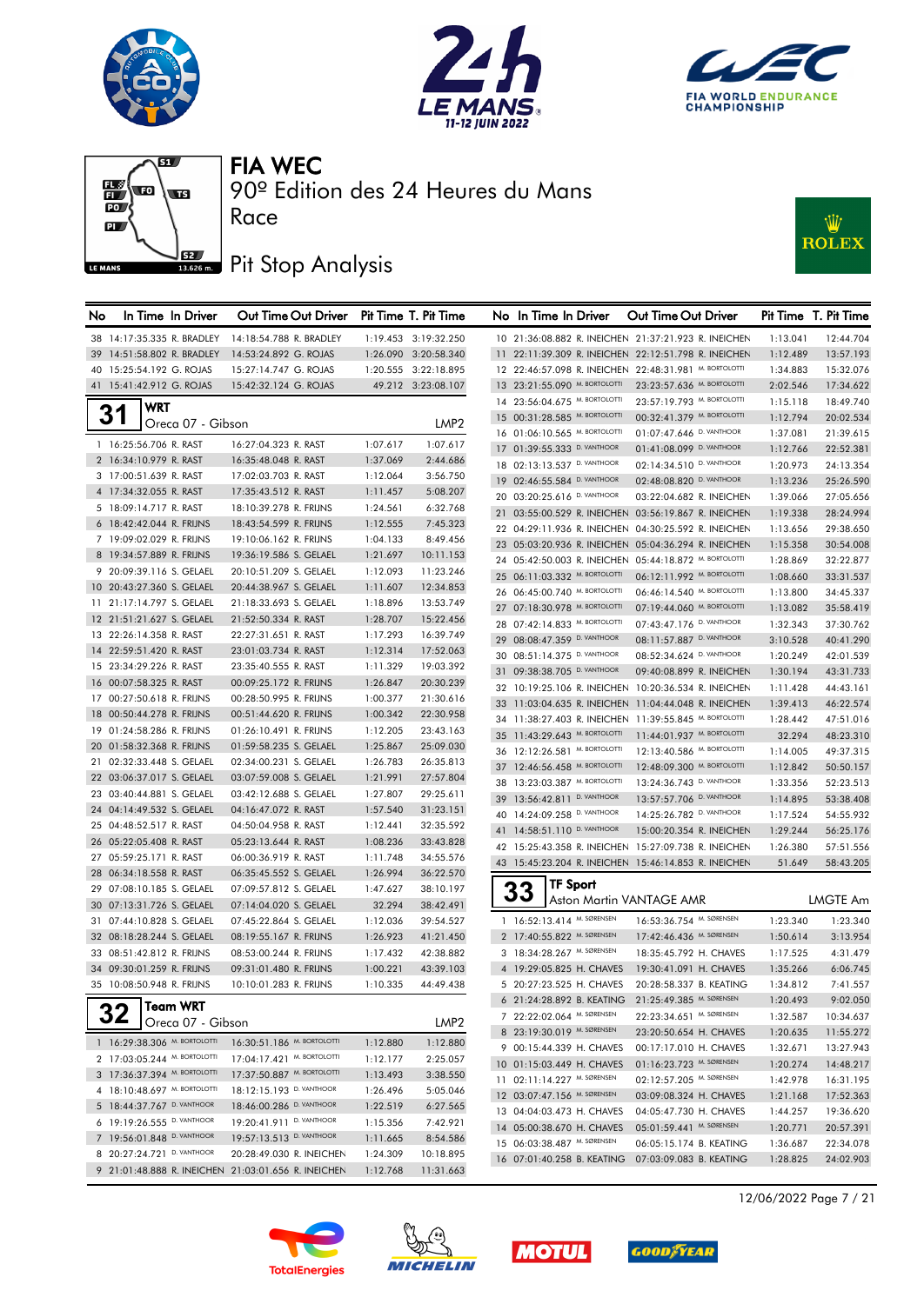







## Pit Stop Analysis

Race



| No | In Time In Driver                                      | Out Time Out Driver                                 |                      | Pit Time T. Pit Time | No In Time In Driver                                       |                               | Out Time Out Driver                                                              |                      | Pit Time T. Pit Time   |
|----|--------------------------------------------------------|-----------------------------------------------------|----------------------|----------------------|------------------------------------------------------------|-------------------------------|----------------------------------------------------------------------------------|----------------------|------------------------|
|    | 38 14:17:35.335 R. BRADLEY                             | 14:18:54.788 R. BRADLEY                             |                      | 1:19.453 3:19:32.250 |                                                            |                               | 10 21:36:08.882 R. INEICHEN 21:37:21.923 R. INEICHEN                             | 1:13.041             | 12:44.704              |
|    | 39 14:51:58.802 R. BRADLEY                             | 14:53:24.892 G. ROJAS                               |                      | 1:26.090 3:20:58.340 |                                                            |                               | 11 22:11:39.309 R. INEICHEN 22:12:51.798 R. INEICHEN                             | 1:12.489             | 13:57.193              |
|    | 40 15:25:54.192 G. ROJAS                               | 15:27:14.747 G. ROJAS                               |                      | 1:20.555 3:22:18.895 |                                                            |                               | 12 22:46:57.098 R. INEICHEN 22:48:31.981 M. BORTOLOTTI                           | 1:34.883             | 15:32.076              |
|    | 41 15:41:42.912 G. ROJAS                               | 15:42:32.124 G. ROJAS                               |                      | 49.212 3:23:08.107   |                                                            | 13 23:21:55.090 M. BORTOLOTTI | 23:23:57.636 M. BORTOLOTTI                                                       | 2:02.546             | 17:34.622              |
|    | <b>WRT</b>                                             |                                                     |                      |                      |                                                            | 14 23:56:04.675 M. BORTOLOTTI | 23:57:19.793 M. BORTOLOTTI                                                       | 1:15.118             | 18:49.740              |
|    | 31<br>Oreca 07 - Gibson                                |                                                     |                      | LMP <sub>2</sub>     |                                                            | 15 00:31:28.585 M. BORTOLOTTI | 00:32:41.379 M. BORTOLOTTI                                                       | 1:12.794             | 20:02.534              |
|    | 1 16:25:56.706 R. RAST                                 |                                                     |                      |                      |                                                            | 16 01:06:10.565 M. BORTOLOTTI | 01:07:47.646 D. VANTHOOR                                                         | 1:37.081             | 21:39.615              |
|    | 2 16:34:10.979 R. RAST                                 | 16:27:04.323 R. RAST<br>16:35:48.048 R. RAST        | 1:07.617<br>1:37.069 | 1:07.617<br>2:44.686 | 17 01:39:55.333 D. VANTHOOR                                |                               | 01:41:08.099 D. VANTHOOR                                                         | 1:12.766             | 22:52.381              |
|    | 3 17:00:51.639 R. RAST                                 | 17:02:03.703 R. RAST                                | 1:12.064             | 3:56.750             | 18 02:13:13.537 D. VANTHOOR                                |                               | 02:14:34.510 D. VANTHOOR                                                         | 1:20.973             | 24:13.354              |
|    | 4 17:34:32.055 R. RAST                                 | 17:35:43.512 R. RAST                                | 1:11.457             | 5:08.207             | 19 02:46:55.584 D. VANTHOOR                                |                               | 02:48:08.820 D. VANTHOOR                                                         | 1:13.236             | 25:26.590              |
|    | 5 18:09:14.717 R. RAST                                 | 18:10:39.278 R. FRIJNS                              | 1:24.561             | 6:32.768             | 20 03:20:25.616 D. VANTHOOR                                |                               | 03:22:04.682 R. INEICHEN                                                         | 1:39.066             | 27:05.656              |
|    | 6 18:42:42.044 R. FRIJNS                               | 18:43:54.599 R. FRIJNS                              | 1:12.555             | 7:45.323             |                                                            |                               | 21 03:55:00.529 R. INEICHEN 03:56:19.867 R. INEICHEN                             | 1:19.338             | 28:24.994              |
|    | 7 19:09:02.029 R. FRIJNS                               | 19:10:06.162 R. FRIJNS                              | 1:04.133             | 8:49.456             |                                                            |                               | 22 04:29:11.936 R. INEICHEN 04:30:25.592 R. INEICHEN                             | 1:13.656             | 29:38.650              |
|    | 8 19:34:57.889 R. FRIJNS                               | 19:36:19.586 S. GELAEL                              | 1:21.697             | 10:11.153            |                                                            |                               | 23 05:03:20.936 R. INEICHEN 05:04:36.294 R. INEICHEN                             | 1:15.358             | 30:54.008              |
|    | 9 20:09:39.116 S. GELAEL                               | 20:10:51.209 S. GELAEL                              | 1:12.093             | 11:23.246            |                                                            |                               | 24 05:42:50.003 R. INEICHEN 05:44:18.872 M. BORTOLOTTI                           | 1:28.869             | 32:22.877              |
|    | 10 20:43:27.360 S. GELAEL                              | 20:44:38.967 S. GELAEL                              | 1:11.607             | 12:34.853            |                                                            | 25 06:11:03.332 M. BORTOLOTTI | 06:12:11.992 M. BORTOLOTTI                                                       | 1:08.660             | 33:31.537              |
|    | 11 21:17:14.797 S. GELAEL                              | 21:18:33.693 S. GELAEL                              | 1:18.896             | 13:53.749            |                                                            | 26 06:45:00.740 M. BORTOLOTTI | 06:46:14.540 M. BORTOLOTTI                                                       | 1:13.800             | 34:45.337              |
|    | 12 21:51:21.627 S. GELAEL                              | 21:52:50.334 R. RAST                                | 1:28.707             | 15:22.456            |                                                            | 27 07:18:30.978 М. ВОКТОLОТТІ | 07:19:44.060 M. BORTOLOTTI                                                       | 1:13.082             | 35:58.419              |
|    | 13 22:26:14.358 R. RAST                                | 22:27:31.651 R. RAST                                | 1:17.293             | 16:39.749            | 28 07:42:14.833 M. BORTOLOTTI                              |                               | 07:43:47.176 D. VANTHOOR                                                         | 1:32.343             | 37:30.762              |
|    | 14 22:59:51.420 R. RAST                                | 23:01:03.734 R. RAST                                | 1:12.314             | 17:52.063            | 29 08:08:47.359 D. VANTHOOR<br>30 08:51:14.375 D. VANTHOOR |                               | 08:11:57.887 D. VANTHOOR                                                         | 3:10.528             | 40:41.290              |
|    | 15 23:34:29.226 R. RAST                                | 23:35:40.555 R. RAST                                | 1:11.329             | 19:03.392            |                                                            |                               | 08:52:34.624 D. VANTHOOR                                                         | 1:20.249             | 42:01.539              |
|    | 16 00:07:58.325 R. RAST                                | 00:09:25.172 R. FRIJNS                              | 1:26.847             | 20:30.239            | 31 09:38:38.705 D. VANTHOOR                                |                               | 09:40:08.899 R. INEICHEN<br>32 10:19:25.106 R. INEICHEN 10:20:36.534 R. INEICHEN | 1:30.194             | 43:31.733              |
|    | 17 00:27:50.618 R. FRIJNS                              | 00:28:50.995 R. FRIJNS                              | 1:00.377             | 21:30.616            |                                                            |                               | 33 11:03:04.635 R. INEICHEN 11:04:44.048 R. INEICHEN                             | 1:11.428<br>1:39.413 | 44:43.161<br>46:22.574 |
|    | 18 00:50:44.278 R. FRIJNS                              | 00:51:44.620 R. FRIJNS                              | 1:00.342             | 22:30.958            |                                                            |                               | 34 11:38:27.403 R. INEICHEN 11:39:55.845 M. BORTOLOTTI                           | 1:28.442             | 47:51.016              |
|    | 19 01:24:58.286 R. FRIJNS                              | 01:26:10.491 R. FRIJNS                              | 1:12.205             | 23:43.163            |                                                            | 35 11:43:29.643 M. BORTOLOTTI | 11:44:01.937 M. BORTOLOTTI                                                       | 32.294               | 48:23.310              |
|    | 20 01:58:32.368 R. FRIJNS                              | 01:59:58.235 S. GELAEL                              | 1:25.867             | 25:09.030            |                                                            | 36 12:12:26.581 М. ВОКТОLОТТІ | 12:13:40.586 M. BORTOLOTTI                                                       | 1:14.005             | 49:37.315              |
|    | 21 02:32:33.448 S. GELAEL                              | 02:34:00.231 S. GELAEL                              | 1:26.783             | 26:35.813            |                                                            | 37 12:46:56.458 M. BORTOLOTTI | 12:48:09.300 М. ВОКТОLОТТІ                                                       | 1:12.842             | 50:50.157              |
|    | 22 03:06:37.017 S. GELAEL                              | 03:07:59.008 S. GELAEL                              | 1:21.991             | 27:57.804            | 38 13:23:03.387 M. BORTOLOTTI                              |                               | 13:24:36.743 D. VANTHOOR                                                         | 1:33.356             | 52:23.513              |
|    | 23 03:40:44.881 S. GELAEL                              | 03:42:12.688 S. GELAEL                              | 1:27.807             | 29:25.611            | 39 13:56:42.811 D. VANTHOOR                                |                               | 13:57:57.706 D. VANTHOOR                                                         | 1:14.895             | 53:38.408              |
|    | 24 04:14:49.532 S. GELAEL                              | 04:16:47.072 R. RAST                                | 1:57.540             | 31:23.151            | 40 14:24:09.258 D. VANTHOOR                                |                               | 14:25:26.782 D. VANTHOOR                                                         | 1:17.524             | 54:55.932              |
|    | 25 04:48:52.517 R. RAST                                | 04:50:04.958 R. RAST                                | 1:12.441             | 32:35.592            | 41 14:58:51.110 D. VANTHOOR                                |                               | 15:00:20.354 R. INEICHEN                                                         | 1:29.244             | 56:25.176              |
|    | 26 05:22:05.408 R. RAST                                | 05:23:13.644 R. RAST                                | 1:08.236             | 33:43.828            |                                                            |                               | 42 15:25:43.358 R. INEICHEN 15:27:09.738 R. INEICHEN                             | 1:26.380             | 57:51.556              |
|    | 27 05:59:25.171 R. RAST                                | 06:00:36.919 R. RAST                                | 1:11.748             | 34:55.576            |                                                            |                               | 43 15:45:23.204 R. INEICHEN 15:46:14.853 R. INEICHEN                             | 51.649               | 58:43.205              |
|    | 28 06:34:18.558 R. RAST                                | 06:35:45.552 S. GELAEL                              | 1:26.994             | 36:22.570            |                                                            | <b>TF Sport</b>               |                                                                                  |                      |                        |
|    | 29 07:08:10.185 S. GELAEL                              | 07:09:57.812 S. GELAEL                              | 1:47.627             | 38:10.197            | 33                                                         |                               | Aston Martin VANTAGE AMR                                                         |                      | <b>LMGTE Am</b>        |
|    | 30 07:13:31.726 S. GELAEL                              | 07:14:04.020 S. GELAEL                              | 32.294               | 38:42.491            |                                                            |                               |                                                                                  |                      |                        |
|    | 31 07:44:10.828 S. GELAEL                              | 07:45:22.864 S. GELAEL                              | 1:12.036             | 39:54.527            | 1 16:52:13.414 M. SØRENSEN                                 |                               | 16:53:36.754 M. SØRENSEN                                                         | 1:23.340             | 1:23.340               |
|    | 32 08:18:28.244 S. GELAEL                              | 08:19:55.167 R. FRIJNS                              | 1:26.923             | 41:21.450            | 2 17:40:55.822 M. SØRENSEN                                 |                               | 17:42:46.436 M. SØRENSEN                                                         | 1:50.614             | 3:13.954               |
|    | 33 08:51:42.812 R. FRIJNS                              | 08:53:00.244 R. FRIJNS                              | 1:17.432             | 42:38.882            | 3 18:34:28.267 M. SØRENSEN                                 | 4 19:29:05.825 H. CHAVES      | 18:35:45.792 H. CHAVES                                                           | 1:17.525             | 4:31.479               |
|    | 34 09:30:01.259 R. FRIJNS<br>35 10:08:50.948 R. FRIJNS | 09:31:01.480 R. FRIJNS                              | 1:00.221             | 43:39.103            |                                                            | 5 20:27:23.525 H. CHAVES      | 19:30:41.091 H. CHAVES<br>20:28:58.337 B. KEATING                                | 1:35.266             | 6:06.745               |
|    |                                                        | 10:10:01.283 R. FRIJNS                              | 1:10.335             | 44:49.438            |                                                            | 6 21:24:28.892 B. KEATING     | 21:25:49.385 M. SØRENSEN                                                         | 1:34.812<br>1:20.493 | 7:41.557<br>9:02.050   |
|    | <b>Team WRT</b><br>32                                  |                                                     |                      |                      | 7 22:22:02.064 M. SØRENSEN                                 |                               | 22:23:34.651 M. SØRENSEN                                                         | 1:32.587             | 10:34.637              |
|    | Oreca 07 - Gibson                                      |                                                     |                      | LMP2                 | 8 23:19:30.019 M. SØRENSEN                                 |                               | 23:20:50.654 H. CHAVES                                                           | 1:20.635             | 11:55.272              |
|    | 1 16:29:38.306 М. ВОКТОLОТТІ                           | 16:30:51.186 M. BORTOLOTTI                          | 1:12.880             | 1:12.880             |                                                            | 9 00:15:44.339 H. CHAVES      | 00:17:17.010 H. CHAVES                                                           | 1:32.671             | 13:27.943              |
|    | 2 17:03:05.244 M. BORTOLOTTI                           | 17:04:17.421 M. BORTOLOTTI                          | 1:12.177             | 2:25.057             |                                                            | 10 01:15:03.449 H. CHAVES     | 01:16:23.723 M. SØRENSEN                                                         | 1:20.274             | 14:48.217              |
|    | 3 17:36:37.394 M. BORTOLOTTI                           | 17:37:50.887 M. BORTOLOTTI                          | 1:13.493             | 3:38.550             | 11 02:11:14.227 M. SØRENSEN                                |                               | 02:12:57.205 M. SØRENSEN                                                         | 1:42.978             | 16:31.195              |
|    | 4 18:10:48.697 M. BORTOLOTTI                           | 18:12:15.193 D. VANTHOOR                            | 1:26.496             | 5:05.046             | 12 03:07:47.156 M. SØRENSEN                                |                               | 03:09:08.324 H. CHAVES                                                           | 1:21.168             | 17:52.363              |
|    | 5 18:44:37.767 D. VANTHOOR                             | 18:46:00.286 D. VANTHOOR                            | 1:22.519             | 6:27.565             |                                                            | 13 04:04:03.473 H. CHAVES     | 04:05:47.730 H. CHAVES                                                           | 1:44.257             | 19:36.620              |
|    | 6 19:19:26.555 D. VANTHOOR                             | 19:20:41.911 D. VANTHOOR                            | 1:15.356             | 7:42.921             |                                                            | 14 05:00:38.670 H. CHAVES     | 05:01:59.441 M. SØRENSEN                                                         | 1:20.771             | 20:57.391              |
|    | 7 19:56:01.848 D. VANTHOOR                             | 19:57:13.513 D. VANTHOOR                            | 1:11.665             | 8:54.586             | 15 06:03:38.487 M. SØRENSEN                                |                               | 06:05:15.174 B. KEATING                                                          | 1:36.687             | 22:34.078              |
|    | 8 20:27:24.721 D. VANTHOOR                             | 20:28:49.030 R. INEICHEN                            | 1:24.309             | 10:18.895            |                                                            |                               | 16 07:01:40.258 B. KEATING 07:03:09.083 B. KEATING                               | 1:28.825             | 24:02.903              |
|    |                                                        | 9 21:01:48.888 R. INEICHEN 21:03:01.656 R. INEICHEN | 1:12.768             | 11:31.663            |                                                            |                               |                                                                                  |                      |                        |









12/06/2022 Page 7 / 21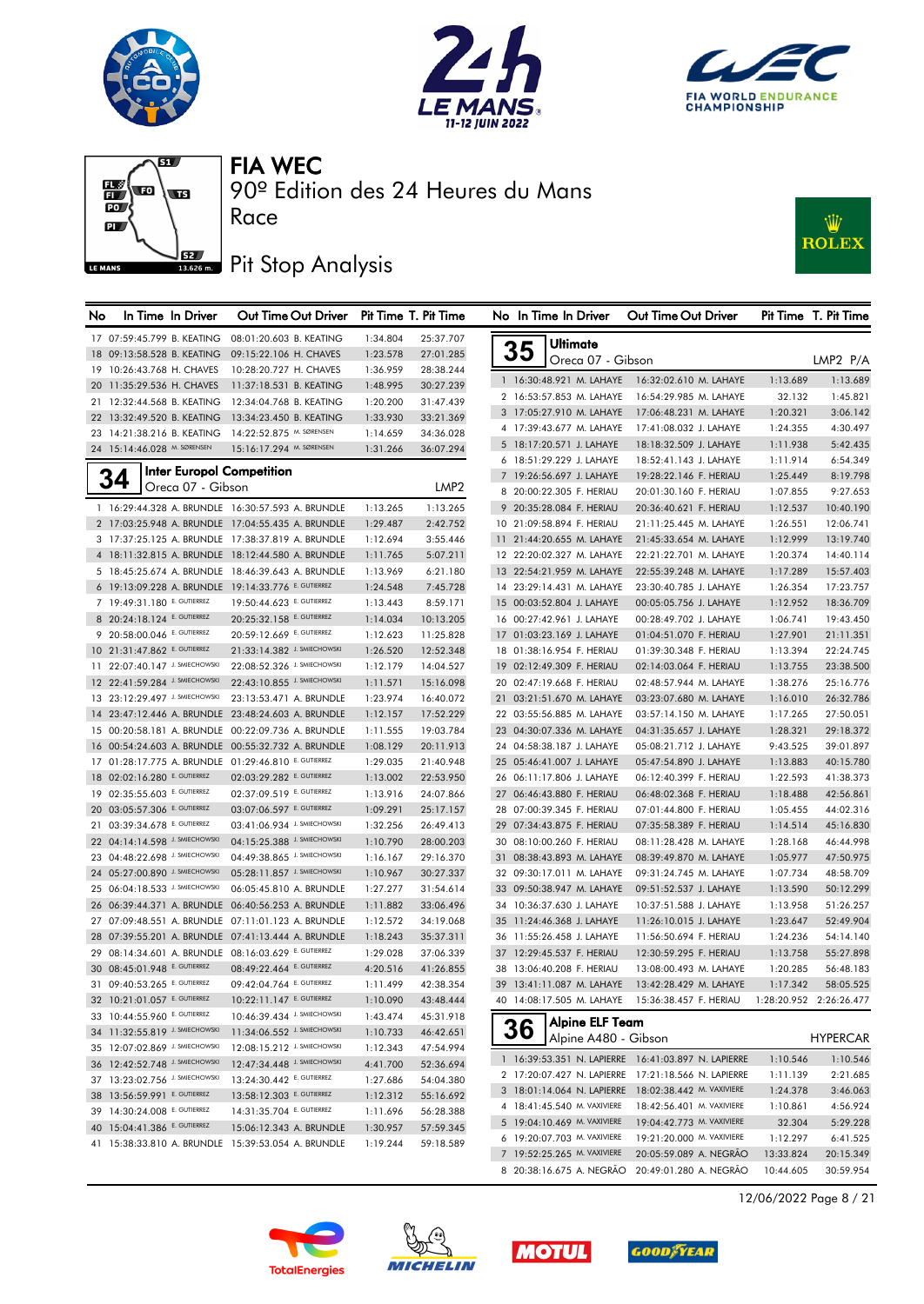







90º Edition des 24 Heures du Mans

## Pit Stop Analysis

Race



| No | In Time In Driver                                              | Out Time Out Driver Pit Time T. Pit Time               |                      |                        | No In Time In Driver                                   | Out Time Out Driver                                   |                      | Pit Time T. Pit Time   |
|----|----------------------------------------------------------------|--------------------------------------------------------|----------------------|------------------------|--------------------------------------------------------|-------------------------------------------------------|----------------------|------------------------|
|    | 17 07:59:45.799 B. KEATING                                     | 08:01:20.603 B. KEATING                                | 1:34.804             | 25:37.707              | Ultimate                                               |                                                       |                      |                        |
|    | 18 09:13:58.528 B. KEATING                                     | 09:15:22.106 H. CHAVES                                 | 1:23.578             | 27:01.285              | 35<br>Oreca 07 - Gibson                                |                                                       |                      | LMP2 P/A               |
|    | 19 10:26:43.768 H. CHAVES                                      | 10:28:20.727 H. CHAVES                                 | 1:36.959             | 28:38.244              |                                                        |                                                       |                      |                        |
|    | 20 11:35:29.536 H. CHAVES                                      | 11:37:18.531 B. KEATING                                | 1:48.995             | 30:27.239              | 1 16:30:48.921 M. LAHAYE                               | 16:32:02.610 M. LAHAYE                                | 1:13.689             | 1:13.689               |
|    | 21 12:32:44.568 B. KEATING                                     | 12:34:04.768 B. KEATING                                | 1:20.200             | 31:47.439              | 2 16:53:57.853 M. LAHAYE                               | 16:54:29.985 M. LAHAYE                                | 32.132               | 1:45.821               |
|    | 22 13:32:49.520 B. KEATING                                     | 13:34:23.450 B. KEATING                                | 1:33.930             | 33:21.369              | 3 17:05:27.910 M. LAHAYE                               | 17:06:48.231 M. LAHAYE                                | 1:20.321             | 3:06.142               |
|    | 23 14:21:38.216 B. KEATING                                     | 14:22:52.875 M. SØRENSEN                               | 1:14.659             | 34:36.028              | 4 17:39:43.677 M. LAHAYE                               | 17:41:08.032 J. LAHAYE                                | 1:24.355             | 4:30.497               |
|    | 24 15:14:46.028 M. SØRENSEN                                    | 15:16:17.294 M. SØRENSEN                               | 1:31.266             | 36:07.294              | 5 18:17:20.571 J. LAHAYE                               | 18:18:32.509 J. LAHAYE                                | 1:11.938             | 5:42.435               |
|    | <b>Inter Europol Competition</b>                               |                                                        |                      |                        | 6 18:51:29.229 J. LAHAYE                               | 18:52:41.143 J. LAHAYE                                | 1:11.914             | 6:54.349               |
|    | 34<br>Oreca 07 - Gibson                                        |                                                        |                      | LMP2                   | 7 19:26:56.697 J. LAHAYE                               | 19:28:22.146 F. HERIAU                                | 1:25.449             | 8:19.798               |
|    |                                                                |                                                        |                      |                        | 8 20:00:22.305 F. HERIAU                               | 20:01:30.160 F. HERIAU                                | 1:07.855             | 9:27.653               |
|    |                                                                | 1 16:29:44.328 A. BRUNDLE 16:30:57.593 A. BRUNDLE      | 1:13.265             | 1:13.265               | 9 20:35:28.084 F. HERIAU                               | 20:36:40.621 F. HERIAU                                | 1:12.537             | 10:40.190              |
|    |                                                                | 2 17:03:25.948 A. BRUNDLE 17:04:55.435 A. BRUNDLE      | 1:29.487             | 2:42.752               | 10 21:09:58.894 F. HERIAU                              | 21:11:25.445 M. LAHAYE                                | 1:26.551             | 12:06.741              |
|    |                                                                | 3 17:37:25.125 A. BRUNDLE 17:38:37.819 A. BRUNDLE      | 1:12.694             | 3:55.446               | 11 21:44:20.655 M. LAHAYE                              | 21:45:33.654 M. LAHAYE                                | 1:12.999             | 13:19.740              |
|    |                                                                | 4 18:11:32.815 A. BRUNDLE 18:12:44.580 A. BRUNDLE      | 1:11.765             | 5:07.211               | 12 22:20:02.327 M. LAHAYE                              | 22:21:22.701 M. LAHAYE                                | 1:20.374             | 14:40.114              |
|    |                                                                | 5 18:45:25.674 A. BRUNDLE 18:46:39.643 A. BRUNDLE      | 1:13.969             | 6:21.180               | 13 22:54:21.959 M. LAHAYE                              | 22:55:39.248 M. LAHAYE                                | 1:17.289             | 15:57.403              |
|    | 6 19:13:09.228 A. BRUNDLE 19:14:33.776 E. GUTIERREZ            |                                                        | 1:24.548             | 7:45.728               | 14 23:29:14.431 M. LAHAYE                              | 23:30:40.785 J. LAHAYE                                | 1:26.354             | 17:23.757              |
|    | 7 19:49:31.180 E. GUTIERREZ                                    | 19:50:44.623 E. GUTIERREZ                              | 1:13.443             | 8:59.171               | 15 00:03:52.804 J. LAHAYE                              | 00:05:05.756 J. LAHAYE                                | 1:12.952             | 18:36.709              |
|    | 8 20:24:18.124 E. GUTIERREZ<br>9 20:58:00.046 E. GUTIERREZ     | 20:25:32.158 E. GUTIERREZ<br>20:59:12.669 E. GUTIERREZ | 1:14.034             | 10:13.205              | 16 00:27:42.961 J. LAHAYE                              | 00:28:49.702 J. LAHAYE                                | 1:06.741             | 19:43.450              |
|    |                                                                | 21:33:14.382 J. SMIECHOWSKI                            | 1:12.623             | 11:25.828              | 17 01:03:23.169 J. LAHAYE                              | 01:04:51.070 F. HERIAU                                | 1:27.901             | 21:11.351              |
|    | 10 21:31:47.862 E. GUTIERREZ<br>11 22:07:40.147 J. SMIECHOWSKI | 22:08:52.326 J. SMIECHOWSKI                            | 1:26.520             | 12:52.348              | 18 01:38:16.954 F. HERIAU                              | 01:39:30.348 F. HERIAU                                | 1:13.394             | 22:24.745              |
|    | 12 22:41:59.284 J. SMIECHOWSKI                                 | 22:43:10.855 J. SMIECHOWSKI                            | 1:12.179             | 14:04.527              | 19 02:12:49.309 F. HERIAU<br>20 02:47:19.668 F. HERIAU | 02:14:03.064 F. HERIAU                                | 1:13.755             | 23:38.500              |
|    | 13 23:12:29.497 J. SMIECHOWSKI                                 | 23:13:53.471 A. BRUNDLE                                | 1:11.571             | 15:16.098              |                                                        | 02:48:57.944 M. LAHAYE                                | 1:38.276             | 25:16.776<br>26:32.786 |
|    |                                                                | 14 23:47:12.446 A. BRUNDLE 23:48:24.603 A. BRUNDLE     | 1:23.974             | 16:40.072<br>17:52.229 | 21 03:21:51.670 M. LAHAYE                              | 03:23:07.680 M. LAHAYE                                | 1:16.010             |                        |
|    |                                                                | 15 00:20:58.181 A. BRUNDLE 00:22:09.736 A. BRUNDLE     | 1:12.157<br>1:11.555 | 19:03.784              | 22 03:55:56.885 M. LAHAYE<br>23 04:30:07.336 M. LAHAYE | 03:57:14.150 M. LAHAYE<br>04:31:35.657 J. LAHAYE      | 1:17.265             | 27:50.051<br>29:18.372 |
|    |                                                                | 16 00:54:24.603 A. BRUNDLE 00:55:32.732 A. BRUNDLE     | 1:08.129             | 20:11.913              | 24 04:58:38.187 J. LAHAYE                              | 05:08:21.712 J. LAHAYE                                | 1:28.321<br>9:43.525 | 39:01.897              |
|    | 17 01:28:17.775 A. BRUNDLE 01:29:46.810 E. GUTIERREZ           |                                                        | 1:29.035             | 21:40.948              | 25 05:46:41.007 J. LAHAYE                              | 05:47:54.890 J. LAHAYE                                | 1:13.883             | 40:15.780              |
|    | 18 02:02:16.280 E. GUTIERREZ                                   | 02:03:29.282 E. GUTIERREZ                              | 1:13.002             | 22:53.950              | 26 06:11:17.806 J. LAHAYE                              | 06:12:40.399 F. HERIAU                                | 1:22.593             | 41:38.373              |
|    | 19 02:35:55.603 E. GUTIERREZ                                   | 02:37:09.519 E. GUTIERREZ                              | 1:13.916             | 24:07.866              | 27 06:46:43.880 F. HERIAU                              | 06:48:02.368 F. HERIAU                                | 1:18.488             | 42:56.861              |
|    | 20 03:05:57.306 E. GUTIERREZ                                   | 03:07:06.597 E. GUTIERREZ                              | 1:09.291             | 25:17.157              | 28 07:00:39.345 F. HERIAU                              | 07:01:44.800 F. HERIAU                                | 1:05.455             | 44:02.316              |
|    | 21 03:39:34.678 E. GUTIERREZ                                   | 03:41:06.934 J. SMIECHOWSKI                            | 1:32.256             | 26:49.413              | 29 07:34:43.875 F. HERIAU                              | 07:35:58.389 F. HERIAU                                | 1:14.514             | 45:16.830              |
|    | 22 04:14:14.598 J. SMIECHOWSKI                                 | 04:15:25.388 J. SMIECHOWSKI                            | 1:10.790             | 28:00.203              | 30 08:10:00.260 F. HERIAU                              | 08:11:28.428 M. LAHAYE                                | 1:28.168             | 46:44.998              |
|    | 23 04:48:22.698 J. SMIECHOWSKI                                 | 04:49:38.865 J. SMIECHOWSKI                            | 1:16.167             | 29:16.370              | 31 08:38:43.893 M. LAHAYE                              | 08:39:49.870 M. LAHAYE                                | 1:05.977             | 47:50.975              |
|    | 24 05:27:00.890 J. SMIECHOWSKI                                 | 05:28:11.857 J. SMIECHOWSKI                            | 1:10.967             | 30:27.337              | 32 09:30:17.011 M. LAHAYE                              | 09:31:24.745 M. LAHAYE                                | 1:07.734             | 48:58.709              |
|    | 25 06:04:18.533 J. SMIECHOWSKI                                 | 06:05:45.810 A. BRUNDLE                                | 1:27.277             | 31:54.614              | 33 09:50:38.947 M. LAHAYE                              | 09:51:52.537 J. LAHAYE                                | 1:13.590             | 50:12.299              |
|    |                                                                | 26 06:39:44.371 A. BRUNDLE 06:40:56.253 A. BRUNDLE     | 1:11.882             | 33:06.496              | 34 10:36:37.630 J. LAHAYE                              | 10:37:51.588 J. LAHAYE                                | 1:13.958             | 51:26.257              |
|    |                                                                | 27 07:09:48.551 A. BRUNDLE 07:11:01.123 A. BRUNDLE     | 1:12.572             | 34:19.068              | 35 11:24:46.368 J. LAHAYE                              | 11:26:10.015 J. LAHAYE                                | 1:23.647             | 52:49.904              |
|    |                                                                | 28 07:39:55.201 A. BRUNDLE 07:41:13.444 A. BRUNDLE     | 1:18.243             | 35:37.311              | 36 11:55:26.458 J. LAHAYE                              | 11:56:50.694 F. HERIAU                                | 1:24.236             | 54:14.140              |
|    | 29 08:14:34.601 A. BRUNDLE 08:16:03.629 E. GUTIERREZ           |                                                        | 1:29.028             | 37:06.339              | 37 12:29:45.537 F. HERIAU                              | 12:30:59.295 F. HERIAU                                | 1:13.758             | 55:27.898              |
|    | 30 08:45:01.948 E. GUTIERREZ                                   | 08:49:22.464 E. GUTIERREZ                              | 4:20.516             | 41:26.855              | 38 13:06:40.208 F. HERIAU                              | 13:08:00.493 M. LAHAYE                                | 1:20.285             | 56:48.183              |
|    | 31 09:40:53.265 E. GUTIERREZ                                   | 09:42:04.764 E. GUTIERREZ                              | 1:11.499             | 42:38.354              | 39 13:41:11.087 M. LAHAYE                              | 13:42:28.429 M. LAHAYE                                | 1:17.342             | 58:05.525              |
|    | 32 10:21:01.057 E. GUTIERREZ                                   | 10:22:11.147 E. GUTIERREZ                              | 1:10.090             | 43:48.444              | 40 14:08:17.505 M. LAHAYE                              | 15:36:38.457 F. HERIAU  1:28:20.952  2:26:26.477      |                      |                        |
|    | 33 10:44:55.960 E. GUTIERREZ                                   | 10:46:39.434 J. SMIECHOWSKI                            | 1:43.474             | 45:31.918              |                                                        |                                                       |                      |                        |
|    | 34 11:32:55.819 J. SMIECHOWSKI                                 | 11:34:06.552 J. SMIECHOWSKI                            | 1:10.733             | 46:42.651              | Alpine ELF Team<br>36                                  |                                                       |                      |                        |
|    | 35 12:07:02.869 J. SMIECHOWSKI                                 | 12:08:15.212 J. SMIECHOWSKI                            | 1:12.343             | 47:54.994              | Alpine A480 - Gibson                                   |                                                       |                      | <b>HYPERCAR</b>        |
|    | 36 12:42:52.748 J. SMIECHOWSKI                                 | 12:47:34.448 J. SMIECHOWSKI                            | 4:41.700             | 52:36.694              |                                                        | 1 16:39:53.351 N. LAPIERRE  16:41:03.897 N. LAPIERRE  | 1:10.546             | 1:10.546               |
|    | 37 13:23:02.756 J. SMIECHOWSKI                                 | 13:24:30.442 E. GUTIERREZ                              | 1:27.686             | 54:04.380              |                                                        | 2 17:20:07.427 N. LAPIERRE  17:21:18.566 N. LAPIERRE  | 1:11.139             | 2:21.685               |
|    | 38 13:56:59.991 E. GUTIERREZ                                   | 13:58:12.303 E. GUTIERREZ                              | 1:12.312             | 55:16.692              |                                                        | 3 18:01:14.064 N. LAPIERRE  18:02:38.442 M. VAXIVIERE | 1:24.378             | 3:46.063               |
|    | 39 14:30:24.008 E. GUTIERREZ                                   | 14:31:35.704 E. GUTIERREZ                              | 1:11.696             | 56:28.388              | 4 18:41:45.540 M. VAXIVIERE                            | 18:42:56.401 M. VAXIVIERE                             | 1:10.861             | 4:56.924               |
|    | 40 15:04:41.386 E. GUTIERREZ                                   | 15:06:12.343 A. BRUNDLE                                | 1:30.957             | 57:59.345              | 5 19:04:10.469 M. VAXIVIERE                            | 19:04:42.773 M. VAXIVIERE                             | 32.304               | 5:29.228               |
|    |                                                                | 41 15:38:33.810 A. BRUNDLE 15:39:53.054 A. BRUNDLE     | 1:19.244             | 59:18.589              | 6 19:20:07.703 M. VAXIVIERE                            | 19:21:20.000 M. VAXIVIERE                             | 1:12.297             | 6:41.525               |
|    |                                                                |                                                        |                      |                        | 7 19:52:25.265 M. VAXIVIERE                            | 20:05:59.089 A. NEGRAO                                | 13:33.824            | 20:15.349              |









20:38:16.675 A. NEGRÃO 20:49:01.280 A. NEGRÃO 10:44.605 30:59.954

12/06/2022 Page 8 / 21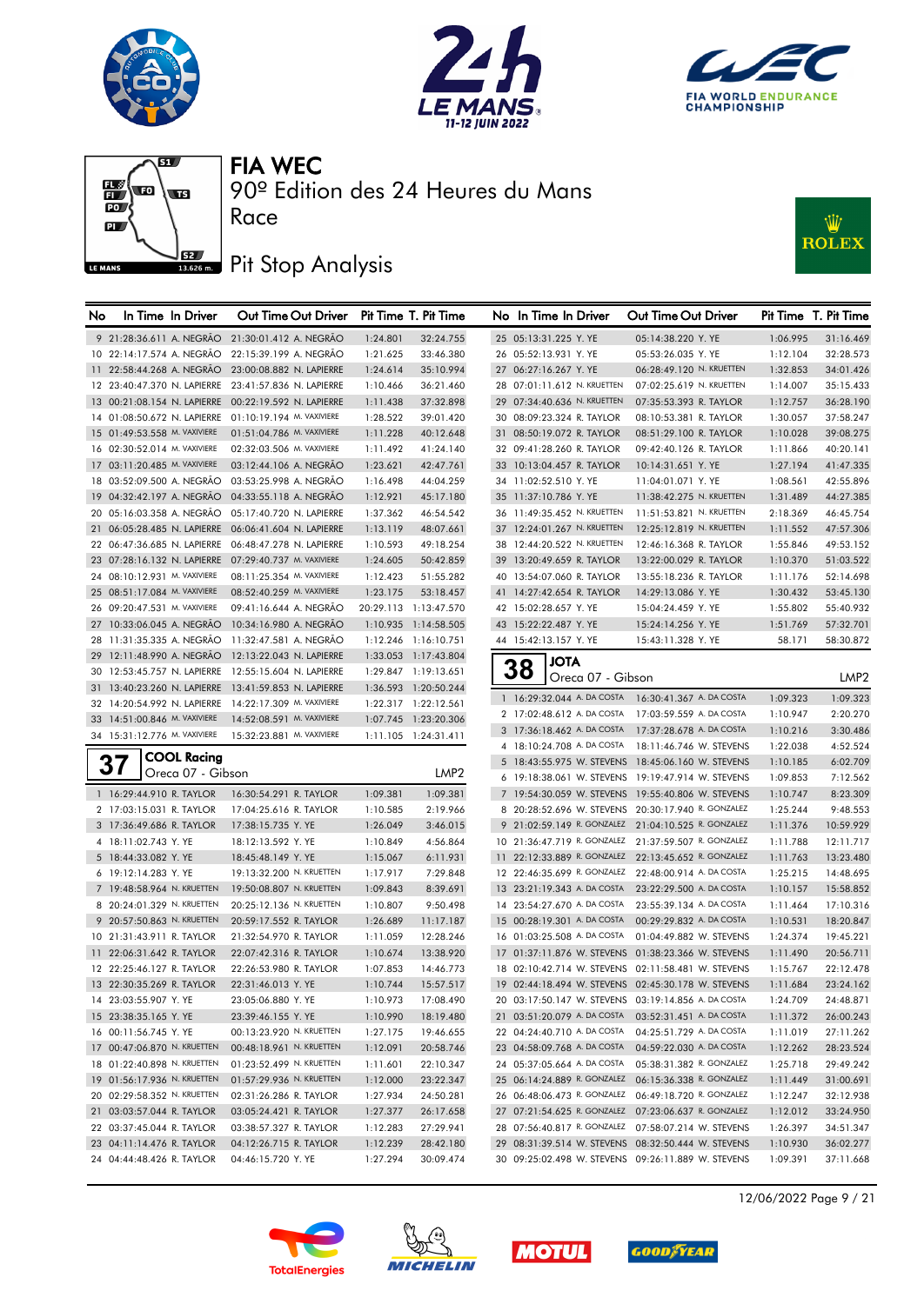







90º Edition des 24 Heures du Mans

# **J**BZ Pit Stop Analysis

Race



| No | In Time In Driver                                     | Out Time Out Driver                                  |          | Pit Time T. Pit Time  | No In Time In Driver        |                   | Out Time Out Driver                                  |          | Pit Time T. Pit Time |
|----|-------------------------------------------------------|------------------------------------------------------|----------|-----------------------|-----------------------------|-------------------|------------------------------------------------------|----------|----------------------|
|    |                                                       | 9 21:28:36.611 A. NEGRÃO 21:30:01.412 A. NEGRÃO      | 1:24.801 | 32:24.755             | 25 05:13:31.225 Y. YE       |                   | 05:14:38.220 Y. YE                                   | 1:06.995 | 31:16.469            |
|    | 10 22:14:17.574 A. NEGRÃO                             | 22:15:39.199 A. NEGRÃO                               | 1:21.625 | 33:46.380             | 26 05:52:13.931 Y. YE       |                   | 05:53:26.035 Y. YE                                   | 1:12.104 | 32:28.573            |
|    | 11 22:58:44.268 A. NEGRÃO                             | 23:00:08.882 N. LAPIERRE                             | 1:24.614 | 35:10.994             | 27 06:27:16.267 Y. YE       |                   | 06:28:49.120 N. KRUETTEN                             | 1:32.853 | 34:01.426            |
|    |                                                       | 12 23:40:47.370 N. LAPIERRE 23:41:57.836 N. LAPIERRE | 1:10.466 | 36:21.460             | 28 07:01:11.612 N. KRUETTEN |                   | 07:02:25.619 N. KRUETTEN                             | 1:14.007 | 35:15.433            |
|    |                                                       | 13 00:21:08.154 N. LAPIERRE 00:22:19.592 N. LAPIERRE | 1:11.438 | 37:32.898             | 29 07:34:40.636 N. KRUETTEN |                   | 07:35:53.393 R. TAYLOR                               | 1:12.757 | 36:28.190            |
|    | 14 01:08:50.672 N. LAPIERRE                           | 01:10:19.194 M. VAXIVIERE                            | 1:28.522 | 39:01.420             | 30 08:09:23.324 R. TAYLOR   |                   | 08:10:53.381 R. TAYLOR                               | 1:30.057 | 37:58.247            |
|    | 15 01:49:53.558 M. VAXIVIERE                          | 01:51:04.786 M. VAXIVIERE                            | 1:11.228 | 40:12.648             | 31 08:50:19.072 R. TAYLOR   |                   | 08:51:29.100 R. TAYLOR                               | 1:10.028 | 39:08.275            |
|    | 16 02:30:52.014 M. VAXIVIERE                          | 02:32:03.506 M. VAXIVIERE                            | 1:11.492 | 41:24.140             | 32 09:41:28.260 R. TAYLOR   |                   | 09:42:40.126 R. TAYLOR                               | 1:11.866 | 40:20.141            |
|    | 17 03:11:20.485 M. VAXIVIERE                          | 03:12:44.106 A. NEGRAO                               | 1:23.621 | 42:47.761             | 33 10:13:04.457 R. TAYLOR   |                   | 10:14:31.651 Y. YE                                   | 1:27.194 | 41:47.335            |
|    | 18 03:52:09.500 A. NEGRÃO                             | 03:53:25.998 A. NEGRAO                               | 1:16.498 | 44:04.259             | 34 11:02:52.510 Y. YE       |                   | 11:04:01.071 Y. YE                                   | 1:08.561 | 42:55.896            |
|    | 19 04:32:42.197 A. NEGRÃO                             | 04:33:55.118 A. NEGRAO                               | 1:12.921 | 45:17.180             | 35 11:37:10.786 Y. YE       |                   | 11:38:42.275 N. KRUETTEN                             | 1:31.489 | 44:27.385            |
|    | 20 05:16:03.358 A. NEGRÃO                             | 05:17:40.720 N. LAPIERRE                             | 1:37.362 | 46:54.542             | 36 11:49:35.452 N. KRUETTEN |                   | 11:51:53.821 N. KRUETTEN                             | 2:18.369 | 46:45.754            |
|    |                                                       | 21 06:05:28.485 N. LAPIERRE 06:06:41.604 N. LAPIERRE | 1:13.119 | 48:07.661             | 37 12:24:01.267 N. KRUETTEN |                   | 12:25:12.819 N. KRUETTEN                             | 1:11.552 | 47:57.306            |
|    | 22 06:47:36.685 N. LAPIERRE                           | 06:48:47.278 N. LAPIERRE                             | 1:10.593 | 49:18.254             | 38 12:44:20.522 N. KRUETTEN |                   | 12:46:16.368 R. TAYLOR                               | 1:55.846 | 49:53.152            |
|    | 23 07:28:16.132 N. LAPIERRE 07:29:40.737 M. VAXIVIERE |                                                      | 1:24.605 | 50:42.859             | 39 13:20:49.659 R. TAYLOR   |                   | 13:22:00.029 R. TAYLOR                               | 1:10.370 | 51:03.522            |
|    | 24 08:10:12.931 M. VAXIVIERE                          | 08:11:25.354 M. VAXIVIERE                            | 1:12.423 | 51:55.282             | 40 13:54:07.060 R. TAYLOR   |                   | 13:55:18.236 R. TAYLOR                               | 1:11.176 | 52:14.698            |
|    | 25 08:51:17.084 M. VAXIVIERE                          | 08:52:40.259 M. VAXIVIERE                            | 1:23.175 | 53:18.457             | 41 14:27:42.654 R. TAYLOR   |                   | 14:29:13.086 Y. YE                                   | 1:30.432 | 53:45.130            |
|    | 26 09:20:47.531 M. VAXIVIERE                          | 09:41:16.644 A. NEGRAO                               |          | 20:29.113 1:13:47.570 | 42 15:02:28.657 Y. YE       |                   | 15:04:24.459 Y. YE                                   | 1:55.802 | 55:40.932            |
|    | 27 10:33:06.045 A. NEGRAO                             | 10:34:16.980 A. NEGRÃO                               |          | 1:10.935 1:14:58.505  | 43 15:22:22.487 Y. YE       |                   | 15:24:14.256 Y. YE                                   | 1:51.769 | 57:32.701            |
|    | 28 11:31:35.335 A. NEGRÃO                             | 11:32:47.581 A. NEGRÃO                               |          | 1:12.246 1:16:10.751  | 44 15:42:13.157 Y. YE       |                   | 15:43:11.328 Y. YE                                   | 58.171   | 58:30.872            |
|    |                                                       | 29 12:11:48.990 A. NEGRAO 12:13:22.043 N. LAPIERRE   |          | 1:33.053 1:17:43.804  |                             |                   |                                                      |          |                      |
|    |                                                       | 30 12:53:45.757 N. LAPIERRE 12:55:15.604 N. LAPIERRE |          | 1:29.847 1:19:13.651  | <b>JOTA</b><br>38           |                   |                                                      |          |                      |
|    | 31 13:40:23.260 N. LAPIERRE                           | 13:41:59.853 N. LAPIERRE                             |          | 1:36.593 1:20:50.244  |                             | Oreca 07 - Gibson |                                                      |          | LMP2                 |
|    | 32 14:20:54.992 N. LAPIERRE 14:22:17.309 M. VAXIVIERE |                                                      |          | 1:22.317 1:22:12.561  |                             |                   | 1 16:29:32.044 A. DA COSTA 16:30:41.367 A. DA COSTA  | 1:09.323 | 1:09.323             |
|    | 33 14:51:00.846 M. VAXIVIERE                          | 14:52:08.591 M. VAXIVIERE                            |          | 1:07.745 1:23:20.306  | 2 17:02:48.612 A. DA COSTA  |                   | 17:03:59.559 A. DA COSTA                             | 1:10.947 | 2:20.270             |
|    | 34 15:31:12.776 M. VAXIVIERE                          | 15:32:23.881 M. VAXIVIERE                            |          | 1:11.105 1:24:31.411  | 3 17:36:18.462 A. DA COSTA  |                   | 17:37:28.678 A. DA COSTA                             | 1:10.216 | 3:30.486             |
|    |                                                       |                                                      |          |                       | 4 18:10:24.708 A. DA COSTA  |                   | 18:11:46.746 W. STEVENS                              | 1:22.038 | 4:52.524             |
|    | <b>COOL Racing</b><br>37                              |                                                      |          | LMP <sub>2</sub>      |                             |                   | 5 18:43:55.975 W. STEVENS 18:45:06.160 W. STEVENS    | 1:10.185 | 6:02.709             |
|    | Oreca 07 - Gibson                                     |                                                      |          |                       |                             |                   | 6 19:18:38.061 W. STEVENS 19:19:47.914 W. STEVENS    | 1:09.853 | 7:12.562             |
|    | 1 16:29:44.910 R. TAYLOR                              | 16:30:54.291 R. TAYLOR                               | 1:09.381 | 1:09.381              |                             |                   | 7 19:54:30.059 W. STEVENS 19:55:40.806 W. STEVENS    | 1:10.747 | 8:23.309             |
|    | 2 17:03:15.031 R. TAYLOR                              | 17:04:25.616 R. TAYLOR                               | 1:10.585 | 2:19.966              |                             |                   | 8 20:28:52.696 W. STEVENS 20:30:17.940 R. GONZALEZ   | 1:25.244 | 9:48.553             |
|    | 3 17:36:49.686 R. TAYLOR                              | 17:38:15.735 Y. YE                                   | 1:26.049 | 3:46.015              |                             |                   | 9 21:02:59.149 R. GONZALEZ 21:04:10.525 R. GONZALEZ  | 1:11.376 | 10:59.929            |
|    | 4 18:11:02.743 Y. YE                                  | 18:12:13.592 Y. YE                                   | 1:10.849 | 4:56.864              |                             |                   | 10 21:36:47.719 R. GONZALEZ 21:37:59.507 R. GONZALEZ | 1:11.788 | 12:11.717            |
|    | 5 18:44:33.082 Y. YE                                  | 18:45:48.149 Y. YE                                   | 1:15.067 | 6:11.931              |                             |                   | 11 22:12:33.889 R. GONZALEZ 22:13:45.652 R. GONZALEZ | 1:11.763 | 13:23.480            |
|    | 6 19:12:14.283 Y. YE                                  | 19:13:32.200 N. KRUETTEN                             | 1:17.917 | 7:29.848              |                             |                   | 12 22:46:35.699 R. GONZALEZ 22:48:00.914 A. DA COSTA | 1:25.215 | 14:48.695            |
|    | 7 19:48:58.964 N. KRUETTEN                            | 19:50:08.807 N. KRUETTEN                             | 1:09.843 | 8:39.691              |                             |                   | 13 23:21:19.343 A. DA COSTA 23:22:29.500 A. DA COSTA | 1:10.157 | 15:58.852            |
|    | 8 20:24:01.329 N. KRUETTEN                            | 20:25:12.136 N. KRUETTEN                             | 1:10.807 | 9:50.498              | 14 23:54:27.670 A. DA COSTA |                   | 23:55:39.134 A. DA COSTA                             | 1:11.464 | 17:10.316            |
|    | 9 20:57:50.863 N. KRUETTEN                            | 20:59:17.552 R. TAYLOR                               | 1:26.689 | 11:17.187             | 15 00:28:19.301 A. DA COSTA |                   | 00:29:29.832 A. DA COSTA                             | 1:10.531 | 18:20.847            |
|    | 10 21:31:43.911 R. TAYLOR                             | 21:32:54.970 R. TAYLOR                               | 1:11.059 | 12:28.246             | 16 01:03:25.508 A. DA COSTA |                   | 01:04:49.882 W. STEVENS                              | 1:24.374 | 19:45.221            |
|    | 11 22:06:31.642 R. TAYLOR                             | 22:07:42.316 R. TAYLOR                               | 1:10.674 | 13:38.920             |                             |                   | 17 01:37:11.876 W. STEVENS 01:38:23.366 W. STEVENS   | 1:11.490 | 20:56.711            |
|    | 12 22:25:46.127 R. TAYLOR                             | 22:26:53.980 R. TAYLOR                               | 1:07.853 | 14:46.773             |                             |                   | 18 02:10:42.714 W. STEVENS 02:11:58.481 W. STEVENS   | 1:15.767 | 22:12.478            |
|    | 13 22:30:35.269 R. TAYLOR                             | 22:31:46.013 Y. YE                                   | 1:10.744 | 15:57.517             |                             |                   | 19 02:44:18.494 W. STEVENS 02:45:30.178 W. STEVENS   | 1:11.684 | 23:24.162            |
|    | 14 23:03:55.907 Y. YE                                 | 23:05:06.880 Y. YE                                   | 1:10.973 | 17:08.490             |                             |                   | 20 03:17:50.147 W. STEVENS 03:19:14.856 A. DA COSTA  | 1:24.709 | 24:48.871            |
|    | 15 23:38:35.165 Y. YE                                 | 23:39:46.155 Y. YE                                   | 1:10.990 | 18:19.480             |                             |                   | 21 03:51:20.079 A. DA COSTA 03:52:31.451 A. DA COSTA | 1:11.372 | 26:00.243            |
|    | 16 00:11:56.745 Y. YE                                 | 00:13:23.920 N. KRUETTEN                             | 1:27.175 | 19:46.655             | 22 04:24:40.710 A. DA COSTA |                   | 04:25:51.729 A. DA COSTA                             | 1:11.019 | 27:11.262            |
|    | 17 00:47:06.870 N. KRUETTEN                           | 00:48:18.961 N. KRUETTEN                             | 1:12.091 | 20:58.746             |                             |                   | 23 04:58:09.768 A. DA COSTA 04:59:22.030 A. DA COSTA | 1:12.262 | 28:23.524            |
|    | 18 01:22:40.898 N. KRUETTEN                           | 01:23:52.499 N. KRUETTEN                             | 1:11.601 | 22:10.347             |                             |                   | 24 05:37:05.664 A. DA COSTA 05:38:31.382 R. GONZALEZ | 1:25.718 | 29:49.242            |
|    | 19 01:56:17.936 N. KRUETTEN                           | 01:57:29.936 N. KRUETTEN                             | 1:12.000 | 23:22.347             |                             |                   | 25 06:14:24.889 R. GONZALEZ 06:15:36.338 R. GONZALEZ | 1:11.449 | 31:00.691            |
|    | 20 02:29:58.352 N. KRUETTEN                           | 02:31:26.286 R. TAYLOR                               | 1:27.934 | 24:50.281             |                             |                   | 26 06:48:06.473 R. GONZALEZ 06:49:18.720 R. GONZALEZ | 1:12.247 | 32:12.938            |
|    | 21 03:03:57.044 R. TAYLOR                             | 03:05:24.421 R. TAYLOR                               | 1:27.377 | 26:17.658             |                             |                   | 27 07:21:54.625 R. GONZALEZ 07:23:06.637 R. GONZALEZ | 1:12.012 | 33:24.950            |
|    | 22 03:37:45.044 R. TAYLOR                             | 03:38:57.327 R. TAYLOR                               | 1:12.283 | 27:29.941             |                             |                   | 28 07:56:40.817 R. GONZALEZ 07:58:07.214 W. STEVENS  | 1:26.397 | 34:51.347            |
|    | 23 04:11:14.476 R. TAYLOR                             | 04:12:26.715 R. TAYLOR                               | 1:12.239 | 28:42.180             |                             |                   | 29 08:31:39.514 W. STEVENS 08:32:50.444 W. STEVENS   | 1:10.930 | 36:02.277            |
|    | 24 04:44:48.426 R. TAYLOR                             | 04:46:15.720 Y. YE                                   | 1:27.294 | 30:09.474             |                             |                   | 30 09:25:02.498 W. STEVENS 09:26:11.889 W. STEVENS   | 1:09.391 | 37:11.668            |









12/06/2022 Page 9 / 21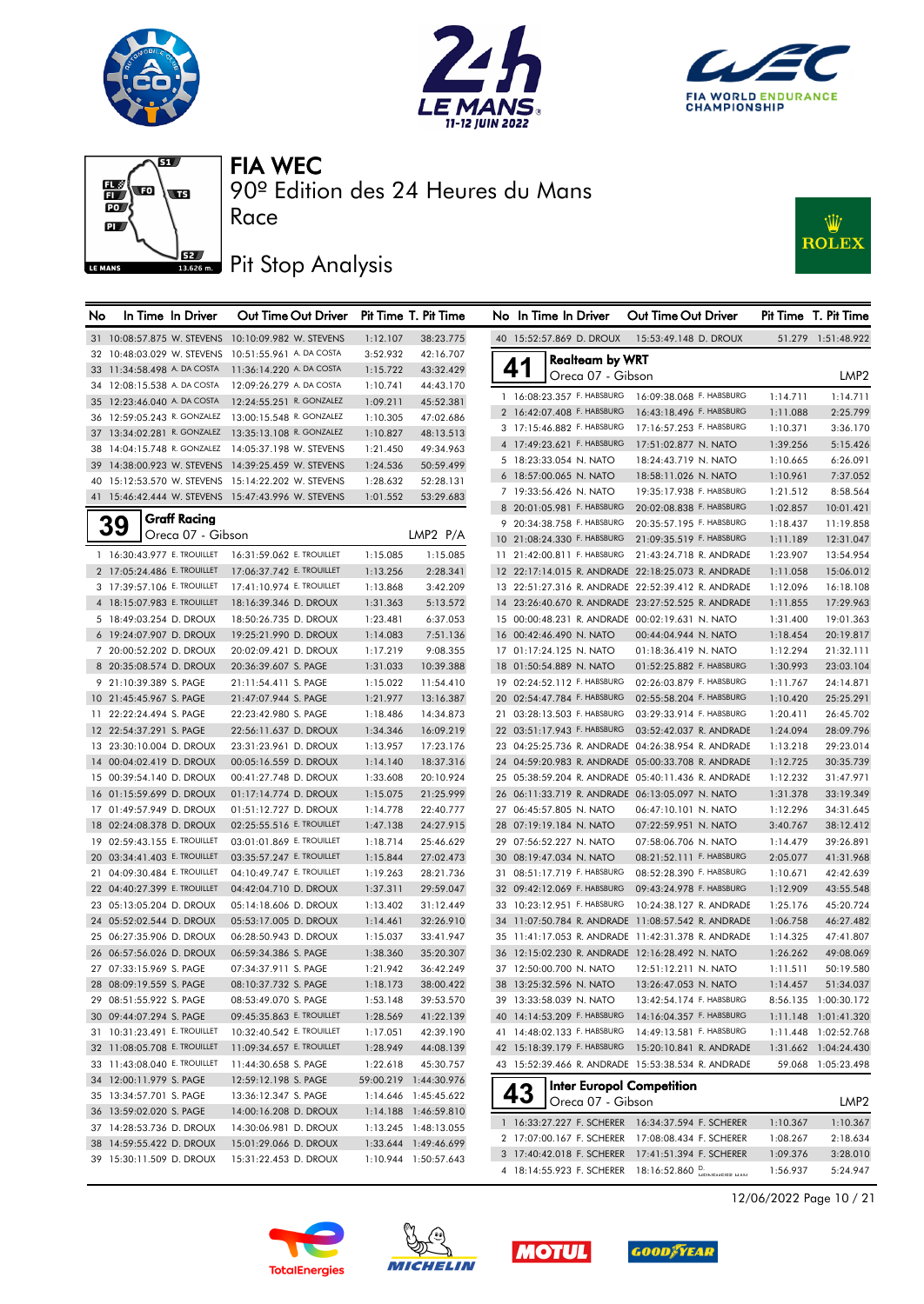







## **J**<br>13686ma Pit Stop Analysis



| No | In Time In Driver                                    | Out Time Out Driver                                 |                      | Pit Time T. Pit Time   | No In Time In Driver                                       | Out Time Out Driver                                                                                      |                      | Pit Time T. Pit Time   |
|----|------------------------------------------------------|-----------------------------------------------------|----------------------|------------------------|------------------------------------------------------------|----------------------------------------------------------------------------------------------------------|----------------------|------------------------|
|    |                                                      | 31 10:08:57.875 W. STEVENS 10:10:09.982 W. STEVENS  | 1:12.107             | 38:23.775              | 40 15:52:57.869 D. DROUX                                   | 15:53:49.148 D. DROUX                                                                                    |                      | 51.279 1:51:48.922     |
|    | 32 10:48:03.029 W. STEVENS 10:51:55.961 A. DA COSTA  |                                                     | 3:52.932             | 42:16.707              | <b>Realteam by WRT</b>                                     |                                                                                                          |                      |                        |
|    | 33 11:34:58.498 A. DA COSTA                          | 11:36:14.220 A. DA COSTA                            | 1:15.722             | 43:32.429              | 41<br>Oreca 07 - Gibson                                    |                                                                                                          |                      | LMP2                   |
|    | 34 12:08:15.538 A. DA COSTA                          | 12:09:26.279 A. DA COSTA                            | 1:10.741             | 44:43.170              |                                                            |                                                                                                          |                      |                        |
|    | 35 12:23:46.040 A. DA COSTA                          | 12:24:55.251 R. GONZALEZ                            | 1:09.211             | 45:52.381              | 1 16:08:23.357 F. HABSBURG                                 | 16:09:38.068 F. HABSBURG                                                                                 | 1:14.711             | 1:14.711               |
|    | 36 12:59:05.243 R. GONZALEZ 13:00:15.548 R. GONZALEZ |                                                     | 1:10.305             | 47:02.686              | 2 16:42:07.408 F. HABSBURG                                 | 16:43:18.496 F. HABSBURG                                                                                 | 1:11.088             | 2:25.799               |
|    | 37 13:34:02.281 R. GONZALEZ 13:35:13.108 R. GONZALEZ |                                                     | 1:10.827             | 48:13.513              | 3 17:15:46.882 F. HABSBURG                                 | 17:16:57.253 F. HABSBURG                                                                                 | 1:10.371             | 3:36.170               |
|    |                                                      | 38 14:04:15.748 R. GONZALEZ 14:05:37.198 W. STEVENS | 1:21.450             | 49:34.963              | 4 17:49:23.621 F. HABSBURG                                 | 17:51:02.877 N. NATO                                                                                     | 1:39.256             | 5:15.426               |
|    |                                                      | 39 14:38:00.923 W. STEVENS 14:39:25.459 W. STEVENS  | 1:24.536             | 50:59.499              | 5 18:23:33.054 N. NATO                                     | 18:24:43.719 N. NATO                                                                                     | 1:10.665             | 6:26.091               |
|    |                                                      | 40 15:12:53.570 W. STEVENS 15:14:22.202 W. STEVENS  | 1:28.632             | 52:28.131              | 6 18:57:00.065 N. NATO<br>7 19:33:56.426 N. NATO           | 18:58:11.026 N. NATO                                                                                     | 1:10.961             | 7:37.052               |
|    |                                                      | 41 15:46:42.444 W. STEVENS 15:47:43.996 W. STEVENS  | 1:01.552             | 53:29.683              | 8 20:01:05.981 F. HABSBURG                                 | 19:35:17.938 F. HABSBURG<br>20:02:08.838 F. HABSBURG                                                     | 1:21.512             | 8:58.564               |
|    | <b>Graff Racing</b>                                  |                                                     |                      |                        | 9 20:34:38.758 F. HABSBURG                                 | 20:35:57.195 F. HABSBURG                                                                                 | 1:02.857             | 10:01.421              |
|    | <b>39</b><br>Oreca 07 - Gibson                       |                                                     |                      | LMP2 P/A               | 10 21:08:24.330 F. HABSBURG                                | 21:09:35.519 F. HABSBURG                                                                                 | 1:18.437             | 11:19.858<br>12:31.047 |
|    | 1 16:30:43.977 E. TROUILLET                          | 16:31:59.062 E. TROUILLET                           | 1:15.085             | 1:15.085               | 11 21:42:00.811 F. HABSBURG                                | 21:43:24.718 R. ANDRADE                                                                                  | 1:11.189<br>1:23.907 | 13:54.954              |
|    | 2 17:05:24.486 E. TROUILLET                          | 17:06:37.742 E. TROUILLET                           |                      | 2:28.341               |                                                            | 12 22:17:14.015 R. ANDRADE 22:18:25.073 R. ANDRADE                                                       |                      |                        |
|    | 3 17:39:57.106 E. TROUILLET                          | 17:41:10.974 E. TROUILLET                           | 1:13.256<br>1:13.868 | 3:42.209               |                                                            | 13 22:51:27.316 R. ANDRADE 22:52:39.412 R. ANDRADE                                                       | 1:11.058<br>1:12.096 | 15:06.012<br>16:18.108 |
|    | 4 18:15:07.983 E. TROUILLET                          | 18:16:39.346 D. DROUX                               | 1:31.363             | 5:13.572               |                                                            | 14 23:26:40.670 R. ANDRADE 23:27:52.525 R. ANDRADE                                                       | 1:11.855             | 17:29.963              |
|    |                                                      |                                                     |                      | 6:37.053               |                                                            |                                                                                                          |                      |                        |
|    | 5 18:49:03.254 D. DROUX<br>6 19:24:07.907 D. DROUX   | 18:50:26.735 D. DROUX                               | 1:23.481             | 7:51.136               | 16 00:42:46.490 N. NATO                                    | 15 00:00:48.231 R. ANDRADE 00:02:19.631 N. NATO<br>00:44:04.944 N. NATO                                  | 1:31.400<br>1:18.454 | 19:01.363<br>20:19.817 |
|    |                                                      | 19:25:21.990 D. DROUX                               | 1:14.083             |                        |                                                            | 01:18:36.419 N. NATO                                                                                     | 1:12.294             |                        |
|    | 7 20:00:52.202 D. DROUX                              | 20:02:09.421 D. DROUX                               | 1:17.219<br>1:31.033 | 9:08.355               | 17 01:17:24.125 N. NATO<br>18 01:50:54.889 N. NATO         | 01:52:25.882 F. HABSBURG                                                                                 |                      | 21:32.111<br>23:03.104 |
|    | 8 20:35:08.574 D. DROUX                              | 20:36:39.607 S. PAGE                                |                      | 10:39.388<br>11:54.410 |                                                            | 02:26:03.879 F. HABSBURG                                                                                 | 1:30.993             |                        |
|    | 9 21:10:39.389 S. PAGE                               | 21:11:54.411 S. PAGE                                | 1:15.022             |                        | 19 02:24:52.112 F. HABSBURG<br>20 02:54:47.784 F. HABSBURG | 02:55:58.204 F. HABSBURG                                                                                 | 1:11.767<br>1:10.420 | 24:14.871              |
|    | 10 21:45:45.967 S. PAGE                              | 21:47:07.944 S. PAGE<br>22:23:42.980 S. PAGE        | 1:21.977             | 13:16.387              | 21 03:28:13.503 F. HABSBURG                                | 03:29:33.914 F. HABSBURG                                                                                 |                      | 25:25.291              |
|    | 11 22:22:24.494 S. PAGE<br>12 22:54:37.291 S. PAGE   | 22:56:11.637 D. DROUX                               | 1:18.486             | 14:34.873<br>16:09.219 | 22 03:51:17.943 F. HABSBURG                                | 03:52:42.037 R. ANDRADE                                                                                  | 1:20.411<br>1:24.094 | 26:45.702<br>28:09.796 |
|    |                                                      | 23:31:23.961 D. DROUX                               | 1:34.346             |                        |                                                            | 23 04:25:25.736 R. ANDRADE 04:26:38.954 R. ANDRADE                                                       |                      |                        |
|    | 13 23:30:10.004 D. DROUX                             | 00:05:16.559 D. DROUX                               | 1:13.957             | 17:23.176              |                                                            |                                                                                                          | 1:13.218             | 29:23.014              |
|    | 14 00:04:02.419 D. DROUX<br>15 00:39:54.140 D. DROUX | 00:41:27.748 D. DROUX                               | 1:14.140<br>1:33.608 | 18:37.316<br>20:10.924 |                                                            | 24 04:59:20.983 R. ANDRADE 05:00:33.708 R. ANDRADE<br>25 05:38:59.204 R. ANDRADE 05:40:11.436 R. ANDRADE | 1:12.725<br>1:12.232 | 30:35.739<br>31:47.971 |
|    | 16 01:15:59.699 D. DROUX                             | 01:17:14.774 D. DROUX                               | 1:15.075             | 21:25.999              |                                                            | 26 06:11:33.719 R. ANDRADE 06:13:05.097 N. NATO                                                          | 1:31.378             | 33:19.349              |
|    | 17 01:49:57.949 D. DROUX                             | 01:51:12.727 D. DROUX                               | 1:14.778             | 22:40.777              | 27 06:45:57.805 N. NATO                                    | 06:47:10.101 N. NATO                                                                                     | 1:12.296             | 34:31.645              |
|    | 18 02:24:08.378 D. DROUX                             | 02:25:55.516 E. TROUILLET                           | 1:47.138             | 24:27.915              | 28 07:19:19.184 N. NATO                                    | 07:22:59.951 N. NATO                                                                                     | 3:40.767             | 38:12.412              |
|    | 19 02:59:43.155 E. TROUILLET                         | 03:01:01.869 E. TROUILLET                           | 1:18.714             | 25:46.629              | 29 07:56:52.227 N. NATO                                    | 07:58:06.706 N. NATO                                                                                     | 1:14.479             | 39:26.891              |
|    | 20 03:34:41.403 E. TROUILLET                         | 03:35:57.247 E. TROUILLET                           | 1:15.844             | 27:02.473              | 30 08:19:47.034 N. NATO                                    | 08:21:52.111 F. HABSBURG                                                                                 | 2:05.077             | 41:31.968              |
|    | 21 04:09:30.484 E. TROUILLET                         | 04:10:49.747 E. TROUILLET                           | 1:19.263             | 28:21.736              | 31 08:51:17.719 F. HABSBURG                                | 08:52:28.390 F. HABSBURG                                                                                 | 1:10.671             | 42:42.639              |
|    | 22 04:40:27.399 E. TROUILLET                         | 04:42:04.710 D. DROUX                               | 1:37.311             | 29:59.047              | 32 09:42:12.069 F. HABSBURG                                | 09:43:24.978 F. HABSBURG                                                                                 | 1:12.909             | 43:55.548              |
|    | 23 05:13:05.204 D. DROUX                             | 05:14:18.606 D. DROUX                               | 1:13.402             | 31:12.449              | 33 10:23:12.951 F. HABSBURG                                | 10:24:38.127 R. ANDRADE                                                                                  | 1:25.176             | 45:20.724              |
|    | 24 05:52:02.544 D. DROUX                             | 05:53:17.005 D. DROUX                               | 1:14.461             | 32:26.910              |                                                            | 34 11:07:50.784 R. ANDRADE 11:08:57.542 R. ANDRADE                                                       | 1:06.758             | 46:27.482              |
|    | 25 06:27:35.906 D. DROUX                             | 06:28:50.943 D. DROUX                               | 1:15.037             | 33:41.947              |                                                            | 35 11:41:17.053 R. ANDRADE 11:42:31.378 R. ANDRADE                                                       | 1:14.325             | 47:41.807              |
|    | 26 06:57:56.026 D. DROUX                             | 06:59:34.386 S. PAGE                                | 1:38.360             | 35:20.307              |                                                            | 36 12:15:02.230 R. ANDRADE 12:16:28.492 N. NATO                                                          | 1:26.262             | 49:08.069              |
|    | 27 07:33:15.969 S. PAGE                              | 07:34:37.911 S. PAGE                                | 1:21.942             | 36:42.249              | 37 12:50:00.700 N. NATO                                    | 12:51:12.211 N. NATO                                                                                     | 1:11.511             | 50:19.580              |
|    | 28 08:09:19.559 S. PAGE                              | 08:10:37.732 S. PAGE                                | 1:18.173             | 38:00.422              | 38 13:25:32.596 N. NATO                                    | 13:26:47.053 N. NATO                                                                                     | 1:14.457             | 51:34.037              |
|    | 29 08:51:55.922 S. PAGE                              | 08:53:49.070 S. PAGE                                | 1:53.148             | 39:53.570              |                                                            | 39 13:33:58.039 N. NATO 13:42:54.174 F. HABSBURG                                                         |                      | 8:56.135 1:00:30.172   |
|    | 30 09:44:07.294 S. PAGE                              | 09:45:35.863 E. TROUILLET                           | 1:28.569             | 41:22.139              |                                                            | 40 14:14:53.209 F. HABSBURG  14:16:04.357 F. HABSBURG                                                    |                      | 1:11.148 1:01:41.320   |
|    | 31 10:31:23.491 E. TROUILLET                         | 10:32:40.542 E. TROUILLET                           | 1:17.051             | 42:39.190              |                                                            | 41 14:48:02.133 F. HABSBURG  14:49:13.581 F. HABSBURG                                                    |                      | 1:11.448 1:02:52.768   |
|    | 32 11:08:05.708 E. TROUILLET                         | 11:09:34.657 E. TROUILLET                           | 1:28.949             | 44:08.139              |                                                            | 42 15:18:39.179 F. HABSBURG 15:20:10.841 R. ANDRADE                                                      |                      | 1:31.662 1:04:24.430   |
|    | 33 11:43:08.040 E. TROUILLET                         | 11:44:30.658 S. PAGE                                | 1:22.618             | 45:30.757              |                                                            | 43 15:52:39.466 R. ANDRADE 15:53:38.534 R. ANDRADE                                                       |                      | 59.068 1:05:23.498     |
|    | 34 12:00:11.979 S. PAGE                              | 12:59:12.198 S. PAGE                                |                      | 59:00.219 1:44:30.976  |                                                            |                                                                                                          |                      |                        |
|    | 35 13:34:57.701 S. PAGE                              | 13:36:12.347 S. PAGE                                |                      | 1:14.646 1:45:45.622   | 43                                                         | <b>Inter Europol Competition</b>                                                                         |                      |                        |
|    | 36 13:59:02.020 S. PAGE                              | 14:00:16.208 D. DROUX                               |                      | 1:14.188 1:46:59.810   | Oreca 07 - Gibson                                          |                                                                                                          |                      | LMP <sub>2</sub>       |
|    | 37 14:28:53.736 D. DROUX                             | 14:30:06.981 D. DROUX                               |                      | 1:13.245 1:48:13.055   |                                                            | 1 16:33:27.227 F. SCHERER 16:34:37.594 F. SCHERER                                                        | 1:10.367             | 1:10.367               |
|    | 38 14:59:55.422 D. DROUX                             | 15:01:29.066 D. DROUX                               |                      | 1:33.644 1:49:46.699   |                                                            |                                                                                                          | 1:08.267             | 2:18.634               |
|    | 39 15:30:11.509 D. DROUX                             | 15:31:22.453 D. DROUX                               |                      | 1:10.944 1:50:57.643   |                                                            | 3 17:40:42.018 F. SCHERER  17:41:51.394 F. SCHERER                                                       | 1:09.376             | 3:28.010               |
|    |                                                      |                                                     |                      |                        |                                                            | 4 18:14:55.923 F. SCHERER 18:16:52.860 P.                                                                | 1:56.937             | 5:24.947               |









12/06/2022 Page 10 / 21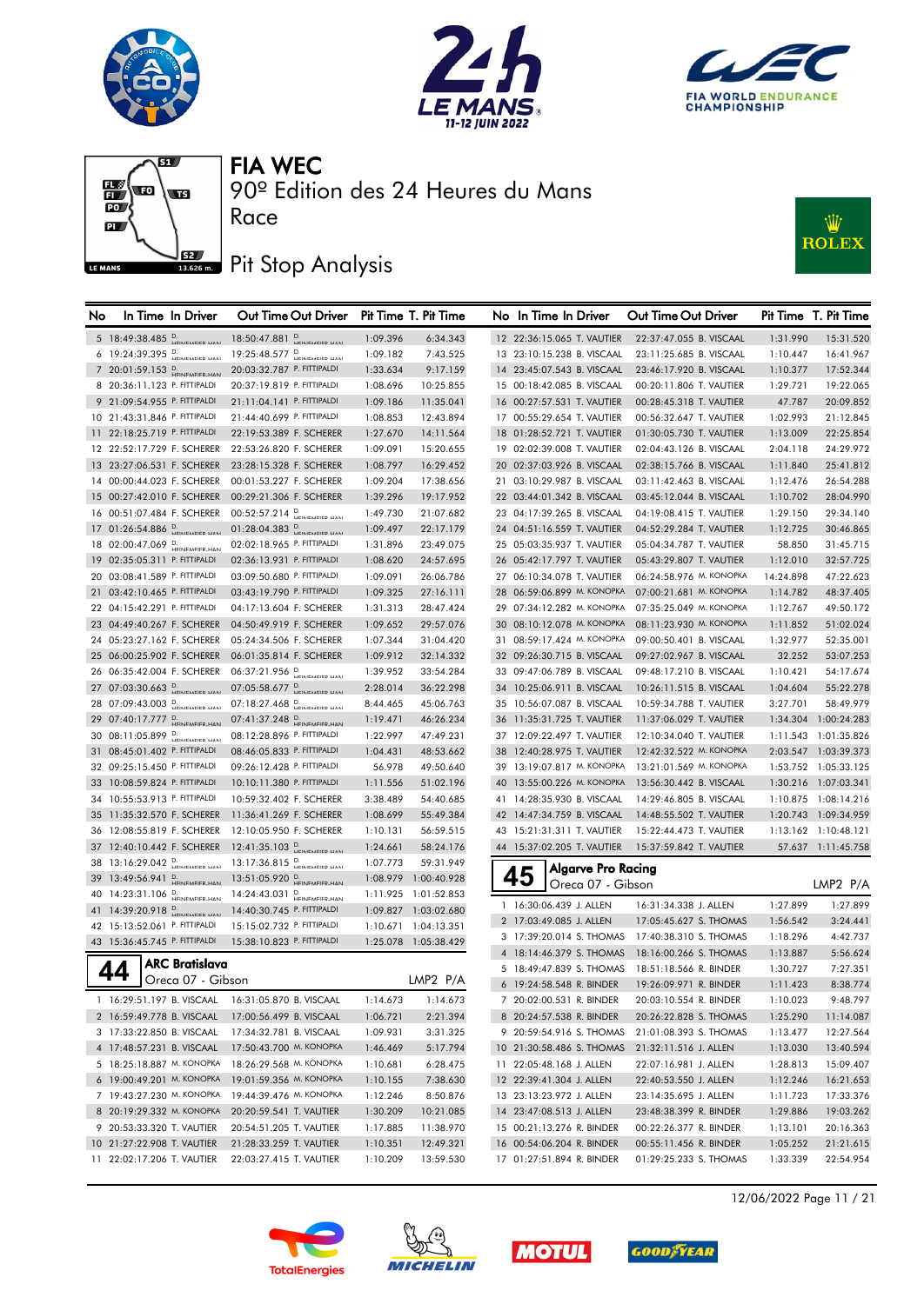







#### Pit Stop Analysis

Race



| 5 18:49:38.485 D.<br>18:50:47.881 D.<br>1:09.396<br>6:34.343<br>22:37:47.055 B. VISCAAL<br>12 22:36:15.065 T. VAUTIER<br>1:31.990<br>15:31.520<br>6 19:24:39.395 P.<br>19:25:48.577 D.<br>1:09.182<br>7:43.525<br>13 23:10:15.238 B. VISCAAL<br>23:11:25.685 B. VISCAAL<br>1:10.447<br>16:41.967<br>7 20:01:59.153 D.<br>20:03:32.787 P. FITTIPALDI<br>9:17.159<br>14 23:45:07.543 B. VISCAAL<br>1:33.634<br>23:46:17.920 B. VISCAAL<br>1:10.377<br>17:52.344<br>8 20:36:11.123 P. FITTIPALDI<br>20:37:19.819 P. FITTIPALDI<br>10:25.855<br>15 00:18:42.085 B. VISCAAL<br>00:20:11.806 T. VAUTIER<br>1:29.721<br>19:22.065<br>1:08.696<br>9 21:09:54.955 P. FITTIPALDI<br>21:11:04.141 P. FITTIPALDI<br>16 00:27:57.531 T. VAUTIER<br>1:09.186<br>11:35.041<br>00:28:45.318 T. VAUTIER<br>47.787<br>20:09.852<br>10 21:43:31.846 P. FITTIPALDI<br>21:44:40.699 P. FITTIPALDI<br>12:43.894<br>17 00:55:29.654 T. VAUTIER<br>00:56:32.647 T. VAUTIER<br>1:02.993<br>21:12.845<br>1:08.853<br>11 22:18:25.719 P. FITTIPALDI<br>22:19:53.389 F. SCHERER<br>18 01:28:52.721 T. VAUTIER<br>01:30:05.730 T. VAUTIER<br>1:27.670<br>14:11.564<br>1:13.009<br>22:25.854<br>12 22:52:17.729 F. SCHERER<br>22:53:26.820 F. SCHERER<br>19 02:02:39.008 T. VAUTIER<br>02:04:43.126 B. VISCAAL<br>24:29.972<br>1:09.091<br>15:20.655<br>2:04.118<br>13 23:27:06.531 F. SCHERER<br>23:28:15.328 F. SCHERER<br>16:29.452<br>20 02:37:03.926 B. VISCAAL<br>02:38:15.766 B. VISCAAL<br>1:08.797<br>1:11.840<br>25:41.812<br>14 00:00:44.023 F. SCHERER<br>00:01:53.227 F. SCHERER<br>17:38.656<br>21 03:10:29.987 B. VISCAAL<br>03:11:42.463 B. VISCAAL<br>26:54.288<br>1:09.204<br>1:12.476<br>15 00:27:42.010 F. SCHERER<br>00:29:21.306 F. SCHERER<br>1:39.296<br>19:17.952<br>22 03:44:01.342 B. VISCAAL<br>03:45:12.044 B. VISCAAL<br>28:04.990<br>1:10.702<br>00:52:57.214 P.<br>16 00:51:07.484 F. SCHERER<br>1:49.730<br>21:07.682<br>23 04:17:39.265 B. VISCAAL<br>04:19:08.415 T. VAUTIER<br>29:34.140<br>1:29.150<br>17 01:26:54.886 P.<br>01:28:04.383 P.<br>24 04:51:16.559 T. VAUTIER<br>1:09.497<br>22:17.179<br>04:52:29.284 T. VAUTIER<br>1:12.725<br>30:46.865<br>18 02:00:47.069 D.<br>02:02:18.965 P. FITTIPALDI<br>1:31.896<br>23:49.075<br>25 05:03:35.937 T. VAUTIER<br>05:04:34.787 T. VAUTIER<br>58.850<br>31:45.715<br>19 02:35:05.311 P. FITTIPALDI<br>02:36:13.931 P. FITTIPALDI<br>26 05:42:17.797 T. VAUTIER<br>05:43:29.807 T. VAUTIER<br>1:08.620<br>24:57.695<br>1:12.010<br>32:57.725<br>03:09:50.680 P. FITTIPALDI<br>06:24:58.976 M. KONOPKA<br>20 03:08:41.589 P. FITTIPALDI<br>26:06.786<br>27 06:10:34.078 T. VAUTIER<br>1:09.091<br>14:24.898<br>28 06:59:06.899 М. КОНОРКА<br>21 03:42:10.465 P. FITTIPALDI<br>03:43:19.790 P. FITTIPALDI<br>27:16.111<br>07:00:21.681 M. KONOPKA<br>1:09.325<br>1:14.782<br>48:37.405<br>22 04:15:42.291 P. FITTIPALDI<br>29 07:34:12.282 M. KONOPKA<br>07:35:25.049 M. KONOPKA<br>49:50.172<br>04:17:13.604 F. SCHERER<br>1:31.313<br>28:47.424<br>1:12.767<br>30 08:10:12.078 М. КОМОРКА<br>23 04:49:40.267 F. SCHERER<br>08:11:23.930 M. KONOPKA<br>51:02.024<br>04:50:49.919 F. SCHERER<br>1:09.652<br>29:57.076<br>1:11.852<br>31 08:59:17.424 M. KONOPKA<br>24 05:23:27.162 F. SCHERER<br>05:24:34.506 F. SCHERER<br>1:07.344<br>31:04.420<br>09:00:50.401 B. VISCAAL<br>52:35.001<br>1:32.977<br>25 06:00:25.902 F. SCHERER<br>06:01:35.814 F. SCHERER<br>1:09.912<br>32:14.332<br>32 09:26:30.715 B. VISCAAL<br>09:27:02.967 B. VISCAAL<br>32.252<br>53:07.253<br>06:37:21.956 P.<br>33 09:47:06.789 B. VISCAAL<br>26 06:35:42.004 F. SCHERER<br>1:39.952<br>33:54.284<br>09:48:17.210 B. VISCAAL<br>1:10.421<br>54:17.674<br>07:05:58.677 D.<br>27 07:03:30.663 D.<br>2:28.014<br>36:22.298<br>34 10:25:06.911 B. VISCAAL<br>10:26:11.515 B. VISCAAL<br>55:22.278<br>1:04.604<br>28 07:09:43.003 D.<br>07:18:27.468 D.<br>58:49.979<br>8:44.465<br>45:06.763<br>35 10:56:07.087 B. VISCAAL<br>10:59:34.788 T. VAUTIER<br>3:27.701<br>29 07:40:17.777 D.<br>07:41:37.248 P.<br>46:26.234<br>36 11:35:31.725 T. VAUTIER<br>11:37:06.029 T. VAUTIER<br>1:34.304 1:00:24.283<br>1:19.471<br>30 08:11:05.899 D.<br>08:12:28.896 P. FITTIPALDI<br>47:49.231<br>37 12:09:22.497 T. VAUTIER<br>12:10:34.040 T. VAUTIER<br>1:22.997<br>31 08:45:01.402 P. FITTIPALDI<br>08:46:05.833 P. FITTIPALDI<br>48:53.662<br>38 12:40:28.975 T. VAUTIER<br>12:42:32.522 M. KONOPKA<br>2:03.547 1:03:39.373<br>1:04.431<br>32 09:25:15.450 P. FITTIPALDI<br>09:26:12.428 P. FITTIPALDI<br>49:50.640<br>39 13:19:07.817 M. KONOPKA 13:21:01.569 M. KONOPKA<br>1:53.752 1:05:33.125<br>56.978<br>33 10:08:59.824 P. FITTIPALDI<br>10:10:11.380 P. FITTIPALDI<br>40 13:55:00.226 M. KONOPKA<br>1:30.216 1:07:03.341<br>51:02.196<br>13:56:30.442 B. VISCAAL<br>1:11.556<br>34 10:55:53.913 P. FITTIPALDI<br>41 14:28:35.930 B. VISCAAL<br>1:10.875 1:08:14.216<br>10:59:32.402 F. SCHERER<br>3:38.489<br>54:40.685<br>14:29:46.805 B. VISCAAL<br>35 11:35:32.570 F. SCHERER<br>11:36:41.269 F. SCHERER<br>55:49.384<br>42 14:47:34.759 B. VISCAAL<br>14:48:55.502 T. VAUTIER<br>1:20.743 1:09:34.959<br>1:08.699<br>36 12:08:55.819 F. SCHERER<br>1:13.162 1:10:48.121<br>12:10:05.950 F. SCHERER<br>1:10.131<br>56:59.515<br>43 15:21:31.311 T. VAUTIER<br>15:22:44.473 T. VAUTIER<br>$12:41:35.103$ D.<br>37 12:40:10.442 F. SCHERER<br>58:24.176<br>1:24.661<br>44 15:37:02.205 T. VAUTIER<br>15:37:59.842 T. VAUTIER<br>57.637 1:11:45.758<br>38 13:16:29.042 P.<br>59:31.949<br>1:07.773<br><b>Algarve Pro Racing</b><br>45<br>39 13:49:56.941 D.<br>13:51:05.920 D.<br>1:08.979 1:00:40.928<br>LMP2 P/A<br>Oreca 07 - Gibson<br>40 14:23:31.106 D.<br>14:24:43.031 P.<br>1:11.925 1:01:52.853<br>1 16:30:06.439 J. ALLEN<br>1:27.899<br>16:31:34.338 J. ALLEN<br>1:27.899<br>41 14:39:20.918 P.<br>14:40:30.745 P. FITTIPALDI<br>1:09.827 1:03:02.680<br>2 17:03:49.085 J. ALLEN<br>17:05:45.627 S. THOMAS<br>1:56.542<br>42 15:13:52.061 P. FITTIPALDI<br>15:15:02.732 P. FITTIPALDI<br>1:10.671 1:04:13.351<br>3 17:39:20.014 S. THOMAS 17:40:38.310 S. THOMAS<br>4:42.737<br>1:18.296<br>43 15:36:45.745 P. FITTIPALDI<br>15:38:10.823 P. FITTIPALDI<br>1:25.078 1:05:38.429<br>4 18:14:46.379 S. THOMAS 18:16:00.266 S. THOMAS<br>5:56.624<br>1:13.887 | No | In Time In Driver | Out Time Out Driver Pit Time T. Pit Time |  | No In Time In Driver | Out Time Out Driver | Pit Time T. Pit Time |
|------------------------------------------------------------------------------------------------------------------------------------------------------------------------------------------------------------------------------------------------------------------------------------------------------------------------------------------------------------------------------------------------------------------------------------------------------------------------------------------------------------------------------------------------------------------------------------------------------------------------------------------------------------------------------------------------------------------------------------------------------------------------------------------------------------------------------------------------------------------------------------------------------------------------------------------------------------------------------------------------------------------------------------------------------------------------------------------------------------------------------------------------------------------------------------------------------------------------------------------------------------------------------------------------------------------------------------------------------------------------------------------------------------------------------------------------------------------------------------------------------------------------------------------------------------------------------------------------------------------------------------------------------------------------------------------------------------------------------------------------------------------------------------------------------------------------------------------------------------------------------------------------------------------------------------------------------------------------------------------------------------------------------------------------------------------------------------------------------------------------------------------------------------------------------------------------------------------------------------------------------------------------------------------------------------------------------------------------------------------------------------------------------------------------------------------------------------------------------------------------------------------------------------------------------------------------------------------------------------------------------------------------------------------------------------------------------------------------------------------------------------------------------------------------------------------------------------------------------------------------------------------------------------------------------------------------------------------------------------------------------------------------------------------------------------------------------------------------------------------------------------------------------------------------------------------------------------------------------------------------------------------------------------------------------------------------------------------------------------------------------------------------------------------------------------------------------------------------------------------------------------------------------------------------------------------------------------------------------------------------------------------------------------------------------------------------------------------------------------------------------------------------------------------------------------------------------------------------------------------------------------------------------------------------------------------------------------------------------------------------------------------------------------------------------------------------------------------------------------------------------------------------------------------------------------------------------------------------------------------------------------------------------------------------------------------------------------------------------------------------------------------------------------------------------------------------------------------------------------------------------------------------------------------------------------------------------------------------------------------------------------------------------------------------------------------------------------------------------------------------------------------------------------------------------------------------------------------------------------------------------------------------------------------------------------------------------------------------------------------------------------------------------------------------------------------------------------------------------------------------------------------------------------------------------------------------------------------------------------------------------------------------------------------------------------------------------------------------------------------------------------------------------------------------------------------------------------------------------------------------------------------------------------------------------------------------------------------------------------------------------------------------------------------------------------------------------------------------------------------------------------------------------------------------------------------------------------------------------------------------------------------------------------------------------------------------------------------------------------------------------------------------------------------------------------------------------------------------------------------------------------------------------------------------------------------------------------------------------------------------------------------------------------------------------------|----|-------------------|------------------------------------------|--|----------------------|---------------------|----------------------|
|                                                                                                                                                                                                                                                                                                                                                                                                                                                                                                                                                                                                                                                                                                                                                                                                                                                                                                                                                                                                                                                                                                                                                                                                                                                                                                                                                                                                                                                                                                                                                                                                                                                                                                                                                                                                                                                                                                                                                                                                                                                                                                                                                                                                                                                                                                                                                                                                                                                                                                                                                                                                                                                                                                                                                                                                                                                                                                                                                                                                                                                                                                                                                                                                                                                                                                                                                                                                                                                                                                                                                                                                                                                                                                                                                                                                                                                                                                                                                                                                                                                                                                                                                                                                                                                                                                                                                                                                                                                                                                                                                                                                                                                                                                                                                                                                                                                                                                                                                                                                                                                                                                                                                                                                                                                                                                                                                                                                                                                                                                                                                                                                                                                                                                                                                                                                                                                                                                                                                                                                                                                                                                                                                                                                                                                                                                            |    |                   |                                          |  |                      |                     |                      |
|                                                                                                                                                                                                                                                                                                                                                                                                                                                                                                                                                                                                                                                                                                                                                                                                                                                                                                                                                                                                                                                                                                                                                                                                                                                                                                                                                                                                                                                                                                                                                                                                                                                                                                                                                                                                                                                                                                                                                                                                                                                                                                                                                                                                                                                                                                                                                                                                                                                                                                                                                                                                                                                                                                                                                                                                                                                                                                                                                                                                                                                                                                                                                                                                                                                                                                                                                                                                                                                                                                                                                                                                                                                                                                                                                                                                                                                                                                                                                                                                                                                                                                                                                                                                                                                                                                                                                                                                                                                                                                                                                                                                                                                                                                                                                                                                                                                                                                                                                                                                                                                                                                                                                                                                                                                                                                                                                                                                                                                                                                                                                                                                                                                                                                                                                                                                                                                                                                                                                                                                                                                                                                                                                                                                                                                                                                            |    |                   |                                          |  |                      |                     |                      |
| 47:22.623<br>1:11.543 1:01:35.826<br>3:24.441                                                                                                                                                                                                                                                                                                                                                                                                                                                                                                                                                                                                                                                                                                                                                                                                                                                                                                                                                                                                                                                                                                                                                                                                                                                                                                                                                                                                                                                                                                                                                                                                                                                                                                                                                                                                                                                                                                                                                                                                                                                                                                                                                                                                                                                                                                                                                                                                                                                                                                                                                                                                                                                                                                                                                                                                                                                                                                                                                                                                                                                                                                                                                                                                                                                                                                                                                                                                                                                                                                                                                                                                                                                                                                                                                                                                                                                                                                                                                                                                                                                                                                                                                                                                                                                                                                                                                                                                                                                                                                                                                                                                                                                                                                                                                                                                                                                                                                                                                                                                                                                                                                                                                                                                                                                                                                                                                                                                                                                                                                                                                                                                                                                                                                                                                                                                                                                                                                                                                                                                                                                                                                                                                                                                                                                              |    |                   |                                          |  |                      |                     |                      |
|                                                                                                                                                                                                                                                                                                                                                                                                                                                                                                                                                                                                                                                                                                                                                                                                                                                                                                                                                                                                                                                                                                                                                                                                                                                                                                                                                                                                                                                                                                                                                                                                                                                                                                                                                                                                                                                                                                                                                                                                                                                                                                                                                                                                                                                                                                                                                                                                                                                                                                                                                                                                                                                                                                                                                                                                                                                                                                                                                                                                                                                                                                                                                                                                                                                                                                                                                                                                                                                                                                                                                                                                                                                                                                                                                                                                                                                                                                                                                                                                                                                                                                                                                                                                                                                                                                                                                                                                                                                                                                                                                                                                                                                                                                                                                                                                                                                                                                                                                                                                                                                                                                                                                                                                                                                                                                                                                                                                                                                                                                                                                                                                                                                                                                                                                                                                                                                                                                                                                                                                                                                                                                                                                                                                                                                                                                            |    |                   |                                          |  |                      |                     |                      |
|                                                                                                                                                                                                                                                                                                                                                                                                                                                                                                                                                                                                                                                                                                                                                                                                                                                                                                                                                                                                                                                                                                                                                                                                                                                                                                                                                                                                                                                                                                                                                                                                                                                                                                                                                                                                                                                                                                                                                                                                                                                                                                                                                                                                                                                                                                                                                                                                                                                                                                                                                                                                                                                                                                                                                                                                                                                                                                                                                                                                                                                                                                                                                                                                                                                                                                                                                                                                                                                                                                                                                                                                                                                                                                                                                                                                                                                                                                                                                                                                                                                                                                                                                                                                                                                                                                                                                                                                                                                                                                                                                                                                                                                                                                                                                                                                                                                                                                                                                                                                                                                                                                                                                                                                                                                                                                                                                                                                                                                                                                                                                                                                                                                                                                                                                                                                                                                                                                                                                                                                                                                                                                                                                                                                                                                                                                            |    |                   |                                          |  |                      |                     |                      |
|                                                                                                                                                                                                                                                                                                                                                                                                                                                                                                                                                                                                                                                                                                                                                                                                                                                                                                                                                                                                                                                                                                                                                                                                                                                                                                                                                                                                                                                                                                                                                                                                                                                                                                                                                                                                                                                                                                                                                                                                                                                                                                                                                                                                                                                                                                                                                                                                                                                                                                                                                                                                                                                                                                                                                                                                                                                                                                                                                                                                                                                                                                                                                                                                                                                                                                                                                                                                                                                                                                                                                                                                                                                                                                                                                                                                                                                                                                                                                                                                                                                                                                                                                                                                                                                                                                                                                                                                                                                                                                                                                                                                                                                                                                                                                                                                                                                                                                                                                                                                                                                                                                                                                                                                                                                                                                                                                                                                                                                                                                                                                                                                                                                                                                                                                                                                                                                                                                                                                                                                                                                                                                                                                                                                                                                                                                            |    |                   |                                          |  |                      |                     |                      |
|                                                                                                                                                                                                                                                                                                                                                                                                                                                                                                                                                                                                                                                                                                                                                                                                                                                                                                                                                                                                                                                                                                                                                                                                                                                                                                                                                                                                                                                                                                                                                                                                                                                                                                                                                                                                                                                                                                                                                                                                                                                                                                                                                                                                                                                                                                                                                                                                                                                                                                                                                                                                                                                                                                                                                                                                                                                                                                                                                                                                                                                                                                                                                                                                                                                                                                                                                                                                                                                                                                                                                                                                                                                                                                                                                                                                                                                                                                                                                                                                                                                                                                                                                                                                                                                                                                                                                                                                                                                                                                                                                                                                                                                                                                                                                                                                                                                                                                                                                                                                                                                                                                                                                                                                                                                                                                                                                                                                                                                                                                                                                                                                                                                                                                                                                                                                                                                                                                                                                                                                                                                                                                                                                                                                                                                                                                            |    |                   |                                          |  |                      |                     |                      |
|                                                                                                                                                                                                                                                                                                                                                                                                                                                                                                                                                                                                                                                                                                                                                                                                                                                                                                                                                                                                                                                                                                                                                                                                                                                                                                                                                                                                                                                                                                                                                                                                                                                                                                                                                                                                                                                                                                                                                                                                                                                                                                                                                                                                                                                                                                                                                                                                                                                                                                                                                                                                                                                                                                                                                                                                                                                                                                                                                                                                                                                                                                                                                                                                                                                                                                                                                                                                                                                                                                                                                                                                                                                                                                                                                                                                                                                                                                                                                                                                                                                                                                                                                                                                                                                                                                                                                                                                                                                                                                                                                                                                                                                                                                                                                                                                                                                                                                                                                                                                                                                                                                                                                                                                                                                                                                                                                                                                                                                                                                                                                                                                                                                                                                                                                                                                                                                                                                                                                                                                                                                                                                                                                                                                                                                                                                            |    |                   |                                          |  |                      |                     |                      |
|                                                                                                                                                                                                                                                                                                                                                                                                                                                                                                                                                                                                                                                                                                                                                                                                                                                                                                                                                                                                                                                                                                                                                                                                                                                                                                                                                                                                                                                                                                                                                                                                                                                                                                                                                                                                                                                                                                                                                                                                                                                                                                                                                                                                                                                                                                                                                                                                                                                                                                                                                                                                                                                                                                                                                                                                                                                                                                                                                                                                                                                                                                                                                                                                                                                                                                                                                                                                                                                                                                                                                                                                                                                                                                                                                                                                                                                                                                                                                                                                                                                                                                                                                                                                                                                                                                                                                                                                                                                                                                                                                                                                                                                                                                                                                                                                                                                                                                                                                                                                                                                                                                                                                                                                                                                                                                                                                                                                                                                                                                                                                                                                                                                                                                                                                                                                                                                                                                                                                                                                                                                                                                                                                                                                                                                                                                            |    |                   |                                          |  |                      |                     |                      |
|                                                                                                                                                                                                                                                                                                                                                                                                                                                                                                                                                                                                                                                                                                                                                                                                                                                                                                                                                                                                                                                                                                                                                                                                                                                                                                                                                                                                                                                                                                                                                                                                                                                                                                                                                                                                                                                                                                                                                                                                                                                                                                                                                                                                                                                                                                                                                                                                                                                                                                                                                                                                                                                                                                                                                                                                                                                                                                                                                                                                                                                                                                                                                                                                                                                                                                                                                                                                                                                                                                                                                                                                                                                                                                                                                                                                                                                                                                                                                                                                                                                                                                                                                                                                                                                                                                                                                                                                                                                                                                                                                                                                                                                                                                                                                                                                                                                                                                                                                                                                                                                                                                                                                                                                                                                                                                                                                                                                                                                                                                                                                                                                                                                                                                                                                                                                                                                                                                                                                                                                                                                                                                                                                                                                                                                                                                            |    |                   |                                          |  |                      |                     |                      |
|                                                                                                                                                                                                                                                                                                                                                                                                                                                                                                                                                                                                                                                                                                                                                                                                                                                                                                                                                                                                                                                                                                                                                                                                                                                                                                                                                                                                                                                                                                                                                                                                                                                                                                                                                                                                                                                                                                                                                                                                                                                                                                                                                                                                                                                                                                                                                                                                                                                                                                                                                                                                                                                                                                                                                                                                                                                                                                                                                                                                                                                                                                                                                                                                                                                                                                                                                                                                                                                                                                                                                                                                                                                                                                                                                                                                                                                                                                                                                                                                                                                                                                                                                                                                                                                                                                                                                                                                                                                                                                                                                                                                                                                                                                                                                                                                                                                                                                                                                                                                                                                                                                                                                                                                                                                                                                                                                                                                                                                                                                                                                                                                                                                                                                                                                                                                                                                                                                                                                                                                                                                                                                                                                                                                                                                                                                            |    |                   |                                          |  |                      |                     |                      |
|                                                                                                                                                                                                                                                                                                                                                                                                                                                                                                                                                                                                                                                                                                                                                                                                                                                                                                                                                                                                                                                                                                                                                                                                                                                                                                                                                                                                                                                                                                                                                                                                                                                                                                                                                                                                                                                                                                                                                                                                                                                                                                                                                                                                                                                                                                                                                                                                                                                                                                                                                                                                                                                                                                                                                                                                                                                                                                                                                                                                                                                                                                                                                                                                                                                                                                                                                                                                                                                                                                                                                                                                                                                                                                                                                                                                                                                                                                                                                                                                                                                                                                                                                                                                                                                                                                                                                                                                                                                                                                                                                                                                                                                                                                                                                                                                                                                                                                                                                                                                                                                                                                                                                                                                                                                                                                                                                                                                                                                                                                                                                                                                                                                                                                                                                                                                                                                                                                                                                                                                                                                                                                                                                                                                                                                                                                            |    |                   |                                          |  |                      |                     |                      |
|                                                                                                                                                                                                                                                                                                                                                                                                                                                                                                                                                                                                                                                                                                                                                                                                                                                                                                                                                                                                                                                                                                                                                                                                                                                                                                                                                                                                                                                                                                                                                                                                                                                                                                                                                                                                                                                                                                                                                                                                                                                                                                                                                                                                                                                                                                                                                                                                                                                                                                                                                                                                                                                                                                                                                                                                                                                                                                                                                                                                                                                                                                                                                                                                                                                                                                                                                                                                                                                                                                                                                                                                                                                                                                                                                                                                                                                                                                                                                                                                                                                                                                                                                                                                                                                                                                                                                                                                                                                                                                                                                                                                                                                                                                                                                                                                                                                                                                                                                                                                                                                                                                                                                                                                                                                                                                                                                                                                                                                                                                                                                                                                                                                                                                                                                                                                                                                                                                                                                                                                                                                                                                                                                                                                                                                                                                            |    |                   |                                          |  |                      |                     |                      |
|                                                                                                                                                                                                                                                                                                                                                                                                                                                                                                                                                                                                                                                                                                                                                                                                                                                                                                                                                                                                                                                                                                                                                                                                                                                                                                                                                                                                                                                                                                                                                                                                                                                                                                                                                                                                                                                                                                                                                                                                                                                                                                                                                                                                                                                                                                                                                                                                                                                                                                                                                                                                                                                                                                                                                                                                                                                                                                                                                                                                                                                                                                                                                                                                                                                                                                                                                                                                                                                                                                                                                                                                                                                                                                                                                                                                                                                                                                                                                                                                                                                                                                                                                                                                                                                                                                                                                                                                                                                                                                                                                                                                                                                                                                                                                                                                                                                                                                                                                                                                                                                                                                                                                                                                                                                                                                                                                                                                                                                                                                                                                                                                                                                                                                                                                                                                                                                                                                                                                                                                                                                                                                                                                                                                                                                                                                            |    |                   |                                          |  |                      |                     |                      |
|                                                                                                                                                                                                                                                                                                                                                                                                                                                                                                                                                                                                                                                                                                                                                                                                                                                                                                                                                                                                                                                                                                                                                                                                                                                                                                                                                                                                                                                                                                                                                                                                                                                                                                                                                                                                                                                                                                                                                                                                                                                                                                                                                                                                                                                                                                                                                                                                                                                                                                                                                                                                                                                                                                                                                                                                                                                                                                                                                                                                                                                                                                                                                                                                                                                                                                                                                                                                                                                                                                                                                                                                                                                                                                                                                                                                                                                                                                                                                                                                                                                                                                                                                                                                                                                                                                                                                                                                                                                                                                                                                                                                                                                                                                                                                                                                                                                                                                                                                                                                                                                                                                                                                                                                                                                                                                                                                                                                                                                                                                                                                                                                                                                                                                                                                                                                                                                                                                                                                                                                                                                                                                                                                                                                                                                                                                            |    |                   |                                          |  |                      |                     |                      |
|                                                                                                                                                                                                                                                                                                                                                                                                                                                                                                                                                                                                                                                                                                                                                                                                                                                                                                                                                                                                                                                                                                                                                                                                                                                                                                                                                                                                                                                                                                                                                                                                                                                                                                                                                                                                                                                                                                                                                                                                                                                                                                                                                                                                                                                                                                                                                                                                                                                                                                                                                                                                                                                                                                                                                                                                                                                                                                                                                                                                                                                                                                                                                                                                                                                                                                                                                                                                                                                                                                                                                                                                                                                                                                                                                                                                                                                                                                                                                                                                                                                                                                                                                                                                                                                                                                                                                                                                                                                                                                                                                                                                                                                                                                                                                                                                                                                                                                                                                                                                                                                                                                                                                                                                                                                                                                                                                                                                                                                                                                                                                                                                                                                                                                                                                                                                                                                                                                                                                                                                                                                                                                                                                                                                                                                                                                            |    |                   |                                          |  |                      |                     |                      |
|                                                                                                                                                                                                                                                                                                                                                                                                                                                                                                                                                                                                                                                                                                                                                                                                                                                                                                                                                                                                                                                                                                                                                                                                                                                                                                                                                                                                                                                                                                                                                                                                                                                                                                                                                                                                                                                                                                                                                                                                                                                                                                                                                                                                                                                                                                                                                                                                                                                                                                                                                                                                                                                                                                                                                                                                                                                                                                                                                                                                                                                                                                                                                                                                                                                                                                                                                                                                                                                                                                                                                                                                                                                                                                                                                                                                                                                                                                                                                                                                                                                                                                                                                                                                                                                                                                                                                                                                                                                                                                                                                                                                                                                                                                                                                                                                                                                                                                                                                                                                                                                                                                                                                                                                                                                                                                                                                                                                                                                                                                                                                                                                                                                                                                                                                                                                                                                                                                                                                                                                                                                                                                                                                                                                                                                                                                            |    |                   |                                          |  |                      |                     |                      |
|                                                                                                                                                                                                                                                                                                                                                                                                                                                                                                                                                                                                                                                                                                                                                                                                                                                                                                                                                                                                                                                                                                                                                                                                                                                                                                                                                                                                                                                                                                                                                                                                                                                                                                                                                                                                                                                                                                                                                                                                                                                                                                                                                                                                                                                                                                                                                                                                                                                                                                                                                                                                                                                                                                                                                                                                                                                                                                                                                                                                                                                                                                                                                                                                                                                                                                                                                                                                                                                                                                                                                                                                                                                                                                                                                                                                                                                                                                                                                                                                                                                                                                                                                                                                                                                                                                                                                                                                                                                                                                                                                                                                                                                                                                                                                                                                                                                                                                                                                                                                                                                                                                                                                                                                                                                                                                                                                                                                                                                                                                                                                                                                                                                                                                                                                                                                                                                                                                                                                                                                                                                                                                                                                                                                                                                                                                            |    |                   |                                          |  |                      |                     |                      |
|                                                                                                                                                                                                                                                                                                                                                                                                                                                                                                                                                                                                                                                                                                                                                                                                                                                                                                                                                                                                                                                                                                                                                                                                                                                                                                                                                                                                                                                                                                                                                                                                                                                                                                                                                                                                                                                                                                                                                                                                                                                                                                                                                                                                                                                                                                                                                                                                                                                                                                                                                                                                                                                                                                                                                                                                                                                                                                                                                                                                                                                                                                                                                                                                                                                                                                                                                                                                                                                                                                                                                                                                                                                                                                                                                                                                                                                                                                                                                                                                                                                                                                                                                                                                                                                                                                                                                                                                                                                                                                                                                                                                                                                                                                                                                                                                                                                                                                                                                                                                                                                                                                                                                                                                                                                                                                                                                                                                                                                                                                                                                                                                                                                                                                                                                                                                                                                                                                                                                                                                                                                                                                                                                                                                                                                                                                            |    |                   |                                          |  |                      |                     |                      |
|                                                                                                                                                                                                                                                                                                                                                                                                                                                                                                                                                                                                                                                                                                                                                                                                                                                                                                                                                                                                                                                                                                                                                                                                                                                                                                                                                                                                                                                                                                                                                                                                                                                                                                                                                                                                                                                                                                                                                                                                                                                                                                                                                                                                                                                                                                                                                                                                                                                                                                                                                                                                                                                                                                                                                                                                                                                                                                                                                                                                                                                                                                                                                                                                                                                                                                                                                                                                                                                                                                                                                                                                                                                                                                                                                                                                                                                                                                                                                                                                                                                                                                                                                                                                                                                                                                                                                                                                                                                                                                                                                                                                                                                                                                                                                                                                                                                                                                                                                                                                                                                                                                                                                                                                                                                                                                                                                                                                                                                                                                                                                                                                                                                                                                                                                                                                                                                                                                                                                                                                                                                                                                                                                                                                                                                                                                            |    |                   |                                          |  |                      |                     |                      |
|                                                                                                                                                                                                                                                                                                                                                                                                                                                                                                                                                                                                                                                                                                                                                                                                                                                                                                                                                                                                                                                                                                                                                                                                                                                                                                                                                                                                                                                                                                                                                                                                                                                                                                                                                                                                                                                                                                                                                                                                                                                                                                                                                                                                                                                                                                                                                                                                                                                                                                                                                                                                                                                                                                                                                                                                                                                                                                                                                                                                                                                                                                                                                                                                                                                                                                                                                                                                                                                                                                                                                                                                                                                                                                                                                                                                                                                                                                                                                                                                                                                                                                                                                                                                                                                                                                                                                                                                                                                                                                                                                                                                                                                                                                                                                                                                                                                                                                                                                                                                                                                                                                                                                                                                                                                                                                                                                                                                                                                                                                                                                                                                                                                                                                                                                                                                                                                                                                                                                                                                                                                                                                                                                                                                                                                                                                            |    |                   |                                          |  |                      |                     |                      |
|                                                                                                                                                                                                                                                                                                                                                                                                                                                                                                                                                                                                                                                                                                                                                                                                                                                                                                                                                                                                                                                                                                                                                                                                                                                                                                                                                                                                                                                                                                                                                                                                                                                                                                                                                                                                                                                                                                                                                                                                                                                                                                                                                                                                                                                                                                                                                                                                                                                                                                                                                                                                                                                                                                                                                                                                                                                                                                                                                                                                                                                                                                                                                                                                                                                                                                                                                                                                                                                                                                                                                                                                                                                                                                                                                                                                                                                                                                                                                                                                                                                                                                                                                                                                                                                                                                                                                                                                                                                                                                                                                                                                                                                                                                                                                                                                                                                                                                                                                                                                                                                                                                                                                                                                                                                                                                                                                                                                                                                                                                                                                                                                                                                                                                                                                                                                                                                                                                                                                                                                                                                                                                                                                                                                                                                                                                            |    |                   |                                          |  |                      |                     |                      |
|                                                                                                                                                                                                                                                                                                                                                                                                                                                                                                                                                                                                                                                                                                                                                                                                                                                                                                                                                                                                                                                                                                                                                                                                                                                                                                                                                                                                                                                                                                                                                                                                                                                                                                                                                                                                                                                                                                                                                                                                                                                                                                                                                                                                                                                                                                                                                                                                                                                                                                                                                                                                                                                                                                                                                                                                                                                                                                                                                                                                                                                                                                                                                                                                                                                                                                                                                                                                                                                                                                                                                                                                                                                                                                                                                                                                                                                                                                                                                                                                                                                                                                                                                                                                                                                                                                                                                                                                                                                                                                                                                                                                                                                                                                                                                                                                                                                                                                                                                                                                                                                                                                                                                                                                                                                                                                                                                                                                                                                                                                                                                                                                                                                                                                                                                                                                                                                                                                                                                                                                                                                                                                                                                                                                                                                                                                            |    |                   |                                          |  |                      |                     |                      |
|                                                                                                                                                                                                                                                                                                                                                                                                                                                                                                                                                                                                                                                                                                                                                                                                                                                                                                                                                                                                                                                                                                                                                                                                                                                                                                                                                                                                                                                                                                                                                                                                                                                                                                                                                                                                                                                                                                                                                                                                                                                                                                                                                                                                                                                                                                                                                                                                                                                                                                                                                                                                                                                                                                                                                                                                                                                                                                                                                                                                                                                                                                                                                                                                                                                                                                                                                                                                                                                                                                                                                                                                                                                                                                                                                                                                                                                                                                                                                                                                                                                                                                                                                                                                                                                                                                                                                                                                                                                                                                                                                                                                                                                                                                                                                                                                                                                                                                                                                                                                                                                                                                                                                                                                                                                                                                                                                                                                                                                                                                                                                                                                                                                                                                                                                                                                                                                                                                                                                                                                                                                                                                                                                                                                                                                                                                            |    |                   |                                          |  |                      |                     |                      |
|                                                                                                                                                                                                                                                                                                                                                                                                                                                                                                                                                                                                                                                                                                                                                                                                                                                                                                                                                                                                                                                                                                                                                                                                                                                                                                                                                                                                                                                                                                                                                                                                                                                                                                                                                                                                                                                                                                                                                                                                                                                                                                                                                                                                                                                                                                                                                                                                                                                                                                                                                                                                                                                                                                                                                                                                                                                                                                                                                                                                                                                                                                                                                                                                                                                                                                                                                                                                                                                                                                                                                                                                                                                                                                                                                                                                                                                                                                                                                                                                                                                                                                                                                                                                                                                                                                                                                                                                                                                                                                                                                                                                                                                                                                                                                                                                                                                                                                                                                                                                                                                                                                                                                                                                                                                                                                                                                                                                                                                                                                                                                                                                                                                                                                                                                                                                                                                                                                                                                                                                                                                                                                                                                                                                                                                                                                            |    |                   |                                          |  |                      |                     |                      |
|                                                                                                                                                                                                                                                                                                                                                                                                                                                                                                                                                                                                                                                                                                                                                                                                                                                                                                                                                                                                                                                                                                                                                                                                                                                                                                                                                                                                                                                                                                                                                                                                                                                                                                                                                                                                                                                                                                                                                                                                                                                                                                                                                                                                                                                                                                                                                                                                                                                                                                                                                                                                                                                                                                                                                                                                                                                                                                                                                                                                                                                                                                                                                                                                                                                                                                                                                                                                                                                                                                                                                                                                                                                                                                                                                                                                                                                                                                                                                                                                                                                                                                                                                                                                                                                                                                                                                                                                                                                                                                                                                                                                                                                                                                                                                                                                                                                                                                                                                                                                                                                                                                                                                                                                                                                                                                                                                                                                                                                                                                                                                                                                                                                                                                                                                                                                                                                                                                                                                                                                                                                                                                                                                                                                                                                                                                            |    |                   |                                          |  |                      |                     |                      |
|                                                                                                                                                                                                                                                                                                                                                                                                                                                                                                                                                                                                                                                                                                                                                                                                                                                                                                                                                                                                                                                                                                                                                                                                                                                                                                                                                                                                                                                                                                                                                                                                                                                                                                                                                                                                                                                                                                                                                                                                                                                                                                                                                                                                                                                                                                                                                                                                                                                                                                                                                                                                                                                                                                                                                                                                                                                                                                                                                                                                                                                                                                                                                                                                                                                                                                                                                                                                                                                                                                                                                                                                                                                                                                                                                                                                                                                                                                                                                                                                                                                                                                                                                                                                                                                                                                                                                                                                                                                                                                                                                                                                                                                                                                                                                                                                                                                                                                                                                                                                                                                                                                                                                                                                                                                                                                                                                                                                                                                                                                                                                                                                                                                                                                                                                                                                                                                                                                                                                                                                                                                                                                                                                                                                                                                                                                            |    |                   |                                          |  |                      |                     |                      |
|                                                                                                                                                                                                                                                                                                                                                                                                                                                                                                                                                                                                                                                                                                                                                                                                                                                                                                                                                                                                                                                                                                                                                                                                                                                                                                                                                                                                                                                                                                                                                                                                                                                                                                                                                                                                                                                                                                                                                                                                                                                                                                                                                                                                                                                                                                                                                                                                                                                                                                                                                                                                                                                                                                                                                                                                                                                                                                                                                                                                                                                                                                                                                                                                                                                                                                                                                                                                                                                                                                                                                                                                                                                                                                                                                                                                                                                                                                                                                                                                                                                                                                                                                                                                                                                                                                                                                                                                                                                                                                                                                                                                                                                                                                                                                                                                                                                                                                                                                                                                                                                                                                                                                                                                                                                                                                                                                                                                                                                                                                                                                                                                                                                                                                                                                                                                                                                                                                                                                                                                                                                                                                                                                                                                                                                                                                            |    |                   |                                          |  |                      |                     |                      |
|                                                                                                                                                                                                                                                                                                                                                                                                                                                                                                                                                                                                                                                                                                                                                                                                                                                                                                                                                                                                                                                                                                                                                                                                                                                                                                                                                                                                                                                                                                                                                                                                                                                                                                                                                                                                                                                                                                                                                                                                                                                                                                                                                                                                                                                                                                                                                                                                                                                                                                                                                                                                                                                                                                                                                                                                                                                                                                                                                                                                                                                                                                                                                                                                                                                                                                                                                                                                                                                                                                                                                                                                                                                                                                                                                                                                                                                                                                                                                                                                                                                                                                                                                                                                                                                                                                                                                                                                                                                                                                                                                                                                                                                                                                                                                                                                                                                                                                                                                                                                                                                                                                                                                                                                                                                                                                                                                                                                                                                                                                                                                                                                                                                                                                                                                                                                                                                                                                                                                                                                                                                                                                                                                                                                                                                                                                            |    |                   |                                          |  |                      |                     |                      |
|                                                                                                                                                                                                                                                                                                                                                                                                                                                                                                                                                                                                                                                                                                                                                                                                                                                                                                                                                                                                                                                                                                                                                                                                                                                                                                                                                                                                                                                                                                                                                                                                                                                                                                                                                                                                                                                                                                                                                                                                                                                                                                                                                                                                                                                                                                                                                                                                                                                                                                                                                                                                                                                                                                                                                                                                                                                                                                                                                                                                                                                                                                                                                                                                                                                                                                                                                                                                                                                                                                                                                                                                                                                                                                                                                                                                                                                                                                                                                                                                                                                                                                                                                                                                                                                                                                                                                                                                                                                                                                                                                                                                                                                                                                                                                                                                                                                                                                                                                                                                                                                                                                                                                                                                                                                                                                                                                                                                                                                                                                                                                                                                                                                                                                                                                                                                                                                                                                                                                                                                                                                                                                                                                                                                                                                                                                            |    |                   |                                          |  |                      |                     |                      |
|                                                                                                                                                                                                                                                                                                                                                                                                                                                                                                                                                                                                                                                                                                                                                                                                                                                                                                                                                                                                                                                                                                                                                                                                                                                                                                                                                                                                                                                                                                                                                                                                                                                                                                                                                                                                                                                                                                                                                                                                                                                                                                                                                                                                                                                                                                                                                                                                                                                                                                                                                                                                                                                                                                                                                                                                                                                                                                                                                                                                                                                                                                                                                                                                                                                                                                                                                                                                                                                                                                                                                                                                                                                                                                                                                                                                                                                                                                                                                                                                                                                                                                                                                                                                                                                                                                                                                                                                                                                                                                                                                                                                                                                                                                                                                                                                                                                                                                                                                                                                                                                                                                                                                                                                                                                                                                                                                                                                                                                                                                                                                                                                                                                                                                                                                                                                                                                                                                                                                                                                                                                                                                                                                                                                                                                                                                            |    |                   |                                          |  |                      |                     |                      |
|                                                                                                                                                                                                                                                                                                                                                                                                                                                                                                                                                                                                                                                                                                                                                                                                                                                                                                                                                                                                                                                                                                                                                                                                                                                                                                                                                                                                                                                                                                                                                                                                                                                                                                                                                                                                                                                                                                                                                                                                                                                                                                                                                                                                                                                                                                                                                                                                                                                                                                                                                                                                                                                                                                                                                                                                                                                                                                                                                                                                                                                                                                                                                                                                                                                                                                                                                                                                                                                                                                                                                                                                                                                                                                                                                                                                                                                                                                                                                                                                                                                                                                                                                                                                                                                                                                                                                                                                                                                                                                                                                                                                                                                                                                                                                                                                                                                                                                                                                                                                                                                                                                                                                                                                                                                                                                                                                                                                                                                                                                                                                                                                                                                                                                                                                                                                                                                                                                                                                                                                                                                                                                                                                                                                                                                                                                            |    |                   |                                          |  |                      |                     |                      |
|                                                                                                                                                                                                                                                                                                                                                                                                                                                                                                                                                                                                                                                                                                                                                                                                                                                                                                                                                                                                                                                                                                                                                                                                                                                                                                                                                                                                                                                                                                                                                                                                                                                                                                                                                                                                                                                                                                                                                                                                                                                                                                                                                                                                                                                                                                                                                                                                                                                                                                                                                                                                                                                                                                                                                                                                                                                                                                                                                                                                                                                                                                                                                                                                                                                                                                                                                                                                                                                                                                                                                                                                                                                                                                                                                                                                                                                                                                                                                                                                                                                                                                                                                                                                                                                                                                                                                                                                                                                                                                                                                                                                                                                                                                                                                                                                                                                                                                                                                                                                                                                                                                                                                                                                                                                                                                                                                                                                                                                                                                                                                                                                                                                                                                                                                                                                                                                                                                                                                                                                                                                                                                                                                                                                                                                                                                            |    |                   |                                          |  |                      |                     |                      |
|                                                                                                                                                                                                                                                                                                                                                                                                                                                                                                                                                                                                                                                                                                                                                                                                                                                                                                                                                                                                                                                                                                                                                                                                                                                                                                                                                                                                                                                                                                                                                                                                                                                                                                                                                                                                                                                                                                                                                                                                                                                                                                                                                                                                                                                                                                                                                                                                                                                                                                                                                                                                                                                                                                                                                                                                                                                                                                                                                                                                                                                                                                                                                                                                                                                                                                                                                                                                                                                                                                                                                                                                                                                                                                                                                                                                                                                                                                                                                                                                                                                                                                                                                                                                                                                                                                                                                                                                                                                                                                                                                                                                                                                                                                                                                                                                                                                                                                                                                                                                                                                                                                                                                                                                                                                                                                                                                                                                                                                                                                                                                                                                                                                                                                                                                                                                                                                                                                                                                                                                                                                                                                                                                                                                                                                                                                            |    |                   |                                          |  |                      |                     |                      |
|                                                                                                                                                                                                                                                                                                                                                                                                                                                                                                                                                                                                                                                                                                                                                                                                                                                                                                                                                                                                                                                                                                                                                                                                                                                                                                                                                                                                                                                                                                                                                                                                                                                                                                                                                                                                                                                                                                                                                                                                                                                                                                                                                                                                                                                                                                                                                                                                                                                                                                                                                                                                                                                                                                                                                                                                                                                                                                                                                                                                                                                                                                                                                                                                                                                                                                                                                                                                                                                                                                                                                                                                                                                                                                                                                                                                                                                                                                                                                                                                                                                                                                                                                                                                                                                                                                                                                                                                                                                                                                                                                                                                                                                                                                                                                                                                                                                                                                                                                                                                                                                                                                                                                                                                                                                                                                                                                                                                                                                                                                                                                                                                                                                                                                                                                                                                                                                                                                                                                                                                                                                                                                                                                                                                                                                                                                            |    |                   |                                          |  |                      |                     |                      |
|                                                                                                                                                                                                                                                                                                                                                                                                                                                                                                                                                                                                                                                                                                                                                                                                                                                                                                                                                                                                                                                                                                                                                                                                                                                                                                                                                                                                                                                                                                                                                                                                                                                                                                                                                                                                                                                                                                                                                                                                                                                                                                                                                                                                                                                                                                                                                                                                                                                                                                                                                                                                                                                                                                                                                                                                                                                                                                                                                                                                                                                                                                                                                                                                                                                                                                                                                                                                                                                                                                                                                                                                                                                                                                                                                                                                                                                                                                                                                                                                                                                                                                                                                                                                                                                                                                                                                                                                                                                                                                                                                                                                                                                                                                                                                                                                                                                                                                                                                                                                                                                                                                                                                                                                                                                                                                                                                                                                                                                                                                                                                                                                                                                                                                                                                                                                                                                                                                                                                                                                                                                                                                                                                                                                                                                                                                            |    |                   |                                          |  |                      |                     |                      |
|                                                                                                                                                                                                                                                                                                                                                                                                                                                                                                                                                                                                                                                                                                                                                                                                                                                                                                                                                                                                                                                                                                                                                                                                                                                                                                                                                                                                                                                                                                                                                                                                                                                                                                                                                                                                                                                                                                                                                                                                                                                                                                                                                                                                                                                                                                                                                                                                                                                                                                                                                                                                                                                                                                                                                                                                                                                                                                                                                                                                                                                                                                                                                                                                                                                                                                                                                                                                                                                                                                                                                                                                                                                                                                                                                                                                                                                                                                                                                                                                                                                                                                                                                                                                                                                                                                                                                                                                                                                                                                                                                                                                                                                                                                                                                                                                                                                                                                                                                                                                                                                                                                                                                                                                                                                                                                                                                                                                                                                                                                                                                                                                                                                                                                                                                                                                                                                                                                                                                                                                                                                                                                                                                                                                                                                                                                            |    |                   |                                          |  |                      |                     |                      |
|                                                                                                                                                                                                                                                                                                                                                                                                                                                                                                                                                                                                                                                                                                                                                                                                                                                                                                                                                                                                                                                                                                                                                                                                                                                                                                                                                                                                                                                                                                                                                                                                                                                                                                                                                                                                                                                                                                                                                                                                                                                                                                                                                                                                                                                                                                                                                                                                                                                                                                                                                                                                                                                                                                                                                                                                                                                                                                                                                                                                                                                                                                                                                                                                                                                                                                                                                                                                                                                                                                                                                                                                                                                                                                                                                                                                                                                                                                                                                                                                                                                                                                                                                                                                                                                                                                                                                                                                                                                                                                                                                                                                                                                                                                                                                                                                                                                                                                                                                                                                                                                                                                                                                                                                                                                                                                                                                                                                                                                                                                                                                                                                                                                                                                                                                                                                                                                                                                                                                                                                                                                                                                                                                                                                                                                                                                            |    |                   |                                          |  |                      |                     |                      |
|                                                                                                                                                                                                                                                                                                                                                                                                                                                                                                                                                                                                                                                                                                                                                                                                                                                                                                                                                                                                                                                                                                                                                                                                                                                                                                                                                                                                                                                                                                                                                                                                                                                                                                                                                                                                                                                                                                                                                                                                                                                                                                                                                                                                                                                                                                                                                                                                                                                                                                                                                                                                                                                                                                                                                                                                                                                                                                                                                                                                                                                                                                                                                                                                                                                                                                                                                                                                                                                                                                                                                                                                                                                                                                                                                                                                                                                                                                                                                                                                                                                                                                                                                                                                                                                                                                                                                                                                                                                                                                                                                                                                                                                                                                                                                                                                                                                                                                                                                                                                                                                                                                                                                                                                                                                                                                                                                                                                                                                                                                                                                                                                                                                                                                                                                                                                                                                                                                                                                                                                                                                                                                                                                                                                                                                                                                            |    |                   |                                          |  |                      |                     |                      |

|                 |              | <b>ARC Bratislava</b>   |                         |                   |          |           |           |
|-----------------|--------------|-------------------------|-------------------------|-------------------|----------|-----------|-----------|
|                 |              | Oreca 07 - Gibson       |                         |                   |          | LMP2 P/A  |           |
|                 |              | 16:29:51.197 B. VISCAAL | 16:31:05.870 B. VISCAAL |                   | 1:14.673 |           | 1:14.673  |
| 2               |              | 16:59:49.778 B. VISCAAL | 17:00:56.499 B. VISCAAL |                   | 1:06.721 |           | 2:21.394  |
| 3               |              | 17:33:22.850 B. VISCAAL | 17:34:32.781            | <b>B. VISCAAL</b> | 1:09.931 |           | 3:31.325  |
| 4               |              | 17:48:57.231 B. VISCAAL | 17:50:43.700 M. KONOPKA |                   | 1:46.469 |           | 5:17.794  |
| 5.              |              | 18:25:18.887 M. KONOPKA | 18:26:29.568 M. KONOPKA |                   | 1:10.681 |           | 6:28.475  |
| 6               | 19:00:49.201 | M. KONOPKA              | 19:01:59.356 M. KONOPKA |                   | 1:10.155 |           | 7:38.630  |
|                 |              | 19:43:27.230 M. KONOPKA | 19:44:39.476 M. KONOPKA |                   | 1:12.246 |           | 8:50.876  |
| 8               |              | 20:19:29.332 M. KONOPKA | 20:20:59.541 T. VAUTIER |                   | 1:30.209 |           | 10:21.085 |
| 9               |              | 20:53:33.320 T. VAUTIER | 20:54:51.205 T. VAUTIER |                   | 1:17.885 | 11:38.970 |           |
| 10 <sup>2</sup> |              | 21:27:22.908 T. VAUTIER | 21:28:33.259 T. VAUTIER |                   | 1:10.351 | 12:49.321 |           |
| 11              |              | 22:02:17.206 T. VAUTIER | 22:03:27.415 T. VAUTIER |                   | 1:10.209 |           | 13:59.530 |











 18:49:47.839 S. THOMAS 18:51:18.566 R. BINDER 1:30.727 7:27.351 19:24:58.548 R. BINDER 19:26:09.971 R. BINDER 1:11.423 8:38.774 20:02:00.531 R. BINDER 20:03:10.554 R. BINDER 1:10.023 9:48.797 20:24:57.538 R. BINDER 20:26:22.828 S. THOMAS 1:25.290 11:14.087 20:59:54.916 S. THOMAS 21:01:08.393 S. THOMAS 1:13.477 12:27.564 21:30:58.486 S. THOMAS 21:32:11.516 J. ALLEN 1:13.030 13:40.594 22:05:48.168 J. ALLEN 22:07:16.981 J. ALLEN 1:28.813 15:09.407 22:39:41.304 J. ALLEN 22:40:53.550 J. ALLEN 1:12.246 16:21.653 23:13:23.972 J. ALLEN 23:14:35.695 J. ALLEN 1:11.723 17:33.376 23:47:08.513 J. ALLEN 23:48:38.399 R. BINDER 1:29.886 19:03.262 00:21:13.276 R. BINDER 00:22:26.377 R. BINDER 1:13.101 20:16.363 00:54:06.204 R. BINDER 00:55:11.456 R. BINDER 1:05.252 21:21.615 01:27:51.894 R. BINDER 01:29:25.233 S. THOMAS 1:33.339 22:54.954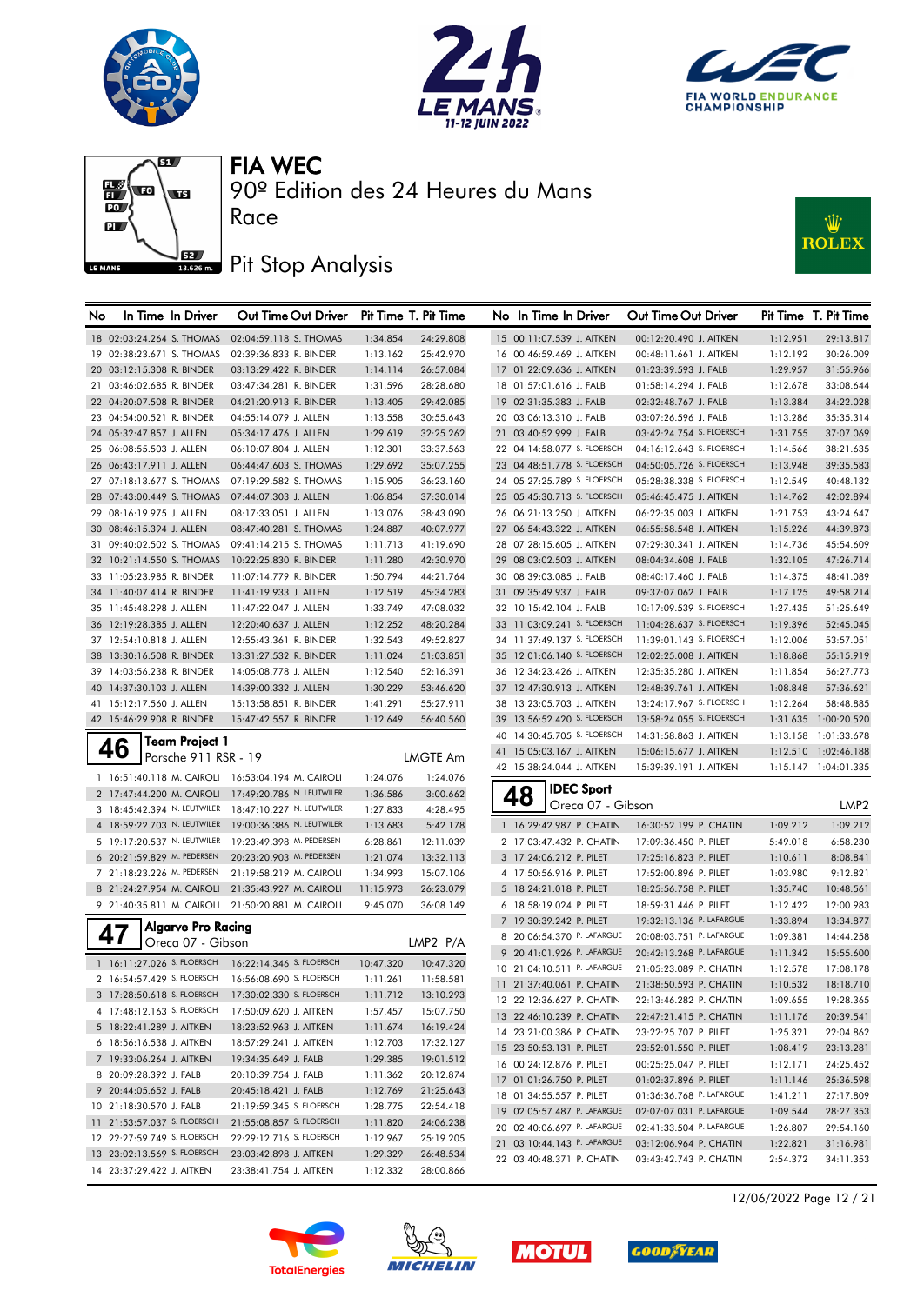







90º Edition des 24 Heures du Mans

# **J**BZ Pit Stop Analysis

Race



| No | In Time In Driver           | Out Time Out Driver                               |           | Pit Time T. Pit Time | No In Time In Driver                                 | Out Time Out Driver                               |                      | Pit Time T. Pit Time   |
|----|-----------------------------|---------------------------------------------------|-----------|----------------------|------------------------------------------------------|---------------------------------------------------|----------------------|------------------------|
|    | 18 02:03:24.264 S. THOMAS   | 02:04:59.118 S. THOMAS                            | 1:34.854  | 24:29.808            | 15 00:11:07.539 J. AITKEN                            | 00:12:20.490 J. AITKEN                            | 1:12.951             | 29:13.817              |
|    | 19 02:38:23.671 S. THOMAS   | 02:39:36.833 R. BINDER                            | 1:13.162  | 25:42.970            | 16 00:46:59.469 J. AITKEN                            | 00:48:11.661 J. AITKEN                            | 1:12.192             | 30:26.009              |
|    | 20 03:12:15.308 R. BINDER   | 03:13:29.422 R. BINDER                            | 1:14.114  | 26:57.084            | 17 01:22:09.636 J. AITKEN                            | 01:23:39.593 J. FALB                              | 1:29.957             | 31:55.966              |
|    | 21 03:46:02.685 R. BINDER   | 03:47:34.281 R. BINDER                            | 1:31.596  | 28:28.680            | 18 01:57:01.616 J. FALB                              | 01:58:14.294 J. FALB                              | 1:12.678             | 33:08.644              |
|    | 22 04:20:07.508 R. BINDER   | 04:21:20.913 R. BINDER                            | 1:13.405  | 29:42.085            | 19 02:31:35.383 J. FALB                              | 02:32:48.767 J. FALB                              | 1:13.384             | 34:22.028              |
|    | 23 04:54:00.521 R. BINDER   | 04:55:14.079 J. ALLEN                             | 1:13.558  | 30:55.643            | 20 03:06:13.310 J. FALB                              | 03:07:26.596 J. FALB                              | 1:13.286             | 35:35.314              |
|    | 24 05:32:47.857 J. ALLEN    | 05:34:17.476 J. ALLEN                             | 1:29.619  | 32:25.262            | 21 03:40:52.999 J. FALB                              | 03:42:24.754 S. FLOERSCH                          | 1:31.755             | 37:07.069              |
|    | 25 06:08:55.503 J. ALLEN    | 06:10:07.804 J. ALLEN                             | 1:12.301  | 33:37.563            | 22 04:14:58.077 S. FLOERSCH                          | 04:16:12.643 S. FLOERSCH                          | 1:14.566             | 38:21.635              |
|    | 26 06:43:17.911 J. ALLEN    | 06:44:47.603 S. THOMAS                            | 1:29.692  | 35:07.255            | 23 04:48:51.778 S. FLOERSCH                          | 04:50:05.726 S. FLOERSCH                          | 1:13.948             | 39:35.583              |
|    | 27 07:18:13.677 S. THOMAS   | 07:19:29.582 S. THOMAS                            | 1:15.905  | 36:23.160            | 24 05:27:25.789 S. FLOERSCH                          | 05:28:38.338 S. FLOERSCH                          | 1:12.549             | 40:48.132              |
|    | 28 07:43:00.449 S. THOMAS   | 07:44:07.303 J. ALLEN                             | 1:06.854  | 37:30.014            | 25 05:45:30.713 S. FLOERSCH                          | 05:46:45.475 J. AITKEN                            | 1:14.762             | 42:02.894              |
|    | 29 08:16:19.975 J. ALLEN    | 08:17:33.051 J. ALLEN                             | 1:13.076  | 38:43.090            | 26 06:21:13.250 J. AITKEN                            | 06:22:35.003 J. AITKEN                            | 1:21.753             | 43:24.647              |
|    | 30 08:46:15.394 J. ALLEN    | 08:47:40.281 S. THOMAS                            | 1:24.887  | 40:07.977            | 27 06:54:43.322 J. AITKEN                            | 06:55:58.548 J. AITKEN                            | 1:15.226             | 44:39.873              |
|    | 31 09:40:02.502 S. THOMAS   | 09:41:14.215 S. THOMAS                            | 1:11.713  | 41:19.690            | 28 07:28:15.605 J. AITKEN                            | 07:29:30.341 J. AITKEN                            | 1:14.736             | 45:54.609              |
|    | 32 10:21:14.550 S. THOMAS   | 10:22:25.830 R. BINDER                            | 1:11.280  | 42:30.970            | 29 08:03:02.503 J. AITKEN                            | 08:04:34.608 J. FALB                              | 1:32.105             | 47:26.714              |
|    | 33 11:05:23.985 R. BINDER   | 11:07:14.779 R. BINDER                            | 1:50.794  | 44:21.764            | 30 08:39:03.085 J. FALB                              | 08:40:17.460 J. FALB                              | 1:14.375             | 48:41.089              |
|    | 34 11:40:07.414 R. BINDER   | 11:41:19.933 J. ALLEN                             | 1:12.519  | 45:34.283            | 31 09:35:49.937 J. FALB                              | 09:37:07.062 J. FALB                              | 1:17.125             | 49:58.214              |
|    | 35 11:45:48.298 J. ALLEN    | 11:47:22.047 J. ALLEN                             | 1:33.749  | 47:08.032            | 32 10:15:42.104 J. FALB                              | 10:17:09.539 S. FLOERSCH                          | 1:27.435             | 51:25.649              |
|    | 36 12:19:28.385 J. ALLEN    | 12:20:40.637 J. ALLEN                             | 1:12.252  | 48:20.284            | 33 11:03:09.241 S. FLOERSCH                          | 11:04:28.637 S. FLOERSCH                          | 1:19.396             | 52:45.045              |
|    | 37 12:54:10.818 J. ALLEN    | 12:55:43.361 R. BINDER                            | 1:32.543  | 49:52.827            | 34 11:37:49.137 S. FLOERSCH                          | 11:39:01.143 S. FLOERSCH                          | 1:12.006             | 53:57.051              |
|    | 38 13:30:16.508 R. BINDER   | 13:31:27.532 R. BINDER                            | 1:11.024  | 51:03.851            | 35 12:01:06.140 S. FLOERSCH                          | 12:02:25.008 J. AITKEN                            | 1:18.868             | 55:15.919              |
|    | 39 14:03:56.238 R. BINDER   | 14:05:08.778 J. ALLEN                             | 1:12.540  | 52:16.391            | 36 12:34:23.426 J. AITKEN                            | 12:35:35.280 J. AITKEN                            | 1:11.854             | 56:27.773              |
|    | 40 14:37:30.103 J. ALLEN    | 14:39:00.332 J. ALLEN                             | 1:30.229  | 53:46.620            | 37 12:47:30.913 J. AITKEN                            | 12:48:39.761 J. AITKEN                            | 1:08.848             | 57:36.621              |
|    | 41 15:12:17.560 J. ALLEN    | 15:13:58.851 R. BINDER                            | 1:41.291  | 55:27.911            | 38 13:23:05.703 J. AITKEN                            | 13:24:17.967 S. FLOERSCH                          | 1:12.264             | 58:48.885              |
|    | 42 15:46:29.908 R. BINDER   | 15:47:42.557 R. BINDER                            | 1:12.649  | 56:40.560            | 39 13:56:52.420 S. FLOERSCH                          | 13:58:24.055 S. FLOERSCH                          |                      | 1:31.635 1:00:20.520   |
|    |                             |                                                   |           |                      | 40 14:30:45.705 S. FLOERSCH                          | 14:31:58.863 J. AITKEN                            |                      | 1:13.158 1:01:33.678   |
|    | Team Project 1<br>46        |                                                   |           |                      | 41 15:05:03.167 J. AITKEN                            | 15:06:15.677 J. AITKEN                            |                      | 1:12.510 1:02:46.188   |
|    | Porsche 911 RSR - 19        |                                                   |           | <b>LMGTE Am</b>      | 42 15:38:24.044 J. AITKEN                            | 15:39:39.191 J. AITKEN                            |                      | 1:15.147 1:04:01.335   |
|    |                             | 1 16:51:40.118 M. CAIROLI 16:53:04.194 M. CAIROLI | 1:24.076  | 1:24.076             | <b>IDEC Sport</b>                                    |                                                   |                      |                        |
|    | 2 17:47:44.200 M. CAIROLI   | 17:49:20.786 N. LEUTWILER                         | 1:36.586  | 3:00.662             | 48<br>Oreca 07 - Gibson                              |                                                   |                      | LMP <sub>2</sub>       |
|    | 3 18:45:42.394 N. LEUTWILER | 18:47:10.227 N. LEUTWILER                         | 1:27.833  | 4:28.495             |                                                      |                                                   |                      |                        |
|    | 4 18:59:22.703 N. LEUTWILER | 19:00:36.386 N. LEUTWILER                         | 1:13.683  | 5:42.178             | 1 16:29:42.987 P. CHATIN                             | 16:30:52.199 P. CHATIN                            | 1:09.212             | 1:09.212               |
|    | 5 19:17:20.537 N. LEUTWILER | 19:23:49.398 M. PEDERSEN                          | 6:28.861  | 12:11.039            | 2 17:03:47.432 P. CHATIN                             | 17:09:36.450 P. PILET                             | 5:49.018             | 6:58.230               |
|    | 6 20:21:59.829 M. PEDERSEN  | 20:23:20.903 M. PEDERSEN                          | 1:21.074  | 13:32.113            | 3 17:24:06.212 P. PILET                              | 17:25:16.823 P. PILET                             | 1:10.611             | 8:08.841               |
|    | 7 21:18:23.226 M. PEDERSEN  | 21:19:58.219 M. CAIROLI                           | 1:34.993  | 15:07.106            | 4 17:50:56.916 P. PILET                              | 17:52:00.896 P. PILET                             | 1:03.980             | 9:12.821               |
|    | 8 21:24:27.954 M. CAIROLI   | 21:35:43.927 M. CAIROLI                           | 11:15.973 | 26:23.079            | 5 18:24:21.018 P. PILET                              | 18:25:56.758 P. PILET                             | 1:35.740             | 10:48.561              |
|    | 9 21:40:35.811 M. CAIROLI   | 21:50:20.881 M. CAIROLI                           | 9:45.070  | 36:08.149            | 6 18:58:19.024 P. PILET                              | 18:59:31.446 P. PILET                             | 1:12.422             | 12:00.983              |
|    | <b>Algarve Pro Racing</b>   |                                                   |           |                      | 7 19:30:39.242 P. PILET                              | 19:32:13.136 P. LAFARGUE                          | 1:33.894             | 13:34.877              |
|    | 47<br>Oreca 07 - Gibson     |                                                   |           | LMP2 P/A             | 8 20:06:54.370 P. LAFARGUE                           | 20:08:03.751 P. LAFARGUE                          | 1:09.381             | 14:44.258              |
|    | 1 16:11:27.026 S. FLOERSCH  | 16:22:14.346 S. FLOERSCH                          | 10:47.320 | 10:47.320            | 9 20:41:01.926 P. LAFARGUE                           | 20:42:13.268 P. LAFARGUE                          | 1:11.342             | 15:55.600              |
|    | 2 16:54:57.429 S. FLOERSCH  | 16:56:08.690 S. FLOERSCH                          | 1:11.261  | 11:58.581            | 10 21:04:10.511 P. LAFARGUE                          | 21:05:23.089 P. CHATIN                            | 1:12.578             | 17:08.178              |
|    | 3 17:28:50.618 S. FLOERSCH  | 17:30:02.330 S. FLOERSCH                          | 1:11.712  | 13:10.293            | 11 21:37:40.061 P. CHATIN                            | 21:38:50.593 P. CHATIN                            | 1:10.532             | 18:18.710              |
|    | 4 17:48:12.163 S. FLOERSCH  | 17:50:09.620 J. AITKEN                            | 1:57.457  | 15:07.750            | 12 22:12:36.627 P. CHATIN                            | 22:13:46.282 P. CHATIN                            | 1:09.655             | 19:28.365              |
|    | 5 18:22:41.289 J. AITKEN    | 18:23:52.963 J. AITKEN                            | 1:11.674  | 16:19.424            | 13 22:46:10.239 P. CHATIN                            | 22:47:21.415 P. CHATIN                            | 1:11.176             | 20:39.541              |
|    | 6 18:56:16.538 J. AITKEN    | 18:57:29.241 J. AITKEN                            | 1:12.703  | 17:32.127            | 14 23:21:00.386 P. CHATIN                            | 23:22:25.707 P. PILET                             | 1:25.321             | 22:04.862              |
|    | 7 19:33:06.264 J. AITKEN    | 19:34:35.649 J. FALB                              | 1:29.385  | 19:01.512            | 15 23:50:53.131 P. PILET                             | 23:52:01.550 P. PILET                             | 1:08.419             | 23:13.281              |
|    | 8 20:09:28.392 J. FALB      | 20:10:39.754 J. FALB                              | 1:11.362  | 20:12.874            | 16 00:24:12.876 P. PILET                             | 00:25:25.047 P. PILET                             | 1:12.171             | 24:25.452              |
|    | 9 20:44:05.652 J. FALB      | 20:45:18.421 J. FALB                              | 1:12.769  | 21:25.643            | 17 01:01:26.750 P. PILET<br>18 01:34:55.557 P. PILET | 01:02:37.896 P. PILET<br>01:36:36.768 P. LAFARGUE | 1:11.146<br>1:41.211 | 25:36.598<br>27:17.809 |
|    | 10 21:18:30.570 J. FALB     | 21:19:59.345 S. FLOERSCH                          | 1:28.775  | 22:54.418            | 19 02:05:57.487 P. LAFARGUE                          | 02:07:07.031 P. LAFARGUE                          | 1:09.544             | 28:27.353              |
|    | 11 21:53:57.037 S. FLOERSCH | 21:55:08.857 S. FLOERSCH                          | 1:11.820  | 24:06.238            | 20 02:40:06.697 P. LAFARGUE                          | 02:41:33.504 P. LAFARGUE                          | 1:26.807             | 29:54.160              |
|    | 12 22:27:59.749 S. FLOERSCH | 22:29:12.716 S. FLOERSCH                          | 1:12.967  | 25:19.205            | 21 03:10:44.143 P. LAFARGUE                          | 03:12:06.964 P. CHATIN                            | 1:22.821             | 31:16.981              |
|    | 13 23:02:13.569 S. FLOERSCH | 23:03:42.898 J. AITKEN                            | 1:29.329  | 26:48.534            | 22 03:40:48.371 P. CHATIN                            | 03:43:42.743 P. CHATIN                            | 2:54.372             | 34:11.353              |
|    | 14 23:37:29.422 J. AITKEN   | 23:38:41.754 J. AITKEN                            | 1:12.332  | 28:00.866            |                                                      |                                                   |                      |                        |









12/06/2022 Page 12 / 21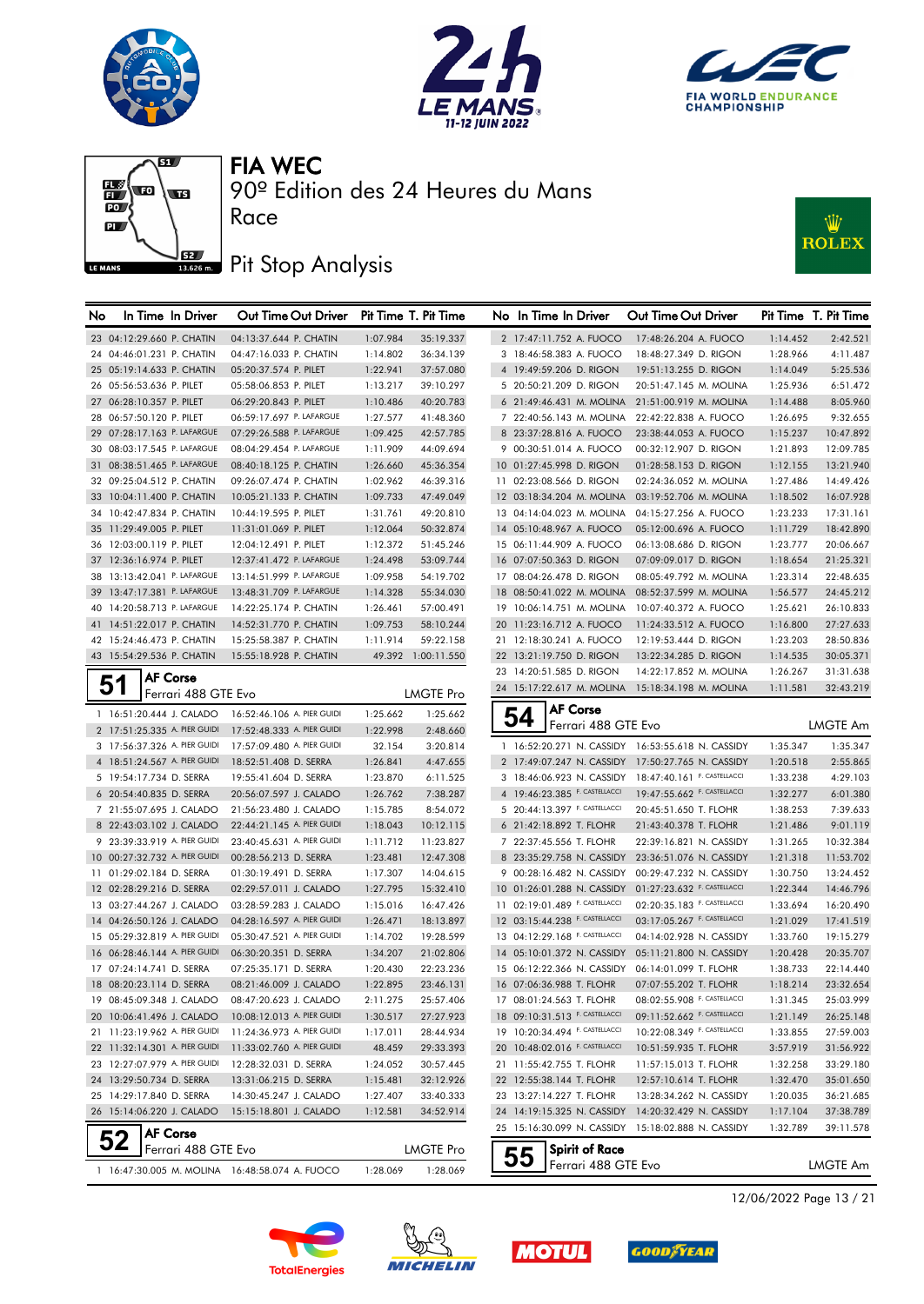







# **J**BZ Pit Stop Analysis

Race



| No | In Time In Driver             | Out Time Out Driver                            |          | Pit Time T. Pit Time | No In Time In Driver           | Out Time Out Driver                                   |          | Pit Time T. Pit Time |
|----|-------------------------------|------------------------------------------------|----------|----------------------|--------------------------------|-------------------------------------------------------|----------|----------------------|
|    | 23 04:12:29.660 P. CHATIN     | 04:13:37.644 P. CHATIN                         | 1:07.984 | 35:19.337            | 2 17:47:11.752 A. FUOCO        | 17:48:26.204 A. FUOCO                                 | 1:14.452 | 2:42.521             |
|    | 24 04:46:01.231 P. CHATIN     | 04:47:16.033 P. CHATIN                         | 1:14.802 | 36:34.139            | 3 18:46:58.383 A. FUOCO        | 18:48:27.349 D. RIGON                                 | 1:28.966 | 4:11.487             |
|    | 25 05:19:14.633 P. CHATIN     | 05:20:37.574 P. PILET                          | 1:22.941 | 37:57.080            | 4 19:49:59.206 D. RIGON        | 19:51:13.255 D. RIGON                                 | 1:14.049 | 5:25.536             |
|    | 26 05:56:53.636 P. PILET      | 05:58:06.853 P. PILET                          | 1:13.217 | 39:10.297            | 5 20:50:21.209 D. RIGON        | 20:51:47.145 M. MOLINA                                | 1:25.936 | 6:51.472             |
|    | 27 06:28:10.357 P. PILET      | 06:29:20.843 P. PILET                          | 1:10.486 | 40:20.783            |                                | 6 21:49:46.431 M. MOLINA 21:51:00.919 M. MOLINA       | 1:14.488 | 8:05.960             |
|    | 28 06:57:50.120 P. PILET      | 06:59:17.697 P. LAFARGUE                       | 1:27.577 | 41:48.360            | 7 22:40:56.143 M. MOLINA       | 22:42:22.838 A. FUOCO                                 | 1:26.695 | 9:32.655             |
|    | 29 07:28:17.163 P. LAFARGUE   | 07:29:26.588 P. LAFARGUE                       | 1:09.425 | 42:57.785            | 8 23:37:28.816 A. FUOCO        | 23:38:44.053 A. FUOCO                                 | 1:15.237 | 10:47.892            |
|    | 30 08:03:17.545 P. LAFARGUE   | 08:04:29.454 P. LAFARGUE                       | 1:11.909 | 44:09.694            | 9 00:30:51.014 A. FUOCO        | 00:32:12.907 D. RIGON                                 | 1:21.893 | 12:09.785            |
|    | 31 08:38:51.465 P. LAFARGUE   | 08:40:18.125 P. CHATIN                         | 1:26.660 | 45:36.354            | 10 01:27:45.998 D. RIGON       | 01:28:58.153 D. RIGON                                 | 1:12.155 | 13:21.940            |
|    | 32 09:25:04.512 P. CHATIN     | 09:26:07.474 P. CHATIN                         | 1:02.962 | 46:39.316            | 11 02:23:08.566 D. RIGON       | 02:24:36.052 M. MOLINA                                | 1:27.486 | 14:49.426            |
|    | 33 10:04:11.400 P. CHATIN     | 10:05:21.133 P. CHATIN                         | 1:09.733 | 47:49.049            | 12 03:18:34.204 M. MOLINA      | 03:19:52.706 M. MOLINA                                | 1:18.502 | 16:07.928            |
|    | 34 10:42:47.834 P. CHATIN     | 10:44:19.595 P. PILET                          | 1:31.761 | 49:20.810            | 13 04:14:04.023 M. MOLINA      | 04:15:27.256 A. FUOCO                                 | 1:23.233 | 17:31.161            |
|    | 35 11:29:49.005 P. PILET      | 11:31:01.069 P. PILET                          | 1:12.064 | 50:32.874            | 14 05:10:48.967 A. FUOCO       | 05:12:00.696 A. FUOCO                                 | 1:11.729 | 18:42.890            |
|    | 36 12:03:00.119 P. PILET      | 12:04:12.491 P. PILET                          | 1:12.372 | 51:45.246            | 15 06:11:44.909 A. FUOCO       | 06:13:08.686 D. RIGON                                 | 1:23.777 | 20:06.667            |
|    | 37 12:36:16.974 P. PILET      | 12:37:41.472 P. LAFARGUE                       | 1:24.498 | 53:09.744            | 16 07:07:50.363 D. RIGON       | 07:09:09.017 D. RIGON                                 | 1:18.654 | 21:25.321            |
|    | 38 13:13:42.041 P. LAFARGUE   | 13:14:51.999 P. LAFARGUE                       | 1:09.958 | 54:19.702            | 17 08:04:26.478 D. RIGON       | 08:05:49.792 M. MOLINA                                | 1:23.314 | 22:48.635            |
|    | 39 13:47:17.381 P. LAFARGUE   | 13:48:31.709 P. LAFARGUE                       | 1:14.328 | 55:34.030            | 18 08:50:41.022 M. MOLINA      | 08:52:37.599 M. MOLINA                                | 1:56.577 | 24:45.212            |
|    | 40 14:20:58.713 P. LAFARGUE   | 14:22:25.174 P. CHATIN                         | 1:26.461 | 57:00.491            |                                | 19 10:06:14.751 M. MOLINA 10:07:40.372 A. FUOCO       | 1:25.621 | 26:10.833            |
|    | 41 14:51:22.017 P. CHATIN     | 14:52:31.770 P. CHATIN                         | 1:09.753 | 58:10.244            | 20 11:23:16.712 A. FUOCO       | 11:24:33.512 A. FUOCO                                 | 1:16.800 | 27:27.633            |
|    | 42 15:24:46.473 P. CHATIN     | 15:25:58.387 P. CHATIN                         | 1:11.914 | 59:22.158            | 21 12:18:30.241 A. FUOCO       | 12:19:53.444 D. RIGON                                 | 1:23.203 | 28:50.836            |
|    | 43 15:54:29.536 P. CHATIN     | 15:55:18.928 P. CHATIN                         |          | 49.392 1:00:11.550   | 22 13:21:19.750 D. RIGON       | 13:22:34.285 D. RIGON                                 | 1:14.535 | 30:05.371            |
|    | <b>AF Corse</b>               |                                                |          |                      | 23 14:20:51.585 D. RIGON       | 14:22:17.852 M. MOLINA                                | 1:26.267 | 31:31.638            |
|    | 51<br>Ferrari 488 GTE Evo     |                                                |          | LMGTE Pro            |                                | 24 15:17:22.617 M. MOLINA 15:18:34.198 M. MOLINA      | 1:11.581 | 32:43.219            |
|    | 1 16:51:20.444 J. CALADO      | 16:52:46.106 A. PIER GUIDI                     | 1:25.662 | 1:25.662             | <b>AF Corse</b><br>54          |                                                       |          |                      |
|    | 2 17:51:25.335 A. PIER GUIDI  | 17:52:48.333 A. PIER GUIDI                     | 1:22.998 | 2:48.660             | Ferrari 488 GTE Evo            |                                                       |          | LMGTE Am             |
|    | 3 17:56:37.326 A. PIER GUIDI  | 17:57:09.480 A. PIER GUIDI                     | 32.154   | 3:20.814             |                                | 1 16:52:20.271 N. CASSIDY 16:53:55.618 N. CASSIDY     | 1:35.347 | 1:35.347             |
|    | 4 18:51:24.567 A. PIER GUIDI  | 18:52:51.408 D. SERRA                          | 1:26.841 | 4:47.655             |                                | 2 17:49:07.247 N. CASSIDY 17:50:27.765 N. CASSIDY     | 1:20.518 | 2:55.865             |
|    | 5 19:54:17.734 D. SERRA       | 19:55:41.604 D. SERRA                          | 1:23.870 | 6:11.525             |                                | 3 18:46:06.923 N. CASSIDY 18:47:40.161 F. CASTELLACCI | 1:33.238 | 4:29.103             |
|    | 6 20:54:40.835 D. SERRA       | 20:56:07.597 J. CALADO                         | 1:26.762 | 7:38.287             | 4 19:46:23.385 F. CASTELLACCI  | 19:47:55.662 F. CASTELLACCI                           | 1:32.277 | 6:01.380             |
|    | 7 21:55:07.695 J. CALADO      | 21:56:23.480 J. CALADO                         | 1:15.785 | 8:54.072             | 5 20:44:13.397 F. CASTELLACCI  | 20:45:51.650 T. FLOHR                                 | 1:38.253 | 7:39.633             |
|    | 8 22:43:03.102 J. CALADO      | 22:44:21.145 A. PIER GUIDI                     | 1:18.043 | 10:12.115            | 6 21:42:18.892 T. FLOHR        | 21:43:40.378 T. FLOHR                                 | 1:21.486 | 9:01.119             |
|    | 9 23:39:33.919 A. PIER GUIDI  | 23:40:45.631 A. PIER GUIDI                     | 1:11.712 | 11:23.827            | 7 22:37:45.556 T. FLOHR        | 22:39:16.821 N. CASSIDY                               | 1:31.265 | 10:32.384            |
|    | 10 00:27:32.732 A. PIER GUIDI | 00:28:56.213 D. SERRA                          | 1:23.481 | 12:47.308            | 8 23:35:29.758 N. CASSIDY      | 23:36:51.076 N. CASSIDY                               | 1:21.318 | 11:53.702            |
|    | 11 01:29:02.184 D. SERRA      | 01:30:19.491 D. SERRA                          | 1:17.307 | 14:04.615            | 9 00:28:16.482 N. CASSIDY      | 00:29:47.232 N. CASSIDY                               | 1:30.750 | 13:24.452            |
|    | 12 02:28:29.216 D. SERRA      | 02:29:57.011 J. CALADO                         | 1:27.795 | 15:32.410            | 10 01:26:01.288 N. CASSIDY     | 01:27:23.632 F. CASTELLACCI                           | 1:22.344 | 14:46.796            |
|    | 13 03:27:44.267 J. CALADO     | 03:28:59.283 J. CALADO                         | 1:15.016 | 16:47.426            | 11 02:19:01.489 F. CASTELLACCI | 02:20:35.183 F. CASTELLACCI                           | 1:33.694 | 16:20.490            |
|    | 14 04:26:50.126 J. CALADO     | 04:28:16.597 A. PIER GUIDI                     | 1:26.471 | 18:13.897            | 12 03:15:44.238 F. CASTELLACCI | 03:17:05.267 F. CASTELLACCI                           | 1:21.029 | 17:41.519            |
|    | 15 05:29:32.819 A. PIER GUIDI | 05:30:47.521 A. PIER GUIDI                     | 1:14.702 | 19:28.599            | 13 04:12:29.168 F. CASTELLACCI | 04:14:02.928 N. CASSIDY                               | 1:33.760 | 19:15.279            |
|    | 16 06:28:46.144 A. PIER GUIDI | 06:30:20.351 D. SERRA                          | 1:34.207 | 21:02.806            | 14 05:10:01.372 N. CASSIDY     | 05:11:21.800 N. CASSIDY                               | 1:20.428 | 20:35.707            |
|    | 17 07:24:14.741 D. SERRA      | 07:25:35.171 D. SERRA                          | 1:20.430 | 22:23.236            | 15 06:12:22.366 N. CASSIDY     | 06:14:01.099 T. FLOHR                                 | 1:38.733 | 22:14.440            |
|    | 18 08:20:23.114 D. SERRA      | 08:21:46.009 J. CALADO                         | 1:22.895 | 23:46.131            | 16 07:06:36.988 T. FLOHR       | 07:07:55.202 T. FLOHR                                 | 1:18.214 | 23:32.654            |
|    | 19 08:45:09.348 J. CALADO     | 08:47:20.623 J. CALADO                         | 2:11.275 | 25:57.406            | 17 08:01:24.563 T. FLOHR       | 08:02:55.908 F. CASTELLACCI                           | 1:31.345 | 25:03.999            |
|    | 20 10:06:41.496 J. CALADO     | 10:08:12.013 A. PIER GUIDI                     | 1:30.517 | 27:27.923            | 18 09:10:31.513 F. CASTELLACCI | 09:11:52.662 F. CASTELLACCI                           | 1:21.149 | 26:25.148            |
|    | 21 11:23:19.962 A. PIER GUIDI | 11:24:36.973 A. PIER GUIDI                     | 1:17.011 | 28:44.934            | 19 10:20:34.494 F. CASTELLACCI | 10:22:08.349 F. CASTELLACCI                           | 1:33.855 | 27:59.003            |
|    | 22 11:32:14.301 A. PIER GUIDI | 11:33:02.760 A. PIER GUIDI                     | 48.459   | 29:33.393            | 20 10:48:02.016 F. CASTELLACCI | 10:51:59.935 T. FLOHR                                 | 3:57.919 | 31:56.922            |
|    | 23 12:27:07.979 A. PIER GUIDI | 12:28:32.031 D. SERRA                          | 1:24.052 | 30:57.445            | 21 11:55:42.755 T. FLOHR       | 11:57:15.013 T. FLOHR                                 | 1:32.258 | 33:29.180            |
|    | 24 13:29:50.734 D. SERRA      | 13:31:06.215 D. SERRA                          | 1:15.481 | 32:12.926            | 22 12:55:38.144 T. FLOHR       | 12:57:10.614 T. FLOHR                                 | 1:32.470 | 35:01.650            |
|    | 25 14:29:17.840 D. SERRA      | 14:30:45.247 J. CALADO                         | 1:27.407 | 33:40.333            | 23 13:27:14.227 T. FLOHR       | 13:28:34.262 N. CASSIDY                               | 1:20.035 | 36:21.685            |
|    | 26 15:14:06.220 J. CALADO     | 15:15:18.801 J. CALADO                         | 1:12.581 | 34:52.914            | 24 14:19:15.325 N. CASSIDY     | 14:20:32.429 N. CASSIDY                               | 1:17.104 | 37:38.789            |
|    | <b>AF Corse</b>               |                                                |          |                      |                                | 25 15:16:30.099 N. CASSIDY 15:18:02.888 N. CASSIDY    | 1:32.789 | 39:11.578            |
|    | Ferrari 488 GTE Evo           |                                                |          | LMGTE Pro            | <b>Spirit of Race</b><br>55    |                                                       |          |                      |
|    |                               | 1 16:47:30.005 M. MOLINA 16:48:58.074 A. FUOCO | 1:28.069 | 1:28.069             | Ferrari 488 GTE Evo            |                                                       |          | LMGTE Am             |







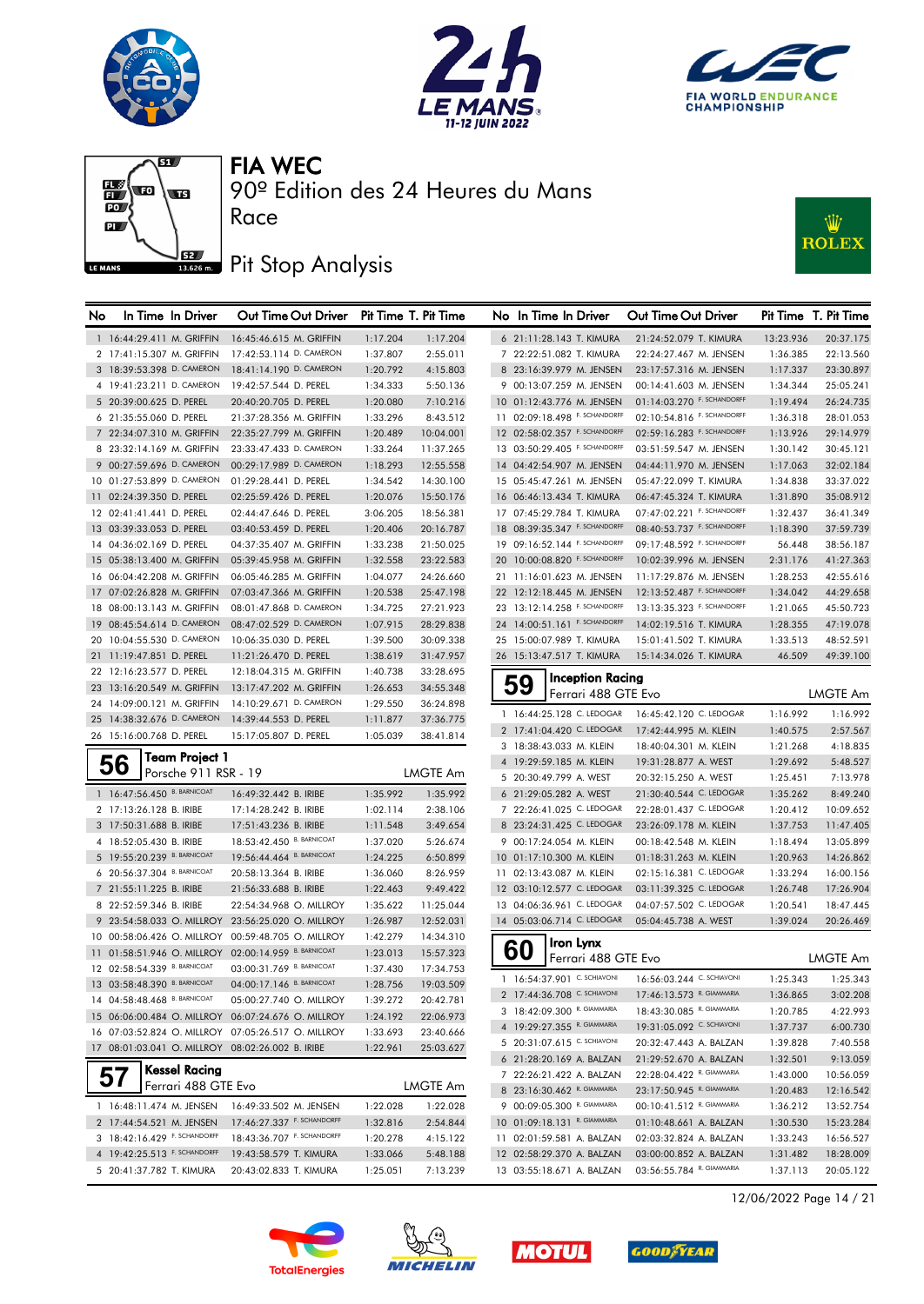







## Pit Stop Analysis

Race



| No | In Time In Driver                                      | Out Time Out Driver                                |                      | Pit Time T. Pit Time   | No In Time In Driver          |                         | Out Time Out Driver        |           | Pit Time T. Pit Time |
|----|--------------------------------------------------------|----------------------------------------------------|----------------------|------------------------|-------------------------------|-------------------------|----------------------------|-----------|----------------------|
|    | 1 16:44:29.411 M. GRIFFIN                              | 16:45:46.615 M. GRIFFIN                            | 1:17.204             | 1:17.204               | 6 21:11:28.143 T. KIMURA      |                         | 21:24:52.079 T. KIMURA     | 13:23.936 | 20:37.175            |
|    | 2 17:41:15.307 M. GRIFFIN                              | 17:42:53.114 D. CAMERON                            | 1:37.807             | 2:55.011               | 7 22:22:51.082 T. KIMURA      |                         | 22:24:27.467 M. JENSEN     | 1:36.385  | 22:13.560            |
|    | 3 18:39:53.398 D. CAMERON                              | 18:41:14.190 D. CAMERON                            | 1:20.792             | 4:15.803               | 8 23:16:39.979 M. JENSEN      |                         | 23:17:57.316 M. JENSEN     | 1:17.337  | 23:30.897            |
|    | 4 19:41:23.211 D. CAMERON                              | 19:42:57.544 D. PEREL                              | 1:34.333             | 5:50.136               | 9 00:13:07.259 M. JENSEN      |                         | 00:14:41.603 M. JENSEN     | 1:34.344  | 25:05.241            |
|    | 5 20:39:00.625 D. PEREL                                | 20:40:20.705 D. PEREL                              | 1:20.080             | 7:10.216               | 10 01:12:43.776 M. JENSEN     |                         | 01:14:03.270 F. SCHANDORFF | 1:19.494  | 26:24.735            |
|    | 6 21:35:55.060 D. PEREL                                | 21:37:28.356 M. GRIFFIN                            | 1:33.296             | 8:43.512               | 11 02:09:18.498 F. SCHANDORFF |                         | 02:10:54.816 F. SCHANDORFF | 1:36.318  | 28:01.053            |
|    | 7 22:34:07.310 M. GRIFFIN                              | 22:35:27.799 M. GRIFFIN                            | 1:20.489             | 10:04.001              | 12 02:58:02.357 F. SCHANDORFF |                         | 02:59:16.283 F. SCHANDORFF | 1:13.926  | 29:14.979            |
|    | 8 23:32:14.169 M. GRIFFIN                              | 23:33:47.433 D. CAMERON                            | 1:33.264             | 11:37.265              | 13 03:50:29.405 F. SCHANDORFF |                         | 03:51:59.547 M. JENSEN     | 1:30.142  | 30:45.121            |
|    | 9 00:27:59.696 D. CAMERON                              | 00:29:17.989 D. CAMERON                            | 1:18.293             | 12:55.558              | 14 04:42:54.907 M. JENSEN     |                         | 04:44:11.970 M. JENSEN     | 1:17.063  | 32:02.184            |
|    | 10 01:27:53.899 D. CAMERON                             | 01:29:28.441 D. PEREL                              | 1:34.542             | 14:30.100              | 15 05:45:47.261 M. JENSEN     |                         | 05:47:22.099 T. KIMURA     | 1:34.838  | 33:37.022            |
|    | 11 02:24:39.350 D. PEREL                               | 02:25:59.426 D. PEREL                              | 1:20.076             | 15:50.176              | 16 06:46:13.434 T. KIMURA     |                         | 06:47:45.324 T. KIMURA     | 1:31.890  | 35:08.912            |
|    | 12 02:41:41.441 D. PEREL                               | 02:44:47.646 D. PEREL                              | 3:06.205             | 18:56.381              | 17 07:45:29.784 T. KIMURA     |                         | 07:47:02.221 F. SCHANDORFF | 1:32.437  | 36:41.349            |
|    | 13 03:39:33.053 D. PEREL                               | 03:40:53.459 D. PEREL                              | 1:20.406             | 20:16.787              | 18 08:39:35.347 F. SCHANDORFF |                         | 08:40:53.737 F. SCHANDORFF | 1:18.390  | 37:59.739            |
|    | 14 04:36:02.169 D. PEREL                               | 04:37:35.407 M. GRIFFIN                            | 1:33.238             | 21:50.025              | 19 09:16:52.144 F. SCHANDORFF |                         | 09:17:48.592 F. SCHANDORFF | 56.448    | 38:56.187            |
|    | 15 05:38:13.400 M. GRIFFIN                             | 05:39:45.958 M. GRIFFIN                            | 1:32.558             | 23:22.583              | 20 10:00:08.820 F. SCHANDORFF |                         | 10:02:39.996 M. JENSEN     | 2:31.176  | 41:27.363            |
|    | 16 06:04:42.208 M. GRIFFIN                             | 06:05:46.285 M. GRIFFIN                            | 1:04.077             | 24:26.660              | 21 11:16:01.623 M. JENSEN     |                         | 11:17:29.876 M. JENSEN     | 1:28.253  | 42:55.616            |
|    | 17 07:02:26.828 M. GRIFFIN                             | 07:03:47.366 M. GRIFFIN                            | 1:20.538             | 25:47.198              | 22 12:12:18.445 M. JENSEN     |                         | 12:13:52.487 F. SCHANDORFF | 1:34.042  | 44:29.658            |
|    | 18 08:00:13.143 M. GRIFFIN                             | 08:01:47.868 D. CAMERON                            | 1:34.725             | 27:21.923              | 23 13:12:14.258 F. SCHANDORFF |                         | 13:13:35.323 F. SCHANDORFF | 1:21.065  | 45:50.723            |
|    | 19 08:45:54.614 D. CAMERON                             | 08:47:02.529 D. CAMERON                            | 1:07.915             | 28:29.838              | 24 14:00:51.161 F. SCHANDORFF |                         | 14:02:19.516 T. KIMURA     | 1:28.355  | 47:19.078            |
|    | 20 10:04:55.530 D. CAMERON                             | 10:06:35.030 D. PEREL                              | 1:39.500             | 30:09.338              | 25 15:00:07.989 T. KIMURA     |                         | 15:01:41.502 T. KIMURA     | 1:33.513  | 48:52.591            |
|    | 21 11:19:47.851 D. PEREL                               | 11:21:26.470 D. PEREL                              | 1:38.619             | 31:47.957              | 26 15:13:47.517 T. KIMURA     |                         | 15:14:34.026 T. KIMURA     | 46.509    | 49:39.100            |
|    | 22 12:16:23.577 D. PEREL                               | 12:18:04.315 M. GRIFFIN                            | 1:40.738             | 33:28.695              | 59                            | <b>Inception Racing</b> |                            |           |                      |
|    | 23 13:16:20.549 M. GRIFFIN                             | 13:17:47.202 M. GRIFFIN                            | 1:26.653             | 34:55.348              |                               | Ferrari 488 GTE Evo     |                            |           | <b>LMGTE Am</b>      |
|    | 24 14:09:00.121 M. GRIFFIN                             | 14:10:29.671 D. CAMERON                            | 1:29.550             | 36:24.898              | 1 16:44:25.128 C. LEDOGAR     |                         | 16:45:42.120 C. LEDOGAR    | 1:16.992  | 1:16.992             |
|    | 25 14:38:32.676 D. CAMERON<br>26 15:16:00.768 D. PEREL | 14:39:44.553 D. PEREL<br>15:17:05.807 D. PEREL     | 1:11.877<br>1:05.039 | 37:36.775<br>38:41.814 | 2 17:41:04.420 C. LEDOGAR     |                         | 17:42:44.995 M. KLEIN      | 1:40.575  | 2:57.567             |
|    |                                                        |                                                    |                      |                        | 3 18:38:43.033 M. KLEIN       |                         | 18:40:04.301 M. KLEIN      | 1:21.268  | 4:18.835             |
|    | <b>Team Project 1</b><br>56                            |                                                    |                      |                        | 4 19:29:59.185 M. KLEIN       |                         | 19:31:28.877 A. WEST       | 1:29.692  | 5:48.527             |
|    | Porsche 911 RSR - 19                                   |                                                    |                      | <b>LMGTE Am</b>        | 5 20:30:49.799 A. WEST        |                         | 20:32:15.250 A. WEST       | 1:25.451  | 7:13.978             |
|    | 1 16:47:56.450 B. BARNICOAT                            | 16:49:32.442 B. IRIBE                              | 1:35.992             | 1:35.992               | 6 21:29:05.282 A. WEST        |                         | 21:30:40.544 C. LEDOGAR    | 1:35.262  | 8:49.240             |
|    | 2 17:13:26.128 B. IRIBE                                | 17:14:28.242 B. IRIBE                              | 1:02.114             | 2:38.106               | 7 22:26:41.025 C. LEDOGAR     |                         | 22:28:01.437 C. LEDOGAR    | 1:20.412  | 10:09.652            |
|    | 3 17:50:31.688 B. IRIBE                                | 17:51:43.236 B. IRIBE                              | 1:11.548             | 3:49.654               | 8 23:24:31.425 C. LEDOGAR     |                         | 23:26:09.178 M. KLEIN      | 1:37.753  | 11:47.405            |
|    | 4 18:52:05.430 B. IRIBE                                | 18:53:42.450 B. BARNICOAT                          | 1:37.020             | 5:26.674               | 9 00:17:24.054 M. KLEIN       |                         | 00:18:42.548 M. KLEIN      | 1:18.494  | 13:05.899            |
|    | 5 19:55:20.239 B. BARNICOAT                            | 19:56:44.464 B. BARNICOAT                          | 1:24.225             | 6:50.899               | 10 01:17:10.300 M. KLEIN      |                         | 01:18:31.263 M. KLEIN      | 1:20.963  | 14:26.862            |
|    | 6 20:56:37.304 B. BARNICOAT                            | 20:58:13.364 B. IRIBE                              | 1:36.060             | 8:26.959               | 11 02:13:43.087 M. KLEIN      |                         | 02:15:16.381 C. LEDOGAR    | 1:33.294  | 16:00.156            |
|    | 7 21:55:11.225 B. IRIBE                                | 21:56:33.688 B. IRIBE                              | 1:22.463             | 9:49.422               | 12 03:10:12.577 C. LEDOGAR    |                         | 03:11:39.325 C. LEDOGAR    | 1:26.748  | 17:26.904            |
|    | 8 22:52:59.346 B. IRIBE                                | 22:54:34.968 O. MILLROY                            | 1:35.622             | 11:25.044              | 13 04:06:36.961 C. LEDOGAR    |                         | 04:07:57.502 C. LEDOGAR    | 1:20.541  | 18:47.445            |
|    |                                                        | 9 23:54:58.033 O. MILLROY 23:56:25.020 O. MILLROY  | 1:26.987             | 12:52.031              | 14 05:03:06.714 C. LEDOGAR    |                         | 05:04:45.738 A. WEST       | 1:39.024  | 20:26.469            |
|    |                                                        | 10 00:58:06.426 O. MILLROY 00:59:48.705 O. MILLROY | 1:42.279             | 14:34.310              | Iron Lynx                     |                         |                            |           |                      |
|    | 11 01:58:51.946 O. MILLROY 02:00:14.959 B. BARNICOAT   |                                                    | 1:23.013             | 15:57.323              | 60                            | Ferrari 488 GTE Evo     |                            |           | LMGTE Am             |
|    | 12 02:58:54.339 B. BARNICOAT                           | 03:00:31.769 B. BARNICOAT                          | 1:37.430             | 17:34.753              | 1 16:54:37.901 C. SCHIAVONI   |                         | 16:56:03.244 C. SCHIAVONI  | 1:25.343  | 1:25.343             |
|    | 13 03:58:48.390 B. BARNICOAT                           | 04:00:17.146 B. BARNICOAT                          | 1:28.756             | 19:03.509              | 2 17:44:36.708 C. SCHIAVONI   |                         | 17:46:13.573 R. GIAMMARIA  | 1:36.865  | 3:02.208             |
|    | 14 04:58:48.468 B. BARNICOAT                           | 05:00:27.740 O. MILLROY                            | 1:39.272             | 20:42.781              | 3 18:42:09.300 R. GIAMMARIA   |                         | 18:43:30.085 R. GIAMMARIA  | 1:20.785  | 4:22.993             |
|    |                                                        | 15 06:06:00.484 O. MILLROY 06:07:24.676 O. MILLROY | 1:24.192             | 22:06.973              | 4 19:29:27.355 R. GIAMMARIA   |                         | 19:31:05.092 C. SCHIAVONI  | 1:37.737  | 6:00.730             |
|    |                                                        | 16 07:03:52.824 O. MILLROY 07:05:26.517 O. MILLROY | 1:33.693             | 23:40.666              | 5 20:31:07.615 C. SCHIAVONI   |                         | 20:32:47.443 A. BALZAN     | 1:39.828  | 7:40.558             |
|    | 17 08:01:03.041 O. MILLROY 08:02:26.002 B. IRIBE       |                                                    | 1:22.961             | 25:03.627              | 6 21:28:20.169 A. BALZAN      |                         | 21:29:52.670 A. BALZAN     | 1:32.501  | 9:13.059             |
|    | <b>Kessel Racing</b><br>57                             |                                                    |                      |                        | 7 22:26:21.422 A. BALZAN      |                         | 22:28:04.422 R. GIAMMARIA  | 1:43.000  | 10:56.059            |
|    | Ferrari 488 GTE Evo                                    |                                                    |                      | LMGTE Am               | 8 23:16:30.462 R. GIAMMARIA   |                         | 23:17:50.945 R. GIAMMARIA  | 1:20.483  | 12:16.542            |
|    | 1 16:48:11.474 M. JENSEN                               | 16:49:33.502 M. JENSEN                             | 1:22.028             | 1:22.028               | 9 00:09:05.300 R. GIAMMARIA   |                         | 00:10:41.512 R. GIAMMARIA  | 1:36.212  | 13:52.754            |
|    | 2 17:44:54.521 M. JENSEN                               | 17:46:27.337 F. SCHANDORFF                         | 1:32.816             | 2:54.844               | 10 01:09:18.131 R. GIAMMARIA  |                         | 01:10:48.661 A. BALZAN     | 1:30.530  | 15:23.284            |
|    | 3 18:42:16.429 F. SCHANDORFF                           | 18:43:36.707 F. SCHANDORFF                         | 1:20.278             | 4:15.122               | 11 02:01:59.581 A. BALZAN     |                         | 02:03:32.824 A. BALZAN     | 1:33.243  | 16:56.527            |
|    | 4 19:42:25.513 F. SCHANDORFF                           | 19:43:58.579 T. KIMURA                             | 1:33.066             | 5:48.188               | 12 02:58:29.370 A. BALZAN     |                         | 03:00:00.852 A. BALZAN     | 1:31.482  | 18:28.009            |
|    | 5 20:41:37.782 T. KIMURA                               | 20:43:02.833 T. KIMURA                             | 1:25.051             | 7:13.239               | 13 03:55:18.671 A. BALZAN     |                         | 03:56:55.784 R. GIAMMARIA  | 1:37.113  | 20:05.122            |









12/06/2022 Page 14 / 21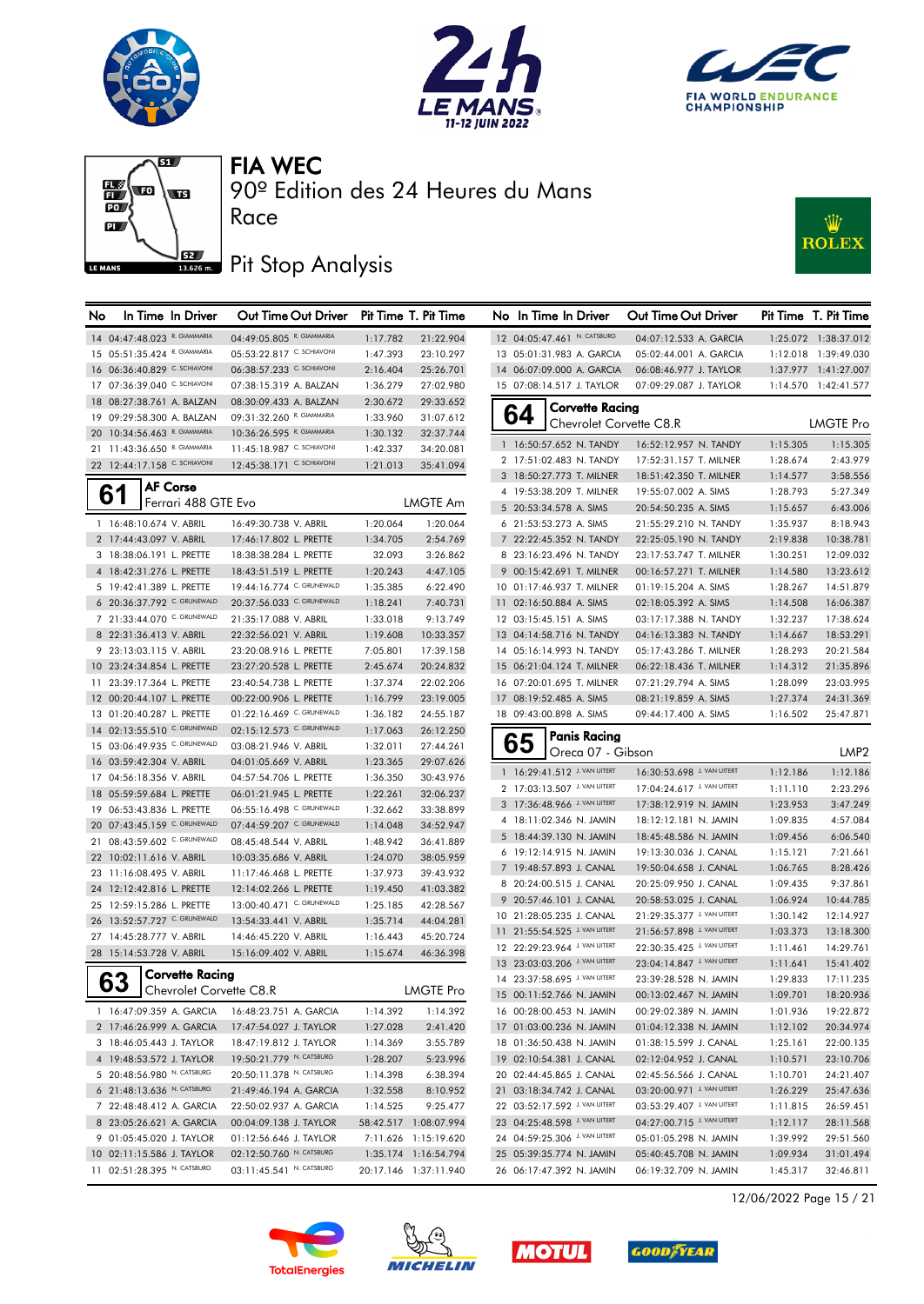







#### Pit Stop Analysis

Race



| No |                                                              | In Time In Driver       | Out Time Out Driver                            |                      | Pit Time T. Pit Time   | No In Time In Driver                                   | Out Time Out Driver                              |                      | Pit Time T. Pit Time |
|----|--------------------------------------------------------------|-------------------------|------------------------------------------------|----------------------|------------------------|--------------------------------------------------------|--------------------------------------------------|----------------------|----------------------|
|    | 14 04:47:48.023 R. GIAMMARIA                                 |                         | 04:49:05.805 R. GIAMMARIA                      | 1:17.782             | 21:22.904              | 12 04:05:47.461 N. CATSBURG                            | 04:07:12.533 A. GARCIA                           |                      | 1:25.072 1:38:37.012 |
|    | 15 05:51:35.424 R. GIAMMARIA                                 |                         | 05:53:22.817 C. SCHIAVONI                      | 1:47.393             | 23:10.297              | 13 05:01:31.983 A. GARCIA                              | 05:02:44.001 A. GARCIA                           |                      | 1:12.018 1:39:49.030 |
|    | 16 06:36:40.829 C. SCHIAVONI                                 |                         | 06:38:57.233 C. SCHIAVONI                      | 2:16.404             | 25:26.701              | 14 06:07:09.000 A. GARCIA                              | 06:08:46.977 J. TAYLOR                           |                      | 1:37.977 1:41:27.007 |
|    | 17 07:36:39.040 C. SCHIAVONI                                 |                         | 07:38:15.319 A. BALZAN                         | 1:36.279             | 27:02.980              | 15 07:08:14.517 J. TAYLOR                              | 07:09:29.087 J. TAYLOR                           |                      | 1:14.570 1:42:41.577 |
|    | 18 08:27:38.761 A. BALZAN                                    |                         | 08:30:09.433 A. BALZAN                         | 2:30.672             | 29:33.652              | <b>Corvette Racing</b>                                 |                                                  |                      |                      |
|    | 19 09:29:58.300 A. BALZAN                                    |                         | 09:31:32.260 R. GIAMMARIA                      | 1:33.960             | 31:07.612              | 64<br>Chevrolet Corvette C8.R                          |                                                  |                      | LMGTE Pro            |
|    | 20 10:34:56.463 R. GIAMMARIA                                 |                         | 10:36:26.595 R. GIAMMARIA                      | 1:30.132             | 32:37.744              |                                                        |                                                  |                      |                      |
|    | 21 11:43:36.650 R. GIAMMARIA                                 |                         | 11:45:18.987 C. SCHIAVONI                      | 1:42.337             | 34:20.081              | 1 16:50:57.652 N. TANDY                                | 16:52:12.957 N. TANDY                            | 1:15.305             | 1:15.305             |
|    | 22 12:44:17.158 C. SCHIAVONI                                 |                         | 12:45:38.171 C. SCHIAVONI                      | 1:21.013             | 35:41.094              | 2 17:51:02.483 N. TANDY<br>3 18:50:27.773 T. MILNER    | 17:52:31.157 T. MILNER<br>18:51:42.350 T. MILNER | 1:28.674<br>1:14.577 | 2:43.979<br>3:58.556 |
|    |                                                              | <b>AF Corse</b>         |                                                |                      |                        | 4 19:53:38.209 T. MILNER                               | 19:55:07.002 A. SIMS                             | 1:28.793             | 5:27.349             |
|    | 61                                                           | Ferrari 488 GTE Evo     |                                                |                      | LMGTE Am               | 5 20:53:34.578 A. SIMS                                 | 20:54:50.235 A. SIMS                             | 1:15.657             | 6:43.006             |
|    | 1 16:48:10.674 V. ABRIL                                      |                         | 16:49:30.738 V. ABRIL                          | 1:20.064             | 1:20.064               | 6 21:53:53.273 A. SIMS                                 | 21:55:29.210 N. TANDY                            | 1:35.937             | 8:18.943             |
|    | 2 17:44:43.097 V. ABRIL                                      |                         | 17:46:17.802 L. PRETTE                         | 1:34.705             | 2:54.769               | 7 22:22:45.352 N. TANDY                                | 22:25:05.190 N. TANDY                            | 2:19.838             | 10:38.781            |
|    | 3 18:38:06.191 L. PRETTE                                     |                         | 18:38:38.284 L. PRETTE                         | 32.093               | 3:26.862               | 8 23:16:23.496 N. TANDY                                | 23:17:53.747 T. MILNER                           | 1:30.251             | 12:09.032            |
|    | 4 18:42:31.276 L. PRETTE                                     |                         | 18:43:51.519 L. PRETTE                         | 1:20.243             | 4:47.105               | 9 00:15:42.691 T. MILNER                               | 00:16:57.271 T. MILNER                           | 1:14.580             | 13:23.612            |
|    | 5 19:42:41.389 L. PRETTE                                     |                         | 19:44:16.774 C. GRUNEWALD                      | 1:35.385             | 6:22.490               | 10 01:17:46.937 T. MILNER                              | 01:19:15.204 A. SIMS                             | 1:28.267             | 14:51.879            |
|    | 6 20:36:37.792 C. GRUNEWALD                                  |                         | 20:37:56.033 C. GRUNEWALD                      | 1:18.241             | 7:40.731               | 11 02:16:50.884 A. SIMS                                | 02:18:05.392 A. SIMS                             | 1:14.508             | 16:06.387            |
|    | 7 21:33:44.070 C. GRUNEWALD                                  |                         | 21:35:17.088 V. ABRIL                          |                      | 9:13.749               | 12 03:15:45.151 A. SIMS                                | 03:17:17.388 N. TANDY                            | 1:32.237             | 17:38.624            |
|    | 8 22:31:36.413 V. ABRIL                                      |                         | 22:32:56.021 V. ABRIL                          | 1:33.018             | 10:33.357              | 13 04:14:58.716 N. TANDY                               | 04:16:13.383 N. TANDY                            |                      | 18:53.291            |
|    |                                                              |                         |                                                | 1:19.608<br>7:05.801 |                        |                                                        |                                                  | 1:14.667             | 20:21.584            |
|    | 9 23:13:03.115 V. ABRIL                                      |                         | 23:20:08.916 L. PRETTE                         |                      | 17:39.158              | 14 05:16:14.993 N. TANDY                               | 05:17:43.286 T. MILNER                           | 1:28.293             |                      |
|    | 10 23:24:34.854 L. PRETTE<br>11 23:39:17.364 L. PRETTE       |                         | 23:27:20.528 L. PRETTE                         | 2:45.674             | 20:24.832<br>22:02.206 | 15 06:21:04.124 T. MILNER<br>16 07:20:01.695 T. MILNER | 06:22:18.436 T. MILNER<br>07:21:29.794 A. SIMS   | 1:14.312             | 21:35.896            |
|    |                                                              |                         | 23:40:54.738 L. PRETTE                         | 1:37.374             |                        |                                                        |                                                  | 1:28.099             | 23:03.995            |
|    | 12 00:20:44.107 L. PRETTE                                    |                         | 00:22:00.906 L. PRETTE                         | 1:16.799             | 23:19.005              | 17 08:19:52.485 A. SIMS                                | 08:21:19.859 A. SIMS                             | 1:27.374             | 24:31.369            |
|    | 13 01:20:40.287 L. PRETTE                                    |                         | 01:22:16.469 C. GRUNEWALD                      | 1:36.182             | 24:55.187              | 18 09:43:00.898 A. SIMS                                | 09:44:17.400 A. SIMS                             | 1:16.502             | 25:47.871            |
|    | 14 02:13:55.510 C. GRUNEWALD<br>15 03:06:49.935 C. GRUNEWALD |                         | 02:15:12.573 C. GRUNEWALD                      | 1:17.063             | 26:12.250              | <b>Panis Racing</b><br>65                              |                                                  |                      |                      |
|    | 16 03:59:42.304 V. ABRIL                                     |                         | 03:08:21.946 V. ABRIL<br>04:01:05.669 V. ABRIL | 1:32.011<br>1:23.365 | 27:44.261<br>29:07.626 | Oreca 07 - Gibson                                      |                                                  |                      | LMP2                 |
|    | 17 04:56:18.356 V. ABRIL                                     |                         | 04:57:54.706 L. PRETTE                         | 1:36.350             | 30:43.976              | 1 16:29:41.512 J. VAN UITERT                           | 16:30:53.698 J. VAN UITERT                       | 1:12.186             | 1:12.186             |
|    | 18 05:59:59.684 L. PRETTE                                    |                         | 06:01:21.945 L. PRETTE                         | 1:22.261             | 32:06.237              | 2 17:03:13.507 J. VAN UITERT                           | 17:04:24.617 J. VAN UITERT                       | 1:11.110             | 2:23.296             |
|    | 19 06:53:43.836 L. PRETTE                                    |                         | 06:55:16.498 C. GRUNEWALD                      | 1:32.662             | 33:38.899              | 3 17:36:48.966 J. VAN UITERT                           | 17:38:12.919 N. JAMIN                            | 1:23.953             | 3:47.249             |
|    | 20 07:43:45.159 C. GRUNEWALD                                 |                         | 07:44:59.207 C. GRUNEWALD                      | 1:14.048             | 34:52.947              | 4 18:11:02.346 N. JAMIN                                | 18:12:12.181 N. JAMIN                            | 1:09.835             | 4:57.084             |
|    | 21 08:43:59.602 C. GRUNEWALD                                 |                         | 08:45:48.544 V. ABRIL                          | 1:48.942             | 36:41.889              | 5 18:44:39.130 N. JAMIN                                | 18:45:48.586 N. JAMIN                            | 1:09.456             | 6:06.540             |
|    | 22 10:02:11.616 V. ABRIL                                     |                         | 10:03:35.686 V. ABRIL                          | 1:24.070             | 38:05.959              | 6 19:12:14.915 N. JAMIN                                | 19:13:30.036 J. CANAL                            | 1:15.121             | 7:21.661             |
|    | 23 11:16:08.495 V. ABRIL                                     |                         | 11:17:46.468 L. PRETTE                         | 1:37.973             | 39:43.932              | 7 19:48:57.893 J. CANAL                                | 19:50:04.658 J. CANAL                            | 1:06.765             | 8:28.426             |
|    | 24 12:12:42.816 L. PRETTE                                    |                         | 12:14:02.266 L. PRETTE                         | 1:19.450             | 41:03.382              | 8 20:24:00.515 J. CANAL                                | 20:25:09.950 J. CANAL                            | 1:09.435             | 9:37.861             |
|    | 25 12:59:15.286 L. PRETTE                                    |                         | 13:00:40.471 C. GRUNEWALD                      | 1:25.185             | 42:28.567              | 9 20:57:46.101 J. CANAL                                | 20:58:53.025 J. CANAL                            | 1:06.924             | 10:44.785            |
|    | 26 13:52:57.727 C. GRUNEWALD                                 |                         | 13:54:33.441 V. ABRIL                          | 1:35.714             | 44:04.281              | 10 21:28:05.235 J. CANAL                               | 21:29:35.377 J. VAN UITERT                       | 1:30.142             | 12:14.927            |
|    | 27 14:45:28.777 V. ABRIL                                     |                         | 14:46:45.220 V. ABRIL                          | 1:16.443             | 45:20.724              | 11 21:55:54.525 J. VAN UITERT                          | 21:56:57.898 J. VAN UITERT                       | 1:03.373             | 13:18.300            |
|    | 28 15:14:53.728 V. ABRIL                                     |                         | 15:16:09.402 V. ABRIL                          | 1:15.674             | 46:36.398              | 12 22:29:23.964 J. VAN UITERT                          | 22:30:35.425 J. VAN UITERT                       | 1:11.461             | 14:29.761            |
|    |                                                              |                         |                                                |                      |                        | 13 23:03:03.206 J. VAN UITERT                          | 23:04:14.847 J. VAN UITERT                       | 1:11.641             | 15:41.402            |
|    | 63                                                           | Corvette Racing         |                                                |                      |                        | 14 23:37:58.695 J. VAN UITERT                          | 23:39:28.528 N. JAMIN                            | 1:29.833             | 17:11.235            |
|    |                                                              | Chevrolet Corvette C8.R |                                                |                      | LMGTE Pro              | 15 00:11:52.766 N. JAMIN                               | 00:13:02.467 N. JAMIN                            | 1:09.701             | 18:20.936            |
|    | 1 16:47:09.359 A. GARCIA                                     |                         | 16:48:23.751 A. GARCIA                         | 1:14.392             | 1:14.392               | 16 00:28:00.453 N. JAMIN                               | 00:29:02.389 N. JAMIN                            | 1:01.936             | 19:22.872            |
|    | 2 17:46:26.999 A. GARCIA                                     |                         | 17:47:54.027 J. TAYLOR                         | 1:27.028             | 2:41.420               | 17 01:03:00.236 N. JAMIN                               | 01:04:12.338 N. JAMIN                            | 1:12.102             | 20:34.974            |
|    | 3 18:46:05.443 J. TAYLOR                                     |                         | 18:47:19.812 J. TAYLOR                         | 1:14.369             | 3:55.789               | 18 01:36:50.438 N. JAMIN                               | 01:38:15.599 J. CANAL                            | 1:25.161             | 22:00.135            |
|    | 4 19:48:53.572 J. TAYLOR                                     |                         | 19:50:21.779 N. CATSBURG                       | 1:28.207             | 5:23.996               | 19 02:10:54.381 J. CANAL                               | 02:12:04.952 J. CANAL                            | 1:10.571             | 23:10.706            |
|    | 5 20:48:56.980 N. CATSBURG                                   |                         | 20:50:11.378 N. CATSBURG                       | 1:14.398             | 6:38.394               | 20 02:44:45.865 J. CANAL                               | 02:45:56.566 J. CANAL                            | 1:10.701             | 24:21.407            |
|    | 6 21:48:13.636 N. CATSBURG                                   |                         | 21:49:46.194 A. GARCIA                         | 1:32.558             | 8:10.952               | 21 03:18:34.742 J. CANAL                               | 03:20:00.971 J. VAN UITERT                       | 1:26.229             | 25:47.636            |
|    | 7 22:48:48.412 A. GARCIA                                     |                         | 22:50:02.937 A. GARCIA                         | 1:14.525             | 9:25.477               | 22 03:52:17.592 J. VAN UITERT                          | 03:53:29.407 J. VAN UITERT                       | 1:11.815             | 26:59.451            |
|    | 8 23:05:26.621 A. GARCIA                                     |                         | 00:04:09.138 J. TAYLOR                         |                      | 58:42.517 1:08:07.994  | 23 04:25:48.598 J. VAN UITERT                          | 04:27:00.715 J. VAN UITERT                       | 1:12.117             | 28:11.568            |
|    | 9 01:05:45.020 J. TAYLOR                                     |                         | 01:12:56.646 J. TAYLOR                         |                      | 7:11.626 1:15:19.620   | 24 04:59:25.306 J. VAN UITERT                          | 05:01:05.298 N. JAMIN                            | 1:39.992             | 29:51.560            |
|    | 10 02:11:15.586 J. TAYLOR                                    |                         | 02:12:50.760 N. CATSBURG                       |                      | 1:35.174 1:16:54.794   | 25 05:39:35.774 N. JAMIN                               | 05:40:45.708 N. JAMIN                            | 1:09.934             | 31:01.494            |
|    | 11 02:51:28.395 N. CATSBURG                                  |                         | 03:11:45.541 N. CATSBURG                       |                      | 20:17.146 1:37:11.940  | 26 06:17:47.392 N. JAMIN                               | 06:19:32.709 N. JAMIN                            | 1:45.317             | 32:46.811            |
|    |                                                              |                         |                                                |                      |                        |                                                        |                                                  |                      |                      |









12/06/2022 Page 15 / 21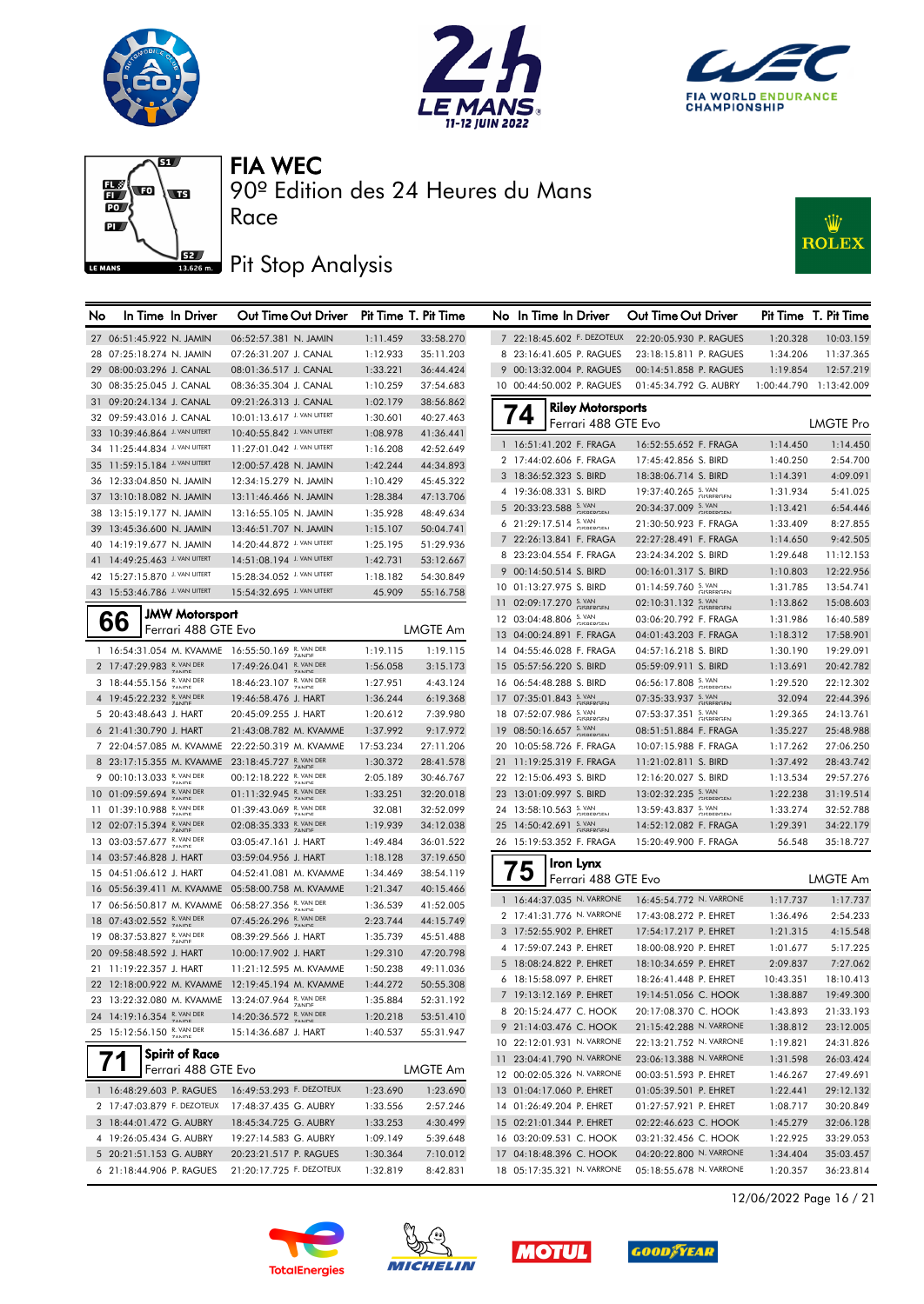







## **J**<br>13686ma Pit Stop Analysis

Race



| 7 22:18:45.602 F. DEZOTEUX<br>27 06:51:45.922 N. JAMIN<br>06:52:57.381 N. JAMIN<br>1:11.459<br>33:58.270<br>22:20:05.930 P. RAGUES<br>1:20.328<br>10:03.159<br>28 07:25:18.274 N. JAMIN<br>07:26:31.207 J. CANAL<br>1:12.933<br>35:11.203<br>8 23:16:41.605 P. RAGUES<br>23:18:15.811 P. RAGUES<br>1:34.206<br>11:37.365<br>9 00:13:32.004 P. RAGUES<br>29 08:00:03.296 J. CANAL<br>08:01:36.517 J. CANAL<br>1:33.221<br>36:44.424<br>00:14:51.858 P. RAGUES<br>1:19.854<br>12:57.219<br>30 08:35:25.045 J. CANAL<br>08:36:35.304 J. CANAL<br>1:10.259<br>37:54.683<br>10 00:44:50.002 P. RAGUES<br>01:45:34.792 G. AUBRY<br>1:00:44.790 1:13:42.009<br>31 09:20:24.134 J. CANAL<br>1:02.179<br>09:21:26.313 J. CANAL<br>38:56.862<br><b>Riley Motorsports</b><br>74<br>10:01:13.617 J. VAN UITERT<br>40:27.463<br>32 09:59:43.016 J. CANAL<br>1:30.601<br><b>LMGTE Pro</b><br>Ferrari 488 GTE Evo<br>33 10:39:46.864 J. VAN UITERT<br>10:40:55.842 J. VAN UITERT<br>1:08.978<br>41:36.441<br>1 16:51:41.202 F. FRAGA<br>16:52:55.652 F. FRAGA<br>1:14.450<br>1:14.450<br>34 11:25:44.834 J. VAN UITERT<br>11:27:01.042 J. VAN UITERT<br>42:52.649<br>1:16.208<br>2 17:44:02.606 F. FRAGA<br>17:45:42.856 S. BIRD<br>1:40.250<br>2:54.700<br>35 11:59:15.184 J. VAN UITERT<br>1:42.244<br>44:34.893<br>12:00:57.428 N. JAMIN<br>3 18:36:52.323 S. BIRD<br>4:09.091<br>18:38:06.714 S. BIRD<br>1:14.391<br>45:45.322<br>36 12:33:04.850 N. JAMIN<br>12:34:15.279 N. JAMIN<br>1:10.429<br>19:37:40.265 S. VAN<br>4 19:36:08.331 S. BIRD<br>1:31.934<br>5:41.025<br>37 13:10:18.082 N. JAMIN<br>13:11:46.466 N. JAMIN<br>1:28.384<br>47:13.706<br>5 20:33:23.588 S. VAN<br>20:34:37.009 S. VAN<br>1:13.421<br>6:54.446<br>48:49.634<br>38 13:15:19.177 N. JAMIN<br>13:16:55.105 N. JAMIN<br>1:35.928<br>6 21:29:17.514 S. VAN<br>21:30:50.923 F. FRAGA<br>1:33.409<br>8:27.855<br>50:04.741<br>39 13:45:36.600 N. JAMIN<br>13:46:51.707 N. JAMIN<br>1:15.107<br>7 22:26:13.841 F. FRAGA<br>22:27:28.491 F. FRAGA<br>9:42.505<br>1:14.650<br>14:20:44.872 J. VAN UITERT<br>51:29.936<br>40 14:19:19.677 N. JAMIN<br>1:25.195<br>8 23:23:04.554 F. FRAGA<br>23:24:34.202 S. BIRD<br>1:29.648<br>11:12.153<br>41 14:49:25.463 J. VAN UITERT<br>14:51:08.194 J. VAN UITERT<br>1:42.731<br>53:12.667<br>12:22.956<br>9 00:14:50.514 S. BIRD<br>00:16:01.317 S. BIRD<br>1:10.803<br>42 15:27:15.870 J. VAN UITERT<br>15:28:34.052 J. VAN UITERT<br>1:18.182<br>54:30.849<br>$01:14:59.760$ S. VAN<br>10 01:13:27.975 S. BIRD<br>1:31.785<br>13:54.741<br>43 15:53:46.786 J. VAN UITERT<br>15:54:32.695 J. VAN UITERT<br>45.909<br>55:16.758<br>02:10:31.132 S. VAN<br>11 02:09:17.270 S. VAN<br>15:08.603<br>1:13.862<br><b>JMW Motorsport</b><br>66<br>12 03:04:48.806 S. VAN<br>03:06:20.792 F. FRAGA<br>1:31.986<br>16:40.589<br>Ferrari 488 GTE Evo<br><b>LMGTE Am</b><br>17:58.901<br>13 04:00:24.891 F. FRAGA<br>04:01:43.203 F. FRAGA<br>1:18.312<br>1 16:54:31.054 M. KVAMME 16:55:50.169 R. VAN DER<br>1:19.115<br>19:29.091<br>1:19.115<br>14 04:55:46.028 F. FRAGA<br>04:57:16.218 S. BIRD<br>1:30.190<br>2 17:47:29.983 R. VAN DER<br>17:49:26.041 R. VAN DER<br>3:15.173<br>15 05:57:56.220 S. BIRD<br>20:42.782<br>1:56.058<br>05:59:09.911 S. BIRD<br>1:13.691<br>18:46:23.107 R. VAN DER<br>06:56:17.808 S. VAN<br>3 18:44:55.156 R. VAN DER<br>22:12.302<br>1:27.951<br>4:43.124<br>16 06:54:48.288 S. BIRD<br>1:29.520<br>4 19:45:22.232 R. VAN DER<br>07:35:33.937 S. VAN<br>17 07:35:01.843 S.VAN<br>6:19.368<br>19:46:58.476 J. HART<br>1:36.244<br>32.094<br>22:44.396<br>18 07:52:07.986 S. VAN<br>07:53:37.351 S. VAN<br>7:39.980<br>5 20:43:48.643 J. HART<br>20:45:09.255 J. HART<br>1:20.612<br>1:29.365<br>24:13.761<br>19 08:50:16.657 S. VAN<br>6 21:41:30.790 J. HART<br>21:43:08.782 M. KVAMME<br>1:37.992<br>9:17.972<br>08:51:51.884 F. FRAGA<br>25:48.988<br>1:35.227<br>27:06.250<br>7 22:04:57.085 M. KVAMME<br>22:22:50.319 M. KVAMME<br>17:53.234<br>27:11.206<br>20 10:05:58.726 F. FRAGA<br>10:07:15.988 F. FRAGA<br>1:17.262<br>8 23:17:15.355 M. KVAMME 23:18:45.727 R. VAN DER<br>1:30.372<br>28:41.578<br>21 11:19:25.319 F. FRAGA<br>11:21:02.811 S. BIRD<br>1:37.492<br>28:43.742<br>9 00:10:13.033 R. VAN DER<br>00:12:18.222 R. VAN DER<br>22 12:15:06.493 S. BIRD<br>2:05.189<br>30:46.767<br>12:16:20.027 S. BIRD<br>1:13.534<br>29:57.276<br>01:11:32.945 R. VAN DER<br>10 01:09:59.694 R. VAN DER<br>13:02:32.235 S. VAN<br>32:20.018<br>23 13:01:09.997 S. BIRD<br>31:19.514<br>1:33.251<br>1:22.238<br>01:39:43.069 R. VAN DER<br>11 01:39:10.988 R. VAN DER<br>24 13:58:10.563 S. VAN<br>13:59:43.837 S. VAN<br>32.081<br>32:52.099<br>1:33.274<br>32:52.788<br>12 02:07:15.394 R. VAN DER<br>02:08:35.333 R. VAN DER<br>25 14:50:42.691 S. VAN<br>1:19.939<br>34:12.038<br>14:52:12.082 F. FRAGA<br>1:29.391<br>34:22.179<br>13 03:03:57.677 R. VAN DER<br>03:05:47.161 J. HART<br>1:49.484<br>36:01.522<br>26 15:19:53.352 F. FRAGA<br>15:20:49.900 F. FRAGA<br>56.548<br>35:18.727<br>14 03:57:46.828 J. HART<br>03:59:04.956 J. HART<br>1:18.128<br>37:19.650<br>Iron Lynx<br>75<br>15 04:51:06.612 J. HART<br>04:52:41.081 M. KVAMME<br>1:34.469<br>38:54.119<br>LMGTE Am<br>Ferrari 488 GTE Evo<br>16 05:56:39.411 M. KVAMME 05:58:00.758 M. KVAMME<br>1:21.347<br>40:15.466<br>1 16:44:37.035 N. VARRONE<br>16:45:54.772 N. VARRONE<br>1:17.737<br>1:17.737<br>06:58:27.356 R. VAN DER<br>17 06:56:50.817 M. KVAMME<br>1:36.539<br>41:52.005<br>2 17:41:31.776 N. VARRONE<br>17:43:08.272 P. EHRET<br>1:36.496<br>2:54.233<br>18 07:43:02.552 R. VAN DER<br>07:45:26.296 R. VAN DER<br>2:23.744<br>44:15.749<br>4:15.548<br>3 17:52:55.902 P. EHRET<br>17:54:17.217 P. EHRET<br>1:21.315<br>19 08:37:53.827 R. VAN DER<br>08:39:29.566 J. HART<br>1:35.739<br>45:51.488<br>4 17:59:07.243 P. EHRET<br>18:00:08.920 P. EHRET<br>1:01.677<br>5:17.225<br>20 09:58:48.592 J. HART<br>10:00:17.902 J. HART<br>1:29.310<br>47:20.798<br>5 18:08:24.822 P. EHRET<br>18:10:34.659 P. EHRET<br>2:09.837<br>7:27.062<br>49:11.036<br>21 11:19:22.357 J. HART<br>11:21:12.595 M. KVAMME<br>1:50.238<br>6 18:15:58.097 P. EHRET<br>18:26:41.448 P. EHRET<br>10:43.351<br>18:10.413<br>22 12:18:00.922 M. KVAMME 12:19:45.194 M. KVAMME<br>1:44.272<br>50:55.308<br>7 19:13:12.169 P. EHRET<br>19:49.300<br>19:14:51.056 C. HOOK<br>1:38.887<br>23 13:22:32.080 M. KVAMME 13:24:07.964 R. VAN DER<br>52:31.192<br>1:35.884<br>8 20:15:24.477 C. HOOK<br>20:17:08.370 C. HOOK<br>1:43.893<br>21:33.193<br>24 14:19:16.354 R. VAN DER<br>14:20:36.572 R. VAN DER<br>1:20.218<br>53:51.410<br>9 21:14:03.476 C. HOOK<br>21:15:42.288 N. VARRONE<br>1:38.812<br>23:12.005<br>25 15:12:56.150 R. VAN DER<br>55:31.947<br>15:14:36.687 J. HART<br>1:40.537<br>10 22:12:01.931 N. VARRONE<br>22:13:21.752 N. VARRONE<br>24:31.826<br>1:19.821<br><b>Spirit of Race</b><br>26:03.424<br>11 23:04:41.790 N. VARRONE<br>23:06:13.388 N. VARRONE<br>1:31.598<br>Ferrari 488 GTE Evo<br><b>LMGTE Am</b><br>12 00:02:05.326 N. VARRONE<br>27:49.691<br>00:03:51.593 P. EHRET<br>1:46.267<br>1:23.690<br>1 16:48:29.603 P. RAGUES<br>16:49:53.293 F. DEZOTEUX<br>1:22.441<br>29:12.132<br>1:23.690<br>13 01:04:17.060 P. EHRET<br>01:05:39.501 P. EHRET<br>2 17:47:03.879 F. DEZOTEUX<br>2:57.246<br>30:20.849<br>17:48:37.435 G. AUBRY<br>1:33.556<br>14 01:26:49.204 P. EHRET<br>1:08.717<br>01:27:57.921 P. EHRET<br>3 18:44:01.472 G. AUBRY<br>18:45:34.725 G. AUBRY<br>4:30.499<br>15 02:21:01.344 P. EHRET<br>32:06.128<br>1:33.253<br>02:22:46.623 C. HOOK<br>1:45.279<br>4 19:26:05.434 G. AUBRY<br>1:09.149<br>5:39.648<br>16 03:20:09.531 C. HOOK<br>03:21:32.456 C. HOOK<br>33:29.053<br>19:27:14.583 G. AUBRY<br>1:22.925<br>5 20:21:51.153 G. AUBRY<br>17 04:18:48.396 C. HOOK<br>04:20:22.800 N. VARRONE<br>35:03.457<br>20:23:21.517 P. RAGUES<br>1:30.364<br>7:10.012<br>1:34.404<br>18 05:17:35.321 N. VARRONE<br>05:18:55.678 N. VARRONE<br>6 21:18:44.906 P. RAGUES | No | In Time In Driver | Out Time Out Driver      |          | Pit Time T. Pit Time | No In Time In Driver | Out Time Out Driver |          | Pit Time T. Pit Time |
|--------------------------------------------------------------------------------------------------------------------------------------------------------------------------------------------------------------------------------------------------------------------------------------------------------------------------------------------------------------------------------------------------------------------------------------------------------------------------------------------------------------------------------------------------------------------------------------------------------------------------------------------------------------------------------------------------------------------------------------------------------------------------------------------------------------------------------------------------------------------------------------------------------------------------------------------------------------------------------------------------------------------------------------------------------------------------------------------------------------------------------------------------------------------------------------------------------------------------------------------------------------------------------------------------------------------------------------------------------------------------------------------------------------------------------------------------------------------------------------------------------------------------------------------------------------------------------------------------------------------------------------------------------------------------------------------------------------------------------------------------------------------------------------------------------------------------------------------------------------------------------------------------------------------------------------------------------------------------------------------------------------------------------------------------------------------------------------------------------------------------------------------------------------------------------------------------------------------------------------------------------------------------------------------------------------------------------------------------------------------------------------------------------------------------------------------------------------------------------------------------------------------------------------------------------------------------------------------------------------------------------------------------------------------------------------------------------------------------------------------------------------------------------------------------------------------------------------------------------------------------------------------------------------------------------------------------------------------------------------------------------------------------------------------------------------------------------------------------------------------------------------------------------------------------------------------------------------------------------------------------------------------------------------------------------------------------------------------------------------------------------------------------------------------------------------------------------------------------------------------------------------------------------------------------------------------------------------------------------------------------------------------------------------------------------------------------------------------------------------------------------------------------------------------------------------------------------------------------------------------------------------------------------------------------------------------------------------------------------------------------------------------------------------------------------------------------------------------------------------------------------------------------------------------------------------------------------------------------------------------------------------------------------------------------------------------------------------------------------------------------------------------------------------------------------------------------------------------------------------------------------------------------------------------------------------------------------------------------------------------------------------------------------------------------------------------------------------------------------------------------------------------------------------------------------------------------------------------------------------------------------------------------------------------------------------------------------------------------------------------------------------------------------------------------------------------------------------------------------------------------------------------------------------------------------------------------------------------------------------------------------------------------------------------------------------------------------------------------------------------------------------------------------------------------------------------------------------------------------------------------------------------------------------------------------------------------------------------------------------------------------------------------------------------------------------------------------------------------------------------------------------------------------------------------------------------------------------------------------------------------------------------------------------------------------------------------------------------------------------------------------------------------------------------------------------------------------------------------------------------------------------------------------------------------------------------------------------------------------------------------------------------------------------------------------------------------------------------------------------------------------------------------------------------------------------------------------------------------------------------------------------------------------------------------------------------------------------------------------------------------------------------------------------------------------------------------------------------------------------------------------------------------------------------------------------------------------------------------------------------------------------------------------------------------------------------------------------------------------------------------------------------------------------------------------------------------------------------------------------------------------------------------------------------------------------------------------------------------------------------------------------------------------------------------------------------------------------------------------------------------------------------------------------------------------------------------------------------------------------------------------------------------------------------------------------------------------------------------------------------------------------------------------------------------------------------------------------------------------------------------------------------------------------------------------------------------------------------------------------------------------------------------------------------------------------------------------------------------------------------------------------------|----|-------------------|--------------------------|----------|----------------------|----------------------|---------------------|----------|----------------------|
|                                                                                                                                                                                                                                                                                                                                                                                                                                                                                                                                                                                                                                                                                                                                                                                                                                                                                                                                                                                                                                                                                                                                                                                                                                                                                                                                                                                                                                                                                                                                                                                                                                                                                                                                                                                                                                                                                                                                                                                                                                                                                                                                                                                                                                                                                                                                                                                                                                                                                                                                                                                                                                                                                                                                                                                                                                                                                                                                                                                                                                                                                                                                                                                                                                                                                                                                                                                                                                                                                                                                                                                                                                                                                                                                                                                                                                                                                                                                                                                                                                                                                                                                                                                                                                                                                                                                                                                                                                                                                                                                                                                                                                                                                                                                                                                                                                                                                                                                                                                                                                                                                                                                                                                                                                                                                                                                                                                                                                                                                                                                                                                                                                                                                                                                                                                                                                                                                                                                                                                                                                                                                                                                                                                                                                                                                                                                                                                                                                                                                                                                                                                                                                                                                                                                                                                                                                                                                                                                                                                                                                                                                                                                                                                                                                                                                                                                                                                                                                                                                                                                                                                                                                                                                                                                                                                                                                                                                                                                                                                                                    |    |                   |                          |          |                      |                      |                     |          |                      |
|                                                                                                                                                                                                                                                                                                                                                                                                                                                                                                                                                                                                                                                                                                                                                                                                                                                                                                                                                                                                                                                                                                                                                                                                                                                                                                                                                                                                                                                                                                                                                                                                                                                                                                                                                                                                                                                                                                                                                                                                                                                                                                                                                                                                                                                                                                                                                                                                                                                                                                                                                                                                                                                                                                                                                                                                                                                                                                                                                                                                                                                                                                                                                                                                                                                                                                                                                                                                                                                                                                                                                                                                                                                                                                                                                                                                                                                                                                                                                                                                                                                                                                                                                                                                                                                                                                                                                                                                                                                                                                                                                                                                                                                                                                                                                                                                                                                                                                                                                                                                                                                                                                                                                                                                                                                                                                                                                                                                                                                                                                                                                                                                                                                                                                                                                                                                                                                                                                                                                                                                                                                                                                                                                                                                                                                                                                                                                                                                                                                                                                                                                                                                                                                                                                                                                                                                                                                                                                                                                                                                                                                                                                                                                                                                                                                                                                                                                                                                                                                                                                                                                                                                                                                                                                                                                                                                                                                                                                                                                                                                                    |    |                   |                          |          |                      |                      |                     |          |                      |
|                                                                                                                                                                                                                                                                                                                                                                                                                                                                                                                                                                                                                                                                                                                                                                                                                                                                                                                                                                                                                                                                                                                                                                                                                                                                                                                                                                                                                                                                                                                                                                                                                                                                                                                                                                                                                                                                                                                                                                                                                                                                                                                                                                                                                                                                                                                                                                                                                                                                                                                                                                                                                                                                                                                                                                                                                                                                                                                                                                                                                                                                                                                                                                                                                                                                                                                                                                                                                                                                                                                                                                                                                                                                                                                                                                                                                                                                                                                                                                                                                                                                                                                                                                                                                                                                                                                                                                                                                                                                                                                                                                                                                                                                                                                                                                                                                                                                                                                                                                                                                                                                                                                                                                                                                                                                                                                                                                                                                                                                                                                                                                                                                                                                                                                                                                                                                                                                                                                                                                                                                                                                                                                                                                                                                                                                                                                                                                                                                                                                                                                                                                                                                                                                                                                                                                                                                                                                                                                                                                                                                                                                                                                                                                                                                                                                                                                                                                                                                                                                                                                                                                                                                                                                                                                                                                                                                                                                                                                                                                                                                    |    |                   |                          |          |                      |                      |                     |          |                      |
|                                                                                                                                                                                                                                                                                                                                                                                                                                                                                                                                                                                                                                                                                                                                                                                                                                                                                                                                                                                                                                                                                                                                                                                                                                                                                                                                                                                                                                                                                                                                                                                                                                                                                                                                                                                                                                                                                                                                                                                                                                                                                                                                                                                                                                                                                                                                                                                                                                                                                                                                                                                                                                                                                                                                                                                                                                                                                                                                                                                                                                                                                                                                                                                                                                                                                                                                                                                                                                                                                                                                                                                                                                                                                                                                                                                                                                                                                                                                                                                                                                                                                                                                                                                                                                                                                                                                                                                                                                                                                                                                                                                                                                                                                                                                                                                                                                                                                                                                                                                                                                                                                                                                                                                                                                                                                                                                                                                                                                                                                                                                                                                                                                                                                                                                                                                                                                                                                                                                                                                                                                                                                                                                                                                                                                                                                                                                                                                                                                                                                                                                                                                                                                                                                                                                                                                                                                                                                                                                                                                                                                                                                                                                                                                                                                                                                                                                                                                                                                                                                                                                                                                                                                                                                                                                                                                                                                                                                                                                                                                                                    |    |                   |                          |          |                      |                      |                     |          |                      |
|                                                                                                                                                                                                                                                                                                                                                                                                                                                                                                                                                                                                                                                                                                                                                                                                                                                                                                                                                                                                                                                                                                                                                                                                                                                                                                                                                                                                                                                                                                                                                                                                                                                                                                                                                                                                                                                                                                                                                                                                                                                                                                                                                                                                                                                                                                                                                                                                                                                                                                                                                                                                                                                                                                                                                                                                                                                                                                                                                                                                                                                                                                                                                                                                                                                                                                                                                                                                                                                                                                                                                                                                                                                                                                                                                                                                                                                                                                                                                                                                                                                                                                                                                                                                                                                                                                                                                                                                                                                                                                                                                                                                                                                                                                                                                                                                                                                                                                                                                                                                                                                                                                                                                                                                                                                                                                                                                                                                                                                                                                                                                                                                                                                                                                                                                                                                                                                                                                                                                                                                                                                                                                                                                                                                                                                                                                                                                                                                                                                                                                                                                                                                                                                                                                                                                                                                                                                                                                                                                                                                                                                                                                                                                                                                                                                                                                                                                                                                                                                                                                                                                                                                                                                                                                                                                                                                                                                                                                                                                                                                                    |    |                   |                          |          |                      |                      |                     |          |                      |
|                                                                                                                                                                                                                                                                                                                                                                                                                                                                                                                                                                                                                                                                                                                                                                                                                                                                                                                                                                                                                                                                                                                                                                                                                                                                                                                                                                                                                                                                                                                                                                                                                                                                                                                                                                                                                                                                                                                                                                                                                                                                                                                                                                                                                                                                                                                                                                                                                                                                                                                                                                                                                                                                                                                                                                                                                                                                                                                                                                                                                                                                                                                                                                                                                                                                                                                                                                                                                                                                                                                                                                                                                                                                                                                                                                                                                                                                                                                                                                                                                                                                                                                                                                                                                                                                                                                                                                                                                                                                                                                                                                                                                                                                                                                                                                                                                                                                                                                                                                                                                                                                                                                                                                                                                                                                                                                                                                                                                                                                                                                                                                                                                                                                                                                                                                                                                                                                                                                                                                                                                                                                                                                                                                                                                                                                                                                                                                                                                                                                                                                                                                                                                                                                                                                                                                                                                                                                                                                                                                                                                                                                                                                                                                                                                                                                                                                                                                                                                                                                                                                                                                                                                                                                                                                                                                                                                                                                                                                                                                                                                    |    |                   |                          |          |                      |                      |                     |          |                      |
|                                                                                                                                                                                                                                                                                                                                                                                                                                                                                                                                                                                                                                                                                                                                                                                                                                                                                                                                                                                                                                                                                                                                                                                                                                                                                                                                                                                                                                                                                                                                                                                                                                                                                                                                                                                                                                                                                                                                                                                                                                                                                                                                                                                                                                                                                                                                                                                                                                                                                                                                                                                                                                                                                                                                                                                                                                                                                                                                                                                                                                                                                                                                                                                                                                                                                                                                                                                                                                                                                                                                                                                                                                                                                                                                                                                                                                                                                                                                                                                                                                                                                                                                                                                                                                                                                                                                                                                                                                                                                                                                                                                                                                                                                                                                                                                                                                                                                                                                                                                                                                                                                                                                                                                                                                                                                                                                                                                                                                                                                                                                                                                                                                                                                                                                                                                                                                                                                                                                                                                                                                                                                                                                                                                                                                                                                                                                                                                                                                                                                                                                                                                                                                                                                                                                                                                                                                                                                                                                                                                                                                                                                                                                                                                                                                                                                                                                                                                                                                                                                                                                                                                                                                                                                                                                                                                                                                                                                                                                                                                                                    |    |                   |                          |          |                      |                      |                     |          |                      |
|                                                                                                                                                                                                                                                                                                                                                                                                                                                                                                                                                                                                                                                                                                                                                                                                                                                                                                                                                                                                                                                                                                                                                                                                                                                                                                                                                                                                                                                                                                                                                                                                                                                                                                                                                                                                                                                                                                                                                                                                                                                                                                                                                                                                                                                                                                                                                                                                                                                                                                                                                                                                                                                                                                                                                                                                                                                                                                                                                                                                                                                                                                                                                                                                                                                                                                                                                                                                                                                                                                                                                                                                                                                                                                                                                                                                                                                                                                                                                                                                                                                                                                                                                                                                                                                                                                                                                                                                                                                                                                                                                                                                                                                                                                                                                                                                                                                                                                                                                                                                                                                                                                                                                                                                                                                                                                                                                                                                                                                                                                                                                                                                                                                                                                                                                                                                                                                                                                                                                                                                                                                                                                                                                                                                                                                                                                                                                                                                                                                                                                                                                                                                                                                                                                                                                                                                                                                                                                                                                                                                                                                                                                                                                                                                                                                                                                                                                                                                                                                                                                                                                                                                                                                                                                                                                                                                                                                                                                                                                                                                                    |    |                   |                          |          |                      |                      |                     |          |                      |
|                                                                                                                                                                                                                                                                                                                                                                                                                                                                                                                                                                                                                                                                                                                                                                                                                                                                                                                                                                                                                                                                                                                                                                                                                                                                                                                                                                                                                                                                                                                                                                                                                                                                                                                                                                                                                                                                                                                                                                                                                                                                                                                                                                                                                                                                                                                                                                                                                                                                                                                                                                                                                                                                                                                                                                                                                                                                                                                                                                                                                                                                                                                                                                                                                                                                                                                                                                                                                                                                                                                                                                                                                                                                                                                                                                                                                                                                                                                                                                                                                                                                                                                                                                                                                                                                                                                                                                                                                                                                                                                                                                                                                                                                                                                                                                                                                                                                                                                                                                                                                                                                                                                                                                                                                                                                                                                                                                                                                                                                                                                                                                                                                                                                                                                                                                                                                                                                                                                                                                                                                                                                                                                                                                                                                                                                                                                                                                                                                                                                                                                                                                                                                                                                                                                                                                                                                                                                                                                                                                                                                                                                                                                                                                                                                                                                                                                                                                                                                                                                                                                                                                                                                                                                                                                                                                                                                                                                                                                                                                                                                    |    |                   |                          |          |                      |                      |                     |          |                      |
|                                                                                                                                                                                                                                                                                                                                                                                                                                                                                                                                                                                                                                                                                                                                                                                                                                                                                                                                                                                                                                                                                                                                                                                                                                                                                                                                                                                                                                                                                                                                                                                                                                                                                                                                                                                                                                                                                                                                                                                                                                                                                                                                                                                                                                                                                                                                                                                                                                                                                                                                                                                                                                                                                                                                                                                                                                                                                                                                                                                                                                                                                                                                                                                                                                                                                                                                                                                                                                                                                                                                                                                                                                                                                                                                                                                                                                                                                                                                                                                                                                                                                                                                                                                                                                                                                                                                                                                                                                                                                                                                                                                                                                                                                                                                                                                                                                                                                                                                                                                                                                                                                                                                                                                                                                                                                                                                                                                                                                                                                                                                                                                                                                                                                                                                                                                                                                                                                                                                                                                                                                                                                                                                                                                                                                                                                                                                                                                                                                                                                                                                                                                                                                                                                                                                                                                                                                                                                                                                                                                                                                                                                                                                                                                                                                                                                                                                                                                                                                                                                                                                                                                                                                                                                                                                                                                                                                                                                                                                                                                                                    |    |                   |                          |          |                      |                      |                     |          |                      |
|                                                                                                                                                                                                                                                                                                                                                                                                                                                                                                                                                                                                                                                                                                                                                                                                                                                                                                                                                                                                                                                                                                                                                                                                                                                                                                                                                                                                                                                                                                                                                                                                                                                                                                                                                                                                                                                                                                                                                                                                                                                                                                                                                                                                                                                                                                                                                                                                                                                                                                                                                                                                                                                                                                                                                                                                                                                                                                                                                                                                                                                                                                                                                                                                                                                                                                                                                                                                                                                                                                                                                                                                                                                                                                                                                                                                                                                                                                                                                                                                                                                                                                                                                                                                                                                                                                                                                                                                                                                                                                                                                                                                                                                                                                                                                                                                                                                                                                                                                                                                                                                                                                                                                                                                                                                                                                                                                                                                                                                                                                                                                                                                                                                                                                                                                                                                                                                                                                                                                                                                                                                                                                                                                                                                                                                                                                                                                                                                                                                                                                                                                                                                                                                                                                                                                                                                                                                                                                                                                                                                                                                                                                                                                                                                                                                                                                                                                                                                                                                                                                                                                                                                                                                                                                                                                                                                                                                                                                                                                                                                                    |    |                   |                          |          |                      |                      |                     |          |                      |
|                                                                                                                                                                                                                                                                                                                                                                                                                                                                                                                                                                                                                                                                                                                                                                                                                                                                                                                                                                                                                                                                                                                                                                                                                                                                                                                                                                                                                                                                                                                                                                                                                                                                                                                                                                                                                                                                                                                                                                                                                                                                                                                                                                                                                                                                                                                                                                                                                                                                                                                                                                                                                                                                                                                                                                                                                                                                                                                                                                                                                                                                                                                                                                                                                                                                                                                                                                                                                                                                                                                                                                                                                                                                                                                                                                                                                                                                                                                                                                                                                                                                                                                                                                                                                                                                                                                                                                                                                                                                                                                                                                                                                                                                                                                                                                                                                                                                                                                                                                                                                                                                                                                                                                                                                                                                                                                                                                                                                                                                                                                                                                                                                                                                                                                                                                                                                                                                                                                                                                                                                                                                                                                                                                                                                                                                                                                                                                                                                                                                                                                                                                                                                                                                                                                                                                                                                                                                                                                                                                                                                                                                                                                                                                                                                                                                                                                                                                                                                                                                                                                                                                                                                                                                                                                                                                                                                                                                                                                                                                                                                    |    |                   |                          |          |                      |                      |                     |          |                      |
|                                                                                                                                                                                                                                                                                                                                                                                                                                                                                                                                                                                                                                                                                                                                                                                                                                                                                                                                                                                                                                                                                                                                                                                                                                                                                                                                                                                                                                                                                                                                                                                                                                                                                                                                                                                                                                                                                                                                                                                                                                                                                                                                                                                                                                                                                                                                                                                                                                                                                                                                                                                                                                                                                                                                                                                                                                                                                                                                                                                                                                                                                                                                                                                                                                                                                                                                                                                                                                                                                                                                                                                                                                                                                                                                                                                                                                                                                                                                                                                                                                                                                                                                                                                                                                                                                                                                                                                                                                                                                                                                                                                                                                                                                                                                                                                                                                                                                                                                                                                                                                                                                                                                                                                                                                                                                                                                                                                                                                                                                                                                                                                                                                                                                                                                                                                                                                                                                                                                                                                                                                                                                                                                                                                                                                                                                                                                                                                                                                                                                                                                                                                                                                                                                                                                                                                                                                                                                                                                                                                                                                                                                                                                                                                                                                                                                                                                                                                                                                                                                                                                                                                                                                                                                                                                                                                                                                                                                                                                                                                                                    |    |                   |                          |          |                      |                      |                     |          |                      |
|                                                                                                                                                                                                                                                                                                                                                                                                                                                                                                                                                                                                                                                                                                                                                                                                                                                                                                                                                                                                                                                                                                                                                                                                                                                                                                                                                                                                                                                                                                                                                                                                                                                                                                                                                                                                                                                                                                                                                                                                                                                                                                                                                                                                                                                                                                                                                                                                                                                                                                                                                                                                                                                                                                                                                                                                                                                                                                                                                                                                                                                                                                                                                                                                                                                                                                                                                                                                                                                                                                                                                                                                                                                                                                                                                                                                                                                                                                                                                                                                                                                                                                                                                                                                                                                                                                                                                                                                                                                                                                                                                                                                                                                                                                                                                                                                                                                                                                                                                                                                                                                                                                                                                                                                                                                                                                                                                                                                                                                                                                                                                                                                                                                                                                                                                                                                                                                                                                                                                                                                                                                                                                                                                                                                                                                                                                                                                                                                                                                                                                                                                                                                                                                                                                                                                                                                                                                                                                                                                                                                                                                                                                                                                                                                                                                                                                                                                                                                                                                                                                                                                                                                                                                                                                                                                                                                                                                                                                                                                                                                                    |    |                   |                          |          |                      |                      |                     |          |                      |
|                                                                                                                                                                                                                                                                                                                                                                                                                                                                                                                                                                                                                                                                                                                                                                                                                                                                                                                                                                                                                                                                                                                                                                                                                                                                                                                                                                                                                                                                                                                                                                                                                                                                                                                                                                                                                                                                                                                                                                                                                                                                                                                                                                                                                                                                                                                                                                                                                                                                                                                                                                                                                                                                                                                                                                                                                                                                                                                                                                                                                                                                                                                                                                                                                                                                                                                                                                                                                                                                                                                                                                                                                                                                                                                                                                                                                                                                                                                                                                                                                                                                                                                                                                                                                                                                                                                                                                                                                                                                                                                                                                                                                                                                                                                                                                                                                                                                                                                                                                                                                                                                                                                                                                                                                                                                                                                                                                                                                                                                                                                                                                                                                                                                                                                                                                                                                                                                                                                                                                                                                                                                                                                                                                                                                                                                                                                                                                                                                                                                                                                                                                                                                                                                                                                                                                                                                                                                                                                                                                                                                                                                                                                                                                                                                                                                                                                                                                                                                                                                                                                                                                                                                                                                                                                                                                                                                                                                                                                                                                                                                    |    |                   |                          |          |                      |                      |                     |          |                      |
|                                                                                                                                                                                                                                                                                                                                                                                                                                                                                                                                                                                                                                                                                                                                                                                                                                                                                                                                                                                                                                                                                                                                                                                                                                                                                                                                                                                                                                                                                                                                                                                                                                                                                                                                                                                                                                                                                                                                                                                                                                                                                                                                                                                                                                                                                                                                                                                                                                                                                                                                                                                                                                                                                                                                                                                                                                                                                                                                                                                                                                                                                                                                                                                                                                                                                                                                                                                                                                                                                                                                                                                                                                                                                                                                                                                                                                                                                                                                                                                                                                                                                                                                                                                                                                                                                                                                                                                                                                                                                                                                                                                                                                                                                                                                                                                                                                                                                                                                                                                                                                                                                                                                                                                                                                                                                                                                                                                                                                                                                                                                                                                                                                                                                                                                                                                                                                                                                                                                                                                                                                                                                                                                                                                                                                                                                                                                                                                                                                                                                                                                                                                                                                                                                                                                                                                                                                                                                                                                                                                                                                                                                                                                                                                                                                                                                                                                                                                                                                                                                                                                                                                                                                                                                                                                                                                                                                                                                                                                                                                                                    |    |                   |                          |          |                      |                      |                     |          |                      |
|                                                                                                                                                                                                                                                                                                                                                                                                                                                                                                                                                                                                                                                                                                                                                                                                                                                                                                                                                                                                                                                                                                                                                                                                                                                                                                                                                                                                                                                                                                                                                                                                                                                                                                                                                                                                                                                                                                                                                                                                                                                                                                                                                                                                                                                                                                                                                                                                                                                                                                                                                                                                                                                                                                                                                                                                                                                                                                                                                                                                                                                                                                                                                                                                                                                                                                                                                                                                                                                                                                                                                                                                                                                                                                                                                                                                                                                                                                                                                                                                                                                                                                                                                                                                                                                                                                                                                                                                                                                                                                                                                                                                                                                                                                                                                                                                                                                                                                                                                                                                                                                                                                                                                                                                                                                                                                                                                                                                                                                                                                                                                                                                                                                                                                                                                                                                                                                                                                                                                                                                                                                                                                                                                                                                                                                                                                                                                                                                                                                                                                                                                                                                                                                                                                                                                                                                                                                                                                                                                                                                                                                                                                                                                                                                                                                                                                                                                                                                                                                                                                                                                                                                                                                                                                                                                                                                                                                                                                                                                                                                                    |    |                   |                          |          |                      |                      |                     |          |                      |
|                                                                                                                                                                                                                                                                                                                                                                                                                                                                                                                                                                                                                                                                                                                                                                                                                                                                                                                                                                                                                                                                                                                                                                                                                                                                                                                                                                                                                                                                                                                                                                                                                                                                                                                                                                                                                                                                                                                                                                                                                                                                                                                                                                                                                                                                                                                                                                                                                                                                                                                                                                                                                                                                                                                                                                                                                                                                                                                                                                                                                                                                                                                                                                                                                                                                                                                                                                                                                                                                                                                                                                                                                                                                                                                                                                                                                                                                                                                                                                                                                                                                                                                                                                                                                                                                                                                                                                                                                                                                                                                                                                                                                                                                                                                                                                                                                                                                                                                                                                                                                                                                                                                                                                                                                                                                                                                                                                                                                                                                                                                                                                                                                                                                                                                                                                                                                                                                                                                                                                                                                                                                                                                                                                                                                                                                                                                                                                                                                                                                                                                                                                                                                                                                                                                                                                                                                                                                                                                                                                                                                                                                                                                                                                                                                                                                                                                                                                                                                                                                                                                                                                                                                                                                                                                                                                                                                                                                                                                                                                                                                    |    |                   |                          |          |                      |                      |                     |          |                      |
|                                                                                                                                                                                                                                                                                                                                                                                                                                                                                                                                                                                                                                                                                                                                                                                                                                                                                                                                                                                                                                                                                                                                                                                                                                                                                                                                                                                                                                                                                                                                                                                                                                                                                                                                                                                                                                                                                                                                                                                                                                                                                                                                                                                                                                                                                                                                                                                                                                                                                                                                                                                                                                                                                                                                                                                                                                                                                                                                                                                                                                                                                                                                                                                                                                                                                                                                                                                                                                                                                                                                                                                                                                                                                                                                                                                                                                                                                                                                                                                                                                                                                                                                                                                                                                                                                                                                                                                                                                                                                                                                                                                                                                                                                                                                                                                                                                                                                                                                                                                                                                                                                                                                                                                                                                                                                                                                                                                                                                                                                                                                                                                                                                                                                                                                                                                                                                                                                                                                                                                                                                                                                                                                                                                                                                                                                                                                                                                                                                                                                                                                                                                                                                                                                                                                                                                                                                                                                                                                                                                                                                                                                                                                                                                                                                                                                                                                                                                                                                                                                                                                                                                                                                                                                                                                                                                                                                                                                                                                                                                                                    |    |                   |                          |          |                      |                      |                     |          |                      |
|                                                                                                                                                                                                                                                                                                                                                                                                                                                                                                                                                                                                                                                                                                                                                                                                                                                                                                                                                                                                                                                                                                                                                                                                                                                                                                                                                                                                                                                                                                                                                                                                                                                                                                                                                                                                                                                                                                                                                                                                                                                                                                                                                                                                                                                                                                                                                                                                                                                                                                                                                                                                                                                                                                                                                                                                                                                                                                                                                                                                                                                                                                                                                                                                                                                                                                                                                                                                                                                                                                                                                                                                                                                                                                                                                                                                                                                                                                                                                                                                                                                                                                                                                                                                                                                                                                                                                                                                                                                                                                                                                                                                                                                                                                                                                                                                                                                                                                                                                                                                                                                                                                                                                                                                                                                                                                                                                                                                                                                                                                                                                                                                                                                                                                                                                                                                                                                                                                                                                                                                                                                                                                                                                                                                                                                                                                                                                                                                                                                                                                                                                                                                                                                                                                                                                                                                                                                                                                                                                                                                                                                                                                                                                                                                                                                                                                                                                                                                                                                                                                                                                                                                                                                                                                                                                                                                                                                                                                                                                                                                                    |    |                   |                          |          |                      |                      |                     |          |                      |
|                                                                                                                                                                                                                                                                                                                                                                                                                                                                                                                                                                                                                                                                                                                                                                                                                                                                                                                                                                                                                                                                                                                                                                                                                                                                                                                                                                                                                                                                                                                                                                                                                                                                                                                                                                                                                                                                                                                                                                                                                                                                                                                                                                                                                                                                                                                                                                                                                                                                                                                                                                                                                                                                                                                                                                                                                                                                                                                                                                                                                                                                                                                                                                                                                                                                                                                                                                                                                                                                                                                                                                                                                                                                                                                                                                                                                                                                                                                                                                                                                                                                                                                                                                                                                                                                                                                                                                                                                                                                                                                                                                                                                                                                                                                                                                                                                                                                                                                                                                                                                                                                                                                                                                                                                                                                                                                                                                                                                                                                                                                                                                                                                                                                                                                                                                                                                                                                                                                                                                                                                                                                                                                                                                                                                                                                                                                                                                                                                                                                                                                                                                                                                                                                                                                                                                                                                                                                                                                                                                                                                                                                                                                                                                                                                                                                                                                                                                                                                                                                                                                                                                                                                                                                                                                                                                                                                                                                                                                                                                                                                    |    |                   |                          |          |                      |                      |                     |          |                      |
|                                                                                                                                                                                                                                                                                                                                                                                                                                                                                                                                                                                                                                                                                                                                                                                                                                                                                                                                                                                                                                                                                                                                                                                                                                                                                                                                                                                                                                                                                                                                                                                                                                                                                                                                                                                                                                                                                                                                                                                                                                                                                                                                                                                                                                                                                                                                                                                                                                                                                                                                                                                                                                                                                                                                                                                                                                                                                                                                                                                                                                                                                                                                                                                                                                                                                                                                                                                                                                                                                                                                                                                                                                                                                                                                                                                                                                                                                                                                                                                                                                                                                                                                                                                                                                                                                                                                                                                                                                                                                                                                                                                                                                                                                                                                                                                                                                                                                                                                                                                                                                                                                                                                                                                                                                                                                                                                                                                                                                                                                                                                                                                                                                                                                                                                                                                                                                                                                                                                                                                                                                                                                                                                                                                                                                                                                                                                                                                                                                                                                                                                                                                                                                                                                                                                                                                                                                                                                                                                                                                                                                                                                                                                                                                                                                                                                                                                                                                                                                                                                                                                                                                                                                                                                                                                                                                                                                                                                                                                                                                                                    |    |                   |                          |          |                      |                      |                     |          |                      |
|                                                                                                                                                                                                                                                                                                                                                                                                                                                                                                                                                                                                                                                                                                                                                                                                                                                                                                                                                                                                                                                                                                                                                                                                                                                                                                                                                                                                                                                                                                                                                                                                                                                                                                                                                                                                                                                                                                                                                                                                                                                                                                                                                                                                                                                                                                                                                                                                                                                                                                                                                                                                                                                                                                                                                                                                                                                                                                                                                                                                                                                                                                                                                                                                                                                                                                                                                                                                                                                                                                                                                                                                                                                                                                                                                                                                                                                                                                                                                                                                                                                                                                                                                                                                                                                                                                                                                                                                                                                                                                                                                                                                                                                                                                                                                                                                                                                                                                                                                                                                                                                                                                                                                                                                                                                                                                                                                                                                                                                                                                                                                                                                                                                                                                                                                                                                                                                                                                                                                                                                                                                                                                                                                                                                                                                                                                                                                                                                                                                                                                                                                                                                                                                                                                                                                                                                                                                                                                                                                                                                                                                                                                                                                                                                                                                                                                                                                                                                                                                                                                                                                                                                                                                                                                                                                                                                                                                                                                                                                                                                                    |    |                   |                          |          |                      |                      |                     |          |                      |
|                                                                                                                                                                                                                                                                                                                                                                                                                                                                                                                                                                                                                                                                                                                                                                                                                                                                                                                                                                                                                                                                                                                                                                                                                                                                                                                                                                                                                                                                                                                                                                                                                                                                                                                                                                                                                                                                                                                                                                                                                                                                                                                                                                                                                                                                                                                                                                                                                                                                                                                                                                                                                                                                                                                                                                                                                                                                                                                                                                                                                                                                                                                                                                                                                                                                                                                                                                                                                                                                                                                                                                                                                                                                                                                                                                                                                                                                                                                                                                                                                                                                                                                                                                                                                                                                                                                                                                                                                                                                                                                                                                                                                                                                                                                                                                                                                                                                                                                                                                                                                                                                                                                                                                                                                                                                                                                                                                                                                                                                                                                                                                                                                                                                                                                                                                                                                                                                                                                                                                                                                                                                                                                                                                                                                                                                                                                                                                                                                                                                                                                                                                                                                                                                                                                                                                                                                                                                                                                                                                                                                                                                                                                                                                                                                                                                                                                                                                                                                                                                                                                                                                                                                                                                                                                                                                                                                                                                                                                                                                                                                    |    |                   |                          |          |                      |                      |                     |          |                      |
|                                                                                                                                                                                                                                                                                                                                                                                                                                                                                                                                                                                                                                                                                                                                                                                                                                                                                                                                                                                                                                                                                                                                                                                                                                                                                                                                                                                                                                                                                                                                                                                                                                                                                                                                                                                                                                                                                                                                                                                                                                                                                                                                                                                                                                                                                                                                                                                                                                                                                                                                                                                                                                                                                                                                                                                                                                                                                                                                                                                                                                                                                                                                                                                                                                                                                                                                                                                                                                                                                                                                                                                                                                                                                                                                                                                                                                                                                                                                                                                                                                                                                                                                                                                                                                                                                                                                                                                                                                                                                                                                                                                                                                                                                                                                                                                                                                                                                                                                                                                                                                                                                                                                                                                                                                                                                                                                                                                                                                                                                                                                                                                                                                                                                                                                                                                                                                                                                                                                                                                                                                                                                                                                                                                                                                                                                                                                                                                                                                                                                                                                                                                                                                                                                                                                                                                                                                                                                                                                                                                                                                                                                                                                                                                                                                                                                                                                                                                                                                                                                                                                                                                                                                                                                                                                                                                                                                                                                                                                                                                                                    |    |                   |                          |          |                      |                      |                     |          |                      |
|                                                                                                                                                                                                                                                                                                                                                                                                                                                                                                                                                                                                                                                                                                                                                                                                                                                                                                                                                                                                                                                                                                                                                                                                                                                                                                                                                                                                                                                                                                                                                                                                                                                                                                                                                                                                                                                                                                                                                                                                                                                                                                                                                                                                                                                                                                                                                                                                                                                                                                                                                                                                                                                                                                                                                                                                                                                                                                                                                                                                                                                                                                                                                                                                                                                                                                                                                                                                                                                                                                                                                                                                                                                                                                                                                                                                                                                                                                                                                                                                                                                                                                                                                                                                                                                                                                                                                                                                                                                                                                                                                                                                                                                                                                                                                                                                                                                                                                                                                                                                                                                                                                                                                                                                                                                                                                                                                                                                                                                                                                                                                                                                                                                                                                                                                                                                                                                                                                                                                                                                                                                                                                                                                                                                                                                                                                                                                                                                                                                                                                                                                                                                                                                                                                                                                                                                                                                                                                                                                                                                                                                                                                                                                                                                                                                                                                                                                                                                                                                                                                                                                                                                                                                                                                                                                                                                                                                                                                                                                                                                                    |    |                   |                          |          |                      |                      |                     |          |                      |
|                                                                                                                                                                                                                                                                                                                                                                                                                                                                                                                                                                                                                                                                                                                                                                                                                                                                                                                                                                                                                                                                                                                                                                                                                                                                                                                                                                                                                                                                                                                                                                                                                                                                                                                                                                                                                                                                                                                                                                                                                                                                                                                                                                                                                                                                                                                                                                                                                                                                                                                                                                                                                                                                                                                                                                                                                                                                                                                                                                                                                                                                                                                                                                                                                                                                                                                                                                                                                                                                                                                                                                                                                                                                                                                                                                                                                                                                                                                                                                                                                                                                                                                                                                                                                                                                                                                                                                                                                                                                                                                                                                                                                                                                                                                                                                                                                                                                                                                                                                                                                                                                                                                                                                                                                                                                                                                                                                                                                                                                                                                                                                                                                                                                                                                                                                                                                                                                                                                                                                                                                                                                                                                                                                                                                                                                                                                                                                                                                                                                                                                                                                                                                                                                                                                                                                                                                                                                                                                                                                                                                                                                                                                                                                                                                                                                                                                                                                                                                                                                                                                                                                                                                                                                                                                                                                                                                                                                                                                                                                                                                    |    |                   |                          |          |                      |                      |                     |          |                      |
|                                                                                                                                                                                                                                                                                                                                                                                                                                                                                                                                                                                                                                                                                                                                                                                                                                                                                                                                                                                                                                                                                                                                                                                                                                                                                                                                                                                                                                                                                                                                                                                                                                                                                                                                                                                                                                                                                                                                                                                                                                                                                                                                                                                                                                                                                                                                                                                                                                                                                                                                                                                                                                                                                                                                                                                                                                                                                                                                                                                                                                                                                                                                                                                                                                                                                                                                                                                                                                                                                                                                                                                                                                                                                                                                                                                                                                                                                                                                                                                                                                                                                                                                                                                                                                                                                                                                                                                                                                                                                                                                                                                                                                                                                                                                                                                                                                                                                                                                                                                                                                                                                                                                                                                                                                                                                                                                                                                                                                                                                                                                                                                                                                                                                                                                                                                                                                                                                                                                                                                                                                                                                                                                                                                                                                                                                                                                                                                                                                                                                                                                                                                                                                                                                                                                                                                                                                                                                                                                                                                                                                                                                                                                                                                                                                                                                                                                                                                                                                                                                                                                                                                                                                                                                                                                                                                                                                                                                                                                                                                                                    |    |                   |                          |          |                      |                      |                     |          |                      |
|                                                                                                                                                                                                                                                                                                                                                                                                                                                                                                                                                                                                                                                                                                                                                                                                                                                                                                                                                                                                                                                                                                                                                                                                                                                                                                                                                                                                                                                                                                                                                                                                                                                                                                                                                                                                                                                                                                                                                                                                                                                                                                                                                                                                                                                                                                                                                                                                                                                                                                                                                                                                                                                                                                                                                                                                                                                                                                                                                                                                                                                                                                                                                                                                                                                                                                                                                                                                                                                                                                                                                                                                                                                                                                                                                                                                                                                                                                                                                                                                                                                                                                                                                                                                                                                                                                                                                                                                                                                                                                                                                                                                                                                                                                                                                                                                                                                                                                                                                                                                                                                                                                                                                                                                                                                                                                                                                                                                                                                                                                                                                                                                                                                                                                                                                                                                                                                                                                                                                                                                                                                                                                                                                                                                                                                                                                                                                                                                                                                                                                                                                                                                                                                                                                                                                                                                                                                                                                                                                                                                                                                                                                                                                                                                                                                                                                                                                                                                                                                                                                                                                                                                                                                                                                                                                                                                                                                                                                                                                                                                                    |    |                   |                          |          |                      |                      |                     |          |                      |
|                                                                                                                                                                                                                                                                                                                                                                                                                                                                                                                                                                                                                                                                                                                                                                                                                                                                                                                                                                                                                                                                                                                                                                                                                                                                                                                                                                                                                                                                                                                                                                                                                                                                                                                                                                                                                                                                                                                                                                                                                                                                                                                                                                                                                                                                                                                                                                                                                                                                                                                                                                                                                                                                                                                                                                                                                                                                                                                                                                                                                                                                                                                                                                                                                                                                                                                                                                                                                                                                                                                                                                                                                                                                                                                                                                                                                                                                                                                                                                                                                                                                                                                                                                                                                                                                                                                                                                                                                                                                                                                                                                                                                                                                                                                                                                                                                                                                                                                                                                                                                                                                                                                                                                                                                                                                                                                                                                                                                                                                                                                                                                                                                                                                                                                                                                                                                                                                                                                                                                                                                                                                                                                                                                                                                                                                                                                                                                                                                                                                                                                                                                                                                                                                                                                                                                                                                                                                                                                                                                                                                                                                                                                                                                                                                                                                                                                                                                                                                                                                                                                                                                                                                                                                                                                                                                                                                                                                                                                                                                                                                    |    |                   |                          |          |                      |                      |                     |          |                      |
|                                                                                                                                                                                                                                                                                                                                                                                                                                                                                                                                                                                                                                                                                                                                                                                                                                                                                                                                                                                                                                                                                                                                                                                                                                                                                                                                                                                                                                                                                                                                                                                                                                                                                                                                                                                                                                                                                                                                                                                                                                                                                                                                                                                                                                                                                                                                                                                                                                                                                                                                                                                                                                                                                                                                                                                                                                                                                                                                                                                                                                                                                                                                                                                                                                                                                                                                                                                                                                                                                                                                                                                                                                                                                                                                                                                                                                                                                                                                                                                                                                                                                                                                                                                                                                                                                                                                                                                                                                                                                                                                                                                                                                                                                                                                                                                                                                                                                                                                                                                                                                                                                                                                                                                                                                                                                                                                                                                                                                                                                                                                                                                                                                                                                                                                                                                                                                                                                                                                                                                                                                                                                                                                                                                                                                                                                                                                                                                                                                                                                                                                                                                                                                                                                                                                                                                                                                                                                                                                                                                                                                                                                                                                                                                                                                                                                                                                                                                                                                                                                                                                                                                                                                                                                                                                                                                                                                                                                                                                                                                                                    |    |                   |                          |          |                      |                      |                     |          |                      |
|                                                                                                                                                                                                                                                                                                                                                                                                                                                                                                                                                                                                                                                                                                                                                                                                                                                                                                                                                                                                                                                                                                                                                                                                                                                                                                                                                                                                                                                                                                                                                                                                                                                                                                                                                                                                                                                                                                                                                                                                                                                                                                                                                                                                                                                                                                                                                                                                                                                                                                                                                                                                                                                                                                                                                                                                                                                                                                                                                                                                                                                                                                                                                                                                                                                                                                                                                                                                                                                                                                                                                                                                                                                                                                                                                                                                                                                                                                                                                                                                                                                                                                                                                                                                                                                                                                                                                                                                                                                                                                                                                                                                                                                                                                                                                                                                                                                                                                                                                                                                                                                                                                                                                                                                                                                                                                                                                                                                                                                                                                                                                                                                                                                                                                                                                                                                                                                                                                                                                                                                                                                                                                                                                                                                                                                                                                                                                                                                                                                                                                                                                                                                                                                                                                                                                                                                                                                                                                                                                                                                                                                                                                                                                                                                                                                                                                                                                                                                                                                                                                                                                                                                                                                                                                                                                                                                                                                                                                                                                                                                                    |    |                   |                          |          |                      |                      |                     |          |                      |
|                                                                                                                                                                                                                                                                                                                                                                                                                                                                                                                                                                                                                                                                                                                                                                                                                                                                                                                                                                                                                                                                                                                                                                                                                                                                                                                                                                                                                                                                                                                                                                                                                                                                                                                                                                                                                                                                                                                                                                                                                                                                                                                                                                                                                                                                                                                                                                                                                                                                                                                                                                                                                                                                                                                                                                                                                                                                                                                                                                                                                                                                                                                                                                                                                                                                                                                                                                                                                                                                                                                                                                                                                                                                                                                                                                                                                                                                                                                                                                                                                                                                                                                                                                                                                                                                                                                                                                                                                                                                                                                                                                                                                                                                                                                                                                                                                                                                                                                                                                                                                                                                                                                                                                                                                                                                                                                                                                                                                                                                                                                                                                                                                                                                                                                                                                                                                                                                                                                                                                                                                                                                                                                                                                                                                                                                                                                                                                                                                                                                                                                                                                                                                                                                                                                                                                                                                                                                                                                                                                                                                                                                                                                                                                                                                                                                                                                                                                                                                                                                                                                                                                                                                                                                                                                                                                                                                                                                                                                                                                                                                    |    |                   |                          |          |                      |                      |                     |          |                      |
|                                                                                                                                                                                                                                                                                                                                                                                                                                                                                                                                                                                                                                                                                                                                                                                                                                                                                                                                                                                                                                                                                                                                                                                                                                                                                                                                                                                                                                                                                                                                                                                                                                                                                                                                                                                                                                                                                                                                                                                                                                                                                                                                                                                                                                                                                                                                                                                                                                                                                                                                                                                                                                                                                                                                                                                                                                                                                                                                                                                                                                                                                                                                                                                                                                                                                                                                                                                                                                                                                                                                                                                                                                                                                                                                                                                                                                                                                                                                                                                                                                                                                                                                                                                                                                                                                                                                                                                                                                                                                                                                                                                                                                                                                                                                                                                                                                                                                                                                                                                                                                                                                                                                                                                                                                                                                                                                                                                                                                                                                                                                                                                                                                                                                                                                                                                                                                                                                                                                                                                                                                                                                                                                                                                                                                                                                                                                                                                                                                                                                                                                                                                                                                                                                                                                                                                                                                                                                                                                                                                                                                                                                                                                                                                                                                                                                                                                                                                                                                                                                                                                                                                                                                                                                                                                                                                                                                                                                                                                                                                                                    |    |                   |                          |          |                      |                      |                     |          |                      |
|                                                                                                                                                                                                                                                                                                                                                                                                                                                                                                                                                                                                                                                                                                                                                                                                                                                                                                                                                                                                                                                                                                                                                                                                                                                                                                                                                                                                                                                                                                                                                                                                                                                                                                                                                                                                                                                                                                                                                                                                                                                                                                                                                                                                                                                                                                                                                                                                                                                                                                                                                                                                                                                                                                                                                                                                                                                                                                                                                                                                                                                                                                                                                                                                                                                                                                                                                                                                                                                                                                                                                                                                                                                                                                                                                                                                                                                                                                                                                                                                                                                                                                                                                                                                                                                                                                                                                                                                                                                                                                                                                                                                                                                                                                                                                                                                                                                                                                                                                                                                                                                                                                                                                                                                                                                                                                                                                                                                                                                                                                                                                                                                                                                                                                                                                                                                                                                                                                                                                                                                                                                                                                                                                                                                                                                                                                                                                                                                                                                                                                                                                                                                                                                                                                                                                                                                                                                                                                                                                                                                                                                                                                                                                                                                                                                                                                                                                                                                                                                                                                                                                                                                                                                                                                                                                                                                                                                                                                                                                                                                                    |    |                   |                          |          |                      |                      |                     |          |                      |
|                                                                                                                                                                                                                                                                                                                                                                                                                                                                                                                                                                                                                                                                                                                                                                                                                                                                                                                                                                                                                                                                                                                                                                                                                                                                                                                                                                                                                                                                                                                                                                                                                                                                                                                                                                                                                                                                                                                                                                                                                                                                                                                                                                                                                                                                                                                                                                                                                                                                                                                                                                                                                                                                                                                                                                                                                                                                                                                                                                                                                                                                                                                                                                                                                                                                                                                                                                                                                                                                                                                                                                                                                                                                                                                                                                                                                                                                                                                                                                                                                                                                                                                                                                                                                                                                                                                                                                                                                                                                                                                                                                                                                                                                                                                                                                                                                                                                                                                                                                                                                                                                                                                                                                                                                                                                                                                                                                                                                                                                                                                                                                                                                                                                                                                                                                                                                                                                                                                                                                                                                                                                                                                                                                                                                                                                                                                                                                                                                                                                                                                                                                                                                                                                                                                                                                                                                                                                                                                                                                                                                                                                                                                                                                                                                                                                                                                                                                                                                                                                                                                                                                                                                                                                                                                                                                                                                                                                                                                                                                                                                    |    |                   |                          |          |                      |                      |                     |          |                      |
|                                                                                                                                                                                                                                                                                                                                                                                                                                                                                                                                                                                                                                                                                                                                                                                                                                                                                                                                                                                                                                                                                                                                                                                                                                                                                                                                                                                                                                                                                                                                                                                                                                                                                                                                                                                                                                                                                                                                                                                                                                                                                                                                                                                                                                                                                                                                                                                                                                                                                                                                                                                                                                                                                                                                                                                                                                                                                                                                                                                                                                                                                                                                                                                                                                                                                                                                                                                                                                                                                                                                                                                                                                                                                                                                                                                                                                                                                                                                                                                                                                                                                                                                                                                                                                                                                                                                                                                                                                                                                                                                                                                                                                                                                                                                                                                                                                                                                                                                                                                                                                                                                                                                                                                                                                                                                                                                                                                                                                                                                                                                                                                                                                                                                                                                                                                                                                                                                                                                                                                                                                                                                                                                                                                                                                                                                                                                                                                                                                                                                                                                                                                                                                                                                                                                                                                                                                                                                                                                                                                                                                                                                                                                                                                                                                                                                                                                                                                                                                                                                                                                                                                                                                                                                                                                                                                                                                                                                                                                                                                                                    |    |                   |                          |          |                      |                      |                     |          |                      |
|                                                                                                                                                                                                                                                                                                                                                                                                                                                                                                                                                                                                                                                                                                                                                                                                                                                                                                                                                                                                                                                                                                                                                                                                                                                                                                                                                                                                                                                                                                                                                                                                                                                                                                                                                                                                                                                                                                                                                                                                                                                                                                                                                                                                                                                                                                                                                                                                                                                                                                                                                                                                                                                                                                                                                                                                                                                                                                                                                                                                                                                                                                                                                                                                                                                                                                                                                                                                                                                                                                                                                                                                                                                                                                                                                                                                                                                                                                                                                                                                                                                                                                                                                                                                                                                                                                                                                                                                                                                                                                                                                                                                                                                                                                                                                                                                                                                                                                                                                                                                                                                                                                                                                                                                                                                                                                                                                                                                                                                                                                                                                                                                                                                                                                                                                                                                                                                                                                                                                                                                                                                                                                                                                                                                                                                                                                                                                                                                                                                                                                                                                                                                                                                                                                                                                                                                                                                                                                                                                                                                                                                                                                                                                                                                                                                                                                                                                                                                                                                                                                                                                                                                                                                                                                                                                                                                                                                                                                                                                                                                                    |    |                   |                          |          |                      |                      |                     |          |                      |
|                                                                                                                                                                                                                                                                                                                                                                                                                                                                                                                                                                                                                                                                                                                                                                                                                                                                                                                                                                                                                                                                                                                                                                                                                                                                                                                                                                                                                                                                                                                                                                                                                                                                                                                                                                                                                                                                                                                                                                                                                                                                                                                                                                                                                                                                                                                                                                                                                                                                                                                                                                                                                                                                                                                                                                                                                                                                                                                                                                                                                                                                                                                                                                                                                                                                                                                                                                                                                                                                                                                                                                                                                                                                                                                                                                                                                                                                                                                                                                                                                                                                                                                                                                                                                                                                                                                                                                                                                                                                                                                                                                                                                                                                                                                                                                                                                                                                                                                                                                                                                                                                                                                                                                                                                                                                                                                                                                                                                                                                                                                                                                                                                                                                                                                                                                                                                                                                                                                                                                                                                                                                                                                                                                                                                                                                                                                                                                                                                                                                                                                                                                                                                                                                                                                                                                                                                                                                                                                                                                                                                                                                                                                                                                                                                                                                                                                                                                                                                                                                                                                                                                                                                                                                                                                                                                                                                                                                                                                                                                                                                    |    |                   |                          |          |                      |                      |                     |          |                      |
|                                                                                                                                                                                                                                                                                                                                                                                                                                                                                                                                                                                                                                                                                                                                                                                                                                                                                                                                                                                                                                                                                                                                                                                                                                                                                                                                                                                                                                                                                                                                                                                                                                                                                                                                                                                                                                                                                                                                                                                                                                                                                                                                                                                                                                                                                                                                                                                                                                                                                                                                                                                                                                                                                                                                                                                                                                                                                                                                                                                                                                                                                                                                                                                                                                                                                                                                                                                                                                                                                                                                                                                                                                                                                                                                                                                                                                                                                                                                                                                                                                                                                                                                                                                                                                                                                                                                                                                                                                                                                                                                                                                                                                                                                                                                                                                                                                                                                                                                                                                                                                                                                                                                                                                                                                                                                                                                                                                                                                                                                                                                                                                                                                                                                                                                                                                                                                                                                                                                                                                                                                                                                                                                                                                                                                                                                                                                                                                                                                                                                                                                                                                                                                                                                                                                                                                                                                                                                                                                                                                                                                                                                                                                                                                                                                                                                                                                                                                                                                                                                                                                                                                                                                                                                                                                                                                                                                                                                                                                                                                                                    |    |                   |                          |          |                      |                      |                     |          |                      |
|                                                                                                                                                                                                                                                                                                                                                                                                                                                                                                                                                                                                                                                                                                                                                                                                                                                                                                                                                                                                                                                                                                                                                                                                                                                                                                                                                                                                                                                                                                                                                                                                                                                                                                                                                                                                                                                                                                                                                                                                                                                                                                                                                                                                                                                                                                                                                                                                                                                                                                                                                                                                                                                                                                                                                                                                                                                                                                                                                                                                                                                                                                                                                                                                                                                                                                                                                                                                                                                                                                                                                                                                                                                                                                                                                                                                                                                                                                                                                                                                                                                                                                                                                                                                                                                                                                                                                                                                                                                                                                                                                                                                                                                                                                                                                                                                                                                                                                                                                                                                                                                                                                                                                                                                                                                                                                                                                                                                                                                                                                                                                                                                                                                                                                                                                                                                                                                                                                                                                                                                                                                                                                                                                                                                                                                                                                                                                                                                                                                                                                                                                                                                                                                                                                                                                                                                                                                                                                                                                                                                                                                                                                                                                                                                                                                                                                                                                                                                                                                                                                                                                                                                                                                                                                                                                                                                                                                                                                                                                                                                                    |    |                   |                          |          |                      |                      |                     |          |                      |
|                                                                                                                                                                                                                                                                                                                                                                                                                                                                                                                                                                                                                                                                                                                                                                                                                                                                                                                                                                                                                                                                                                                                                                                                                                                                                                                                                                                                                                                                                                                                                                                                                                                                                                                                                                                                                                                                                                                                                                                                                                                                                                                                                                                                                                                                                                                                                                                                                                                                                                                                                                                                                                                                                                                                                                                                                                                                                                                                                                                                                                                                                                                                                                                                                                                                                                                                                                                                                                                                                                                                                                                                                                                                                                                                                                                                                                                                                                                                                                                                                                                                                                                                                                                                                                                                                                                                                                                                                                                                                                                                                                                                                                                                                                                                                                                                                                                                                                                                                                                                                                                                                                                                                                                                                                                                                                                                                                                                                                                                                                                                                                                                                                                                                                                                                                                                                                                                                                                                                                                                                                                                                                                                                                                                                                                                                                                                                                                                                                                                                                                                                                                                                                                                                                                                                                                                                                                                                                                                                                                                                                                                                                                                                                                                                                                                                                                                                                                                                                                                                                                                                                                                                                                                                                                                                                                                                                                                                                                                                                                                                    |    |                   |                          |          |                      |                      |                     |          |                      |
|                                                                                                                                                                                                                                                                                                                                                                                                                                                                                                                                                                                                                                                                                                                                                                                                                                                                                                                                                                                                                                                                                                                                                                                                                                                                                                                                                                                                                                                                                                                                                                                                                                                                                                                                                                                                                                                                                                                                                                                                                                                                                                                                                                                                                                                                                                                                                                                                                                                                                                                                                                                                                                                                                                                                                                                                                                                                                                                                                                                                                                                                                                                                                                                                                                                                                                                                                                                                                                                                                                                                                                                                                                                                                                                                                                                                                                                                                                                                                                                                                                                                                                                                                                                                                                                                                                                                                                                                                                                                                                                                                                                                                                                                                                                                                                                                                                                                                                                                                                                                                                                                                                                                                                                                                                                                                                                                                                                                                                                                                                                                                                                                                                                                                                                                                                                                                                                                                                                                                                                                                                                                                                                                                                                                                                                                                                                                                                                                                                                                                                                                                                                                                                                                                                                                                                                                                                                                                                                                                                                                                                                                                                                                                                                                                                                                                                                                                                                                                                                                                                                                                                                                                                                                                                                                                                                                                                                                                                                                                                                                                    |    |                   |                          |          |                      |                      |                     |          |                      |
|                                                                                                                                                                                                                                                                                                                                                                                                                                                                                                                                                                                                                                                                                                                                                                                                                                                                                                                                                                                                                                                                                                                                                                                                                                                                                                                                                                                                                                                                                                                                                                                                                                                                                                                                                                                                                                                                                                                                                                                                                                                                                                                                                                                                                                                                                                                                                                                                                                                                                                                                                                                                                                                                                                                                                                                                                                                                                                                                                                                                                                                                                                                                                                                                                                                                                                                                                                                                                                                                                                                                                                                                                                                                                                                                                                                                                                                                                                                                                                                                                                                                                                                                                                                                                                                                                                                                                                                                                                                                                                                                                                                                                                                                                                                                                                                                                                                                                                                                                                                                                                                                                                                                                                                                                                                                                                                                                                                                                                                                                                                                                                                                                                                                                                                                                                                                                                                                                                                                                                                                                                                                                                                                                                                                                                                                                                                                                                                                                                                                                                                                                                                                                                                                                                                                                                                                                                                                                                                                                                                                                                                                                                                                                                                                                                                                                                                                                                                                                                                                                                                                                                                                                                                                                                                                                                                                                                                                                                                                                                                                                    |    |                   |                          |          |                      |                      |                     |          |                      |
|                                                                                                                                                                                                                                                                                                                                                                                                                                                                                                                                                                                                                                                                                                                                                                                                                                                                                                                                                                                                                                                                                                                                                                                                                                                                                                                                                                                                                                                                                                                                                                                                                                                                                                                                                                                                                                                                                                                                                                                                                                                                                                                                                                                                                                                                                                                                                                                                                                                                                                                                                                                                                                                                                                                                                                                                                                                                                                                                                                                                                                                                                                                                                                                                                                                                                                                                                                                                                                                                                                                                                                                                                                                                                                                                                                                                                                                                                                                                                                                                                                                                                                                                                                                                                                                                                                                                                                                                                                                                                                                                                                                                                                                                                                                                                                                                                                                                                                                                                                                                                                                                                                                                                                                                                                                                                                                                                                                                                                                                                                                                                                                                                                                                                                                                                                                                                                                                                                                                                                                                                                                                                                                                                                                                                                                                                                                                                                                                                                                                                                                                                                                                                                                                                                                                                                                                                                                                                                                                                                                                                                                                                                                                                                                                                                                                                                                                                                                                                                                                                                                                                                                                                                                                                                                                                                                                                                                                                                                                                                                                                    |    |                   |                          |          |                      |                      |                     |          |                      |
|                                                                                                                                                                                                                                                                                                                                                                                                                                                                                                                                                                                                                                                                                                                                                                                                                                                                                                                                                                                                                                                                                                                                                                                                                                                                                                                                                                                                                                                                                                                                                                                                                                                                                                                                                                                                                                                                                                                                                                                                                                                                                                                                                                                                                                                                                                                                                                                                                                                                                                                                                                                                                                                                                                                                                                                                                                                                                                                                                                                                                                                                                                                                                                                                                                                                                                                                                                                                                                                                                                                                                                                                                                                                                                                                                                                                                                                                                                                                                                                                                                                                                                                                                                                                                                                                                                                                                                                                                                                                                                                                                                                                                                                                                                                                                                                                                                                                                                                                                                                                                                                                                                                                                                                                                                                                                                                                                                                                                                                                                                                                                                                                                                                                                                                                                                                                                                                                                                                                                                                                                                                                                                                                                                                                                                                                                                                                                                                                                                                                                                                                                                                                                                                                                                                                                                                                                                                                                                                                                                                                                                                                                                                                                                                                                                                                                                                                                                                                                                                                                                                                                                                                                                                                                                                                                                                                                                                                                                                                                                                                                    |    |                   |                          |          |                      |                      |                     |          |                      |
|                                                                                                                                                                                                                                                                                                                                                                                                                                                                                                                                                                                                                                                                                                                                                                                                                                                                                                                                                                                                                                                                                                                                                                                                                                                                                                                                                                                                                                                                                                                                                                                                                                                                                                                                                                                                                                                                                                                                                                                                                                                                                                                                                                                                                                                                                                                                                                                                                                                                                                                                                                                                                                                                                                                                                                                                                                                                                                                                                                                                                                                                                                                                                                                                                                                                                                                                                                                                                                                                                                                                                                                                                                                                                                                                                                                                                                                                                                                                                                                                                                                                                                                                                                                                                                                                                                                                                                                                                                                                                                                                                                                                                                                                                                                                                                                                                                                                                                                                                                                                                                                                                                                                                                                                                                                                                                                                                                                                                                                                                                                                                                                                                                                                                                                                                                                                                                                                                                                                                                                                                                                                                                                                                                                                                                                                                                                                                                                                                                                                                                                                                                                                                                                                                                                                                                                                                                                                                                                                                                                                                                                                                                                                                                                                                                                                                                                                                                                                                                                                                                                                                                                                                                                                                                                                                                                                                                                                                                                                                                                                                    |    |                   |                          |          |                      |                      |                     |          |                      |
|                                                                                                                                                                                                                                                                                                                                                                                                                                                                                                                                                                                                                                                                                                                                                                                                                                                                                                                                                                                                                                                                                                                                                                                                                                                                                                                                                                                                                                                                                                                                                                                                                                                                                                                                                                                                                                                                                                                                                                                                                                                                                                                                                                                                                                                                                                                                                                                                                                                                                                                                                                                                                                                                                                                                                                                                                                                                                                                                                                                                                                                                                                                                                                                                                                                                                                                                                                                                                                                                                                                                                                                                                                                                                                                                                                                                                                                                                                                                                                                                                                                                                                                                                                                                                                                                                                                                                                                                                                                                                                                                                                                                                                                                                                                                                                                                                                                                                                                                                                                                                                                                                                                                                                                                                                                                                                                                                                                                                                                                                                                                                                                                                                                                                                                                                                                                                                                                                                                                                                                                                                                                                                                                                                                                                                                                                                                                                                                                                                                                                                                                                                                                                                                                                                                                                                                                                                                                                                                                                                                                                                                                                                                                                                                                                                                                                                                                                                                                                                                                                                                                                                                                                                                                                                                                                                                                                                                                                                                                                                                                                    |    |                   |                          |          |                      |                      |                     |          |                      |
|                                                                                                                                                                                                                                                                                                                                                                                                                                                                                                                                                                                                                                                                                                                                                                                                                                                                                                                                                                                                                                                                                                                                                                                                                                                                                                                                                                                                                                                                                                                                                                                                                                                                                                                                                                                                                                                                                                                                                                                                                                                                                                                                                                                                                                                                                                                                                                                                                                                                                                                                                                                                                                                                                                                                                                                                                                                                                                                                                                                                                                                                                                                                                                                                                                                                                                                                                                                                                                                                                                                                                                                                                                                                                                                                                                                                                                                                                                                                                                                                                                                                                                                                                                                                                                                                                                                                                                                                                                                                                                                                                                                                                                                                                                                                                                                                                                                                                                                                                                                                                                                                                                                                                                                                                                                                                                                                                                                                                                                                                                                                                                                                                                                                                                                                                                                                                                                                                                                                                                                                                                                                                                                                                                                                                                                                                                                                                                                                                                                                                                                                                                                                                                                                                                                                                                                                                                                                                                                                                                                                                                                                                                                                                                                                                                                                                                                                                                                                                                                                                                                                                                                                                                                                                                                                                                                                                                                                                                                                                                                                                    |    |                   |                          |          |                      |                      |                     |          |                      |
|                                                                                                                                                                                                                                                                                                                                                                                                                                                                                                                                                                                                                                                                                                                                                                                                                                                                                                                                                                                                                                                                                                                                                                                                                                                                                                                                                                                                                                                                                                                                                                                                                                                                                                                                                                                                                                                                                                                                                                                                                                                                                                                                                                                                                                                                                                                                                                                                                                                                                                                                                                                                                                                                                                                                                                                                                                                                                                                                                                                                                                                                                                                                                                                                                                                                                                                                                                                                                                                                                                                                                                                                                                                                                                                                                                                                                                                                                                                                                                                                                                                                                                                                                                                                                                                                                                                                                                                                                                                                                                                                                                                                                                                                                                                                                                                                                                                                                                                                                                                                                                                                                                                                                                                                                                                                                                                                                                                                                                                                                                                                                                                                                                                                                                                                                                                                                                                                                                                                                                                                                                                                                                                                                                                                                                                                                                                                                                                                                                                                                                                                                                                                                                                                                                                                                                                                                                                                                                                                                                                                                                                                                                                                                                                                                                                                                                                                                                                                                                                                                                                                                                                                                                                                                                                                                                                                                                                                                                                                                                                                                    |    |                   |                          |          |                      |                      |                     |          |                      |
|                                                                                                                                                                                                                                                                                                                                                                                                                                                                                                                                                                                                                                                                                                                                                                                                                                                                                                                                                                                                                                                                                                                                                                                                                                                                                                                                                                                                                                                                                                                                                                                                                                                                                                                                                                                                                                                                                                                                                                                                                                                                                                                                                                                                                                                                                                                                                                                                                                                                                                                                                                                                                                                                                                                                                                                                                                                                                                                                                                                                                                                                                                                                                                                                                                                                                                                                                                                                                                                                                                                                                                                                                                                                                                                                                                                                                                                                                                                                                                                                                                                                                                                                                                                                                                                                                                                                                                                                                                                                                                                                                                                                                                                                                                                                                                                                                                                                                                                                                                                                                                                                                                                                                                                                                                                                                                                                                                                                                                                                                                                                                                                                                                                                                                                                                                                                                                                                                                                                                                                                                                                                                                                                                                                                                                                                                                                                                                                                                                                                                                                                                                                                                                                                                                                                                                                                                                                                                                                                                                                                                                                                                                                                                                                                                                                                                                                                                                                                                                                                                                                                                                                                                                                                                                                                                                                                                                                                                                                                                                                                                    |    |                   |                          |          |                      |                      |                     |          |                      |
|                                                                                                                                                                                                                                                                                                                                                                                                                                                                                                                                                                                                                                                                                                                                                                                                                                                                                                                                                                                                                                                                                                                                                                                                                                                                                                                                                                                                                                                                                                                                                                                                                                                                                                                                                                                                                                                                                                                                                                                                                                                                                                                                                                                                                                                                                                                                                                                                                                                                                                                                                                                                                                                                                                                                                                                                                                                                                                                                                                                                                                                                                                                                                                                                                                                                                                                                                                                                                                                                                                                                                                                                                                                                                                                                                                                                                                                                                                                                                                                                                                                                                                                                                                                                                                                                                                                                                                                                                                                                                                                                                                                                                                                                                                                                                                                                                                                                                                                                                                                                                                                                                                                                                                                                                                                                                                                                                                                                                                                                                                                                                                                                                                                                                                                                                                                                                                                                                                                                                                                                                                                                                                                                                                                                                                                                                                                                                                                                                                                                                                                                                                                                                                                                                                                                                                                                                                                                                                                                                                                                                                                                                                                                                                                                                                                                                                                                                                                                                                                                                                                                                                                                                                                                                                                                                                                                                                                                                                                                                                                                                    |    |                   | 21:20:17.725 F. DEZOTEUX | 1:32.819 | 8:42.831             |                      |                     | 1:20.357 | 36:23.814            |









12/06/2022 Page 16 / 21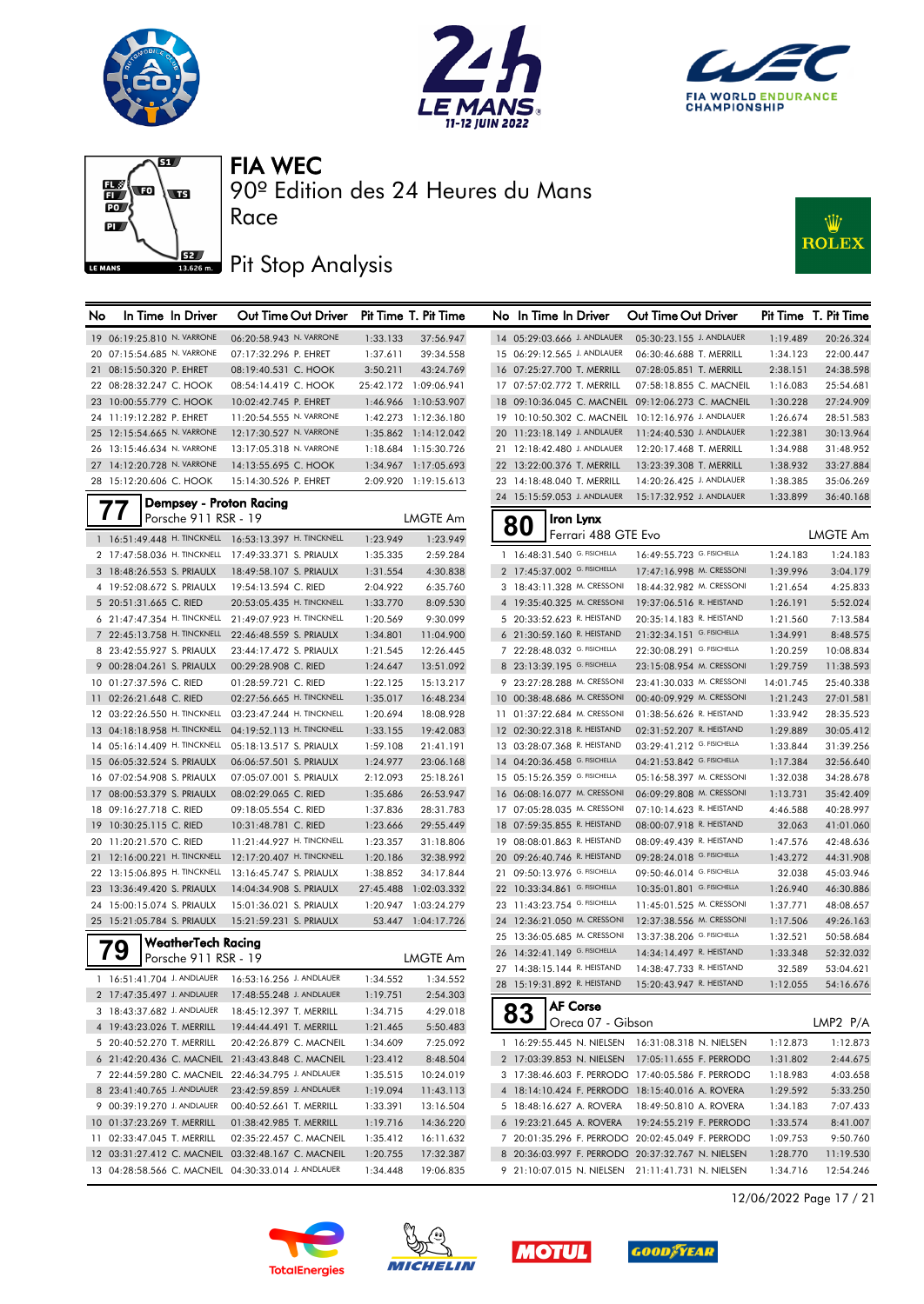







90º Edition des 24 Heures du Mans

### Pit Stop Analysis

Race



| No. | In Time In Driver                                     | Out Time Out Driver                                    |          | Pit Time T. Pit Time  | No In Time In Driver          |                     | Out Time Out Driver                                 |           | Pit Time T. Pit Time |
|-----|-------------------------------------------------------|--------------------------------------------------------|----------|-----------------------|-------------------------------|---------------------|-----------------------------------------------------|-----------|----------------------|
|     | 19 06:19:25.810 N. VARRONE                            | 06:20:58.943 N. VARRONE                                | 1:33.133 | 37:56.947             | 14 05:29:03.666 J. ANDLAUER   |                     | 05:30:23.155 J. ANDLAUER                            | 1:19.489  | 20:26.324            |
|     | 20 07:15:54.685 N. VARRONE                            | 07:17:32.296 P. EHRET                                  | 1:37.611 | 39:34.558             | 15 06:29:12.565 J. ANDLAUER   |                     | 06:30:46.688 T. MERRILL                             | 1:34.123  | 22:00.447            |
|     | 21 08:15:50.320 P. EHRET                              | 08:19:40.531 C. HOOK                                   | 3:50.211 | 43:24.769             | 16 07:25:27.700 T. MERRILL    |                     | 07:28:05.851 T. MERRILL                             | 2:38.151  | 24:38.598            |
|     | 22 08:28:32.247 C. HOOK                               | 08:54:14.419 C. HOOK                                   |          | 25:42.172 1:09:06.941 | 17 07:57:02.772 T. MERRILL    |                     | 07:58:18.855 C. MACNEIL                             | 1:16.083  | 25:54.681            |
|     | 23 10:00:55.779 C. HOOK                               | 10:02:42.745 P. EHRET                                  |          | 1:46.966 1:10:53.907  |                               |                     | 18 09:10:36.045 C. MACNEIL 09:12:06.273 C. MACNEIL  | 1:30.228  | 27:24.909            |
|     | 24 11:19:12.282 P. EHRET                              | 11:20:54.555 N. VARRONE                                |          | 1:42.273 1:12:36.180  |                               |                     | 19 10:10:50.302 C. MACNEIL 10:12:16.976 J. ANDLAUER | 1:26.674  | 28:51.583            |
|     | 25 12:15:54.665 N. VARRONE                            | 12:17:30.527 N. VARRONE                                |          | 1:35.862 1:14:12.042  | 20 11:23:18.149 J. ANDLAUER   |                     | 11:24:40.530 J. ANDLAUER                            | 1:22.381  | 30:13.964            |
|     | 26 13:15:46.634 N. VARRONE                            | 13:17:05.318 N. VARRONE                                |          | 1:18.684 1:15:30.726  | 21 12:18:42.480 J. ANDLAUER   |                     | 12:20:17.468 T. MERRILL                             | 1:34.988  | 31:48.952            |
|     | 27 14:12:20.728 N. VARRONE                            | 14:13:55.695 C. HOOK                                   |          | 1:34.967 1:17:05.693  | 22 13:22:00.376 T. MERRILL    |                     | 13:23:39.308 T. MERRILL                             | 1:38.932  | 33:27.884            |
|     | 28 15:12:20.606 C. HOOK                               | 15:14:30.526 P. EHRET                                  |          | 2:09.920 1:19:15.613  | 23 14:18:48.040 T. MERRILL    |                     | 14:20:26.425 J. ANDLAUER                            | 1:38.385  | 35:06.269            |
|     | Dempsey - Proton Racing                               |                                                        |          |                       | 24 15:15:59.053 J. ANDLAUER   |                     | 15:17:32.952 J. ANDLAUER                            | 1:33.899  | 36:40.168            |
|     | 77<br>Porsche 911 RSR - 19                            |                                                        |          | <b>LMGTE Am</b>       |                               | Iron Lynx           |                                                     |           |                      |
|     | 1 16:51:49.448 H. TINCKNELL 16:53:13.397 H. TINCKNELL |                                                        |          | 1:23.949              | 80                            | Ferrari 488 GTE Evo |                                                     |           | <b>LMGTE Am</b>      |
|     |                                                       |                                                        | 1:23.949 |                       | 1 16:48:31.540 G. FISICHELLA  |                     | 16:49:55.723 G. FISICHELLA                          |           |                      |
|     | 2 17:47:58.036 H. TINCKNELL 17:49:33.371 S. PRIAULX   |                                                        | 1:35.335 | 2:59.284              |                               |                     |                                                     | 1:24.183  | 1:24.183             |
|     | 3 18:48:26.553 S. PRIAULX                             | 18:49:58.107 S. PRIAULX                                | 1:31.554 | 4:30.838              | 2 17:45:37.002 G. FISICHELLA  |                     | 17:47:16.998 M. CRESSONI                            | 1:39.996  | 3:04.179             |
|     | 4 19:52:08.672 S. PRIAULX                             | 19:54:13.594 C. RIED                                   | 2:04.922 | 6:35.760              | 3 18:43:11.328 M. CRESSONI    |                     | 18:44:32.982 M. CRESSONI                            | 1:21.654  | 4:25.833             |
|     | 5 20:51:31.665 C. RIED                                | 20:53:05.435 H. TINCKNELL                              | 1:33.770 | 8:09.530              | 4 19:35:40.325 M. CRESSONI    |                     | 19:37:06.516 R. HEISTAND                            | 1:26.191  | 5:52.024             |
|     | 6 21:47:47.354 H. TINCKNELL 21:49:07.923 H. TINCKNELL |                                                        | 1:20.569 | 9:30.099              | 5 20:33:52.623 R. HEISTAND    |                     | 20:35:14.183 R. HEISTAND                            | 1:21.560  | 7:13.584             |
|     | 7 22:45:13.758 H. TINCKNELL                           | 22:46:48.559 S. PRIAULX                                | 1:34.801 | 11:04.900             | 6 21:30:59.160 R. HEISTAND    |                     | 21:32:34.151 G. FISICHELLA                          | 1:34.991  | 8:48.575             |
|     | 8 23:42:55.927 S. PRIAULX                             | 23:44:17.472 S. PRIAULX                                | 1:21.545 | 12:26.445             | 7 22:28:48.032 G. FISICHELLA  |                     | 22:30:08.291 G. FISICHELLA                          | 1:20.259  | 10:08.834            |
|     | 9 00:28:04.261 S. PRIAULX                             | 00:29:28.908 C. RIED                                   | 1:24.647 | 13:51.092             | 8 23:13:39.195 G. FISICHELLA  |                     | 23:15:08.954 M. CRESSONI                            | 1:29.759  | 11:38.593            |
|     | 10 01:27:37.596 C. RIED                               | 01:28:59.721 C. RIED                                   | 1:22.125 | 15:13.217             | 9 23:27:28.288 M. CRESSONI    |                     | 23:41:30.033 M. CRESSONI                            | 14:01.745 | 25:40.338            |
|     | 11 02:26:21.648 C. RIED                               | 02:27:56.665 H. TINCKNELL                              | 1:35.017 | 16:48.234             | 10 00:38:48.686 M. CRESSONI   |                     | 00:40:09.929 M. CRESSONI                            | 1:21.243  | 27:01.581            |
|     | 12 03:22:26.550 H. TINCKNELL                          | 03:23:47.244 H. TINCKNELL                              | 1:20.694 | 18:08.928             | 11 01:37:22.684 M. CRESSONI   |                     | 01:38:56.626 R. HEISTAND                            | 1:33.942  | 28:35.523            |
|     | 13 04:18:18.958 H. TINCKNELL                          | 04:19:52.113 H. TINCKNELL                              | 1:33.155 | 19:42.083             | 12 02:30:22.318 R. HEISTAND   |                     | 02:31:52.207 R. HEISTAND                            | 1:29.889  | 30:05.412            |
|     | 14 05:16:14.409 H. TINCKNELL                          | 05:18:13.517 S. PRIAULX                                | 1:59.108 | 21:41.191             | 13 03:28:07.368 R. HEISTAND   |                     | 03:29:41.212 G. FISICHELLA                          | 1:33.844  | 31:39.256            |
|     | 15 06:05:32.524 S. PRIAULX                            | 06:06:57.501 S. PRIAULX                                | 1:24.977 | 23:06.168             | 14 04:20:36.458 G. FISICHELLA |                     | 04:21:53.842 G. FISICHELLA                          | 1:17.384  | 32:56.640            |
|     | 16 07:02:54.908 S. PRIAULX                            | 07:05:07.001 S. PRIAULX                                | 2:12.093 | 25:18.261             | 15 05:15:26.359 G. FISICHELLA |                     | 05:16:58.397 M. CRESSONI                            | 1:32.038  | 34:28.678            |
|     | 17 08:00:53.379 S. PRIAULX                            | 08:02:29.065 C. RIED                                   | 1:35.686 | 26:53.947             | 16 06:08:16.077 M. CRESSONI   |                     | 06:09:29.808 M. CRESSONI                            | 1:13.731  | 35:42.409            |
|     | 18 09:16:27.718 C. RIED                               | 09:18:05.554 C. RIED                                   | 1:37.836 | 28:31.783             | 17 07:05:28.035 M. CRESSONI   |                     | 07:10:14.623 R. HEISTAND                            | 4:46.588  | 40:28.997            |
|     | 19 10:30:25.115 C. RIED                               | 10:31:48.781 C. RIED                                   | 1:23.666 | 29:55.449             | 18 07:59:35.855 R. HEISTAND   |                     | 08:00:07.918 R. HEISTAND                            | 32.063    | 41:01.060            |
|     | 20 11:20:21.570 C. RIED                               | 11:21:44.927 H. TINCKNELL                              | 1:23.357 | 31:18.806             | 19 08:08:01.863 R. HEISTAND   |                     | 08:09:49.439 R. HEISTAND                            | 1:47.576  | 42:48.636            |
|     |                                                       | 21 12:16:00.221 H. TINCKNELL 12:17:20.407 H. TINCKNELL | 1:20.186 | 32:38.992             | 20 09:26:40.746 R. HEISTAND   |                     | 09:28:24.018 G. FISICHELLA                          | 1:43.272  | 44:31.908            |
|     | 22 13:15:06.895 H. TINCKNELL 13:16:45.747 S. PRIAULX  |                                                        | 1:38.852 | 34:17.844             | 21 09:50:13.976 G. FISICHELLA |                     | 09:50:46.014 G. FISICHELLA                          | 32.038    | 45:03.946            |
|     | 23 13:36:49.420 S. PRIAULX                            | 14:04:34.908 S. PRIAULX                                |          | 27:45.488 1:02:03.332 | 22 10:33:34.861 G. FISICHELLA |                     | 10:35:01.801 G. FISICHELLA                          | 1:26.940  | 46:30.886            |
|     | 24 15:00:15.074 S. PRIAULX                            | 15:01:36.021 S. PRIAULX                                |          | 1:20.947 1:03:24.279  | 23 11:43:23.754 G. FISICHELLA |                     | 11:45:01.525 M. CRESSONI                            | 1:37.771  | 48:08.657            |
|     | 25 15:21:05.784 S. PRIAULX                            | 15:21:59.231 S. PRIAULX                                |          | 53.447 1:04:17.726    | 24 12:36:21.050 M. CRESSONI   |                     | 12:37:38.556 M. CRESSONI                            | 1:17.506  | 49:26.163            |
|     | WeatherTech Racing                                    |                                                        |          |                       | 25 13:36:05.685 M. CRESSONI   |                     | 13:37:38.206 G. FISICHELLA                          | 1:32.521  | 50:58.684            |
|     | 79<br>Porsche 911 RSR - 19                            |                                                        |          | LMGTE Am              | 26 14:32:41.149 G. FISICHELLA |                     | 14:34:14.497 R. HEISTAND                            | 1:33.348  | 52:32.032            |
|     | 1 16:51:41.704 J. ANDLAUER  16:53:16.256 J. ANDLAUER  |                                                        | 1:34.552 | 1:34.552              | 27 14:38:15.144 R. HEISTAND   |                     | 14:38:47.733 R. HEISTAND                            | 32.589    | 53:04.621            |
|     | 2 17:47:35.497 J. ANDLAUER                            | 17:48:55.248 J. ANDLAUER                               | 1:19.751 | 2:54.303              | 28 15:19:31.892 R. HEISTAND   |                     | 15:20:43.947 R. HEISTAND                            | 1:12.055  | 54:16.676            |
|     | 3 18:43:37.682 J. ANDLAUER                            | 18:45:12.397 T. MERRILL                                | 1:34.715 | 4:29.018              |                               | AF Corse            |                                                     |           |                      |
|     | 4 19:43:23.026 T. MERRILL                             | 19:44:44.491 T. MERRILL                                | 1:21.465 | 5:50.483              | 83                            | Oreca 07 - Gibson   |                                                     |           | LMP2 P/A             |
|     | 5 20:40:52.270 T. MERRILL                             | 20:42:26.879 C. MACNEIL                                | 1:34.609 | 7:25.092              |                               |                     | 1 16:29:55.445 N. NIELSEN 16:31:08.318 N. NIELSEN   | 1:12.873  | 1:12.873             |
|     |                                                       | 6 21:42:20.436 C. MACNEIL 21:43:43.848 C. MACNEIL      | 1:23.412 | 8:48.504              |                               |                     | 2 17:03:39.853 N. NIELSEN  17:05:11.655 F. PERRODC  | 1:31.802  | 2:44.675             |
|     | 7 22:44:59 280 C. MACNEIL 22:46:34 795 J. ANDLAUER    |                                                        | 1.35515  | 10.24019              |                               |                     | 3 17:38:46.603 E PERRODO 17:40:05.586 E PERRODO     | 1.18983   | 4.03655              |
|     |                                                       |                                                        |          |                       |                               |                     |                                                     |           |                      |

| No | In Time In Driver                            |                                         | Out Time Out Driver        | Pit Time  | T. Pit Time     |
|----|----------------------------------------------|-----------------------------------------|----------------------------|-----------|-----------------|
|    | 14 05:29:03.666 J. ANDLAUER                  |                                         | 05:30:23.155 J. ANDLAUER   | 1:19.489  | 20:26.324       |
|    | 15 06:29:12.565 J. ANDLAUER                  |                                         | 06:30:46.688 T. MERRILL    | 1:34.123  | 22:00.447       |
|    | 16 07:25:27.700 T. MERRILL                   |                                         | 07:28:05.851 T. MERRILL    | 2:38.151  | 24:38.598       |
|    | 17 07:57:02.772 T. MERRILL                   |                                         | 07:58:18.855 C. MACNEIL    | 1:16.083  | 25:54.681       |
|    | 18 09:10:36.045 C. MACNEIL                   |                                         | 09:12:06.273 C. MACNEIL    | 1:30.228  | 27:24.909       |
|    | 19 10:10:50.302 C. MACNEIL                   |                                         | 10:12:16.976 J. ANDLAUER   | 1:26.674  | 28:51.583       |
|    | 20 11:23:18.149 J. ANDLAUER                  |                                         | 11:24:40.530 J. ANDLAUER   | 1:22.381  | 30:13.964       |
| 21 | 12:18:42.480 J. ANDLAUER                     |                                         | 12:20:17.468 T. MERRILL    | 1:34.988  | 31:48.952       |
|    | 22 13:22:00.376 T. MERRILL                   |                                         | 13:23:39.308 T. MERRILL    | 1:38.932  | 33:27.884       |
| 23 | 14:18:48.040 T. MERRILL                      |                                         | 14:20:26.425 J. ANDLAUER   | 1:38.385  | 35:06.269       |
| 24 | 15:15:59.053 J. ANDLAUER                     |                                         | 15:17:32.952 J. ANDLAUER   | 1:33.899  | 36:40.168       |
|    |                                              |                                         |                            |           |                 |
|    | 80                                           | <b>Iron Lynx</b><br>Ferrari 488 GTE Evo |                            |           | <b>LMGTE Am</b> |
|    | 16:48:31.540 G. FISICHELLA<br>1              |                                         | 16:49:55.723 G. FISICHELLA | 1:24.183  | 1:24.183        |
|    | 17:45:37.002 G. FISICHELLA<br>$\overline{2}$ |                                         | 17:47:16.998 M. CRESSONI   | 1:39.996  | 3:04.179        |
|    | 18:43:11.328 M. CRESSONI<br>3                |                                         | 18:44:32.982 M. CRESSONI   | 1:21.654  | 4:25.833        |
|    | 4 19:35:40.325 M. CRESSONI                   |                                         | 19:37:06.516 R. HEISTAND   | 1:26.191  | 5:52.024        |
|    | 5 20:33:52.623 R. HEISTAND                   |                                         | 20:35:14.183 R. HEISTAND   | 1:21.560  | 7:13.584        |
|    | 6 21:30:59.160 R. HEISTAND                   |                                         | 21:32:34.151 G. FISICHELLA | 1:34.991  | 8:48.575        |
|    | 22:28:48.032 G. FISICHELLA<br>7              |                                         | 22:30:08.291 G. FISICHELLA | 1:20.259  | 10:08.834       |
|    | 8 23:13:39.195 G. FISICHELLA                 |                                         | 23:15:08.954 M. CRESSONI   | 1:29.759  | 11:38.593       |
|    | 9 23:27:28.288 M. CRESSONI                   |                                         | 23:41:30.033 M. CRESSONI   | 14:01.745 | 25:40.338       |
|    | 10 00:38:48.686 M. CRESSONI                  |                                         | 00:40:09.929 M. CRESSONI   | 1:21.243  | 27:01.581       |
|    | 11 01:37:22.684 M. CRESSONI                  |                                         | 01:38:56.626 R. HEISTAND   | 1:33.942  | 28:35.523       |
|    | 12 02:30:22.318 R. HEISTAND                  |                                         | 02:31:52.207 R. HEISTAND   | 1:29.889  | 30:05.412       |
|    | 13 03:28:07.368 R. HEISTAND                  |                                         | 03:29:41.212 G. FISICHELLA | 1:33.844  | 31:39.256       |
|    | 14 04:20:36.458 G. FISICHELLA                |                                         | 04:21:53.842 G. FISICHELLA | 1:17.384  | 32:56.640       |
|    | 15 05:15:26.359 G. FISICHELLA                |                                         | 05:16:58.397 M. CRESSONI   | 1:32.038  | 34:28.678       |
|    | 16 06:08:16.077 M. CRESSONI                  |                                         | 06:09:29.808 M. CRESSONI   | 1:13.731  | 35:42.409       |
|    | 17 07:05:28.035 M. CRESSONI                  |                                         | 07:10:14.623 R. HEISTAND   | 4:46.588  | 40:28.997       |
|    | 18 07:59:35.855 R. HEISTAND                  |                                         | 08:00:07.918 R. HEISTAND   | 32.063    | 41:01.060       |
|    | 19 08:08:01.863 R. HEISTAND                  |                                         | 08:09:49.439 R. HEISTAND   | 1:47.576  | 42:48.636       |
|    | 20 09:26:40.746 R. HEISTAND                  |                                         | 09:28:24.018 G. FISICHELLA | 1:43.272  | 44:31.908       |
|    | 21 09:50:13.976 G. FISICHELLA                |                                         | 09:50:46.014 G. FISICHELLA | 32.038    | 45:03.946       |
|    | 22 10:33:34.861 G. FISICHELLA                |                                         | 10:35:01.801 G. FISICHELLA | 1:26.940  | 46:30.886       |
| 23 | 11:43:23.754 G. FISICHELLA                   |                                         | 11:45:01.525 M. CRESSONI   | 1:37.771  | 48:08.657       |
| 24 | 12:36:21.050 M. CRESSONI                     |                                         | 12:37:38.556 M. CRESSONI   | 1:17.506  | 49:26.163       |
| 25 | 13:36:05.685 M. CRESSONI                     |                                         | 13:37:38.206 G. FISICHELLA | 1:32.521  | 50:58.684       |
|    | 26 14:32:41.149 G. FISICHELLA                |                                         | 14:34:14.497 R. HEISTAND   | 1:33.348  | 52:32.032       |
| 27 | 14:38:15.144 R. HEISTAND                     |                                         | 14:38:47.733 R. HEISTAND   | 32.589    | 53:04.621       |
| 28 | 15:19:31.892 R. HEISTAND                     |                                         | 15:20:43.947 R. HEISTAND   | 1:12.055  | 54:16.676       |
|    | AF Cors                                      |                                         |                            |           |                 |
|    | ბა                                           | Oreca 07 - Gibson                       |                            |           | LMP2 P/A        |
|    | 16:29:55.445 N. NIELSEN<br>1                 |                                         | 16:31:08.318 N. NIELSEN    | 1:12.873  | 1:12.873        |
|    | $\overline{2}$<br>17:03:39.853 N. NIELSEN    |                                         | 17:05:11.655 F. PERRODC    | 1:31.802  | 2:44.675        |
|    | 3 17:38:46.603 F. PERRODC                    |                                         | 17:40:05.586 F. PERRODC    | 1:18.983  | 4:03.658        |
|    | 4 18:14:10.424 F. PERRODC                    |                                         | 18:15:40.016 A. ROVERA     | 1:29.592  | 5:33.250        |
|    | 5 18:48:16.627 A. ROVERA                     |                                         | 18:49:50.810 A. ROVERA     | 1:34.183  | 7:07.433        |
|    | 6 19:23:21.645 A. ROVERA                     |                                         | 19:24:55.219 F. PERRODC    | 1:33.574  | 8:41.007        |
|    | 7 20:01:35.296 F. PERRODC                    |                                         | 20:02:45.049 F. PERRODC    | 1:09.753  | 9:50.760        |
|    | 8 20:36:03.997 F. PERRODC                    |                                         | 20:37:32.767 N. NIELSEN    | 1:28.770  | 11:19.530       |
|    | 9 21:10:07.015 N. NIELSEN                    |                                         | 21:11:41.731 N. NIELSEN    | 1:34.716  | 12:54.246       |



 23:41:40.765 J. ANDLAUER 23:42:59.859 J. ANDLAUER 1:19.094 11:43.113 00:39:19.270 J. ANDLAUER 00:40:52.661 T. MERRILL 1:33.391 13:16.504 01:37:23.269 T. MERRILL 01:38:42.985 T. MERRILL 1:19.716 14:36.220 02:33:47.045 T. MERRILL 02:35:22.457 C. MACNEIL 1:35.412 16:11.632 03:31:27.412 C. MACNEIL 03:32:48.167 C. MACNEIL 1:20.755 17:32.387 04:28:58.566 C. MACNEIL 04:30:33.014 J. ANDLAUER 1:34.448 19:06.835







12/06/2022 Page 17 / 21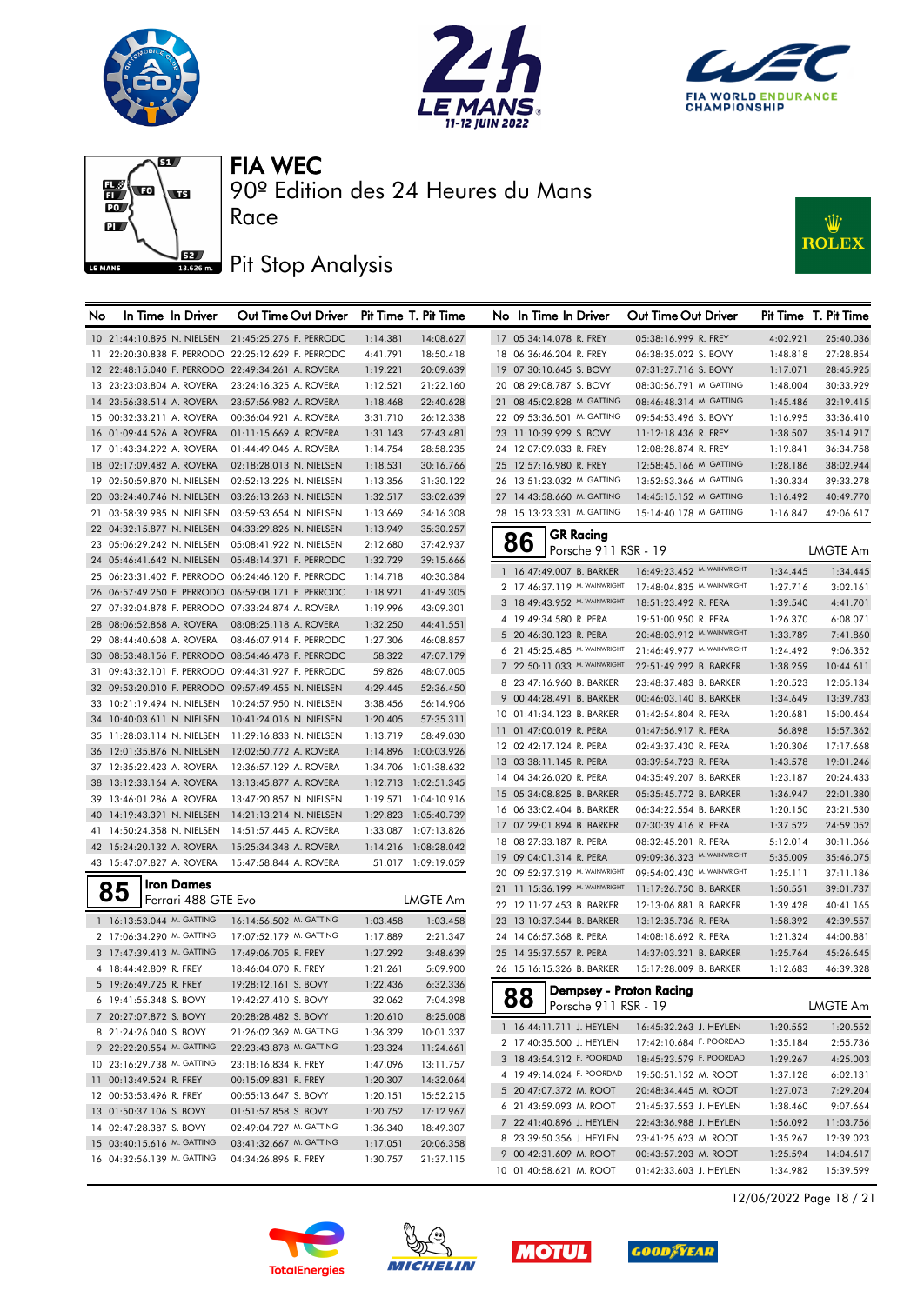







90º Edition des 24 Heures du Mans

### Pit Stop Analysis

Race



| No |                                                     | In Time In Driver   | Out Time Out Driver                                |                      | Pit Time T. Pit Time   | No In Time In Driver          |                      | Out Time Out Driver                              |          | Pit Time T. Pit Time |
|----|-----------------------------------------------------|---------------------|----------------------------------------------------|----------------------|------------------------|-------------------------------|----------------------|--------------------------------------------------|----------|----------------------|
|    |                                                     |                     | 10 21:44:10.895 N. NIELSEN 21:45:25.276 F. PERRODO | 1:14.381             | 14:08.627              | 17 05:34:14.078 R. FREY       |                      | 05:38:16.999 R. FREY                             | 4:02.921 | 25:40.036            |
|    |                                                     |                     | 11 22:20:30.838 F. PERRODO 22:25:12.629 F. PERRODO | 4:41.791             | 18:50.418              | 18 06:36:46.204 R. FREY       |                      | 06:38:35.022 S. BOVY                             | 1:48.818 | 27:28.854            |
|    |                                                     |                     | 12 22:48:15.040 F. PERRODO 22:49:34.261 A. ROVERA  | 1:19.221             | 20:09.639              | 19 07:30:10.645 S. BOVY       |                      | 07:31:27.716 S. BOVY                             | 1:17.071 | 28:45.925            |
|    | 13 23:23:03.804 A. ROVERA                           |                     | 23:24:16.325 A. ROVERA                             | 1:12.521             | 21:22.160              | 20 08:29:08.787 S. BOVY       |                      | 08:30:56.791 M. GATTING                          | 1:48.004 | 30:33.929            |
|    | 14 23:56:38.514 A. ROVERA                           |                     | 23:57:56.982 A. ROVERA                             | 1:18.468             | 22:40.628              | 21 08:45:02.828 M. GATTING    |                      | 08:46:48.314 M. GATTING                          | 1:45.486 | 32:19.415            |
|    | 15 00:32:33.211 A. ROVERA                           |                     | 00:36:04.921 A. ROVERA                             | 3:31.710             | 26:12.338              | 22 09:53:36.501 M. GATTING    |                      | 09:54:53.496 S. BOVY                             | 1:16.995 | 33:36.410            |
|    | 16 01:09:44.526 A. ROVERA                           |                     | 01:11:15.669 A. ROVERA                             | 1:31.143             | 27:43.481              | 23 11:10:39.929 S. BOVY       |                      | 11:12:18.436 R. FREY                             | 1:38.507 | 35:14.917            |
|    | 17 01:43:34.292 A. ROVERA                           |                     | 01:44:49.046 A. ROVERA                             | 1:14.754             | 28:58.235              | 24 12:07:09.033 R. FREY       |                      | 12:08:28.874 R. FREY                             | 1:19.841 | 36:34.758            |
|    | 18 02:17:09.482 A. ROVERA                           |                     | 02:18:28.013 N. NIELSEN                            | 1:18.531             | 30:16.766              | 25 12:57:16.980 R. FREY       |                      | 12:58:45.166 M. GATTING                          | 1:28.186 | 38:02.944            |
|    | 19 02:50:59.870 N. NIELSEN                          |                     | 02:52:13.226 N. NIELSEN                            | 1:13.356             | 31:30.122              | 26 13:51:23.032 M. GATTING    |                      | 13:52:53.366 M. GATTING                          | 1:30.334 | 39:33.278            |
|    | 20 03:24:40.746 N. NIELSEN                          |                     | 03:26:13.263 N. NIELSEN                            | 1:32.517             | 33:02.639              | 27 14:43:58.660 M. GATTING    |                      | 14:45:15.152 M. GATTING                          | 1:16.492 | 40:49.770            |
|    | 21 03:58:39.985 N. NIELSEN                          |                     | 03:59:53.654 N. NIELSEN                            | 1:13.669             | 34:16.308              | 28 15:13:23.331 M. GATTING    |                      | 15:14:40.178 M. GATTING                          | 1:16.847 | 42:06.617            |
|    | 22 04:32:15.877 N. NIELSEN                          |                     | 04:33:29.826 N. NIELSEN                            | 1:13.949             | 35:30.257              |                               | <b>GR Racing</b>     |                                                  |          |                      |
|    | 23 05:06:29.242 N. NIELSEN                          |                     | 05:08:41.922 N. NIELSEN                            | 2:12.680             | 37:42.937              | 86                            | Porsche 911 RSR - 19 |                                                  |          | LMGTE Am             |
|    | 24 05:46:41.642 N. NIELSEN                          |                     | 05:48:14.371 F. PERRODO                            | 1:32.729             | 39:15.666              |                               |                      |                                                  |          |                      |
|    |                                                     |                     | 25 06:23:31.402 F. PERRODO 06:24:46.120 F. PERRODO | 1:14.718             | 40:30.384              | 1 16:47:49.007 B. BARKER      |                      | 16:49:23.452 M. WAINWRIGHT                       | 1:34.445 | 1:34.445             |
|    |                                                     |                     | 26 06:57:49.250 F. PERRODO 06:59:08.171 F. PERRODO | 1:18.921             | 41:49.305              | 2 17:46:37.119 M. WAINWRIGHT  |                      | 17:48:04.835 M. WAINWRIGHT                       | 1:27.716 | 3:02.161             |
|    |                                                     |                     | 27 07:32:04.878 F. PERRODO 07:33:24.874 A. ROVERA  | 1:19.996             | 43:09.301              | 3 18:49:43.952 M. WAINWRIGHT  |                      | 18:51:23.492 R. PERA                             | 1:39.540 | 4:41.701             |
|    | 28 08:06:52.868 A. ROVERA                           |                     | 08:08:25.118 A. ROVERA                             | 1:32.250             | 44:41.551              | 4 19:49:34.580 R. PERA        |                      | 19:51:00.950 R. PERA                             | 1:26.370 | 6:08.071             |
|    | 29 08:44:40.608 A. ROVERA                           |                     | 08:46:07.914 F. PERRODO                            | 1:27.306             | 46:08.857              | 5 20:46:30.123 R. PERA        |                      | 20:48:03.912 M. WAINWRIGHT                       | 1:33.789 | 7:41.860             |
|    |                                                     |                     | 30 08:53:48.156 F. PERRODO 08:54:46.478 F. PERRODO | 58.322               | 47:07.179              | 6 21:45:25.485 M. WAINWRIGHT  |                      | 21:46:49.977 M. WAINWRIGHT                       | 1:24.492 | 9:06.352             |
|    |                                                     |                     | 31 09:43:32.101 F. PERRODO 09:44:31.927 F. PERRODO | 59.826               | 48:07.005              | 7 22:50:11.033 M. WAINWRIGHT  |                      | 22:51:49.292 B. BARKER                           | 1:38.259 | 10:44.611            |
|    |                                                     |                     | 32 09:53:20.010 F. PERRODO 09:57:49.455 N. NIELSEN | 4:29.445             | 52:36.450              | 8 23:47:16.960 B. BARKER      |                      | 23:48:37.483 B. BARKER                           | 1:20.523 | 12:05.134            |
|    |                                                     |                     | 33 10:21:19.494 N. NIELSEN 10:24:57.950 N. NIELSEN | 3:38.456             | 56:14.906              | 9 00:44:28.491 B. BARKER      |                      | 00:46:03.140 B. BARKER                           | 1:34.649 | 13:39.783            |
|    |                                                     |                     | 34 10:40:03.611 N. NIELSEN 10:41:24.016 N. NIELSEN | 1:20.405             | 57:35.311              | 10 01:41:34.123 B. BARKER     |                      | 01:42:54.804 R. PERA                             | 1:20.681 | 15:00.464            |
|    |                                                     |                     | 35 11:28:03.114 N. NIELSEN 11:29:16.833 N. NIELSEN | 1:13.719             | 58:49.030              | 11 01:47:00.019 R. PERA       |                      | 01:47:56.917 R. PERA                             | 56.898   | 15:57.362            |
|    | 36 12:01:35.876 N. NIELSEN                          |                     | 12:02:50.772 A. ROVERA                             |                      | 1:14.896 1:00:03.926   | 12 02:42:17.124 R. PERA       |                      | 02:43:37.430 R. PERA                             | 1:20.306 | 17:17.668            |
|    | 37 12:35:22.423 A. ROVERA                           |                     | 12:36:57.129 A. ROVERA                             |                      | 1:34.706 1:01:38.632   | 13 03:38:11.145 R. PERA       |                      | 03:39:54.723 R. PERA                             | 1:43.578 | 19:01.246            |
|    | 38 13:12:33.164 A. ROVERA                           |                     | 13:13:45.877 A. ROVERA                             |                      | 1:12.713 1:02:51.345   | 14 04:34:26.020 R. PERA       |                      | 04:35:49.207 B. BARKER                           | 1:23.187 | 20:24.433            |
|    | 39 13:46:01.286 A. ROVERA                           |                     | 13:47:20.857 N. NIELSEN                            |                      | 1:19.571 1:04:10.916   | 15 05:34:08.825 B. BARKER     |                      | 05:35:45.772 B. BARKER                           | 1:36.947 | 22:01.380            |
|    | 40 14:19:43.391 N. NIELSEN                          |                     | 14:21:13.214 N. NIELSEN                            |                      | 1:29.823 1:05:40.739   | 16 06:33:02.404 B. BARKER     |                      | 06:34:22.554 B. BARKER                           | 1:20.150 | 23:21.530            |
|    | 41 14:50:24.358 N. NIELSEN                          |                     | 14:51:57.445 A. ROVERA                             |                      | 1:33.087 1:07:13.826   | 17 07:29:01.894 B. BARKER     |                      | 07:30:39.416 R. PERA                             | 1:37.522 | 24:59.052            |
|    | 42 15:24:20.132 A. ROVERA                           |                     | 15:25:34.348 A. ROVERA                             |                      | 1:14.216 1:08:28.042   | 18 08:27:33.187 R. PERA       |                      | 08:32:45.201 R. PERA                             | 5:12.014 | 30:11.066            |
|    | 43 15:47:07.827 A. ROVERA                           |                     | 15:47:58.844 A. ROVERA                             |                      | 51.017 1:09:19.059     | 19 09:04:01.314 R. PERA       |                      | 09:09:36.323 M. WAINWRIGHT                       | 5:35.009 | 35:46.075            |
|    |                                                     | <b>Iron Dames</b>   |                                                    |                      |                        | 20 09:52:37.319 M. WAINWRIGHT |                      | 09:54:02.430 M. WAINWRIGHT                       | 1:25.111 | 37:11.186            |
|    | 85                                                  | Ferrari 488 GTE Evo |                                                    |                      | LMGTE Am               | 21 11:15:36.199 M. WAINWRIGHT |                      | 11:17:26.750 B. BARKER                           | 1:50.551 | 39:01.737            |
|    |                                                     |                     |                                                    |                      |                        | 22 12:11:27.453 B. BARKER     |                      | 12:13:06.881 B. BARKER                           | 1:39.428 | 40:41.165            |
|    | 1 16:13:53.044 M. GATTING                           |                     | 16:14:56.502 M. GATTING                            | 1:03.458             | 1:03.458               | 23 13:10:37.344 B. BARKER     |                      | 13:12:35.736 R. PERA                             | 1:58.392 | 42:39.557            |
|    | 2 17:06:34.290 M. GATTING                           |                     | 17:07:52.179 M. GATTING                            | 1:17.889             | 2:21.347               | 24 14:06:57.368 R. PERA       |                      | 14:08:18.692 R. PERA                             | 1:21.324 | 44:00.881            |
|    | 3 17:47:39.413 M. GATTING<br>4 18:44:42.809 R. FREY |                     | 17:49:06.705 R. FREY                               | 1:27.292             | 3:48.639               | 25 14:35:37.557 R. PERA       |                      | 14:37:03.321 B. BARKER<br>15:17:28.009 B. BARKER | 1:25.764 | 45:26.645            |
|    | 5 19:26:49.725 R. FREY                              |                     | 18:46:04.070 R. FREY                               | 1:21.261             | 5:09.900               | 26 15:16:15.326 B. BARKER     |                      |                                                  | 1:12.683 | 46:39.328            |
|    |                                                     |                     | 19:28:12.161 S. BOVY                               | 1:22.436<br>32.062   | 6:32.336<br>7:04.398   | QQ                            |                      | Dempsey - Proton Racing                          |          |                      |
|    | 6 19:41:55.348 S. BOVY                              |                     | 19:42:27.410 S. BOVY                               |                      |                        | υu                            | Porsche 911 RSR - 19 |                                                  |          | LMGTE Am             |
|    | 7 20:27:07.872 S. BOVY                              |                     | 20:28:28.482 S. BOVY<br>21:26:02.369 M. GATTING    | 1:20.610             | 8:25.008               | 1 16:44:11.711 J. HEYLEN      |                      | 16:45:32.263 J. HEYLEN                           | 1:20.552 | 1:20.552             |
|    | 8 21:24:26.040 S. BOVY<br>9 22:22:20.554 M. GATTING |                     | 22:23:43.878 M. GATTING                            | 1:36.329             | 10:01.337<br>11:24.661 | 2 17:40:35.500 J. HEYLEN      |                      | 17:42:10.684 F. POORDAD                          | 1:35.184 | 2:55.736             |
|    | 10 23:16:29.738 M. GATTING                          |                     | 23:18:16.834 R. FREY                               | 1:23.324<br>1:47.096 | 13:11.757              | 3 18:43:54.312 F. POORDAD     |                      | 18:45:23.579 F. POORDAD                          | 1:29.267 | 4:25.003             |
|    | 11 00:13:49.524 R. FREY                             |                     | 00:15:09.831 R. FREY                               | 1:20.307             | 14:32.064              | 4 19:49:14.024 F. POORDAD     |                      | 19:50:51.152 M. ROOT                             | 1:37.128 | 6:02.131             |
|    | 12 00:53:53.496 R. FREY                             |                     | 00:55:13.647 S. BOVY                               | 1:20.151             | 15:52.215              | 5 20:47:07.372 M. ROOT        |                      | 20:48:34.445 M. ROOT                             | 1:27.073 | 7:29.204             |
|    | 13 01:50:37.106 S. BOVY                             |                     | 01:51:57.858 S. BOVY                               | 1:20.752             | 17:12.967              | 6 21:43:59.093 M. ROOT        |                      | 21:45:37.553 J. HEYLEN                           | 1:38.460 | 9:07.664             |
|    | 14 02:47:28.387 S. BOVY                             |                     | 02:49:04.727 M. GATTING                            | 1:36.340             | 18:49.307              | 7 22:41:40.896 J. HEYLEN      |                      | 22:43:36.988 J. HEYLEN                           | 1:56.092 | 11:03.756            |



 03:40:15.616 M. GATTING 03:41:32.667 M. GATTING 1:17.051 20:06.358 04:32:56.139 M. GATTING 04:34:26.896 R. FREY 1:30.757 21:37.115







 23:39:50.356 J. HEYLEN 23:41:25.623 M. ROOT 1:35.267 12:39.023 9 00:42:31.609 M. ROOT 00:43:57.203 M. ROOT 1:25.594 14:04.617 01:40:58.621 M. ROOT 01:42:33.603 J. HEYLEN 1:34.982 15:39.599

12/06/2022 Page 18 / 21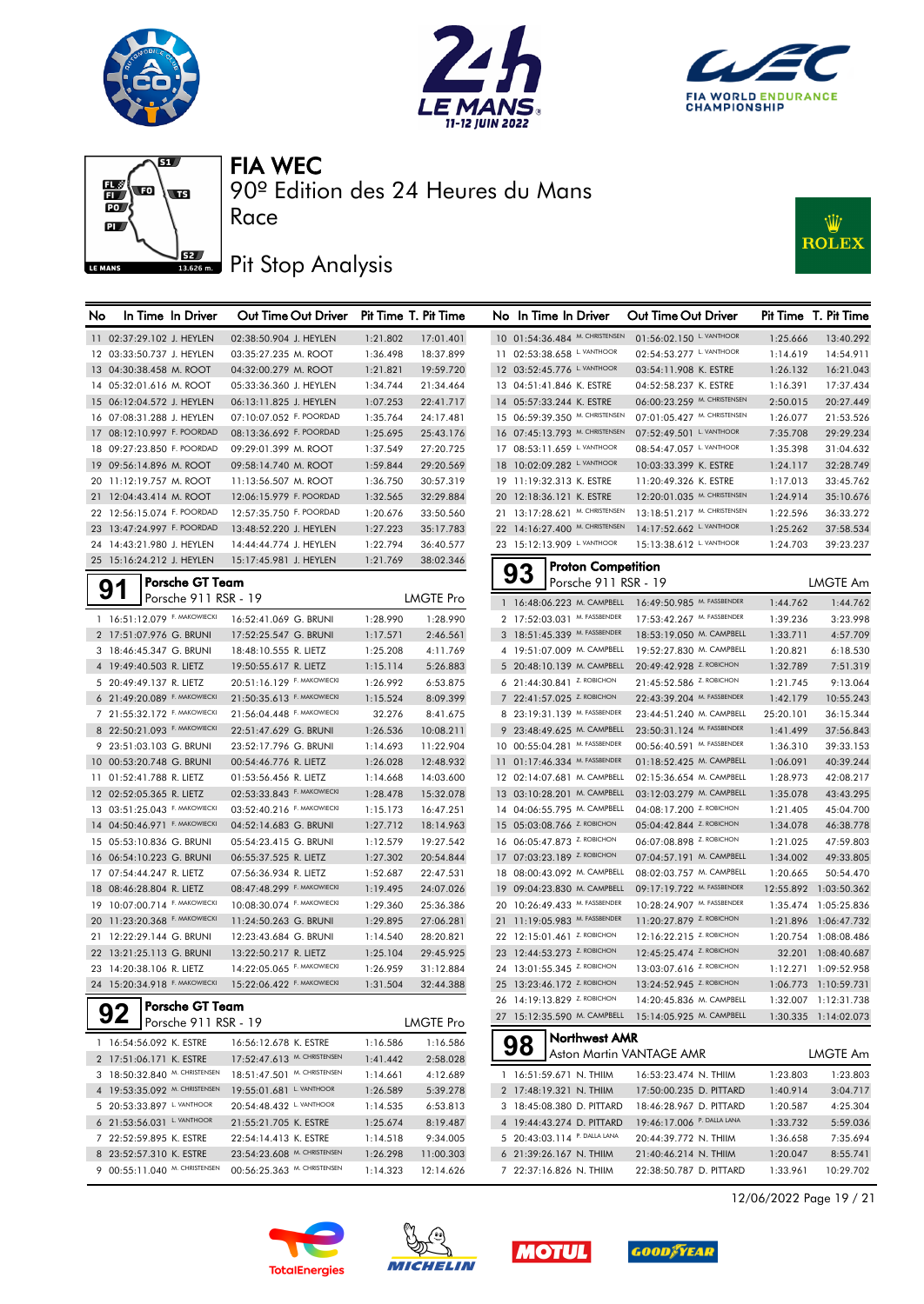







90º Edition des 24 Heures du Mans

## Pit Stop Analysis

Race



| No | In Time In Driver             | Out Time Out Driver         |          | Pit Time T. Pit Time |    | No In Time In Driver           |                           | Out Time Out Driver                                   |           | Pit Time T. Pit Time  |
|----|-------------------------------|-----------------------------|----------|----------------------|----|--------------------------------|---------------------------|-------------------------------------------------------|-----------|-----------------------|
|    | 11 02:37:29.102 J. HEYLEN     | 02:38:50.904 J. HEYLEN      | 1:21.802 | 17:01.401            |    | 10 01:54:36.484 M. CHRISTENSEN |                           | 01:56:02.150 L. VANTHOOR                              | 1:25.666  | 13:40.292             |
|    | 12 03:33:50.737 J. HEYLEN     | 03:35:27.235 M. ROOT        | 1:36.498 | 18:37.899            |    | 11 02:53:38.658 L. VANTHOOR    |                           | 02:54:53.277 L. VANTHOOR                              | 1:14.619  | 14:54.911             |
|    | 13 04:30:38.458 M. ROOT       | 04:32:00.279 M. ROOT        | 1:21.821 | 19:59.720            |    | 12 03:52:45.776 L. VANTHOOR    |                           | 03:54:11.908 K. ESTRE                                 | 1:26.132  | 16:21.043             |
|    | 14 05:32:01.616 M. ROOT       | 05:33:36.360 J. HEYLEN      | 1:34.744 | 21:34.464            |    | 13 04:51:41.846 K. ESTRE       |                           | 04:52:58.237 K. ESTRE                                 | 1:16.391  | 17:37.434             |
|    | 15 06:12:04.572 J. HEYLEN     | 06:13:11.825 J. HEYLEN      | 1:07.253 | 22:41.717            |    | 14 05:57:33.244 K. ESTRE       |                           | 06:00:23.259 M. CHRISTENSEN                           | 2:50.015  | 20:27.449             |
|    | 16 07:08:31.288 J. HEYLEN     | 07:10:07.052 F. POORDAD     | 1:35.764 | 24:17.481            |    | 15 06:59:39.350 M. CHRISTENSEN |                           | 07:01:05.427 M. CHRISTENSEN                           | 1:26.077  | 21:53.526             |
|    | 17 08:12:10.997 F. POORDAD    | 08:13:36.692 F. POORDAD     | 1:25.695 | 25:43.176            |    | 16 07:45:13.793 M. CHRISTENSEN |                           | 07:52:49.501 L. VANTHOOR                              | 7:35.708  | 29:29.234             |
|    | 18 09:27:23.850 F. POORDAD    | 09:29:01.399 M. ROOT        | 1:37.549 | 27:20.725            |    | 17 08:53:11.659 L VANTHOOR     |                           | 08:54:47.057 L. VANTHOOR                              | 1:35.398  | 31:04.632             |
|    | 19 09:56:14.896 M. ROOT       | 09:58:14.740 M. ROOT        | 1:59.844 | 29:20.569            |    | 18 10:02:09.282 L. VANTHOOR    |                           | 10:03:33.399 K. ESTRE                                 | 1:24.117  | 32:28.749             |
|    | 20 11:12:19.757 M. ROOT       | 11:13:56.507 M. ROOT        | 1:36.750 | 30:57.319            |    | 19 11:19:32.313 K. ESTRE       |                           | 11:20:49.326 K. ESTRE                                 | 1:17.013  | 33:45.762             |
|    | 21 12:04:43.414 M. ROOT       | 12:06:15.979 F. POORDAD     | 1:32.565 | 32:29.884            |    | 20 12:18:36.121 K. ESTRE       |                           | 12:20:01.035 M. CHRISTENSEN                           | 1:24.914  | 35:10.676             |
|    | 22 12:56:15.074 F. POORDAD    | 12:57:35.750 F. POORDAD     | 1:20.676 | 33:50.560            |    | 21 13:17:28.621 M. CHRISTENSEN |                           | 13:18:51.217 M. CHRISTENSEN                           | 1:22.596  | 36:33.272             |
|    | 23 13:47:24.997 F. POORDAD    | 13:48:52.220 J. HEYLEN      | 1:27.223 | 35:17.783            |    | 22 14:16:27.400 M. CHRISTENSEN |                           | 14:17:52.662 L. VANTHOOR                              | 1:25.262  | 37:58.534             |
|    | 24 14:43:21.980 J. HEYLEN     | 14:44:44.774 J. HEYLEN      | 1:22.794 | 36:40.577            |    | 23 15:12:13.909 L. VANTHOOR    |                           | 15:13:38.612 L. VANTHOOR                              | 1:24.703  | 39:23.237             |
|    | 25 15:16:24.212 J. HEYLEN     | 15:17:45.981 J. HEYLEN      | 1:21.769 | 38:02.346            |    |                                | <b>Proton Competition</b> |                                                       |           |                       |
|    | <b>Porsche GT Team</b>        |                             |          |                      |    | 93                             | Porsche 911 RSR - 19      |                                                       |           | <b>LMGTE Am</b>       |
|    | 91<br>Porsche 911 RSR - 19    |                             |          | <b>LMGTE Pro</b>     |    |                                |                           | 1 16:48:06.223 M. CAMPBELL 16:49:50.985 M. FASSBENDER | 1:44.762  | 1:44.762              |
|    | 1 16:51:12.079 F. MAKOWIECKI  | 16:52:41.069 G. BRUNI       | 1:28.990 | 1:28.990             |    | 2 17:52:03.031 M. FASSBENDER   |                           | 17:53:42.267 M. FASSBENDER                            | 1:39.236  | 3:23.998              |
|    | 2 17:51:07.976 G. BRUNI       | 17:52:25.547 G. BRUNI       | 1:17.571 | 2:46.561             |    | 3 18:51:45.339 M. FASSBENDER   |                           | 18:53:19.050 M. CAMPBELL                              | 1:33.711  | 4:57.709              |
|    | 3 18:46:45.347 G. BRUNI       | 18:48:10.555 R. LIETZ       | 1:25.208 | 4:11.769             |    | 4 19:51:07.009 M. CAMPBELL     |                           | 19:52:27.830 M. CAMPBELL                              | 1:20.821  | 6:18.530              |
|    | 4 19:49:40.503 R. LIETZ       | 19:50:55.617 R. LIETZ       | 1:15.114 | 5:26.883             |    | 5 20:48:10.139 M. CAMPBELL     |                           | 20:49:42.928 Z. ROBICHON                              | 1:32.789  | 7:51.319              |
|    | 5 20:49:49.137 R. LIETZ       | 20:51:16.129 F. MAKOWIECKI  | 1:26.992 | 6:53.875             |    | 6 21:44:30.841 Z. ROBICHON     |                           | 21:45:52.586 Z. ROBICHON                              | 1:21.745  | 9:13.064              |
|    | 6 21:49:20.089 F. MAKOWIECKI  | 21:50:35.613 F. MAKOWIECKI  | 1:15.524 | 8:09.399             |    | 7 22:41:57.025 Z. ROBICHON     |                           | 22:43:39.204 M. FASSBENDER                            | 1:42.179  | 10:55.243             |
|    | 7 21:55:32.172 F. MAKOWIECKI  | 21:56:04.448 F. MAKOWIECKI  | 32.276   | 8:41.675             |    | 8 23:19:31.139 M. FASSBENDER   |                           | 23:44:51.240 M. CAMPBELL                              | 25:20.101 | 36:15.344             |
|    | 8 22:50:21.093 F. MAKOWIECKI  | 22:51:47.629 G. BRUNI       | 1:26.536 | 10:08.211            |    | 9 23:48:49.625 M. CAMPBELL     |                           | 23:50:31.124 M. FASSBENDER                            | 1:41.499  | 37:56.843             |
|    | 9 23:51:03.103 G. BRUNI       | 23:52:17.796 G. BRUNI       | 1:14.693 | 11:22.904            |    | 10 00:55:04.281 M. FASSBENDER  |                           | 00:56:40.591 M. FASSBENDER                            | 1:36.310  | 39:33.153             |
|    | 10 00:53:20.748 G. BRUNI      | 00:54:46.776 R. LIETZ       | 1:26.028 | 12:48.932            |    | 11 01:17:46.334 M. FASSBENDER  |                           | 01:18:52.425 M. CAMPBELL                              | 1:06.091  | 40:39.244             |
|    | 11 01:52:41.788 R. LIETZ      | 01:53:56.456 R. LIETZ       | 1:14.668 | 14:03.600            |    | 12 02:14:07.681 M. CAMPBELL    |                           | 02:15:36.654 M. CAMPBELL                              | 1:28.973  | 42:08.217             |
|    | 12 02:52:05.365 R. LIETZ      | 02:53:33.843 F. MAKOWIECKI  | 1:28.478 | 15:32.078            |    | 13 03:10:28.201 M. CAMPBELL    |                           | 03:12:03.279 M. CAMPBELL                              | 1:35.078  | 43:43.295             |
|    | 13 03:51:25.043 F. MAKOWIECKI | 03:52:40.216 F. MAKOWIECKI  | 1:15.173 | 16:47.251            |    | 14 04:06:55.795 M. CAMPBELL    |                           | 04:08:17.200 Z. ROBICHON                              | 1:21.405  | 45:04.700             |
|    | 14 04:50:46.971 F. MAKOWIECKI | 04:52:14.683 G. BRUNI       | 1:27.712 | 18:14.963            |    | 15 05:03:08.766 Z. ROBICHON    |                           | 05:04:42.844 Z. ROBICHON                              | 1:34.078  | 46:38.778             |
|    | 15 05:53:10.836 G. BRUNI      | 05:54:23.415 G. BRUNI       | 1:12.579 | 19:27.542            |    | 16 06:05:47.873 Z. ROBICHON    |                           | 06:07:08.898 Z. ROBICHON                              | 1:21.025  | 47:59.803             |
|    | 16 06:54:10.223 G. BRUNI      | 06:55:37.525 R. LIETZ       | 1:27.302 | 20:54.844            |    | 17 07:03:23.189 Z. ROBICHON    |                           | 07:04:57.191 M. CAMPBELL                              | 1:34.002  | 49:33.805             |
|    | 17 07:54:44.247 R. LIETZ      | 07:56:36.934 R. LIETZ       | 1:52.687 | 22:47.531            | 18 | 08:00:43.092 M. CAMPBELL       |                           | 08:02:03.757 M. CAMPBELL                              | 1:20.665  | 50:54.470             |
|    | 18 08:46:28.804 R. LIETZ      | 08:47:48.299 F. MAKOWIECKI  | 1:19.495 | 24:07.026            |    | 19 09:04:23.830 M. CAMPBELL    |                           | 09:17:19.722 M. FASSBENDER                            |           | 12:55.892 1:03:50.362 |
|    | 19 10:07:00.714 F. MAKOWIECKI | 10:08:30.074 F. MAKOWIECKI  | 1:29.360 | 25:36.386            |    | 20 10:26:49.433 M. FASSBENDER  |                           | 10:28:24.907 M. FASSBENDER                            |           | 1:35.474 1:05:25.836  |
|    | 20 11:23:20.368 F. MAKOWIECKI | 11:24:50.263 G. BRUNI       | 1:29.895 | 27:06.281            |    | 21 11:19:05.983 M. FASSBENDER  |                           | 11:20:27.879 Z. ROBICHON                              |           | 1:21.896 1:06:47.732  |
|    | 21 12:22:29.144 G. BRUNI      | 12:23:43.684 G. BRUNI       | 1:14.540 | 28:20.821            |    | 22 12:15:01.461 Z. ROBICHON    |                           | 12:16:22.215 Z. ROBICHON                              |           | 1:20.754 1:08:08.486  |
|    | 22 13:21:25.113 G. BRUNI      | 13:22:50.217 R. LIETZ       | 1:25.104 | 29:45.925            |    | 23 12:44:53.273 Z. ROBICHON    |                           | 12:45:25.474 Z. ROBICHON                              |           | 32.201 1:08:40.687    |
|    | 23 14:20:38.106 R. LIETZ      | 14:22:05.065 F. MAKOWIECKI  | 1:26.959 | 31:12.884            |    | 24 13:01:55.345 Z. ROBICHON    |                           | 13:03:07.616 Z. ROBICHON                              |           | 1:12.271 1:09:52.958  |
|    | 24 15:20:34.918 F. MAKOWIECKI | 15:22:06.422 F. MAKOWIECKI  | 1:31.504 | 32:44.388            |    | 25 13:23:46.172 Z. ROBICHON    |                           | 13:24:52.945 Z. ROBICHON                              |           | 1:06.773 1:10:59.731  |
|    | Porsche GT Team               |                             |          |                      |    | 26 14:19:13.829 Z. ROBICHON    |                           | 14:20:45.836 M. CAMPBELL                              |           | 1:32.007 1:12:31.738  |
|    | Porsche 911 RSR - 19          |                             |          | <b>LMGTE Pro</b>     |    |                                |                           | 27 15:12:35.590 M. CAMPBELL 15:14:05.925 M. CAMPBELL  |           | 1:30.335 1:14:02.073  |
|    | 1 16:54:56.092 K. ESTRE       | 16:56:12.678 K. ESTRE       | 1:16.586 | 1:16.586             |    |                                | Northwest AMR             |                                                       |           |                       |
|    | 2 17:51:06.171 K. ESTRE       | 17:52:47.613 M. CHRISTENSEN | 1:41.442 | 2:58.028             |    | 98                             |                           | Aston Martin VANTAGE AMR                              |           | LMGTE Am              |
|    | 3 18:50:32.840 M. CHRISTENSEN | 18:51:47.501 M. CHRISTENSEN | 1:14.661 | 4:12.689             |    | 1 16:51:59.671 N. THIIM        |                           | 16:53:23.474 N. THIIM                                 | 1:23.803  | 1:23.803              |
|    | 4 19:53:35.092 M. CHRISTENSEN | 19:55:01.681 L. VANTHOOR    | 1:26.589 | 5:39.278             |    | 2 17:48:19.321 N. THIIM        |                           | 17:50:00.235 D. PITTARD                               | 1:40.914  | 3:04.717              |
|    | 5 20:53:33.897 L VANTHOOR     | 20:54:48.432 L. VANTHOOR    | 1:14.535 | 6:53.813             |    | 3 18:45:08.380 D. PITTARD      |                           | 18:46:28.967 D. PITTARD                               | 1:20.587  | 4:25.304              |
|    | 6 21:53:56.031 L. VANTHOOR    | 21:55:21.705 K. ESTRE       | 1:25.674 | 8:19.487             |    | 4 19:44:43.274 D. PITTARD      |                           | 19:46:17.006 P. DALLA LANA                            | 1:33.732  | 5:59.036              |
|    | 7 22:52:59.895 K. ESTRE       | 22:54:14.413 K. ESTRE       | 1:14.518 | 9:34.005             |    | 5 20:43:03.114 P. DALLA LANA   |                           | 20:44:39.772 N. THIIM                                 | 1:36.658  | 7:35.694              |
|    | 8 23:52:57.310 K. ESTRE       | 23:54:23.608 M. CHRISTENSEN | 1:26.298 | 11:00.303            |    | 6 21:39:26.167 N. THIIM        |                           | 21:40:46.214 N. THIIM                                 | 1:20.047  | 8:55.741              |
|    | 9 00:55:11.040 M. CHRISTENSEN | 00:56:25.363 M. CHRISTENSEN | 1:14.323 | 12:14.626            |    | 7 22:37:16.826 N. THIIM        |                           | 22:38:50.787 D. PITTARD                               | 1:33.961  | 10:29.702             |
|    |                               |                             |          |                      |    |                                |                           |                                                       |           |                       |









12/06/2022 Page 19 / 21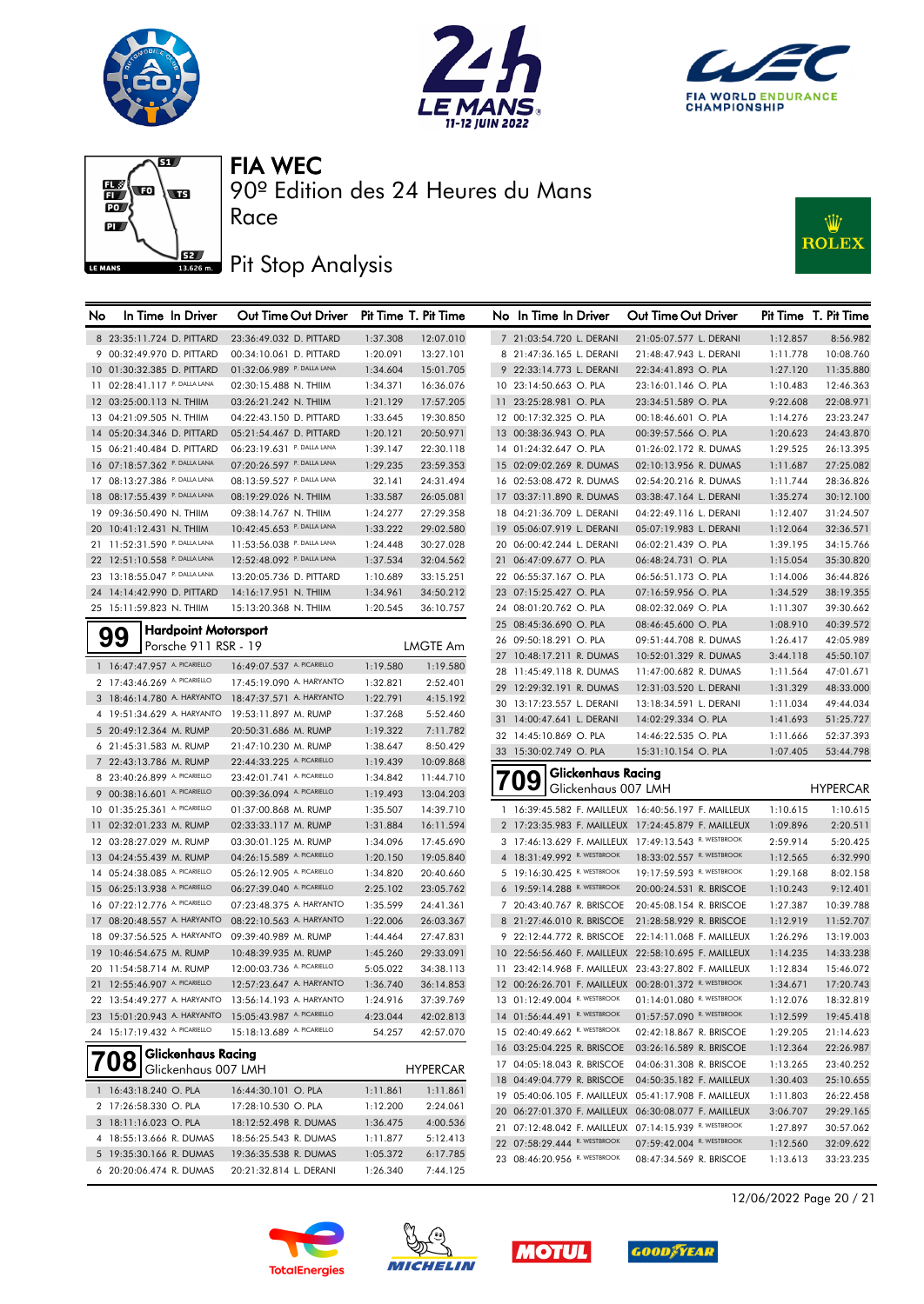







90º Edition des 24 Heures du Mans

# **J**BZ Pit Stop Analysis

Race



| No | In Time In Driver                                      | Out Time Out Driver                                  |          | Pit Time T. Pit Time | No In Time In Driver         |                    | Out Time Out Driver                                   |          | Pit Time T. Pit Time |
|----|--------------------------------------------------------|------------------------------------------------------|----------|----------------------|------------------------------|--------------------|-------------------------------------------------------|----------|----------------------|
|    | 8 23:35:11.724 D. PITTARD                              | 23:36:49.032 D. PITTARD                              | 1:37.308 | 12:07.010            | 7 21:03:54.720 L. DERANI     |                    | 21:05:07.577 L. DERANI                                | 1:12.857 | 8:56.982             |
|    | 9 00:32:49.970 D. PITTARD                              | 00:34:10.061 D. PITTARD                              | 1:20.091 | 13:27.101            | 8 21:47:36.165 L. DERANI     |                    | 21:48:47.943 L. DERANI                                | 1:11.778 | 10:08.760            |
|    | 10 01:30:32.385 D. PITTARD                             | 01:32:06.989 P. DALLA LANA                           | 1:34.604 | 15:01.705            | 9 22:33:14.773 L. DERANI     |                    | 22:34:41.893 O. PLA                                   | 1:27.120 | 11:35.880            |
|    | 11 02:28:41.117 P. DALLA LANA                          | 02:30:15.488 N. THIIM                                | 1:34.371 | 16:36.076            | 10 23:14:50.663 O. PLA       |                    | 23:16:01.146 O. PLA                                   | 1:10.483 | 12:46.363            |
|    | 12 03:25:00.113 N. THIIM                               | 03:26:21.242 N. THIIM                                | 1:21.129 | 17:57.205            | 11 23:25:28.981 O. PLA       |                    | 23:34:51.589 O. PLA                                   | 9:22.608 | 22:08.971            |
|    | 13 04:21:09.505 N. THIIM                               | 04:22:43.150 D. PITTARD                              | 1:33.645 | 19:30.850            | 12 00:17:32.325 O. PLA       |                    | 00:18:46.601 O. PLA                                   | 1:14.276 | 23:23.247            |
|    | 14 05:20:34.346 D. PITTARD                             | 05:21:54.467 D. PITTARD                              | 1:20.121 | 20:50.971            | 13 00:38:36.943 O. PLA       |                    | 00:39:57.566 O. PLA                                   | 1:20.623 | 24:43.870            |
|    | 15 06:21:40.484 D. PITTARD                             | 06:23:19.631 P. DALLA LANA                           | 1:39.147 | 22:30.118            | 14 01:24:32.647 O. PLA       |                    | 01:26:02.172 R. DUMAS                                 | 1:29.525 | 26:13.395            |
|    | 16 07:18:57.362 P. DALLA LANA                          | 07:20:26.597 P. DALLA LANA                           | 1:29.235 | 23:59.353            | 15 02:09:02.269 R. DUMAS     |                    | 02:10:13.956 R. DUMAS                                 | 1:11.687 | 27:25.082            |
|    | 17 08:13:27.386 P. DALLA LANA                          | 08:13:59.527 P. DALLA LANA                           | 32.141   | 24:31.494            | 16 02:53:08.472 R. DUMAS     |                    | 02:54:20.216 R. DUMAS                                 | 1:11.744 | 28:36.826            |
|    | 18 08:17:55.439 P. DALLA LANA                          | 08:19:29.026 N. THIIM                                | 1:33.587 | 26:05.081            | 17 03:37:11.890 R. DUMAS     |                    | 03:38:47.164 L. DERANI                                | 1:35.274 | 30:12.100            |
|    | 19 09:36:50.490 N. THIIM                               | 09:38:14.767 N. THIIM                                | 1:24.277 | 27:29.358            | 18 04:21:36.709 L. DERANI    |                    | 04:22:49.116 L. DERANI                                | 1:12.407 | 31:24.507            |
|    | 20 10:41:12.431 N. THIIM                               | 10:42:45.653 P. DALLA LANA                           | 1:33.222 | 29:02.580            | 19 05:06:07.919 L. DERANI    |                    | 05:07:19.983 L. DERANI                                | 1:12.064 | 32:36.571            |
|    | 21 11:52:31.590 P. DALLA LANA                          | 11:53:56.038 P. DALLA LANA                           | 1:24.448 | 30:27.028            | 20 06:00:42.244 L. DERANI    |                    | 06:02:21.439 O. PLA                                   | 1:39.195 | 34:15.766            |
|    | 22 12:51:10.558 P. DALLA LANA                          | 12:52:48.092 P. DALLA LANA                           | 1:37.534 | 32:04.562            | 21 06:47:09.677 O. PLA       |                    | 06:48:24.731 O. PLA                                   | 1:15.054 | 35:30.820            |
|    | 23 13:18:55.047 P. DALLA LANA                          | 13:20:05.736 D. PITTARD                              | 1:10.689 | 33:15.251            | 22 06:55:37.167 O. PLA       |                    | 06:56:51.173 O. PLA                                   | 1:14.006 | 36:44.826            |
|    | 24 14:14:42.990 D. PITTARD                             | 14:16:17.951 N. THIIM                                | 1:34.961 | 34:50.212            | 23 07:15:25.427 O. PLA       |                    | 07:16:59.956 O. PLA                                   | 1:34.529 | 38:19.355            |
|    | 25 15:11:59.823 N. THIIM                               | 15:13:20.368 N. THIIM                                | 1:20.545 | 36:10.757            | 24 08:01:20.762 O. PLA       |                    | 08:02:32.069 O. PLA                                   | 1:11.307 | 39:30.662            |
|    |                                                        |                                                      |          |                      | 25 08:45:36.690 O. PLA       |                    | 08:46:45.600 O. PLA                                   | 1:08.910 | 40:39.572            |
|    | <b>Hardpoint Motorsport</b><br>99                      |                                                      |          |                      | 26 09:50:18.291 O. PLA       |                    | 09:51:44.708 R. DUMAS                                 | 1:26.417 | 42:05.989            |
|    | Porsche 911 RSR - 19                                   |                                                      |          | <b>LMGTE Am</b>      | 27 10:48:17.211 R. DUMAS     |                    | 10:52:01.329 R. DUMAS                                 | 3:44.118 | 45:50.107            |
|    | 1 16:47:47.957 A. PICARIELLO                           | 16:49:07.537 A. PICARIELLO                           | 1:19.580 | 1:19.580             | 28 11:45:49.118 R. DUMAS     |                    | 11:47:00.682 R. DUMAS                                 | 1:11.564 | 47:01.671            |
|    | 2 17:43:46.269 A. PICARIELLO                           | 17:45:19.090 A. HARYANTO                             | 1:32.821 | 2:52.401             | 29 12:29:32.191 R. DUMAS     |                    | 12:31:03.520 L. DERANI                                | 1:31.329 | 48:33.000            |
|    | 3 18:46:14.780 A. HARYANTO                             | 18:47:37.571 A. HARYANTO                             | 1:22.791 | 4:15.192             | 30 13:17:23.557 L. DERANI    |                    | 13:18:34.591 L. DERANI                                | 1:11.034 | 49:44.034            |
|    | 4 19:51:34.629 A. HARYANTO                             | 19:53:11.897 M. RUMP                                 | 1:37.268 | 5:52.460             | 31 14:00:47.641 L. DERANI    |                    | 14:02:29.334 O. PLA                                   | 1:41.693 | 51:25.727            |
|    | 5 20:49:12.364 M. RUMP                                 | 20:50:31.686 M. RUMP                                 | 1:19.322 | 7:11.782             | 32 14:45:10.869 O. PLA       |                    | 14:46:22.535 O. PLA                                   | 1:11.666 | 52:37.393            |
|    | 6 21:45:31.583 M. RUMP                                 | 21:47:10.230 M. RUMP                                 | 1:38.647 | 8:50.429             | 33 15:30:02.749 O. PLA       |                    | 15:31:10.154 O. PLA                                   | 1:07.405 | 53:44.798            |
|    | 7 22:43:13.786 M. RUMP                                 | 22:44:33.225 A. PICARIELLO                           | 1:19.439 | 10:09.868            |                              | Glickenhaus Racing |                                                       |          |                      |
|    | 8 23:40:26.899 A. PICARIELLO                           | 23:42:01.741 A. PICARIELLO                           | 1:34.842 | 11:44.710            | 09                           |                    | Glickenhaus 007 LMH                                   |          | <b>HYPERCAR</b>      |
|    | 9 00:38:16.601 A. PICARIELLO                           | 00:39:36.094 A. PICARIELLO                           | 1:19.493 | 13:04.203            |                              |                    |                                                       |          |                      |
|    | 10 01:35:25.361 A. PICARIELLO                          | 01:37:00.868 M. RUMP                                 | 1:35.507 | 14:39.710            |                              |                    | 1 16:39:45.582 F. MAILLEUX 16:40:56.197 F. MAILLEUX   | 1:10.615 | 1:10.615             |
|    | 11 02:32:01.233 M. RUMP                                | 02:33:33.117 M. RUMP                                 | 1:31.884 | 16:11.594            |                              |                    | 2 17:23:35.983 F. MAILLEUX 17:24:45.879 F. MAILLEUX   | 1:09.896 | 2:20.511             |
|    | 12 03:28:27.029 M. RUMP                                | 03:30:01.125 M. RUMP                                 | 1:34.096 | 17:45.690            |                              |                    | 3 17:46:13.629 F. MAILLEUX 17:49:13.543 R. WESTBROOK  | 2:59.914 | 5:20.425             |
|    | 13 04:24:55.439 M. RUMP                                | 04:26:15.589 A. PICARIELLO                           | 1:20.150 | 19:05.840            | 4 18:31:49.992 R. WESTBROOK  |                    | 18:33:02.557 R. WESTBROOK                             | 1:12.565 | 6:32.990             |
|    | 14 05:24:38.085 A. PICARIELLO                          | 05:26:12.905 A. PICARIELLO                           | 1:34.820 | 20:40.660            | 5 19:16:30.425 R. WESTBROOK  |                    | 19:17:59.593 R. WESTBROOK                             | 1:29.168 | 8:02.158             |
|    | 15 06:25:13.938 A. PICARIELLO                          | 06:27:39.040 A. PICARIELLO                           | 2:25.102 | 23:05.762            | 6 19:59:14.288 R. WESTBROOK  |                    | 20:00:24.531 R. BRISCOE                               | 1:10.243 | 9:12.401             |
|    | 16 07:22:12.776 A. PICARIELLO                          | 07:23:48.375 A. HARYANTO                             | 1:35.599 | 24:41.361            | 7 20:43:40.767 R. BRISCOE    |                    | 20:45:08.154 R. BRISCOE                               | 1:27.387 | 10:39.788            |
|    | 17 08:20:48.557 A. HARYANTO                            | 08:22:10.563 A. HARYANTO                             | 1:22.006 | 26:03.367            | 8 21:27:46.010 R. BRISCOE    |                    | 21:28:58.929 R. BRISCOE                               | 1:12.919 | 11:52.707            |
|    | 18 09:37:56.525 A. HARYANTO                            | 09:39:40.989 M. RUMP                                 | 1:44.464 | 27:47.831            | 9 22:12:44.772 R. BRISCOE    |                    | 22:14:11.068 F. MAILLEUX                              | 1:26.296 | 13:19.003            |
|    | 19 10:46:54.675 M. RUMP                                | 10:48:39.935 M. RUMP                                 | 1:45.260 | 29:33.091            |                              |                    | 10 22:56:56.460 F. MAILLEUX 22:58:10.695 F. MAILLEUX  | 1:14.235 | 14:33.238            |
|    | 20 11:54:58.714 M. RUMP                                | 12:00:03.736 A. PICARIELLO                           | 5:05.022 | 34:38.113            |                              |                    | 11 23:42:14.968 F. MAILLEUX 23:43:27.802 F. MAILLEUX  | 1:12.834 | 15:46.072            |
|    | 21 12:55:46.907 A. PICARIELLO                          | 12:57:23.647 A. HARYANTO                             | 1:36.740 | 36:14.853            |                              |                    | 12 00:26:26.701 F. MAILLEUX 00:28:01.372 R. WESTBROOK | 1:34.671 | 17:20.743            |
|    |                                                        | 22 13:54:49.277 A. HARYANTO 13:56:14.193 A. HARYANTO | 1:24.916 | 37:39.769            | 13 01:12:49.004 R. WESTBROOK |                    | 01:14:01.080 R. WESTBROOK                             | 1:12.076 | 18:32.819            |
|    | 23 15:01:20.943 A. HARYANTO 15:05:43.987 A. PICARIELLO |                                                      | 4:23.044 | 42:02.813            | 14 01:56:44.491 R. WESTBROOK |                    | 01:57:57.090 R. WESTBROOK                             | 1:12.599 | 19:45.418            |
|    | 24 15:17:19.432 A. PICARIELLO                          | 15:18:13.689 A. PICARIELLO                           | 54.257   | 42:57.070            | 15 02:40:49.662 R. WESTBROOK |                    | 02:42:18.867 R. BRISCOE                               | 1:29.205 | 21:14.623            |
|    | <b>Glickenhaus Racing</b><br>nο                        |                                                      |          |                      | 16 03:25:04.225 R. BRISCOE   |                    | 03:26:16.589 R. BRISCOE                               | 1:12.364 | 22:26.987            |
|    | Glickenhaus 007 LMH                                    |                                                      |          | <b>HYPERCAR</b>      | 17 04:05:18.043 R. BRISCOE   |                    | 04:06:31.308 R. BRISCOE                               | 1:13.265 | 23:40.252            |
|    | 1 16:43:18.240 O. PLA                                  | 16:44:30.101 O. PLA                                  | 1:11.861 | 1:11.861             | 18 04:49:04.779 R. BRISCOE   |                    | 04:50:35.182 F. MAILLEUX                              | 1:30.403 | 25:10.655            |
|    | 2 17:26:58.330 O. PLA                                  | 17:28:10.530 O. PLA                                  | 1:12.200 | 2:24.061             |                              |                    | 19 05:40:06.105 F. MAILLEUX 05:41:17.908 F. MAILLEUX  | 1:11.803 | 26:22.458            |
|    | 3 18:11:16.023 O. PLA                                  | 18:12:52.498 R. DUMAS                                | 1:36.475 | 4:00.536             |                              |                    | 20 06:27:01.370 F. MAILLEUX 06:30:08.077 F. MAILLEUX  | 3:06.707 | 29:29.165            |
|    | 4 18:55:13.666 R. DUMAS                                | 18:56:25.543 R. DUMAS                                | 1:11.877 | 5:12.413             |                              |                    | 21 07:12:48.042 F. MAILLEUX 07:14:15.939 R. WESTBROOK | 1:27.897 | 30:57.062            |
|    | 5 19:35:30.166 R. DUMAS                                | 19:36:35.538 R. DUMAS                                | 1:05.372 | 6:17.785             | 22 07:58:29.444 R. WESTBROOK |                    | 07:59:42.004 R. WESTBROOK                             | 1:12.560 | 32:09.622            |
|    | 6 20:20:06.474 R. DUMAS                                | 20:21:32.814 L. DERANI                               | 1:26.340 | 7:44.125             | 23 08:46:20.956 R. WESTBROOK |                    | 08:47:34.569 R. BRISCOE                               | 1:13.613 | 33:23.235            |









12/06/2022 Page 20 / 21